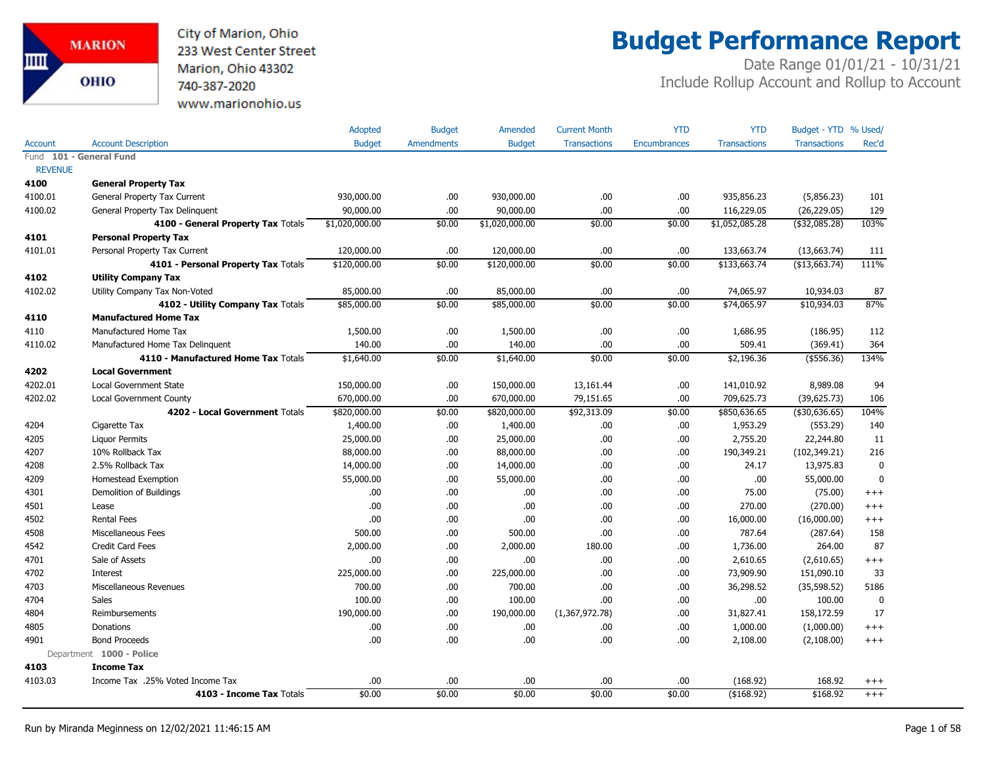City of Marion, Ohio 233 West Center Street Marion, Ohio 43302 740-387-2020 www.marionohio.us

# **Budget Performance Report**

|                |                                     | Adopted        | <b>Budget</b>     | Amended        | <b>Current Month</b> | <b>YTD</b>          | <b>YTD</b>          | Budget - YTD % Used/ |              |
|----------------|-------------------------------------|----------------|-------------------|----------------|----------------------|---------------------|---------------------|----------------------|--------------|
| Account        | <b>Account Description</b>          | <b>Budget</b>  | <b>Amendments</b> | <b>Budget</b>  | <b>Transactions</b>  | <b>Encumbrances</b> | <b>Transactions</b> | <b>Transactions</b>  | Rec'd        |
|                | Fund 101 - General Fund             |                |                   |                |                      |                     |                     |                      |              |
| <b>REVENUE</b> |                                     |                |                   |                |                      |                     |                     |                      |              |
| 4100           | <b>General Property Tax</b>         |                |                   |                |                      |                     |                     |                      |              |
| 4100.01        | General Property Tax Current        | 930,000.00     | .00.              | 930,000.00     | .00.                 | .00.                | 935,856.23          | (5,856.23)           | 101          |
| 4100.02        | General Property Tax Delinquent     | 90,000.00      | .00.              | 90,000.00      | .00                  | .00.                | 116,229.05          | (26, 229.05)         | 129          |
|                | 4100 - General Property Tax Totals  | \$1,020,000.00 | \$0.00            | \$1,020,000.00 | \$0.00               | \$0.00              | \$1,052,085.28      | (\$32,085.28)        | 103%         |
| 4101           | <b>Personal Property Tax</b>        |                |                   |                |                      |                     |                     |                      |              |
| 4101.01        | Personal Property Tax Current       | 120,000.00     | .00               | 120,000.00     | .00                  | .00                 | 133,663.74          | (13,663.74)          | 111          |
|                | 4101 - Personal Property Tax Totals | \$120,000.00   | \$0.00            | \$120,000.00   | \$0.00               | \$0.00              | \$133,663.74        | (\$13,663.74)        | 111%         |
| 4102           | <b>Utility Company Tax</b>          |                |                   |                |                      |                     |                     |                      |              |
| 4102.02        | Utility Company Tax Non-Voted       | 85,000.00      | .00               | 85,000.00      | .00                  | .00                 | 74,065.97           | 10,934.03            | 87           |
|                | 4102 - Utility Company Tax Totals   | \$85,000.00    | \$0.00            | \$85,000.00    | \$0.00               | \$0.00              | \$74,065.97         | \$10,934.03          | 87%          |
| 4110           | <b>Manufactured Home Tax</b>        |                |                   |                |                      |                     |                     |                      |              |
| 4110           | Manufactured Home Tax               | 1,500.00       | .00.              | 1,500.00       | .00                  | .00                 | 1,686.95            | (186.95)             | 112          |
| 4110.02        | Manufactured Home Tax Delinguent    | 140.00         | .00.              | 140.00         | .00                  | .00.                | 509.41              | (369.41)             | 364          |
|                | 4110 - Manufactured Home Tax Totals | \$1,640.00     | \$0.00            | \$1,640.00     | \$0.00               | \$0.00              | \$2,196.36          | ( \$556.36)          | 134%         |
| 4202           | <b>Local Government</b>             |                |                   |                |                      |                     |                     |                      |              |
| 4202.01        | <b>Local Government State</b>       | 150,000.00     | .00.              | 150,000.00     | 13,161.44            | .00                 | 141,010.92          | 8,989.08             | 94           |
| 4202.02        | Local Government County             | 670,000.00     | .00.              | 670,000.00     | 79,151.65            | .00                 | 709,625.73          | (39,625.73)          | 106          |
|                | 4202 - Local Government Totals      | \$820,000.00   | \$0.00            | \$820,000.00   | \$92,313.09          | \$0.00              | \$850,636.65        | ( \$30,636.65)       | 104%         |
| 4204           | Cigarette Tax                       | 1,400.00       | .00.              | 1,400.00       | .00.                 | .00.                | 1,953.29            | (553.29)             | 140          |
| 4205           | <b>Liquor Permits</b>               | 25,000.00      | .00.              | 25,000.00      | .00.                 | .00.                | 2,755.20            | 22,244.80            | 11           |
| 4207           | 10% Rollback Tax                    | 88,000.00      | .00.              | 88,000.00      | .00.                 | .00.                | 190,349.21          | (102, 349.21)        | 216          |
| 4208           | 2.5% Rollback Tax                   | 14,000.00      | .00.              | 14,000.00      | .00                  | .00.                | 24.17               | 13,975.83            | $\mathbf{0}$ |
| 4209           | Homestead Exemption                 | 55,000.00      | .00.              | 55,000.00      | .00.                 | .00.                | .00                 | 55,000.00            | $\mathbf{0}$ |
| 4301           | Demolition of Buildings             | .00            | .00.              | .00            | .00                  | .00                 | 75.00               | (75.00)              | $+++$        |
| 4501           | Lease                               | .00            | .00.              | .00            | .00                  | .00                 | 270.00              | (270.00)             | $^{+++}$     |
| 4502           | <b>Rental Fees</b>                  | .00            | .00.              | .00            | .00                  | .00.                | 16,000.00           | (16,000.00)          | $^{+++}$     |
| 4508           | Miscellaneous Fees                  | 500.00         | .00.              | 500.00         | .00                  | .00.                | 787.64              | (287.64)             | 158          |
| 4542           | <b>Credit Card Fees</b>             | 2,000.00       | .00               | 2,000.00       | 180.00               | .00                 | 1,736.00            | 264.00               | 87           |
| 4701           | Sale of Assets                      | .00            | .00.              | .00.           | .00.                 | .00                 | 2,610.65            | (2,610.65)           | $^{+++}$     |
| 4702           | Interest                            | 225,000.00     | .00.              | 225,000.00     | .00                  | .00                 | 73,909.90           | 151,090.10           | 33           |
| 4703           | Miscellaneous Revenues              | 700.00         | .00.              | 700.00         | .00                  | .00                 | 36,298.52           | (35, 598.52)         | 5186         |
| 4704           | <b>Sales</b>                        | 100.00         | .00.              | 100.00         | .00                  | .00                 | .00                 | 100.00               | $\mathbf 0$  |
| 4804           | Reimbursements                      | 190,000.00     | .00.              | 190,000.00     | (1,367,972.78)       | .00                 | 31,827.41           | 158,172.59           | 17           |
| 4805           | Donations                           | .00            | .00.              | .00            | .00.                 | .00                 | 1,000.00            | (1,000.00)           | $^{+++}$     |
| 4901           | <b>Bond Proceeds</b>                | .00            | .00.              | .00            | .00.                 | .00                 | 2,108.00            | (2,108.00)           | $+++$        |
|                | Department 1000 - Police            |                |                   |                |                      |                     |                     |                      |              |
| 4103           | <b>Income Tax</b>                   |                |                   |                |                      |                     |                     |                      |              |
| 4103.03        | Income Tax .25% Voted Income Tax    | .00            | .00.              | .00            | .00                  | .00.                | (168.92)            | 168.92               | $^{+++}$     |
|                | 4103 - Income Tax Totals            | \$0.00         | \$0.00            | \$0.00         | \$0.00               | \$0.00              | ( \$168.92)         | \$168.92             | $^{+++}$     |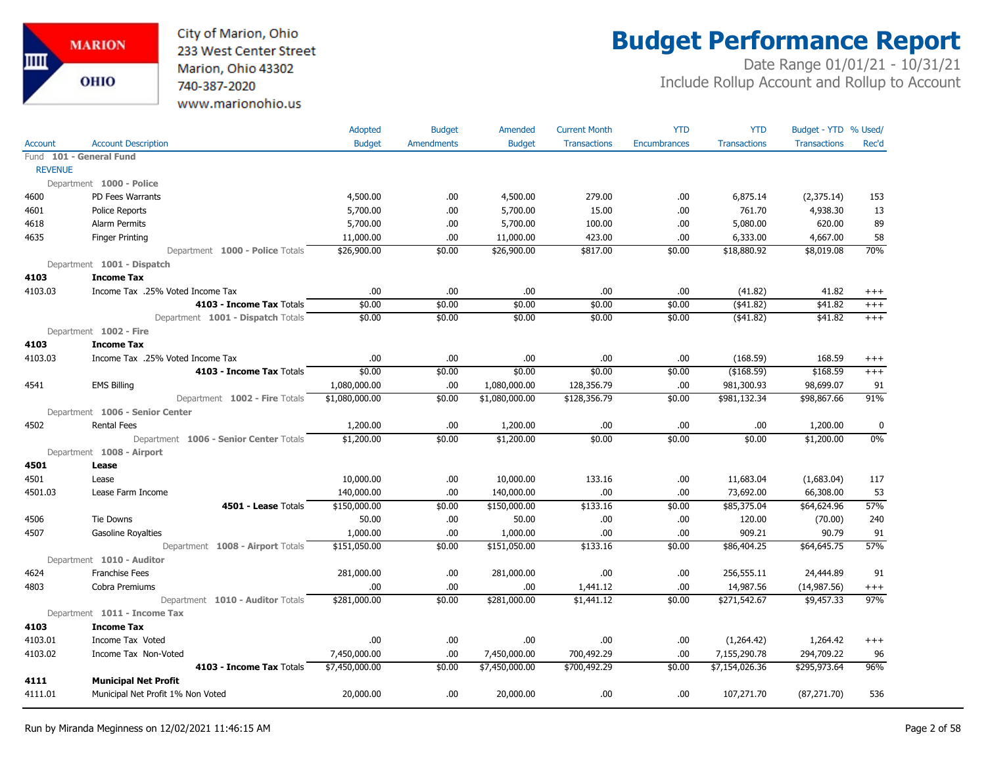

## **Budget Performance Report**

|                |                                        | Adopted        | <b>Budget</b>     | Amended        | <b>Current Month</b> | <b>YTD</b>          | <b>YTD</b>          | Budget - YTD % Used/ |           |
|----------------|----------------------------------------|----------------|-------------------|----------------|----------------------|---------------------|---------------------|----------------------|-----------|
| Account        | <b>Account Description</b>             | <b>Budget</b>  | <b>Amendments</b> | <b>Budget</b>  | <b>Transactions</b>  | <b>Encumbrances</b> | <b>Transactions</b> | <b>Transactions</b>  | Rec'd     |
|                | Fund 101 - General Fund                |                |                   |                |                      |                     |                     |                      |           |
| <b>REVENUE</b> |                                        |                |                   |                |                      |                     |                     |                      |           |
|                | Department 1000 - Police               |                |                   |                |                      |                     |                     |                      |           |
| 4600           | PD Fees Warrants                       | 4,500.00       | .00.              | 4,500.00       | 279.00               | .00                 | 6,875.14            | (2,375.14)           | 153       |
| 4601           | <b>Police Reports</b>                  | 5,700.00       | .00.              | 5,700.00       | 15.00                | .00                 | 761.70              | 4,938.30             | 13        |
| 4618           | Alarm Permits                          | 5,700.00       | .00.              | 5,700.00       | 100.00               | .00                 | 5,080.00            | 620.00               | 89        |
| 4635           | <b>Finger Printing</b>                 | 11,000.00      | .00               | 11,000.00      | 423.00               | .00                 | 6,333.00            | 4,667.00             | 58        |
|                | Department 1000 - Police Totals        | \$26,900.00    | \$0.00            | \$26,900.00    | \$817.00             | \$0.00              | \$18,880.92         | \$8,019.08           | 70%       |
|                | Department 1001 - Dispatch             |                |                   |                |                      |                     |                     |                      |           |
| 4103           | <b>Income Tax</b>                      |                |                   |                |                      |                     |                     |                      |           |
| 4103.03        | Income Tax .25% Voted Income Tax       | .00            | .00.              | .00.           | .00.                 | .00                 | (41.82)             | 41.82                | $^{+++}$  |
|                | 4103 - Income Tax Totals               | \$0.00         | \$0.00            | \$0.00         | \$0.00               | \$0.00              | $($ \$41.82)        | \$41.82              | $^{+++}$  |
|                | Department 1001 - Dispatch Totals      | \$0.00         | \$0.00            | \$0.00         | \$0.00               | \$0.00              | ( \$41.82)          | \$41.82              | $+++$     |
|                | Department 1002 - Fire                 |                |                   |                |                      |                     |                     |                      |           |
| 4103           | <b>Income Tax</b>                      |                |                   |                |                      |                     |                     |                      |           |
| 4103.03        | Income Tax .25% Voted Income Tax       | .00            | .00               | .00            | .00                  | .00                 | (168.59)            | 168.59               | $^{+++}$  |
|                | 4103 - Income Tax Totals               | \$0.00         | \$0.00            | \$0.00         | \$0.00               | \$0.00              | (\$168.59)          | \$168.59             | $+++$     |
| 4541           | <b>EMS Billing</b>                     | 1,080,000.00   | .00.              | 1,080,000.00   | 128,356.79           | .00                 | 981,300.93          | 98,699.07            | 91        |
|                | Department 1002 - Fire Totals          | \$1,080,000.00 | \$0.00            | \$1,080,000.00 | \$128,356.79         | \$0.00              | \$981,132.34        | \$98,867.66          | 91%       |
|                | Department 1006 - Senior Center        |                |                   |                |                      |                     |                     |                      |           |
| 4502           | <b>Rental Fees</b>                     | 1,200.00       | .00.              | 1,200.00       | .00                  | .00                 | .00                 | 1,200.00             | $\pmb{0}$ |
|                | Department 1006 - Senior Center Totals | \$1,200.00     | \$0.00            | \$1,200.00     | \$0.00               | \$0.00              | \$0.00              | \$1,200.00           | 0%        |
|                | Department 1008 - Airport              |                |                   |                |                      |                     |                     |                      |           |
| 4501           | Lease                                  |                |                   |                |                      |                     |                     |                      |           |
| 4501           | Lease                                  | 10,000.00      | .00.              | 10,000.00      | 133.16               | .00                 | 11,683.04           | (1,683.04)           | 117       |
| 4501.03        | Lease Farm Income                      | 140,000.00     | .00               | 140,000.00     | .00.                 | .00                 | 73,692.00           | 66,308.00            | 53        |
|                | 4501 - Lease Totals                    | \$150,000.00   | \$0.00            | \$150,000.00   | \$133.16             | \$0.00              | \$85,375.04         | \$64,624.96          | 57%       |
| 4506           | <b>Tie Downs</b>                       | 50.00          | .00.              | 50.00          | .00                  | .00                 | 120.00              | (70.00)              | 240       |
| 4507           | <b>Gasoline Royalties</b>              | 1,000.00       | .00               | 1,000.00       | .00.                 | .00                 | 909.21              | 90.79                | 91        |
|                | Department 1008 - Airport Totals       | \$151,050.00   | \$0.00            | \$151,050.00   | \$133.16             | \$0.00              | \$86,404.25         | \$64,645.75          | 57%       |
|                | Department 1010 - Auditor              |                |                   |                |                      |                     |                     |                      |           |
| 4624           | <b>Franchise Fees</b>                  | 281,000.00     | .00.              | 281,000.00     | .00                  | .00                 | 256,555.11          | 24,444.89            | 91        |
| 4803           | Cobra Premiums                         | .00            | .00               | .00            | 1,441.12             | .00                 | 14,987.56           | (14, 987.56)         | $^{+++}$  |
|                | Department 1010 - Auditor Totals       | \$281,000.00   | \$0.00            | \$281,000.00   | \$1,441.12           | \$0.00              | \$271,542.67        | \$9,457.33           | 97%       |
|                | Department 1011 - Income Tax           |                |                   |                |                      |                     |                     |                      |           |
| 4103           | <b>Income Tax</b>                      |                |                   |                |                      |                     |                     |                      |           |
| 4103.01        | Income Tax Voted                       | .00            | .00.              | .00            | .00.                 | .00                 | (1,264.42)          | 1,264.42             | $^{+++}$  |
| 4103.02        | Income Tax Non-Voted                   | 7,450,000.00   | .00               | 7,450,000.00   | 700,492.29           | .00                 | 7,155,290.78        | 294,709.22           | 96        |
|                | 4103 - Income Tax Totals               | \$7,450,000.00 | \$0.00            | \$7,450,000.00 | \$700,492.29         | \$0.00              | \$7,154,026.36      | \$295,973.64         | 96%       |
| 4111           | <b>Municipal Net Profit</b>            |                |                   |                |                      |                     |                     |                      |           |
| 4111.01        | Municipal Net Profit 1% Non Voted      | 20,000.00      | .00.              | 20,000.00      | .00                  | .00                 | 107,271.70          | (87, 271.70)         | 536       |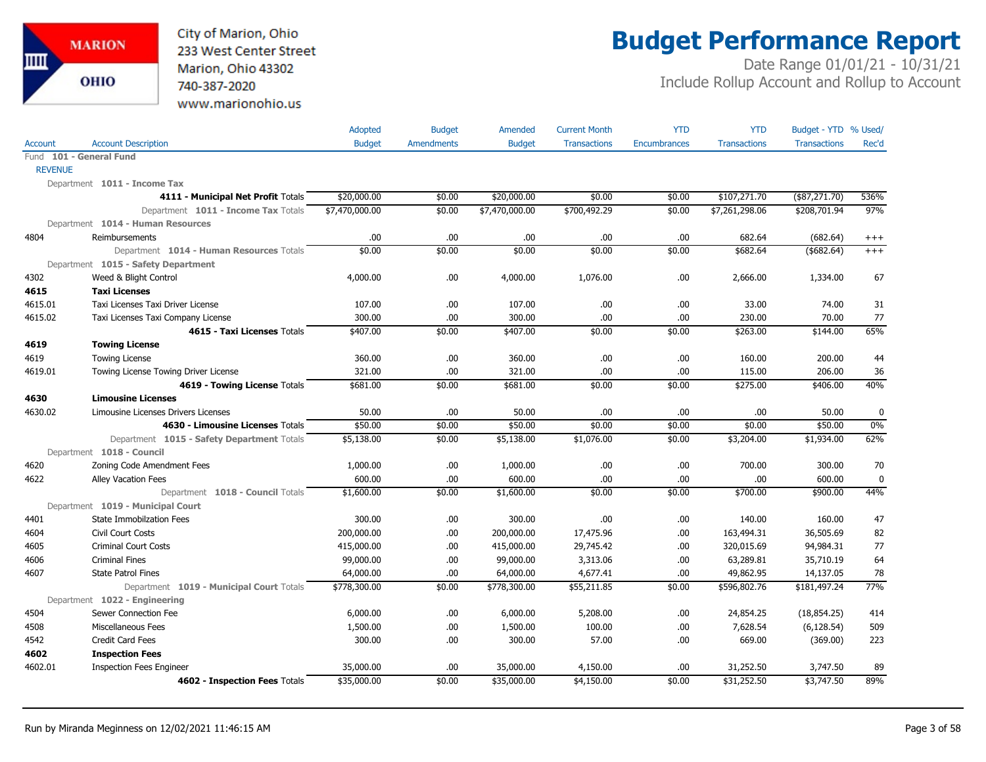City of Marion, Ohio 233 West Center Street Marion, Ohio 43302 740-387-2020 www.marionohio.us

# **Budget Performance Report**

|                |                                                                           | Adopted        | <b>Budget</b>     | Amended        | <b>Current Month</b> | <b>YTD</b>          | <b>YTD</b>          | Budget - YTD % Used/ |             |
|----------------|---------------------------------------------------------------------------|----------------|-------------------|----------------|----------------------|---------------------|---------------------|----------------------|-------------|
| Account        | <b>Account Description</b>                                                | <b>Budget</b>  | <b>Amendments</b> | <b>Budget</b>  | <b>Transactions</b>  | <b>Encumbrances</b> | <b>Transactions</b> | <b>Transactions</b>  | Rec'd       |
|                | Fund 101 - General Fund                                                   |                |                   |                |                      |                     |                     |                      |             |
| <b>REVENUE</b> |                                                                           |                |                   |                |                      |                     |                     |                      |             |
|                | Department 1011 - Income Tax                                              |                |                   |                |                      |                     |                     |                      |             |
|                | 4111 - Municipal Net Profit Totals                                        | \$20,000.00    | \$0.00            | \$20,000.00    | \$0.00               | \$0.00              | \$107,271.70        | $(*87,271.70)$       | 536%        |
|                | Department 1011 - Income Tax Totals                                       | \$7,470,000.00 | \$0.00            | \$7,470,000.00 | \$700,492.29         | \$0.00              | \$7,261,298.06      | \$208,701.94         | 97%         |
|                | Department 1014 - Human Resources                                         |                |                   |                |                      |                     |                     |                      |             |
| 4804           | Reimbursements                                                            | .00            | .00.              | .00            | .00                  | .00                 | 682.64              | (682.64)             | $^{+++}$    |
|                | Department 1014 - Human Resources Totals                                  | \$0.00         | \$0.00            | \$0.00         | \$0.00               | \$0.00              | \$682.64            | $($ \$682.64)        | $+++$       |
|                | Department 1015 - Safety Department                                       |                |                   |                |                      |                     |                     |                      |             |
| 4302           | Weed & Blight Control                                                     | 4,000.00       | .00.              | 4,000.00       | 1,076.00             | .00                 | 2,666.00            | 1,334.00             | 67          |
| 4615           | <b>Taxi Licenses</b>                                                      |                |                   |                |                      |                     |                     |                      |             |
| 4615.01        | Taxi Licenses Taxi Driver License                                         | 107.00         | .00.              | 107.00         | .00                  | .00                 | 33.00               | 74.00                | 31          |
| 4615.02        | Taxi Licenses Taxi Company License                                        | 300.00         | .00.              | 300.00         | .00                  | .00                 | 230.00              | 70.00                | 77          |
|                | 4615 - Taxi Licenses Totals                                               | \$407.00       | \$0.00            | \$407.00       | \$0.00               | \$0.00              | \$263.00            | \$144.00             | 65%         |
| 4619           | <b>Towing License</b>                                                     |                |                   |                |                      |                     |                     |                      |             |
| 4619           | <b>Towing License</b>                                                     | 360.00         | .00.              | 360.00         | .00                  | .00                 | 160.00              | 200.00               | 44          |
| 4619.01        | Towing License Towing Driver License                                      | 321.00         | .00.              | 321.00         | .00                  | .00                 | 115.00              | 206.00               | 36          |
|                | 4619 - Towing License Totals                                              | \$681.00       | \$0.00            | \$681.00       | \$0.00               | \$0.00              | \$275.00            | \$406.00             | 40%         |
| 4630           | <b>Limousine Licenses</b>                                                 |                |                   |                |                      |                     |                     |                      |             |
| 4630.02        | Limousine Licenses Drivers Licenses                                       | 50.00          | .00.              | 50.00          | .00                  | .00                 | .00                 | 50.00                | $\mathbf 0$ |
|                | 4630 - Limousine Licenses Totals                                          | \$50.00        | \$0.00            | \$50.00        | \$0.00               | \$0.00              | \$0.00              | \$50.00              | $0\%$       |
|                | Department 1015 - Safety Department Totals                                | \$5,138.00     | \$0.00            | \$5,138.00     | \$1,076.00           | \$0.00              | \$3,204.00          | \$1,934.00           | 62%         |
|                | Department 1018 - Council                                                 |                |                   |                |                      |                     |                     |                      |             |
| 4620           | Zoning Code Amendment Fees                                                | 1,000.00       | .00.              | 1,000.00       | .00                  | .00                 | 700.00              | 300.00               | 70          |
| 4622           | <b>Alley Vacation Fees</b>                                                | 600.00         | .00.              | 600.00         | .00                  | .00                 | .00                 | 600.00               | $\mathbf 0$ |
|                | Department 1018 - Council Totals                                          | \$1,600.00     | \$0.00            | \$1,600.00     | \$0.00               | \$0.00              | \$700.00            | \$900.00             | 44%         |
|                | Department 1019 - Municipal Court                                         |                |                   |                |                      |                     |                     |                      |             |
| 4401           | <b>State Immobilzation Fees</b>                                           | 300.00         | .00.              | 300.00         | .00                  | .00                 | 140.00              | 160.00               | 47          |
| 4604           | Civil Court Costs                                                         | 200,000.00     | .00.              | 200,000.00     | 17,475.96            | .00                 | 163,494.31          | 36,505.69            | 82          |
| 4605           | <b>Criminal Court Costs</b>                                               | 415,000.00     | .00               | 415,000.00     | 29,745.42            | .00                 | 320,015.69          | 94,984.31            | 77          |
| 4606           | <b>Criminal Fines</b>                                                     | 99,000.00      | .00.              | 99,000.00      | 3,313.06             | .00                 | 63,289.81           | 35,710.19            | 64          |
| 4607           | <b>State Patrol Fines</b>                                                 | 64,000.00      | .00               | 64,000.00      | 4,677.41             | .00.                | 49,862.95           | 14,137.05            | 78          |
|                | Department 1019 - Municipal Court Totals<br>Department 1022 - Engineering | \$778,300.00   | \$0.00            | \$778,300.00   | \$55,211.85          | \$0.00              | \$596,802.76        | \$181,497.24         | 77%         |
| 4504           | Sewer Connection Fee                                                      | 6,000.00       | .00.              | 6,000.00       | 5,208.00             | .00                 | 24,854.25           | (18, 854.25)         | 414         |
| 4508           | <b>Miscellaneous Fees</b>                                                 | 1,500.00       | .00.              | 1,500.00       | 100.00               | .00                 | 7,628.54            | (6, 128.54)          | 509         |
| 4542           | <b>Credit Card Fees</b>                                                   | 300.00         | .00.              | 300.00         | 57.00                | .00                 | 669.00              | (369.00)             | 223         |
| 4602           | <b>Inspection Fees</b>                                                    |                |                   |                |                      |                     |                     |                      |             |
| 4602.01        | <b>Inspection Fees Engineer</b>                                           | 35,000.00      | .00               | 35,000.00      | 4,150.00             | .00                 | 31,252.50           | 3,747.50             | 89          |
|                | 4602 - Inspection Fees Totals                                             | \$35,000.00    | \$0.00            | \$35,000.00    | \$4,150.00           | \$0.00              | \$31,252.50         | \$3,747.50           | 89%         |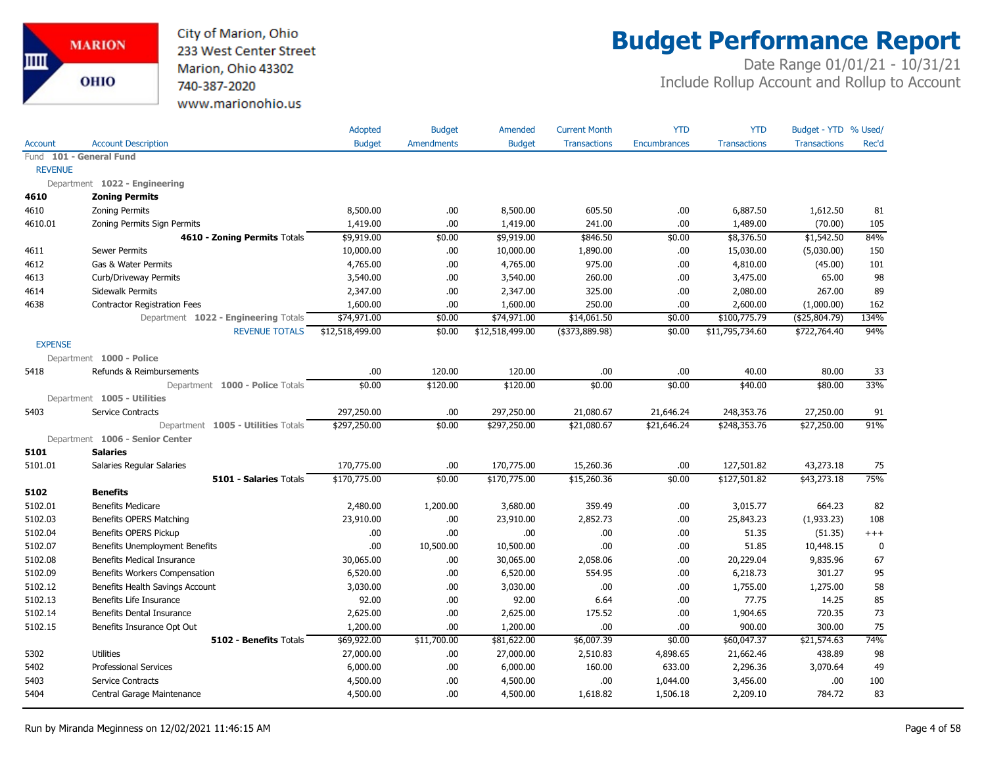

## **Budget Performance Report**

|                |                                      | Adopted         | <b>Budget</b>     | Amended         | <b>Current Month</b> | <b>YTD</b>          | <b>YTD</b>          | Budget - YTD % Used/ |             |
|----------------|--------------------------------------|-----------------|-------------------|-----------------|----------------------|---------------------|---------------------|----------------------|-------------|
| <b>Account</b> | <b>Account Description</b>           | <b>Budget</b>   | <b>Amendments</b> | <b>Budget</b>   | <b>Transactions</b>  | <b>Encumbrances</b> | <b>Transactions</b> | <b>Transactions</b>  | Rec'd       |
|                | Fund 101 - General Fund              |                 |                   |                 |                      |                     |                     |                      |             |
| <b>REVENUE</b> |                                      |                 |                   |                 |                      |                     |                     |                      |             |
|                | Department 1022 - Engineering        |                 |                   |                 |                      |                     |                     |                      |             |
| 4610           | <b>Zoning Permits</b>                |                 |                   |                 |                      |                     |                     |                      |             |
| 4610           | <b>Zoning Permits</b>                | 8,500.00        | .00.              | 8,500.00        | 605.50               | .00                 | 6,887.50            | 1,612.50             | 81          |
| 4610.01        | Zoning Permits Sign Permits          | 1,419.00        | .00.              | 1,419.00        | 241.00               | .00                 | 1,489.00            | (70.00)              | 105         |
|                | 4610 - Zoning Permits Totals         | \$9,919.00      | \$0.00            | \$9,919.00      | \$846.50             | \$0.00              | \$8,376.50          | \$1,542.50           | 84%         |
| 4611           | <b>Sewer Permits</b>                 | 10,000.00       | .00.              | 10,000.00       | 1,890.00             | .00                 | 15,030.00           | (5,030.00)           | 150         |
| 4612           | Gas & Water Permits                  | 4,765.00        | .00.              | 4,765.00        | 975.00               | .00                 | 4,810.00            | (45.00)              | 101         |
| 4613           | Curb/Driveway Permits                | 3,540.00        | .00.              | 3,540.00        | 260.00               | .00                 | 3,475.00            | 65.00                | 98          |
| 4614           | Sidewalk Permits                     | 2,347.00        | .00               | 2,347.00        | 325.00               | .00                 | 2,080.00            | 267.00               | 89          |
| 4638           | <b>Contractor Registration Fees</b>  | 1,600.00        | .00               | 1,600.00        | 250.00               | .00                 | 2,600.00            | (1,000.00)           | 162         |
|                | Department 1022 - Engineering Totals | \$74,971.00     | \$0.00            | \$74,971.00     | \$14,061.50          | \$0.00              | \$100,775.79        | ( \$25,804.79)       | 134%        |
|                | <b>REVENUE TOTALS</b>                | \$12,518,499.00 | \$0.00            | \$12,518,499.00 | $($ \$373,889.98)    | \$0.00              | \$11,795,734.60     | \$722,764.40         | 94%         |
| <b>EXPENSE</b> |                                      |                 |                   |                 |                      |                     |                     |                      |             |
|                | Department 1000 - Police             |                 |                   |                 |                      |                     |                     |                      |             |
| 5418           | Refunds & Reimbursements             | .00             | 120.00            | 120.00          | .00.                 | .00                 | 40.00               | 80.00                | 33          |
|                | Department 1000 - Police Totals      | \$0.00          | \$120.00          | \$120.00        | \$0.00               | \$0.00              | \$40.00             | \$80.00              | 33%         |
|                | Department 1005 - Utilities          |                 |                   |                 |                      |                     |                     |                      |             |
| 5403           | Service Contracts                    | 297,250.00      | .00.              | 297,250.00      | 21,080.67            | 21,646.24           | 248,353.76          | 27,250.00            | 91          |
|                | Department 1005 - Utilities Totals   | \$297,250.00    | \$0.00            | \$297,250.00    | \$21,080.67          | \$21,646.24         | \$248,353.76        | \$27,250.00          | 91%         |
|                | Department 1006 - Senior Center      |                 |                   |                 |                      |                     |                     |                      |             |
| 5101           | <b>Salaries</b>                      |                 |                   |                 |                      |                     |                     |                      |             |
| 5101.01        | Salaries Regular Salaries            | 170,775.00      | .00.              | 170,775.00      | 15,260.36            | .00                 | 127,501.82          | 43,273.18            | 75          |
|                | 5101 - Salaries Totals               | \$170,775.00    | \$0.00            | \$170,775.00    | \$15,260.36          | \$0.00              | \$127,501.82        | \$43,273.18          | 75%         |
| 5102           | <b>Benefits</b>                      |                 |                   |                 |                      |                     |                     |                      |             |
| 5102.01        | <b>Benefits Medicare</b>             | 2,480.00        | 1,200.00          | 3,680.00        | 359.49               | .00                 | 3,015.77            | 664.23               | 82          |
| 5102.03        | Benefits OPERS Matching              | 23,910.00       | .00.              | 23,910.00       | 2,852.73             | .00                 | 25,843.23           | (1,933.23)           | 108         |
| 5102.04        | Benefits OPERS Pickup                | .00.            | .00.              | .00.            | .00.                 | .00                 | 51.35               | (51.35)              | $^{+++}$    |
| 5102.07        | Benefits Unemployment Benefits       | .00             | 10,500.00         | 10,500.00       | .00                  | .00                 | 51.85               | 10,448.15            | $\mathbf 0$ |
| 5102.08        | <b>Benefits Medical Insurance</b>    | 30,065.00       | .00.              | 30,065.00       | 2,058.06             | .00                 | 20,229.04           | 9,835.96             | 67          |
| 5102.09        | Benefits Workers Compensation        | 6,520.00        | .00.              | 6,520.00        | 554.95               | .00                 | 6,218.73            | 301.27               | 95          |
| 5102.12        | Benefits Health Savings Account      | 3,030.00        | .00.              | 3,030.00        | .00.                 | .00                 | 1,755.00            | 1,275.00             | 58          |
| 5102.13        | Benefits Life Insurance              | 92.00           | .00.              | 92.00           | 6.64                 | .00                 | 77.75               | 14.25                | 85          |
| 5102.14        | Benefits Dental Insurance            | 2,625.00        | .00.              | 2,625.00        | 175.52               | .00                 | 1,904.65            | 720.35               | 73          |
| 5102.15        | Benefits Insurance Opt Out           | 1,200.00        | .00.              | 1,200.00        | .00.                 | .00                 | 900.00              | 300.00               | 75          |
|                | 5102 - Benefits Totals               | \$69,922.00     | \$11,700.00       | \$81,622.00     | \$6,007.39           | \$0.00              | \$60,047.37         | \$21,574.63          | 74%         |
| 5302           | <b>Utilities</b>                     | 27,000.00       | .00               | 27,000.00       | 2,510.83             | 4,898.65            | 21,662.46           | 438.89               | 98          |
| 5402           | <b>Professional Services</b>         | 6,000.00        | .00.              | 6,000.00        | 160.00               | 633.00              | 2,296.36            | 3,070.64             | 49          |
| 5403           | Service Contracts                    | 4,500.00        | .00               | 4,500.00        | .00.                 | 1,044.00            | 3,456.00            | .00                  | 100         |
| 5404           | Central Garage Maintenance           | 4,500.00        | .00               | 4,500.00        | 1,618.82             | 1,506.18            | 2,209.10            | 784.72               | 83          |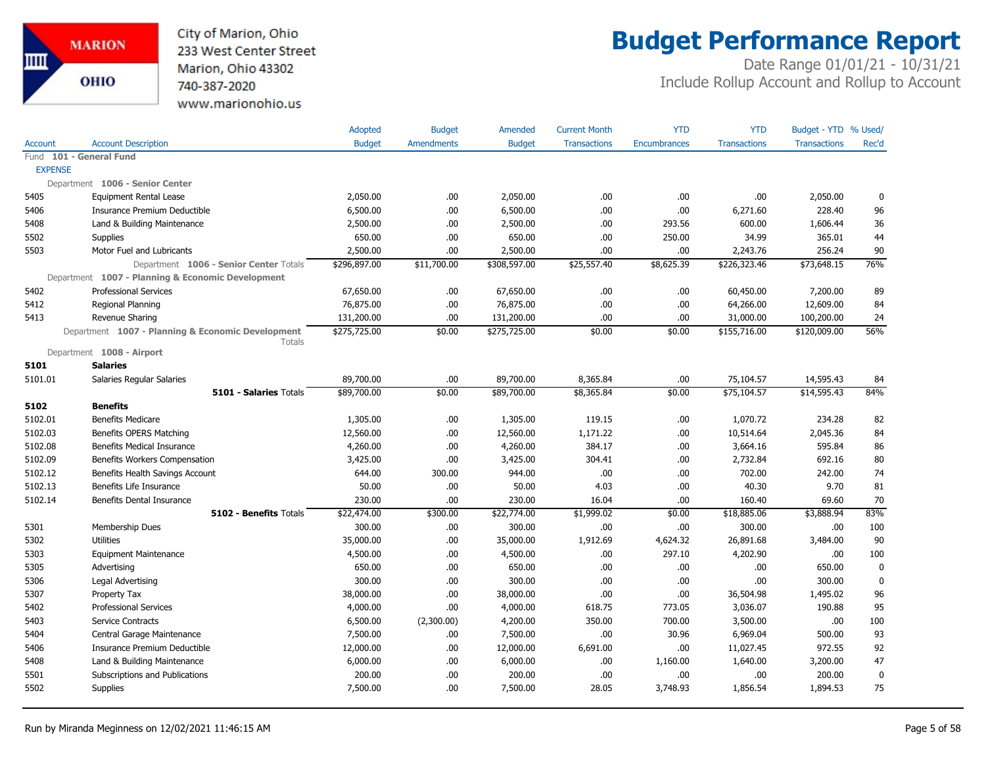

# **Budget Performance Report**

|                |                                                             | Adopted       | <b>Budget</b>     | Amended       | <b>Current Month</b> | <b>YTD</b>          | <b>YTD</b>          | Budget - YTD % Used/ |             |
|----------------|-------------------------------------------------------------|---------------|-------------------|---------------|----------------------|---------------------|---------------------|----------------------|-------------|
| Account        | <b>Account Description</b>                                  | <b>Budget</b> | <b>Amendments</b> | <b>Budget</b> | <b>Transactions</b>  | <b>Encumbrances</b> | <b>Transactions</b> | <b>Transactions</b>  | Rec'd       |
|                | Fund 101 - General Fund                                     |               |                   |               |                      |                     |                     |                      |             |
| <b>EXPENSE</b> |                                                             |               |                   |               |                      |                     |                     |                      |             |
|                | Department 1006 - Senior Center                             |               |                   |               |                      |                     |                     |                      |             |
| 5405           | <b>Equipment Rental Lease</b>                               | 2,050.00      | .00               | 2,050.00      | .00                  | .00.                | .00                 | 2,050.00             | 0           |
| 5406           | Insurance Premium Deductible                                | 6,500.00      | .00               | 6,500.00      | .00                  | .00.                | 6,271.60            | 228.40               | 96          |
| 5408           | Land & Building Maintenance                                 | 2,500.00      | .00               | 2,500.00      | .00                  | 293.56              | 600.00              | 1,606.44             | 36          |
| 5502           | <b>Supplies</b>                                             | 650.00        | .00               | 650.00        | .00                  | 250.00              | 34.99               | 365.01               | 44          |
| 5503           | Motor Fuel and Lubricants                                   | 2,500.00      | .00               | 2,500.00      | .00                  | .00.                | 2,243.76            | 256.24               | 90          |
|                | Department 1006 - Senior Center Totals                      | \$296,897.00  | \$11,700.00       | \$308,597.00  | \$25,557.40          | \$8,625.39          | \$226,323.46        | \$73,648.15          | 76%         |
|                | Department 1007 - Planning & Economic Development           |               |                   |               |                      |                     |                     |                      |             |
| 5402           | <b>Professional Services</b>                                | 67,650.00     | .00               | 67,650.00     | .00.                 | .00.                | 60,450.00           | 7,200.00             | 89          |
| 5412           | Regional Planning                                           | 76,875.00     | .00               | 76,875.00     | .00                  | .00.                | 64,266.00           | 12,609.00            | 84          |
| 5413           | Revenue Sharing                                             | 131,200.00    | .00               | 131,200.00    | .00                  | .00                 | 31,000.00           | 100,200.00           | 24          |
|                | Department 1007 - Planning & Economic Development<br>Totals | \$275,725.00  | \$0.00            | \$275,725.00  | \$0.00               | \$0.00              | \$155,716.00        | \$120,009.00         | 56%         |
|                | Department 1008 - Airport                                   |               |                   |               |                      |                     |                     |                      |             |
| 5101           | <b>Salaries</b>                                             |               |                   |               |                      |                     |                     |                      |             |
| 5101.01        | Salaries Regular Salaries                                   | 89,700.00     | .00               | 89,700.00     | 8,365.84             | .00.                | 75,104.57           | 14,595.43            | 84          |
|                | 5101 - Salaries Totals                                      | \$89,700.00   | \$0.00            | \$89,700.00   | \$8,365.84           | \$0.00              | \$75,104.57         | \$14,595.43          | 84%         |
| 5102           | <b>Benefits</b>                                             |               |                   |               |                      |                     |                     |                      |             |
| 5102.01        | <b>Benefits Medicare</b>                                    | 1,305.00      | .00.              | 1,305.00      | 119.15               | .00                 | 1,070.72            | 234.28               | 82          |
| 5102.03        | Benefits OPERS Matching                                     | 12,560.00     | .00.              | 12,560.00     | 1,171.22             | .00                 | 10,514.64           | 2,045.36             | 84          |
| 5102.08        | Benefits Medical Insurance                                  | 4,260.00      | .00.              | 4,260.00      | 384.17               | .00                 | 3,664.16            | 595.84               | 86          |
| 5102.09        | Benefits Workers Compensation                               | 3,425.00      | .00               | 3,425.00      | 304.41               | .00.                | 2,732.84            | 692.16               | 80          |
| 5102.12        | Benefits Health Savings Account                             | 644.00        | 300.00            | 944.00        | .00                  | .00.                | 702.00              | 242.00               | 74          |
| 5102.13        | Benefits Life Insurance                                     | 50.00         | .00.              | 50.00         | 4.03                 | .00.                | 40.30               | 9.70                 | 81          |
| 5102.14        | Benefits Dental Insurance                                   | 230.00        | .00               | 230.00        | 16.04                | .00.                | 160.40              | 69.60                | 70          |
|                | 5102 - Benefits Totals                                      | \$22,474.00   | \$300.00          | \$22,774.00   | \$1,999.02           | \$0.00              | \$18,885.06         | \$3,888.94           | 83%         |
| 5301           | Membership Dues                                             | 300.00        | .00.              | 300.00        | .00                  | .00.                | 300.00              | .00                  | 100         |
| 5302           | <b>Utilities</b>                                            | 35,000.00     | .00.              | 35,000.00     | 1,912.69             | 4,624.32            | 26,891.68           | 3,484.00             | 90          |
| 5303           | <b>Equipment Maintenance</b>                                | 4,500.00      | .00.              | 4,500.00      | .00.                 | 297.10              | 4,202.90            | .00.                 | 100         |
| 5305           | Advertising                                                 | 650.00        | .00               | 650.00        | .00                  | .00.                | .00                 | 650.00               | $\mathbf 0$ |
| 5306           | Legal Advertising                                           | 300.00        | .00.              | 300.00        | .00                  | .00.                | .00                 | 300.00               | $\mathbf 0$ |
| 5307           | Property Tax                                                | 38,000.00     | .00.              | 38,000.00     | .00                  | .00.                | 36,504.98           | 1,495.02             | 96          |
| 5402           | <b>Professional Services</b>                                | 4,000.00      | .00               | 4,000.00      | 618.75               | 773.05              | 3,036.07            | 190.88               | 95          |
| 5403           | Service Contracts                                           | 6,500.00      | (2,300.00)        | 4,200.00      | 350.00               | 700.00              | 3,500.00            | .00.                 | 100         |
| 5404           | Central Garage Maintenance                                  | 7,500.00      | .00.              | 7,500.00      | .00                  | 30.96               | 6,969.04            | 500.00               | 93          |
| 5406           | Insurance Premium Deductible                                | 12,000.00     | .00.              | 12,000.00     | 6,691.00             | .00.                | 11,027.45           | 972.55               | 92          |
| 5408           | Land & Building Maintenance                                 | 6,000.00      | .00.              | 6,000.00      | .00                  | 1,160.00            | 1,640.00            | 3,200.00             | 47          |
| 5501           | Subscriptions and Publications                              | 200.00        | .00               | 200.00        | .00                  | .00                 | .00                 | 200.00               | $\mathbf 0$ |
| 5502           | <b>Supplies</b>                                             | 7,500.00      | .00               | 7,500.00      | 28.05                | 3,748.93            | 1,856.54            | 1,894.53             | 75          |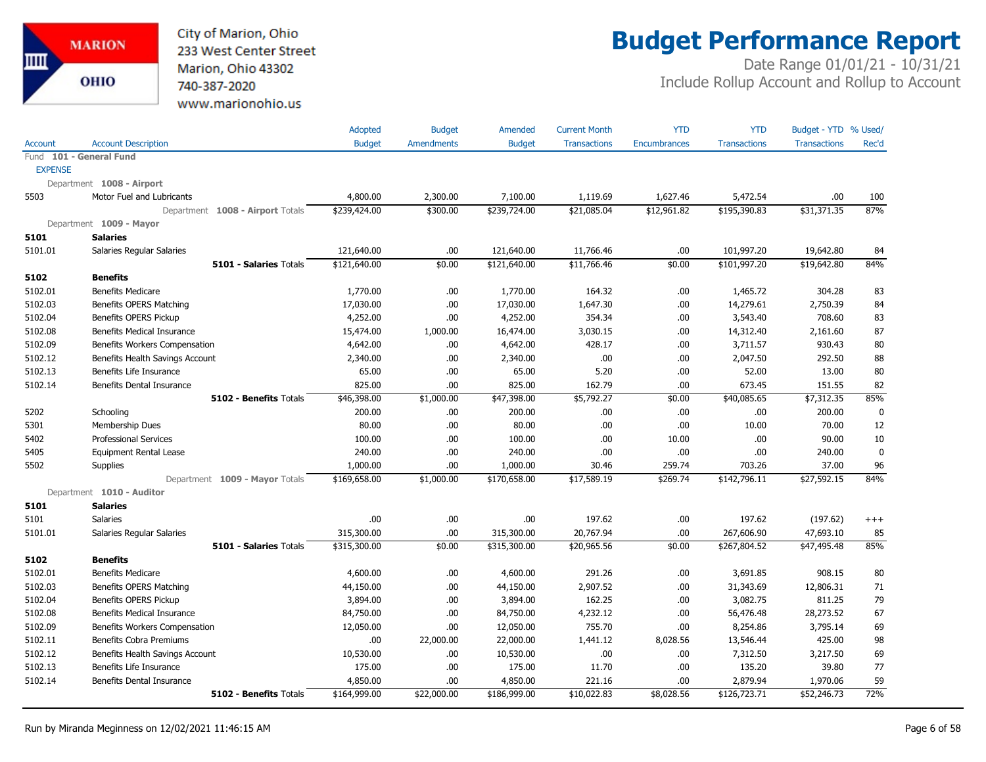City of Marion, Ohio 233 West Center Street Marion, Ohio 43302 740-387-2020 www.marionohio.us

# **Budget Performance Report**

|                |                                   | Adopted       | <b>Budget</b>     | Amended       | <b>Current Month</b> | <b>YTD</b>          | <b>YTD</b>          | Budget - YTD % Used/ |             |
|----------------|-----------------------------------|---------------|-------------------|---------------|----------------------|---------------------|---------------------|----------------------|-------------|
| <b>Account</b> | <b>Account Description</b>        | <b>Budget</b> | <b>Amendments</b> | <b>Budget</b> | <b>Transactions</b>  | <b>Encumbrances</b> | <b>Transactions</b> | <b>Transactions</b>  | Rec'd       |
|                | Fund 101 - General Fund           |               |                   |               |                      |                     |                     |                      |             |
| <b>EXPENSE</b> |                                   |               |                   |               |                      |                     |                     |                      |             |
|                | Department 1008 - Airport         |               |                   |               |                      |                     |                     |                      |             |
| 5503           | Motor Fuel and Lubricants         | 4,800.00      | 2,300.00          | 7,100.00      | 1,119.69             | 1,627.46            | 5,472.54            | .00                  | 100         |
|                | Department 1008 - Airport Totals  | \$239,424.00  | \$300.00          | \$239,724.00  | \$21,085.04          | \$12,961.82         | \$195,390.83        | \$31,371.35          | 87%         |
|                | Department 1009 - Mayor           |               |                   |               |                      |                     |                     |                      |             |
| 5101           | <b>Salaries</b>                   |               |                   |               |                      |                     |                     |                      |             |
| 5101.01        | Salaries Regular Salaries         | 121,640.00    | .00               | 121,640.00    | 11,766.46            | .00                 | 101,997.20          | 19,642.80            | 84          |
|                | <b>5101 - Salaries Totals</b>     | \$121,640.00  | \$0.00            | \$121,640.00  | \$11,766.46          | \$0.00              | \$101,997.20        | \$19,642.80          | 84%         |
| 5102           | <b>Benefits</b>                   |               |                   |               |                      |                     |                     |                      |             |
| 5102.01        | <b>Benefits Medicare</b>          | 1,770.00      | .00.              | 1,770.00      | 164.32               | .00                 | 1,465.72            | 304.28               | 83          |
| 5102.03        | Benefits OPERS Matching           | 17,030.00     | .00               | 17,030.00     | 1,647.30             | .00                 | 14,279.61           | 2,750.39             | 84          |
| 5102.04        | Benefits OPERS Pickup             | 4,252.00      | .00               | 4,252.00      | 354.34               | .00                 | 3,543.40            | 708.60               | 83          |
| 5102.08        | Benefits Medical Insurance        | 15,474.00     | 1,000.00          | 16,474.00     | 3,030.15             | .00                 | 14,312.40           | 2,161.60             | 87          |
| 5102.09        | Benefits Workers Compensation     | 4,642.00      | .00.              | 4,642.00      | 428.17               | .00                 | 3,711.57            | 930.43               | 80          |
| 5102.12        | Benefits Health Savings Account   | 2,340.00      | .00.              | 2,340.00      | .00                  | .00                 | 2,047.50            | 292.50               | 88          |
| 5102.13        | Benefits Life Insurance           | 65.00         | .00.              | 65.00         | 5.20                 | .00                 | 52.00               | 13.00                | 80          |
| 5102.14        | Benefits Dental Insurance         | 825.00        | .00.              | 825.00        | 162.79               | .00                 | 673.45              | 151.55               | 82          |
|                | 5102 - Benefits Totals            | \$46,398.00   | \$1,000.00        | \$47,398.00   | \$5,792.27           | \$0.00              | \$40,085.65         | \$7,312.35           | 85%         |
| 5202           | Schooling                         | 200.00        | .00.              | 200.00        | .00.                 | .00                 | .00.                | 200.00               | $\mathbf 0$ |
| 5301           | Membership Dues                   | 80.00         | .00.              | 80.00         | .00.                 | .00                 | 10.00               | 70.00                | 12          |
| 5402           | <b>Professional Services</b>      | 100.00        | .00.              | 100.00        | .00.                 | 10.00               | .00.                | 90.00                | 10          |
| 5405           | Equipment Rental Lease            | 240.00        | .00.              | 240.00        | .00                  | .00                 | .00                 | 240.00               | $\mathbf 0$ |
| 5502           | Supplies                          | 1,000.00      | .00.              | 1,000.00      | 30.46                | 259.74              | 703.26              | 37.00                | 96          |
|                | Department 1009 - Mayor Totals    | \$169,658.00  | \$1,000.00        | \$170,658.00  | \$17,589.19          | \$269.74            | \$142,796.11        | \$27,592.15          | 84%         |
|                | Department 1010 - Auditor         |               |                   |               |                      |                     |                     |                      |             |
| 5101           | <b>Salaries</b>                   |               |                   |               |                      |                     |                     |                      |             |
| 5101           | Salaries                          | .00.          | .00.              | .00           | 197.62               | .00                 | 197.62              | (197.62)             | $^{+++}$    |
| 5101.01        | Salaries Regular Salaries         | 315,300.00    | .00               | 315,300.00    | 20,767.94            | .00                 | 267,606.90          | 47,693.10            | 85          |
|                | 5101 - Salaries Totals            | \$315,300.00  | \$0.00            | \$315,300.00  | \$20,965.56          | \$0.00              | \$267,804.52        | \$47,495.48          | 85%         |
| 5102           | <b>Benefits</b>                   |               |                   |               |                      |                     |                     |                      |             |
| 5102.01        | <b>Benefits Medicare</b>          | 4,600.00      | .00               | 4,600.00      | 291.26               | .00                 | 3,691.85            | 908.15               | 80          |
| 5102.03        | Benefits OPERS Matching           | 44,150.00     | .00.              | 44,150.00     | 2,907.52             | .00                 | 31,343.69           | 12,806.31            | 71          |
| 5102.04        | <b>Benefits OPERS Pickup</b>      | 3,894.00      | .00.              | 3,894.00      | 162.25               | .00                 | 3,082.75            | 811.25               | 79          |
| 5102.08        | <b>Benefits Medical Insurance</b> | 84,750.00     | .00.              | 84,750.00     | 4,232.12             | .00                 | 56,476.48           | 28,273.52            | 67          |
| 5102.09        | Benefits Workers Compensation     | 12,050.00     | .00.              | 12,050.00     | 755.70               | .00                 | 8,254.86            | 3,795.14             | 69          |
| 5102.11        | Benefits Cobra Premiums           | .00           | 22,000.00         | 22,000.00     | 1,441.12             | 8,028.56            | 13,546.44           | 425.00               | 98          |
| 5102.12        | Benefits Health Savings Account   | 10,530.00     | .00.              | 10,530.00     | .00.                 | .00                 | 7,312.50            | 3,217.50             | 69          |
| 5102.13        | Benefits Life Insurance           | 175.00        | .00.              | 175.00        | 11.70                | .00                 | 135.20              | 39.80                | 77          |
| 5102.14        | Benefits Dental Insurance         | 4,850.00      | .00.              | 4,850.00      | 221.16               | .00                 | 2,879.94            | 1,970.06             | 59          |
|                | 5102 - Benefits Totals            | \$164,999.00  | \$22,000.00       | \$186,999.00  | \$10,022.83          | \$8,028.56          | \$126,723.71        | \$52,246.73          | 72%         |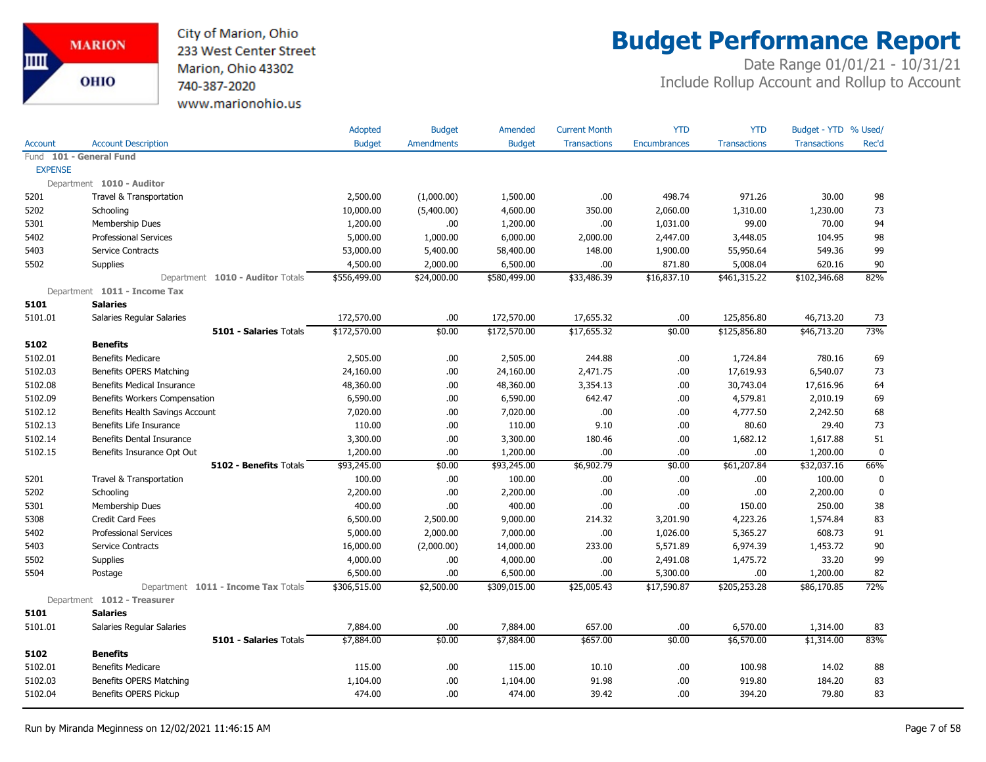City of Marion, Ohio 233 West Center Street Marion, Ohio 43302 740-387-2020 www.marionohio.us

## **Budget Performance Report**

|                |                                     | Adopted       | <b>Budget</b>     | Amended       | <b>Current Month</b> | <b>YTD</b>          | <b>YTD</b>          | Budget - YTD % Used/ |             |
|----------------|-------------------------------------|---------------|-------------------|---------------|----------------------|---------------------|---------------------|----------------------|-------------|
| Account        | <b>Account Description</b>          | <b>Budget</b> | <b>Amendments</b> | <b>Budget</b> | <b>Transactions</b>  | <b>Encumbrances</b> | <b>Transactions</b> | <b>Transactions</b>  | Rec'd       |
| Fund           | 101 - General Fund                  |               |                   |               |                      |                     |                     |                      |             |
| <b>EXPENSE</b> |                                     |               |                   |               |                      |                     |                     |                      |             |
|                | Department 1010 - Auditor           |               |                   |               |                      |                     |                     |                      |             |
| 5201           | Travel & Transportation             | 2,500.00      | (1,000.00)        | 1,500.00      | .00                  | 498.74              | 971.26              | 30.00                | 98          |
| 5202           | Schooling                           | 10,000.00     | (5,400.00)        | 4,600.00      | 350.00               | 2,060.00            | 1,310.00            | 1,230.00             | 73          |
| 5301           | <b>Membership Dues</b>              | 1,200.00      | .00.              | 1,200.00      | .00.                 | 1,031.00            | 99.00               | 70.00                | 94          |
| 5402           | <b>Professional Services</b>        | 5,000.00      | 1,000.00          | 6,000.00      | 2,000.00             | 2,447.00            | 3,448.05            | 104.95               | 98          |
| 5403           | Service Contracts                   | 53,000.00     | 5,400.00          | 58,400.00     | 148.00               | 1,900.00            | 55,950.64           | 549.36               | 99          |
| 5502           | <b>Supplies</b>                     | 4,500.00      | 2,000.00          | 6,500.00      | .00.                 | 871.80              | 5,008.04            | 620.16               | 90          |
|                | Department 1010 - Auditor Totals    | \$556,499.00  | \$24,000.00       | \$580,499.00  | \$33,486.39          | \$16,837.10         | \$461,315.22        | \$102,346.68         | 82%         |
|                | Department 1011 - Income Tax        |               |                   |               |                      |                     |                     |                      |             |
| 5101           | <b>Salaries</b>                     |               |                   |               |                      |                     |                     |                      |             |
| 5101.01        | Salaries Regular Salaries           | 172,570.00    | .00               | 172,570.00    | 17,655.32            | .00                 | 125,856.80          | 46,713.20            | 73          |
|                | <b>5101 - Salaries Totals</b>       | \$172,570.00  | \$0.00            | \$172,570.00  | \$17,655.32          | \$0.00              | \$125,856.80        | \$46,713.20          | 73%         |
| 5102           | <b>Benefits</b>                     |               |                   |               |                      |                     |                     |                      |             |
| 5102.01        | <b>Benefits Medicare</b>            | 2,505.00      | .00.              | 2,505.00      | 244.88               | .00                 | 1,724.84            | 780.16               | 69          |
| 5102.03        | Benefits OPERS Matching             | 24,160.00     | .00.              | 24,160.00     | 2,471.75             | .00                 | 17,619.93           | 6,540.07             | 73          |
| 5102.08        | <b>Benefits Medical Insurance</b>   | 48,360.00     | .00.              | 48,360.00     | 3,354.13             | .00                 | 30,743.04           | 17,616.96            | 64          |
| 5102.09        | Benefits Workers Compensation       | 6,590.00      | .00.              | 6,590.00      | 642.47               | .00                 | 4,579.81            | 2,010.19             | 69          |
| 5102.12        | Benefits Health Savings Account     | 7,020.00      | .00.              | 7,020.00      | .00.                 | .00                 | 4,777.50            | 2,242.50             | 68          |
| 5102.13        | Benefits Life Insurance             | 110.00        | .00.              | 110.00        | 9.10                 | .00                 | 80.60               | 29.40                | 73          |
| 5102.14        | Benefits Dental Insurance           | 3,300.00      | .00.              | 3,300.00      | 180.46               | .00                 | 1,682.12            | 1,617.88             | 51          |
| 5102.15        | Benefits Insurance Opt Out          | 1,200.00      | .00               | 1,200.00      | .00                  | .00                 | .00                 | 1,200.00             | 0           |
|                | <b>5102 - Benefits Totals</b>       | \$93,245.00   | \$0.00            | \$93,245.00   | \$6,902.79           | \$0.00              | \$61,207.84         | \$32,037.16          | 66%         |
| 5201           | Travel & Transportation             | 100.00        | .00.              | 100.00        | .00.                 | .00                 | .00                 | 100.00               | $\mathbf 0$ |
| 5202           | Schooling                           | 2,200.00      | .00.              | 2,200.00      | .00                  | .00                 | .00                 | 2,200.00             | $\pmb{0}$   |
| 5301           | Membership Dues                     | 400.00        | .00.              | 400.00        | .00                  | .00                 | 150.00              | 250.00               | 38          |
| 5308           | <b>Credit Card Fees</b>             | 6,500.00      | 2,500.00          | 9,000.00      | 214.32               | 3,201.90            | 4,223.26            | 1,574.84             | 83          |
| 5402           | <b>Professional Services</b>        | 5,000.00      | 2,000.00          | 7,000.00      | .00.                 | 1,026.00            | 5,365.27            | 608.73               | 91          |
| 5403           | Service Contracts                   | 16,000.00     | (2,000.00)        | 14,000.00     | 233.00               | 5,571.89            | 6,974.39            | 1,453.72             | $90\,$      |
| 5502           | Supplies                            | 4,000.00      | .00.              | 4,000.00      | .00                  | 2,491.08            | 1,475.72            | 33.20                | 99          |
| 5504           | Postage                             | 6,500.00      | .00.              | 6,500.00      | .00.                 | 5,300.00            | .00                 | 1,200.00             | 82          |
|                | Department 1011 - Income Tax Totals | \$306,515.00  | \$2,500.00        | \$309,015.00  | \$25,005.43          | \$17,590.87         | \$205,253.28        | \$86,170.85          | 72%         |
|                | Department 1012 - Treasurer         |               |                   |               |                      |                     |                     |                      |             |
| 5101           | <b>Salaries</b>                     |               |                   |               |                      |                     |                     |                      |             |
| 5101.01        | Salaries Regular Salaries           | 7,884.00      | .00.              | 7,884.00      | 657.00               | .00                 | 6,570.00            | 1,314.00             | 83          |
|                | 5101 - Salaries Totals              | \$7,884.00    | \$0.00            | \$7,884.00    | \$657.00             | \$0.00              | \$6,570.00          | \$1,314.00           | 83%         |
| 5102           | <b>Benefits</b>                     |               |                   |               |                      |                     |                     |                      |             |
| 5102.01        | <b>Benefits Medicare</b>            | 115.00        | .00.              | 115.00        | 10.10                | .00                 | 100.98              | 14.02                | 88          |
| 5102.03        | Benefits OPERS Matching             | 1,104.00      | .00               | 1,104.00      | 91.98                | .00                 | 919.80              | 184.20               | 83          |
| 5102.04        | Benefits OPERS Pickup               | 474.00        | .00.              | 474.00        | 39.42                | .00                 | 394.20              | 79.80                | 83          |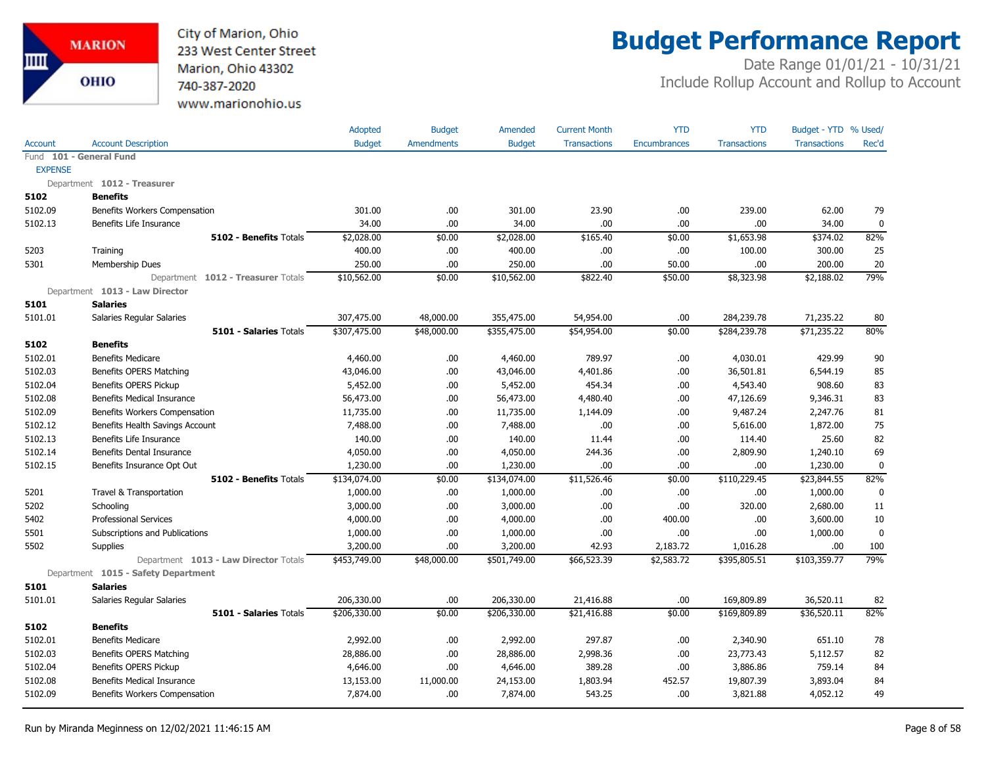

## **Budget Performance Report**

|                |                                       | Adopted       | <b>Budget</b>     | Amended       | <b>Current Month</b> | <b>YTD</b>          | <b>YTD</b>          | Budget - YTD % Used/ |           |
|----------------|---------------------------------------|---------------|-------------------|---------------|----------------------|---------------------|---------------------|----------------------|-----------|
| Account        | <b>Account Description</b>            | <b>Budget</b> | <b>Amendments</b> | <b>Budget</b> | <b>Transactions</b>  | <b>Encumbrances</b> | <b>Transactions</b> | <b>Transactions</b>  | Rec'd     |
|                | Fund 101 - General Fund               |               |                   |               |                      |                     |                     |                      |           |
| <b>EXPENSE</b> |                                       |               |                   |               |                      |                     |                     |                      |           |
|                | Department 1012 - Treasurer           |               |                   |               |                      |                     |                     |                      |           |
| 5102           | <b>Benefits</b>                       |               |                   |               |                      |                     |                     |                      |           |
| 5102.09        | Benefits Workers Compensation         | 301.00        | .00.              | 301.00        | 23.90                | .00.                | 239.00              | 62.00                | 79        |
| 5102.13        | Benefits Life Insurance               | 34.00         | .00.              | 34.00         | .00                  | .00.                | .00                 | 34.00                | 0         |
|                | <b>5102 - Benefits Totals</b>         | \$2,028.00    | \$0.00            | \$2,028.00    | \$165.40             | \$0.00              | \$1,653.98          | \$374.02             | 82%       |
| 5203           | Training                              | 400.00        | .00.              | 400.00        | .00                  | .00                 | 100.00              | 300.00               | 25        |
| 5301           | Membership Dues                       | 250.00        | .00.              | 250.00        | .00                  | 50.00               | .00                 | 200.00               | 20        |
|                | Department 1012 - Treasurer Totals    | \$10,562.00   | \$0.00            | \$10,562.00   | \$822.40             | \$50.00             | \$8,323.98          | \$2,188.02           | 79%       |
|                | Department 1013 - Law Director        |               |                   |               |                      |                     |                     |                      |           |
| 5101           | <b>Salaries</b>                       |               |                   |               |                      |                     |                     |                      |           |
| 5101.01        | Salaries Regular Salaries             | 307,475.00    | 48,000.00         | 355,475.00    | 54,954.00            | .00                 | 284,239.78          | 71,235.22            | 80        |
|                | 5101 - Salaries Totals                | \$307,475.00  | \$48,000.00       | \$355,475.00  | \$54,954.00          | \$0.00              | \$284,239.78        | \$71,235.22          | 80%       |
| 5102           | <b>Benefits</b>                       |               |                   |               |                      |                     |                     |                      |           |
| 5102.01        | <b>Benefits Medicare</b>              | 4,460.00      | .00.              | 4,460.00      | 789.97               | .00.                | 4,030.01            | 429.99               | 90        |
| 5102.03        | Benefits OPERS Matching               | 43,046.00     | .00.              | 43,046.00     | 4,401.86             | .00.                | 36,501.81           | 6,544.19             | 85        |
| 5102.04        | Benefits OPERS Pickup                 | 5,452.00      | .00.              | 5,452.00      | 454.34               | .00                 | 4,543.40            | 908.60               | 83        |
| 5102.08        | <b>Benefits Medical Insurance</b>     | 56,473.00     | .00.              | 56,473.00     | 4,480.40             | .00.                | 47,126.69           | 9,346.31             | 83        |
| 5102.09        | Benefits Workers Compensation         | 11,735.00     | .00               | 11,735.00     | 1,144.09             | .00                 | 9,487.24            | 2,247.76             | 81        |
| 5102.12        | Benefits Health Savings Account       | 7,488.00      | .00.              | 7,488.00      | .00                  | .00.                | 5,616.00            | 1,872.00             | 75        |
| 5102.13        | Benefits Life Insurance               | 140.00        | .00.              | 140.00        | 11.44                | .00                 | 114.40              | 25.60                | 82        |
| 5102.14        | <b>Benefits Dental Insurance</b>      | 4,050.00      | .00.              | 4,050.00      | 244.36               | .00                 | 2,809.90            | 1,240.10             | 69        |
| 5102.15        | Benefits Insurance Opt Out            | 1,230.00      | .00               | 1,230.00      | .00                  | .00                 | .00                 | 1,230.00             | $\pmb{0}$ |
|                | 5102 - Benefits Totals                | \$134,074.00  | \$0.00            | \$134,074.00  | \$11,526.46          | \$0.00              | \$110,229.45        | \$23,844.55          | 82%       |
| 5201           | Travel & Transportation               | 1,000.00      | .00.              | 1,000.00      | .00.                 | .00                 | .00                 | 1,000.00             | 0         |
| 5202           | Schooling                             | 3,000.00      | .00.              | 3,000.00      | .00                  | .00                 | 320.00              | 2,680.00             | 11        |
| 5402           | <b>Professional Services</b>          | 4,000.00      | .00.              | 4,000.00      | .00.                 | 400.00              | .00                 | 3,600.00             | 10        |
| 5501           | Subscriptions and Publications        | 1,000.00      | .00.              | 1,000.00      | .00                  | .00                 | .00                 | 1,000.00             | 0         |
| 5502           | Supplies                              | 3,200.00      | .00.              | 3,200.00      | 42.93                | 2,183.72            | 1,016.28            | .00.                 | 100       |
|                | Department 1013 - Law Director Totals | \$453,749.00  | \$48,000.00       | \$501,749.00  | \$66,523.39          | \$2,583.72          | \$395,805.51        | \$103,359.77         | 79%       |
|                | Department 1015 - Safety Department   |               |                   |               |                      |                     |                     |                      |           |
| 5101           | <b>Salaries</b>                       |               |                   |               |                      |                     |                     |                      |           |
| 5101.01        | Salaries Regular Salaries             | 206,330.00    | .00.              | 206,330.00    | 21,416.88            | .00                 | 169,809.89          | 36,520.11            | 82        |
|                | 5101 - Salaries Totals                | \$206,330.00  | \$0.00            | \$206,330.00  | \$21,416.88          | \$0.00              | \$169,809.89        | \$36,520.11          | 82%       |
| 5102           | <b>Benefits</b>                       |               |                   |               |                      |                     |                     |                      |           |
| 5102.01        | <b>Benefits Medicare</b>              | 2,992.00      | .00.              | 2,992.00      | 297.87               | .00.                | 2,340.90            | 651.10               | 78        |
| 5102.03        | Benefits OPERS Matching               | 28,886.00     | .00.              | 28,886.00     | 2,998.36             | .00                 | 23,773.43           | 5,112.57             | 82        |
| 5102.04        | <b>Benefits OPERS Pickup</b>          | 4,646.00      | .00               | 4,646.00      | 389.28               | .00                 | 3,886.86            | 759.14               | 84        |
| 5102.08        | Benefits Medical Insurance            | 13,153.00     | 11,000.00         | 24,153.00     | 1,803.94             | 452.57              | 19,807.39           | 3,893.04             | 84        |
| 5102.09        | Benefits Workers Compensation         | 7,874.00      | .00.              | 7,874.00      | 543.25               | .00                 | 3,821.88            | 4,052.12             | 49        |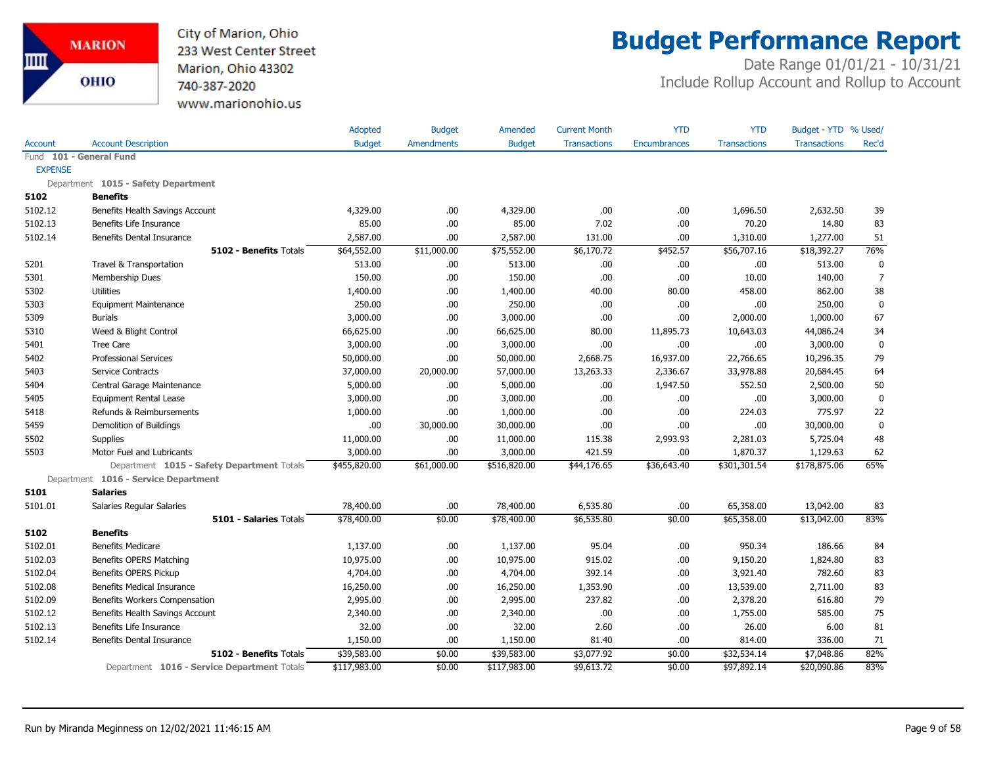

## **Budget Performance Report**

|                |                                             | Adopted       | <b>Budget</b>     | Amended       | <b>Current Month</b> | <b>YTD</b>          | <b>YTD</b>          | Budget - YTD % Used/ |                  |
|----------------|---------------------------------------------|---------------|-------------------|---------------|----------------------|---------------------|---------------------|----------------------|------------------|
| <b>Account</b> | <b>Account Description</b>                  | <b>Budget</b> | <b>Amendments</b> | <b>Budget</b> | <b>Transactions</b>  | <b>Encumbrances</b> | <b>Transactions</b> | <b>Transactions</b>  | Rec'd            |
|                | Fund 101 - General Fund                     |               |                   |               |                      |                     |                     |                      |                  |
| <b>EXPENSE</b> |                                             |               |                   |               |                      |                     |                     |                      |                  |
|                | Department 1015 - Safety Department         |               |                   |               |                      |                     |                     |                      |                  |
| 5102           | <b>Benefits</b>                             |               |                   |               |                      |                     |                     |                      |                  |
| 5102.12        | Benefits Health Savings Account             | 4,329.00      | .00.              | 4,329.00      | .00                  | .00                 | 1,696.50            | 2,632.50             | 39               |
| 5102.13        | Benefits Life Insurance                     | 85.00         | .00.              | 85.00         | 7.02                 | .00.                | 70.20               | 14.80                | 83               |
| 5102.14        | Benefits Dental Insurance                   | 2,587.00      | .00               | 2,587.00      | 131.00               | .00.                | 1,310.00            | 1,277.00             | 51               |
|                | <b>5102 - Benefits Totals</b>               | \$64,552.00   | \$11,000.00       | \$75,552.00   | \$6,170.72           | \$452.57            | \$56,707.16         | \$18,392.27          | 76%              |
| 5201           | Travel & Transportation                     | 513.00        | .00.              | 513.00        | .00                  | .00.                | .00                 | 513.00               | 0                |
| 5301           | Membership Dues                             | 150.00        | .00.              | 150.00        | .00                  | .00.                | 10.00               | 140.00               | $\overline{7}$   |
| 5302           | <b>Utilities</b>                            | 1,400.00      | .00.              | 1,400.00      | 40.00                | 80.00               | 458.00              | 862.00               | 38               |
| 5303           | <b>Equipment Maintenance</b>                | 250.00        | .00.              | 250.00        | .00.                 | .00                 | .00                 | 250.00               | $\mathbf 0$      |
| 5309           | <b>Burials</b>                              | 3,000.00      | .00               | 3,000.00      | .00                  | .00                 | 2,000.00            | 1,000.00             | 67               |
| 5310           | Weed & Blight Control                       | 66,625.00     | .00.              | 66,625.00     | 80.00                | 11,895.73           | 10,643.03           | 44,086.24            | 34               |
| 5401           | <b>Tree Care</b>                            | 3,000.00      | .00               | 3,000.00      | .00                  | .00.                | .00                 | 3,000.00             | $\mathbf 0$      |
| 5402           | <b>Professional Services</b>                | 50,000.00     | .00               | 50,000.00     | 2,668.75             | 16,937.00           | 22,766.65           | 10,296.35            | 79               |
| 5403           | Service Contracts                           | 37,000.00     | 20,000.00         | 57,000.00     | 13,263.33            | 2,336.67            | 33,978.88           | 20,684.45            | 64               |
| 5404           | Central Garage Maintenance                  | 5,000.00      | 00.               | 5,000.00      | .00.                 | 1,947.50            | 552.50              | 2,500.00             | 50               |
| 5405           | <b>Equipment Rental Lease</b>               | 3,000.00      | .00               | 3,000.00      | .00                  | .00.                | .00                 | 3,000.00             | $\boldsymbol{0}$ |
| 5418           | Refunds & Reimbursements                    | 1,000.00      | .00               | 1,000.00      | .00                  | .00.                | 224.03              | 775.97               | 22               |
| 5459           | Demolition of Buildings                     | .00           | 30,000.00         | 30,000.00     | .00                  | .00.                | .00                 | 30,000.00            | $\mathbf 0$      |
| 5502           | <b>Supplies</b>                             | 11,000.00     | .00.              | 11,000.00     | 115.38               | 2,993.93            | 2,281.03            | 5,725.04             | 48               |
| 5503           | Motor Fuel and Lubricants                   | 3,000.00      | .00               | 3,000.00      | 421.59               | .00.                | 1,870.37            | 1,129.63             | 62               |
|                | Department 1015 - Safety Department Totals  | \$455,820.00  | \$61,000.00       | \$516,820.00  | \$44,176.65          | \$36,643.40         | \$301,301.54        | \$178,875.06         | 65%              |
|                | Department 1016 - Service Department        |               |                   |               |                      |                     |                     |                      |                  |
| 5101           | <b>Salaries</b>                             |               |                   |               |                      |                     |                     |                      |                  |
| 5101.01        | Salaries Regular Salaries                   | 78,400.00     | .00.              | 78,400.00     | 6,535.80             | .00.                | 65,358.00           | 13,042.00            | 83               |
|                | 5101 - Salaries Totals                      | \$78,400.00   | \$0.00            | \$78,400.00   | \$6,535.80           | \$0.00              | \$65,358.00         | \$13,042.00          | 83%              |
| 5102           | <b>Benefits</b>                             |               |                   |               |                      |                     |                     |                      |                  |
| 5102.01        | <b>Benefits Medicare</b>                    | 1,137.00      | .00               | 1,137.00      | 95.04                | .00.                | 950.34              | 186.66               | 84               |
| 5102.03        | Benefits OPERS Matching                     | 10,975.00     | .00.              | 10,975.00     | 915.02               | .00.                | 9,150.20            | 1,824.80             | 83               |
| 5102.04        | <b>Benefits OPERS Pickup</b>                | 4,704.00      | .00               | 4,704.00      | 392.14               | .00.                | 3,921.40            | 782.60               | 83               |
| 5102.08        | <b>Benefits Medical Insurance</b>           | 16,250.00     | .00.              | 16,250.00     | 1,353.90             | .00.                | 13,539.00           | 2,711.00             | 83               |
| 5102.09        | Benefits Workers Compensation               | 2,995.00      | .00.              | 2,995.00      | 237.82               | .00.                | 2,378.20            | 616.80               | 79               |
| 5102.12        | Benefits Health Savings Account             | 2,340.00      | 00.               | 2,340.00      | .00                  | .00.                | 1,755.00            | 585.00               | 75               |
| 5102.13        | Benefits Life Insurance                     | 32.00         | .00.              | 32.00         | 2.60                 | .00.                | 26.00               | 6.00                 | 81               |
| 5102.14        | <b>Benefits Dental Insurance</b>            | 1,150.00      | .00               | 1,150.00      | 81.40                | .00.                | 814.00              | 336.00               | 71               |
|                | 5102 - Benefits Totals                      | \$39,583.00   | \$0.00            | \$39,583.00   | \$3,077.92           | \$0.00              | \$32,534.14         | \$7,048.86           | 82%              |
|                | Department 1016 - Service Department Totals | \$117,983.00  | \$0.00            | \$117,983.00  | \$9,613.72           | \$0.00              | \$97,892.14         | \$20,090.86          | 83%              |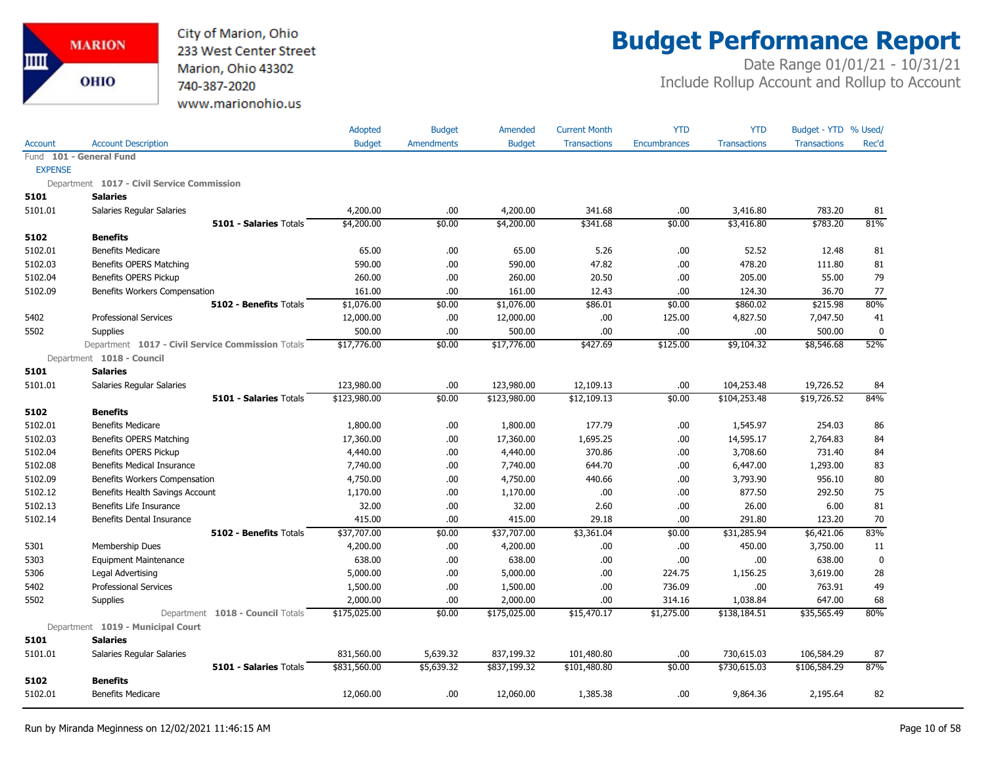

## **Budget Performance Report**

|                |                                                   | Adopted       | <b>Budget</b> | Amended       | <b>Current Month</b> | <b>YTD</b>   | <b>YTD</b>          | Budget - YTD % Used/ |             |
|----------------|---------------------------------------------------|---------------|---------------|---------------|----------------------|--------------|---------------------|----------------------|-------------|
| <b>Account</b> | <b>Account Description</b>                        | <b>Budget</b> | Amendments    | <b>Budget</b> | <b>Transactions</b>  | Encumbrances | <b>Transactions</b> | <b>Transactions</b>  | Rec'd       |
|                | Fund 101 - General Fund                           |               |               |               |                      |              |                     |                      |             |
| <b>EXPENSE</b> |                                                   |               |               |               |                      |              |                     |                      |             |
|                | Department 1017 - Civil Service Commission        |               |               |               |                      |              |                     |                      |             |
| 5101           | <b>Salaries</b>                                   |               |               |               |                      |              |                     |                      |             |
| 5101.01        | Salaries Regular Salaries                         | 4,200.00      | .00           | 4,200.00      | 341.68               | .00          | 3,416.80            | 783.20               | 81          |
|                | <b>5101 - Salaries Totals</b>                     | \$4,200.00    | \$0.00        | \$4,200.00    | \$341.68             | \$0.00       | \$3,416.80          | \$783.20             | 81%         |
| 5102           | <b>Benefits</b>                                   |               |               |               |                      |              |                     |                      |             |
| 5102.01        | <b>Benefits Medicare</b>                          | 65.00         | .00           | 65.00         | 5.26                 | .00          | 52.52               | 12.48                | 81          |
| 5102.03        | Benefits OPERS Matching                           | 590.00        | .00           | 590.00        | 47.82                | .00          | 478.20              | 111.80               | 81          |
| 5102.04        | <b>Benefits OPERS Pickup</b>                      | 260.00        | .00           | 260.00        | 20.50                | .00          | 205.00              | 55.00                | 79          |
| 5102.09        | Benefits Workers Compensation                     | 161.00        | .00           | 161.00        | 12.43                | .00          | 124.30              | 36.70                | 77          |
|                | 5102 - Benefits Totals                            | \$1,076.00    | \$0.00        | \$1,076.00    | \$86.01              | \$0.00       | \$860.02            | \$215.98             | 80%         |
| 5402           | <b>Professional Services</b>                      | 12,000.00     | .00           | 12,000.00     | .00.                 | 125.00       | 4,827.50            | 7,047.50             | 41          |
| 5502           | <b>Supplies</b>                                   | 500.00        | .00.          | 500.00        | .00                  | .00.         | .00.                | 500.00               | $\mathbf 0$ |
|                | Department 1017 - Civil Service Commission Totals | \$17,776.00   | \$0.00        | \$17,776.00   | \$427.69             | \$125.00     | \$9,104.32          | \$8,546.68           | 52%         |
|                | Department 1018 - Council                         |               |               |               |                      |              |                     |                      |             |
| 5101           | <b>Salaries</b>                                   |               |               |               |                      |              |                     |                      |             |
| 5101.01        | Salaries Regular Salaries                         | 123,980.00    | .00           | 123,980.00    | 12,109.13            | .00          | 104,253.48          | 19,726.52            | 84          |
|                | <b>5101 - Salaries Totals</b>                     | \$123,980.00  | \$0.00        | \$123,980.00  | \$12,109.13          | \$0.00       | \$104,253.48        | \$19,726.52          | 84%         |
| 5102           | <b>Benefits</b>                                   |               |               |               |                      |              |                     |                      |             |
| 5102.01        | <b>Benefits Medicare</b>                          | 1,800.00      | .00           | 1,800.00      | 177.79               | .00.         | 1,545.97            | 254.03               | 86          |
| 5102.03        | Benefits OPERS Matching                           | 17,360.00     | .00           | 17,360.00     | 1,695.25             | .00          | 14,595.17           | 2,764.83             | 84          |
| 5102.04        | Benefits OPERS Pickup                             | 4,440.00      | .00.          | 4,440.00      | 370.86               | .00          | 3,708.60            | 731.40               | 84          |
| 5102.08        | Benefits Medical Insurance                        | 7,740.00      | .00.          | 7,740.00      | 644.70               | .00          | 6,447.00            | 1,293.00             | 83          |
| 5102.09        | Benefits Workers Compensation                     | 4,750.00      | .00.          | 4,750.00      | 440.66               | .00          | 3,793.90            | 956.10               | 80          |
| 5102.12        | Benefits Health Savings Account                   | 1,170.00      | .00           | 1,170.00      | .00.                 | .00          | 877.50              | 292.50               | 75          |
| 5102.13        | Benefits Life Insurance                           | 32.00         | .00.          | 32.00         | 2.60                 | .00          | 26.00               | 6.00                 | 81          |
| 5102.14        | Benefits Dental Insurance                         | 415.00        | .00           | 415.00        | 29.18                | .00          | 291.80              | 123.20               | 70          |
|                | 5102 - Benefits Totals                            | \$37,707.00   | \$0.00        | \$37,707.00   | \$3,361.04           | \$0.00       | \$31,285.94         | \$6,421.06           | 83%         |
| 5301           | Membership Dues                                   | 4,200.00      | .00.          | 4,200.00      | .00.                 | .00          | 450.00              | 3,750.00             | 11          |
| 5303           | <b>Equipment Maintenance</b>                      | 638.00        | .00           | 638.00        | .00                  | .00          | .00                 | 638.00               | $\mathbf 0$ |
| 5306           | Legal Advertising                                 | 5,000.00      | .00           | 5,000.00      | .00.                 | 224.75       | 1,156.25            | 3,619.00             | 28          |
| 5402           | <b>Professional Services</b>                      | 1,500.00      | .00           | 1,500.00      | .00.                 | 736.09       | .00                 | 763.91               | 49          |
| 5502           | Supplies                                          | 2,000.00      | .00           | 2,000.00      | .00                  | 314.16       | 1,038.84            | 647.00               | 68          |
|                | Department 1018 - Council Totals                  | \$175,025.00  | \$0.00        | \$175,025.00  | \$15,470.17          | \$1,275.00   | \$138,184.51        | \$35,565.49          | 80%         |
|                | Department 1019 - Municipal Court                 |               |               |               |                      |              |                     |                      |             |
| 5101           | <b>Salaries</b>                                   |               |               |               |                      |              |                     |                      |             |
| 5101.01        | Salaries Regular Salaries                         | 831,560.00    | 5,639.32      | 837,199.32    | 101,480.80           | .00          | 730,615.03          | 106,584.29           | 87          |
|                | 5101 - Salaries Totals                            | \$831,560.00  | \$5,639.32    | \$837,199.32  | \$101,480.80         | \$0.00       | \$730,615.03        | \$106,584.29         | 87%         |
| 5102           | <b>Benefits</b>                                   |               |               |               |                      |              |                     |                      |             |
| 5102.01        | <b>Benefits Medicare</b>                          | 12,060.00     | .00           | 12,060.00     | 1,385.38             | .00.         | 9,864.36            | 2,195.64             | 82          |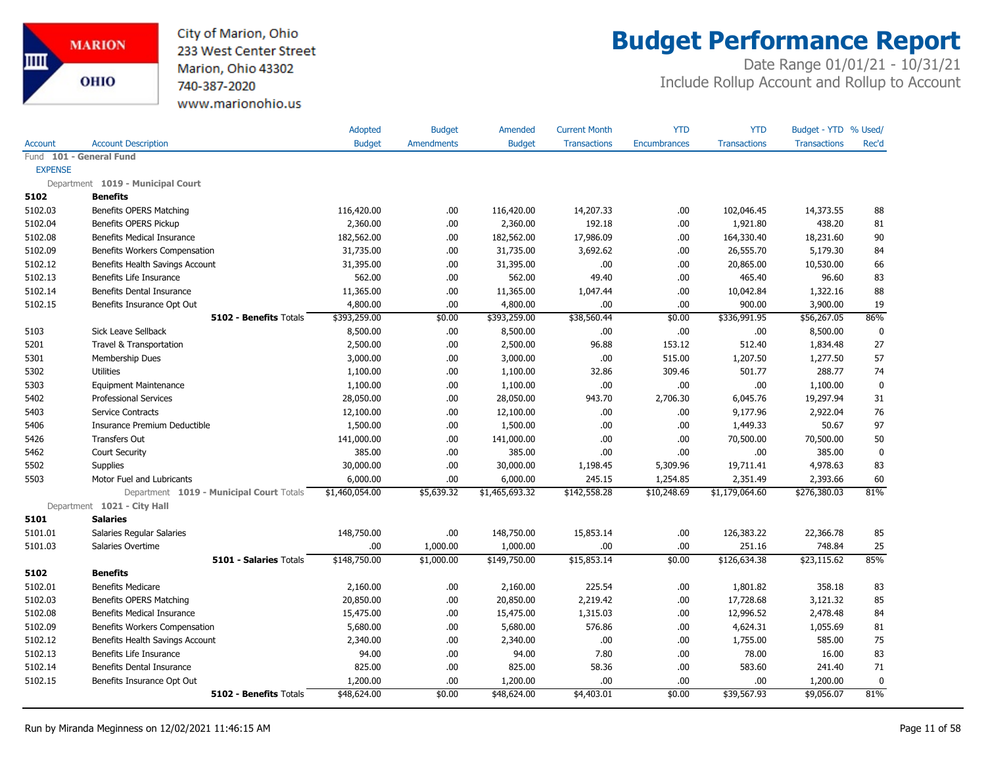

## **Budget Performance Report**

|                |                                          | Adopted        | <b>Budget</b>     | Amended        | <b>Current Month</b> | <b>YTD</b>   | <b>YTD</b>          | Budget - YTD % Used/ |             |
|----------------|------------------------------------------|----------------|-------------------|----------------|----------------------|--------------|---------------------|----------------------|-------------|
| <b>Account</b> | <b>Account Description</b>               | <b>Budget</b>  | <b>Amendments</b> | <b>Budget</b>  | <b>Transactions</b>  | Encumbrances | <b>Transactions</b> | <b>Transactions</b>  | Rec'd       |
|                | Fund 101 - General Fund                  |                |                   |                |                      |              |                     |                      |             |
| <b>EXPENSE</b> |                                          |                |                   |                |                      |              |                     |                      |             |
|                | Department 1019 - Municipal Court        |                |                   |                |                      |              |                     |                      |             |
| 5102           | <b>Benefits</b>                          |                |                   |                |                      |              |                     |                      |             |
| 5102.03        | Benefits OPERS Matching                  | 116,420.00     | .00               | 116,420.00     | 14,207.33            | .00.         | 102,046.45          | 14,373.55            | 88          |
| 5102.04        | Benefits OPERS Pickup                    | 2,360.00       | .00               | 2,360.00       | 192.18               | .00          | 1,921.80            | 438.20               | 81          |
| 5102.08        | Benefits Medical Insurance               | 182,562.00     | .00.              | 182,562.00     | 17,986.09            | .00          | 164,330.40          | 18,231.60            | 90          |
| 5102.09        | Benefits Workers Compensation            | 31,735.00      | .00               | 31,735.00      | 3,692.62             | .00          | 26,555.70           | 5,179.30             | 84          |
| 5102.12        | Benefits Health Savings Account          | 31,395.00      | .00               | 31,395.00      | .00                  | .00          | 20,865.00           | 10,530.00            | 66          |
| 5102.13        | Benefits Life Insurance                  | 562.00         | .00               | 562.00         | 49.40                | .00          | 465.40              | 96.60                | 83          |
| 5102.14        | <b>Benefits Dental Insurance</b>         | 11,365.00      | .00               | 11,365.00      | 1,047.44             | .00          | 10,042.84           | 1,322.16             | 88          |
| 5102.15        | Benefits Insurance Opt Out               | 4,800.00       | .00               | 4,800.00       | .00                  | .00          | 900.00              | 3,900.00             | 19          |
|                | 5102 - Benefits Totals                   | \$393,259.00   | \$0.00            | \$393,259.00   | \$38,560.44          | \$0.00       | \$336,991.95        | \$56,267.05          | 86%         |
| 5103           | Sick Leave Sellback                      | 8,500.00       | .00.              | 8,500.00       | .00.                 | .00          | .00.                | 8,500.00             | $\mathbf 0$ |
| 5201           | Travel & Transportation                  | 2,500.00       | .00               | 2,500.00       | 96.88                | 153.12       | 512.40              | 1,834.48             | 27          |
| 5301           | <b>Membership Dues</b>                   | 3,000.00       | .00               | 3,000.00       | .00                  | 515.00       | 1,207.50            | 1,277.50             | 57          |
| 5302           | <b>Utilities</b>                         | 1,100.00       | .00.              | 1,100.00       | 32.86                | 309.46       | 501.77              | 288.77               | 74          |
| 5303           | <b>Equipment Maintenance</b>             | 1,100.00       | .00               | 1,100.00       | .00.                 | .00          | .00.                | 1,100.00             | $\mathbf 0$ |
| 5402           | <b>Professional Services</b>             | 28,050.00      | .00               | 28,050.00      | 943.70               | 2,706.30     | 6,045.76            | 19,297.94            | 31          |
| 5403           | Service Contracts                        | 12,100.00      | .00               | 12,100.00      | .00.                 | .00          | 9,177.96            | 2,922.04             | 76          |
| 5406           | Insurance Premium Deductible             | 1,500.00       | .00               | 1,500.00       | .00.                 | .00          | 1,449.33            | 50.67                | 97          |
| 5426           | <b>Transfers Out</b>                     | 141,000.00     | .00.              | 141,000.00     | .00.                 | .00          | 70,500.00           | 70,500.00            | 50          |
| 5462           | <b>Court Security</b>                    | 385.00         | .00               | 385.00         | .00                  | .00          | .00.                | 385.00               | $\mathbf 0$ |
| 5502           | Supplies                                 | 30,000.00      | .00               | 30,000.00      | 1,198.45             | 5,309.96     | 19,711.41           | 4,978.63             | 83          |
| 5503           | Motor Fuel and Lubricants                | 6,000.00       | .00.              | 6,000.00       | 245.15               | 1,254.85     | 2,351.49            | 2,393.66             | 60          |
|                | Department 1019 - Municipal Court Totals | \$1,460,054.00 | \$5,639.32        | \$1,465,693.32 | \$142,558.28         | \$10,248.69  | \$1,179,064.60      | \$276,380.03         | 81%         |
|                | Department 1021 - City Hall              |                |                   |                |                      |              |                     |                      |             |
| 5101           | <b>Salaries</b>                          |                |                   |                |                      |              |                     |                      |             |
| 5101.01        | Salaries Regular Salaries                | 148,750.00     | .00.              | 148,750.00     | 15,853.14            | .00          | 126,383.22          | 22,366.78            | 85          |
| 5101.03        | Salaries Overtime                        | .00            | 1,000.00          | 1,000.00       | .00                  | .00          | 251.16              | 748.84               | 25          |
|                | 5101 - Salaries Totals                   | \$148,750.00   | \$1,000.00        | \$149,750.00   | \$15,853.14          | \$0.00       | \$126,634.38        | \$23,115.62          | 85%         |
| 5102           | <b>Benefits</b>                          |                |                   |                |                      |              |                     |                      |             |
| 5102.01        | <b>Benefits Medicare</b>                 | 2,160.00       | .00.              | 2,160.00       | 225.54               | .00          | 1,801.82            | 358.18               | 83          |
| 5102.03        | Benefits OPERS Matching                  | 20,850.00      | .00               | 20,850.00      | 2,219.42             | .00          | 17,728.68           | 3,121.32             | 85          |
| 5102.08        | <b>Benefits Medical Insurance</b>        | 15,475.00      | .00               | 15,475.00      | 1,315.03             | .00          | 12,996.52           | 2,478.48             | 84          |
| 5102.09        | Benefits Workers Compensation            | 5,680.00       | .00               | 5,680.00       | 576.86               | .00          | 4,624.31            | 1,055.69             | 81          |
| 5102.12        | Benefits Health Savings Account          | 2,340.00       | .00               | 2,340.00       | .00.                 | .00          | 1,755.00            | 585.00               | 75          |
| 5102.13        | Benefits Life Insurance                  | 94.00          | .00               | 94.00          | 7.80                 | .00          | 78.00               | 16.00                | 83          |
| 5102.14        | Benefits Dental Insurance                | 825.00         | .00               | 825.00         | 58.36                | .00          | 583.60              | 241.40               | 71          |
| 5102.15        | Benefits Insurance Opt Out               | 1,200.00       | .00.              | 1,200.00       | .00                  | .00          | .00.                | 1,200.00             | $\mathbf 0$ |
|                | 5102 - Benefits Totals                   | \$48,624.00    | \$0.00            | \$48,624.00    | \$4,403.01           | \$0.00       | \$39,567.93         | \$9,056.07           | 81%         |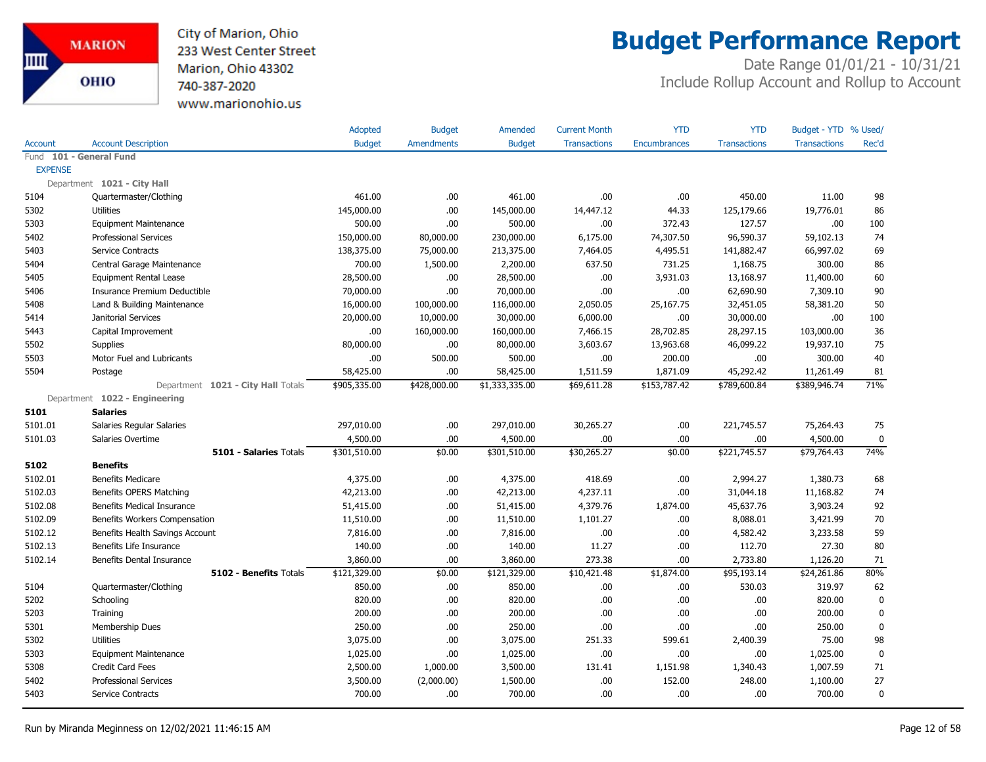City of Marion, Ohio 233 West Center Street Marion, Ohio 43302 740-387-2020 www.marionohio.us

## **Budget Performance Report**

|                |                                    | Adopted       | <b>Budget</b>     | Amended        | <b>Current Month</b> | <b>YTD</b>          | <b>YTD</b>          | Budget - YTD % Used/ |             |
|----------------|------------------------------------|---------------|-------------------|----------------|----------------------|---------------------|---------------------|----------------------|-------------|
| <b>Account</b> | <b>Account Description</b>         | <b>Budget</b> | <b>Amendments</b> | <b>Budget</b>  | <b>Transactions</b>  | <b>Encumbrances</b> | <b>Transactions</b> | <b>Transactions</b>  | Rec'd       |
|                | Fund 101 - General Fund            |               |                   |                |                      |                     |                     |                      |             |
| <b>EXPENSE</b> |                                    |               |                   |                |                      |                     |                     |                      |             |
|                | Department 1021 - City Hall        |               |                   |                |                      |                     |                     |                      |             |
| 5104           | Quartermaster/Clothing             | 461.00        | .00               | 461.00         | .00.                 | .00.                | 450.00              | 11.00                | 98          |
| 5302           | <b>Utilities</b>                   | 145,000.00    | .00               | 145,000.00     | 14,447.12            | 44.33               | 125,179.66          | 19,776.01            | 86          |
| 5303           | <b>Equipment Maintenance</b>       | 500.00        | .00.              | 500.00         | .00.                 | 372.43              | 127.57              | .00                  | 100         |
| 5402           | <b>Professional Services</b>       | 150,000.00    | 80,000.00         | 230,000.00     | 6,175.00             | 74,307.50           | 96,590.37           | 59,102.13            | 74          |
| 5403           | Service Contracts                  | 138,375.00    | 75,000.00         | 213,375.00     | 7,464.05             | 4,495.51            | 141,882.47          | 66,997.02            | 69          |
| 5404           | Central Garage Maintenance         | 700.00        | 1,500.00          | 2,200.00       | 637.50               | 731.25              | 1,168.75            | 300.00               | 86          |
| 5405           | <b>Equipment Rental Lease</b>      | 28,500.00     | .00.              | 28,500.00      | .00.                 | 3,931.03            | 13,168.97           | 11,400.00            | 60          |
| 5406           | Insurance Premium Deductible       | 70,000.00     | .00.              | 70,000.00      | .00.                 | .00.                | 62,690.90           | 7,309.10             | 90          |
| 5408           | Land & Building Maintenance        | 16,000.00     | 100,000.00        | 116,000.00     | 2,050.05             | 25,167.75           | 32,451.05           | 58,381.20            | 50          |
| 5414           | Janitorial Services                | 20,000.00     | 10,000.00         | 30,000.00      | 6,000.00             | .00                 | 30,000.00           | .00                  | 100         |
| 5443           | Capital Improvement                | .00           | 160,000.00        | 160,000.00     | 7,466.15             | 28,702.85           | 28,297.15           | 103,000.00           | 36          |
| 5502           | <b>Supplies</b>                    | 80,000.00     | .00               | 80,000.00      | 3,603.67             | 13,963.68           | 46,099.22           | 19,937.10            | 75          |
| 5503           | Motor Fuel and Lubricants          | .00           | 500.00            | 500.00         | .00.                 | 200.00              | .00.                | 300.00               | 40          |
| 5504           | Postage                            | 58,425.00     | .00.              | 58,425.00      | 1,511.59             | 1,871.09            | 45,292.42           | 11,261.49            | 81          |
|                | Department 1021 - City Hall Totals | \$905,335.00  | \$428,000.00      | \$1,333,335.00 | \$69,611.28          | \$153,787.42        | \$789,600.84        | \$389,946.74         | 71%         |
|                | Department 1022 - Engineering      |               |                   |                |                      |                     |                     |                      |             |
| 5101           | <b>Salaries</b>                    |               |                   |                |                      |                     |                     |                      |             |
| 5101.01        | Salaries Regular Salaries          | 297,010.00    | .00.              | 297,010.00     | 30,265.27            | .00                 | 221,745.57          | 75,264.43            | 75          |
| 5101.03        | Salaries Overtime                  | 4,500.00      | .00.              | 4,500.00       | .00.                 | .00.                | .00                 | 4,500.00             | $\mathbf 0$ |
|                | 5101 - Salaries Totals             | \$301,510.00  | \$0.00            | \$301,510.00   | \$30,265.27          | \$0.00              | \$221,745.57        | \$79,764.43          | 74%         |
| 5102           | <b>Benefits</b>                    |               |                   |                |                      |                     |                     |                      |             |
| 5102.01        | <b>Benefits Medicare</b>           | 4,375.00      | .00.              | 4,375.00       | 418.69               | .00.                | 2,994.27            | 1,380.73             | 68          |
| 5102.03        | Benefits OPERS Matching            | 42,213.00     | .00               | 42,213.00      | 4,237.11             | .00.                | 31,044.18           | 11,168.82            | 74          |
| 5102.08        | <b>Benefits Medical Insurance</b>  | 51,415.00     | .00               | 51,415.00      | 4,379.76             | 1,874.00            | 45,637.76           | 3,903.24             | 92          |
| 5102.09        | Benefits Workers Compensation      | 11,510.00     | .00.              | 11,510.00      | 1,101.27             | .00.                | 8,088.01            | 3,421.99             | 70          |
| 5102.12        | Benefits Health Savings Account    | 7,816.00      | .00.              | 7,816.00       | .00.                 | .00                 | 4,582.42            | 3,233.58             | 59          |
| 5102.13        | Benefits Life Insurance            | 140.00        | .00.              | 140.00         | 11.27                | .00.                | 112.70              | 27.30                | 80          |
| 5102.14        | Benefits Dental Insurance          | 3,860.00      | .00.              | 3,860.00       | 273.38               | .00                 | 2,733.80            | 1,126.20             | 71          |
|                | 5102 - Benefits Totals             | \$121,329.00  | \$0.00            | \$121,329.00   | \$10,421.48          | \$1,874.00          | \$95,193.14         | \$24,261.86          | 80%         |
| 5104           | Quartermaster/Clothing             | 850.00        | .00               | 850.00         | .00.                 | .00.                | 530.03              | 319.97               | 62          |
| 5202           | Schooling                          | 820.00        | .00               | 820.00         | .00.                 | .00                 | .00                 | 820.00               | $\mathbf 0$ |
| 5203           | Training                           | 200.00        | .00.              | 200.00         | .00.                 | .00.                | .00                 | 200.00               | $\mathbf 0$ |
| 5301           | Membership Dues                    | 250.00        | .00               | 250.00         | .00.                 | .00                 | .00                 | 250.00               | $\mathbf 0$ |
| 5302           | <b>Utilities</b>                   | 3,075.00      | .00               | 3,075.00       | 251.33               | 599.61              | 2,400.39            | 75.00                | 98          |
| 5303           | <b>Equipment Maintenance</b>       | 1,025.00      | .00               | 1,025.00       | .00.                 | .00.                | .00                 | 1,025.00             | $\mathbf 0$ |
| 5308           | Credit Card Fees                   | 2,500.00      | 1,000.00          | 3,500.00       | 131.41               | 1,151.98            | 1,340.43            | 1,007.59             | 71          |
| 5402           | <b>Professional Services</b>       | 3,500.00      | (2,000.00)        | 1,500.00       | .00.                 | 152.00              | 248.00              | 1,100.00             | 27          |
| 5403           | Service Contracts                  | 700.00        | .00.              | 700.00         | .00.                 | .00.                | .00                 | 700.00               | $\mathbf 0$ |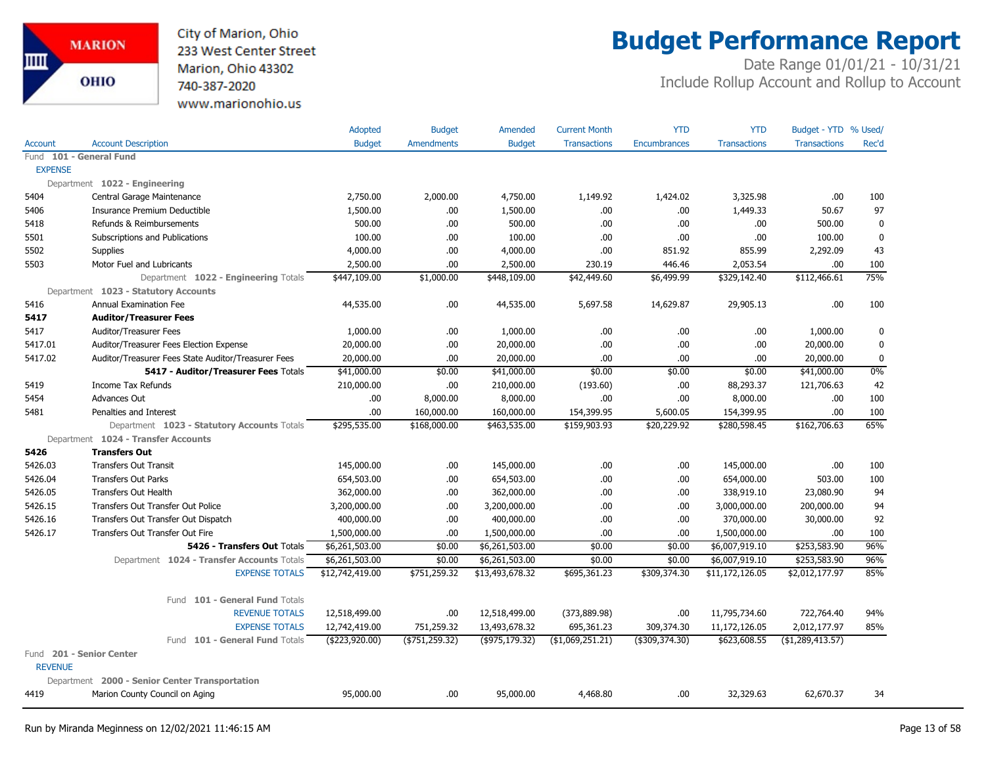City of Marion, Ohio 233 West Center Street Marion, Ohio 43302 740-387-2020 www.marionohio.us

# **Budget Performance Report**

|                |                                                     | Adopted         | <b>Budget</b>     | Amended         | <b>Current Month</b> | <b>YTD</b>          | <b>YTD</b>          | Budget - YTD % Used/ |             |
|----------------|-----------------------------------------------------|-----------------|-------------------|-----------------|----------------------|---------------------|---------------------|----------------------|-------------|
| <b>Account</b> | <b>Account Description</b>                          | <b>Budget</b>   | <b>Amendments</b> | <b>Budget</b>   | <b>Transactions</b>  | <b>Encumbrances</b> | <b>Transactions</b> | <b>Transactions</b>  | Rec'd       |
|                | Fund 101 - General Fund                             |                 |                   |                 |                      |                     |                     |                      |             |
| <b>EXPENSE</b> |                                                     |                 |                   |                 |                      |                     |                     |                      |             |
|                | Department 1022 - Engineering                       |                 |                   |                 |                      |                     |                     |                      |             |
| 5404           | Central Garage Maintenance                          | 2,750.00        | 2,000.00          | 4,750.00        | 1,149.92             | 1,424.02            | 3,325.98            | .00                  | 100         |
| 5406           | Insurance Premium Deductible                        | 1,500.00        | .00.              | 1,500.00        | .00                  | .00                 | 1,449.33            | 50.67                | 97          |
| 5418           | Refunds & Reimbursements                            | 500.00          | .00               | 500.00          | .00.                 | .00                 | .00                 | 500.00               | $\mathbf 0$ |
| 5501           | Subscriptions and Publications                      | 100.00          | .00               | 100.00          | .00.                 | .00                 | .00                 | 100.00               | $\mathbf 0$ |
| 5502           | Supplies                                            | 4,000.00        | .00               | 4,000.00        | .00                  | 851.92              | 855.99              | 2,292.09             | 43          |
| 5503           | Motor Fuel and Lubricants                           | 2,500.00        | .00               | 2,500.00        | 230.19               | 446.46              | 2,053.54            | .00                  | 100         |
|                | Department 1022 - Engineering Totals                | \$447,109.00    | \$1,000.00        | \$448,109.00    | \$42,449.60          | \$6,499.99          | \$329,142.40        | \$112,466.61         | 75%         |
|                | Department 1023 - Statutory Accounts                |                 |                   |                 |                      |                     |                     |                      |             |
| 5416           | Annual Examination Fee                              | 44,535.00       | .00.              | 44,535.00       | 5,697.58             | 14,629.87           | 29,905.13           | .00                  | 100         |
| 5417           | <b>Auditor/Treasurer Fees</b>                       |                 |                   |                 |                      |                     |                     |                      |             |
| 5417           | Auditor/Treasurer Fees                              | 1,000.00        | .00               | 1,000.00        | .00.                 | .00                 | .00.                | 1,000.00             | $\mathbf 0$ |
| 5417.01        | Auditor/Treasurer Fees Election Expense             | 20,000.00       | .00               | 20,000.00       | .00.                 | .00                 | .00                 | 20,000.00            | 0           |
| 5417.02        | Auditor/Treasurer Fees State Auditor/Treasurer Fees | 20,000.00       | .00               | 20,000.00       | .00.                 | .00                 | .00                 | 20,000.00            | $\mathbf 0$ |
|                | 5417 - Auditor/Treasurer Fees Totals                | \$41,000.00     | \$0.00            | \$41,000.00     | \$0.00               | \$0.00              | \$0.00              | \$41,000.00          | 0%          |
| 5419           | Income Tax Refunds                                  | 210,000.00      | .00               | 210,000.00      | (193.60)             | .00                 | 88,293.37           | 121,706.63           | 42          |
| 5454           | Advances Out                                        | .00             | 8,000.00          | 8,000.00        | .00.                 | .00                 | 8,000.00            | .00                  | 100         |
| 5481           | Penalties and Interest                              | .00             | 160,000.00        | 160,000.00      | 154,399.95           | 5,600.05            | 154,399.95          | .00.                 | 100         |
|                | Department 1023 - Statutory Accounts Totals         | \$295,535.00    | \$168,000.00      | \$463,535.00    | \$159,903.93         | \$20,229.92         | \$280,598.45        | \$162,706.63         | 65%         |
|                | Department 1024 - Transfer Accounts                 |                 |                   |                 |                      |                     |                     |                      |             |
| 5426           | <b>Transfers Out</b>                                |                 |                   |                 |                      |                     |                     |                      |             |
| 5426.03        | <b>Transfers Out Transit</b>                        | 145,000.00      | .00.              | 145,000.00      | .00.                 | .00                 | 145,000.00          | .00                  | 100         |
| 5426.04        | <b>Transfers Out Parks</b>                          | 654,503.00      | .00.              | 654,503.00      | .00.                 | .00                 | 654,000.00          | 503.00               | 100         |
| 5426.05        | <b>Transfers Out Health</b>                         | 362,000.00      | .00.              | 362,000.00      | .00.                 | .00                 | 338,919.10          | 23,080.90            | 94          |
| 5426.15        | Transfers Out Transfer Out Police                   | 3,200,000.00    | .00               | 3,200,000.00    | .00                  | .00                 | 3,000,000.00        | 200,000.00           | 94          |
| 5426.16        | Transfers Out Transfer Out Dispatch                 | 400,000.00      | .00.              | 400,000.00      | .00.                 | .00                 | 370,000.00          | 30,000.00            | 92          |
| 5426.17        | Transfers Out Transfer Out Fire                     | 1,500,000.00    | .00.              | 1,500,000.00    | .00.                 | .00                 | 1,500,000.00        | .00                  | 100         |
|                | 5426 - Transfers Out Totals                         | \$6,261,503.00  | \$0.00            | \$6,261,503.00  | \$0.00               | \$0.00              | \$6,007,919.10      | \$253,583.90         | 96%         |
|                | Department 1024 - Transfer Accounts Totals          | \$6,261,503.00  | \$0.00            | \$6,261,503.00  | \$0.00               | \$0.00              | \$6,007,919.10      | \$253,583.90         | 96%         |
|                | <b>EXPENSE TOTALS</b>                               | \$12,742,419.00 | \$751,259.32      | \$13,493,678.32 | \$695,361.23         | \$309,374.30        | \$11,172,126.05     | \$2,012,177.97       | 85%         |
|                | Fund 101 - General Fund Totals                      |                 |                   |                 |                      |                     |                     |                      |             |
|                | <b>REVENUE TOTALS</b>                               | 12,518,499.00   | .00               | 12,518,499.00   | (373,889.98)         | .00                 | 11,795,734.60       | 722,764.40           | 94%         |
|                | <b>EXPENSE TOTALS</b>                               | 12,742,419.00   | 751,259.32        | 13,493,678.32   | 695,361.23           | 309,374.30          | 11,172,126.05       | 2,012,177.97         | 85%         |
|                | Fund 101 - General Fund Totals                      | (\$223,920.00)  | ( \$751, 259.32)  | (\$975,179.32)  | (\$1,069,251.21)     | (\$309,374.30)      | \$623,608.55        | ( \$1,289,413.57)    |             |
| <b>REVENUE</b> | Fund 201 - Senior Center                            |                 |                   |                 |                      |                     |                     |                      |             |
|                | Department 2000 - Senior Center Transportation      |                 |                   |                 |                      |                     |                     |                      |             |
| 4419           | Marion County Council on Aging                      | 95,000.00       | .00               | 95,000.00       | 4,468.80             | .00                 | 32,329.63           | 62,670.37            | 34          |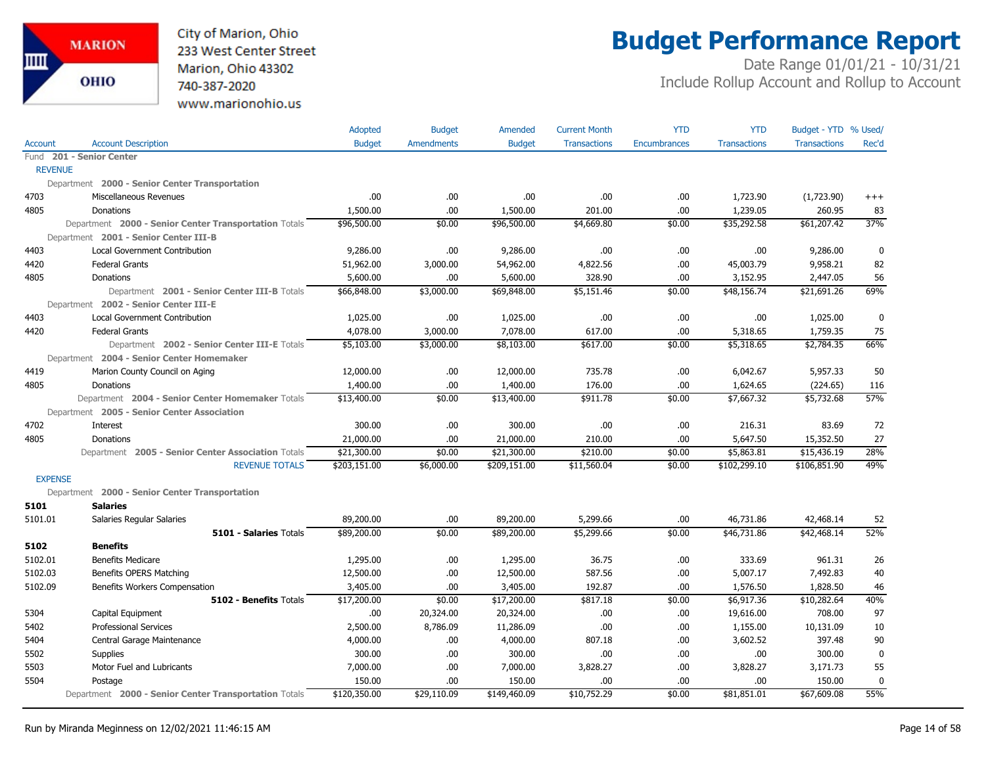

## **Budget Performance Report**

|                |                                                       | Adopted       | <b>Budget</b> | Amended       | <b>Current Month</b> | <b>YTD</b>          | <b>YTD</b>          | Budget - YTD % Used/ |           |
|----------------|-------------------------------------------------------|---------------|---------------|---------------|----------------------|---------------------|---------------------|----------------------|-----------|
| Account        | <b>Account Description</b>                            | <b>Budget</b> | Amendments    | <b>Budget</b> | <b>Transactions</b>  | <b>Encumbrances</b> | <b>Transactions</b> | <b>Transactions</b>  | Rec'd     |
|                | Fund 201 - Senior Center                              |               |               |               |                      |                     |                     |                      |           |
| <b>REVENUE</b> |                                                       |               |               |               |                      |                     |                     |                      |           |
|                | Department 2000 - Senior Center Transportation        |               |               |               |                      |                     |                     |                      |           |
| 4703           | Miscellaneous Revenues                                | .00           | .00.          | .00           | .00                  | .00                 | 1,723.90            | (1,723.90)           | $+++$     |
| 4805           | Donations                                             | 1,500.00      | .00           | 1,500.00      | 201.00               | .00.                | 1,239.05            | 260.95               | 83        |
|                | Department 2000 - Senior Center Transportation Totals | \$96,500.00   | \$0.00        | \$96,500.00   | \$4,669.80           | \$0.00              | \$35,292.58         | \$61,207.42          | 37%       |
|                | Department 2001 - Senior Center III-B                 |               |               |               |                      |                     |                     |                      |           |
| 4403           | <b>Local Government Contribution</b>                  | 9,286.00      | .00           | 9,286.00      | .00                  | .00                 | .00                 | 9,286.00             | 0         |
| 4420           | <b>Federal Grants</b>                                 | 51,962.00     | 3,000.00      | 54,962.00     | 4,822.56             | .00                 | 45,003.79           | 9,958.21             | 82        |
| 4805           | Donations                                             | 5,600.00      | .00           | 5,600.00      | 328.90               | .00                 | 3,152.95            | 2,447.05             | 56        |
|                | Department 2001 - Senior Center III-B Totals          | \$66,848.00   | \$3,000.00    | \$69,848.00   | \$5,151.46           | \$0.00              | \$48,156.74         | \$21,691.26          | 69%       |
|                | Department 2002 - Senior Center III-E                 |               |               |               |                      |                     |                     |                      |           |
| 4403           | <b>Local Government Contribution</b>                  | 1,025.00      | .00.          | 1,025.00      | .00                  | .00                 | .00                 | 1,025.00             | 0         |
| 4420           | <b>Federal Grants</b>                                 | 4,078.00      | 3,000.00      | 7,078.00      | 617.00               | .00                 | 5,318.65            | 1,759.35             | 75        |
|                | Department 2002 - Senior Center III-E Totals          | \$5,103.00    | \$3,000.00    | \$8,103.00    | \$617.00             | \$0.00              | \$5,318.65          | \$2,784.35           | 66%       |
|                | Department 2004 - Senior Center Homemaker             |               |               |               |                      |                     |                     |                      |           |
| 4419           | Marion County Council on Aging                        | 12,000.00     | .00.          | 12,000.00     | 735.78               | .00                 | 6,042.67            | 5,957.33             | 50        |
| 4805           | Donations                                             | 1,400.00      | .00.          | 1,400.00      | 176.00               | .00                 | 1,624.65            | (224.65)             | 116       |
|                | Department 2004 - Senior Center Homemaker Totals      | \$13,400.00   | \$0.00        | \$13,400.00   | \$911.78             | \$0.00              | \$7,667.32          | \$5,732.68           | 57%       |
|                | Department 2005 - Senior Center Association           |               |               |               |                      |                     |                     |                      |           |
| 4702           | Interest                                              | 300.00        | .00.          | 300.00        | .00                  | .00                 | 216.31              | 83.69                | 72        |
| 4805           | Donations                                             | 21,000.00     | .00.          | 21,000.00     | 210.00               | .00                 | 5,647.50            | 15,352.50            | 27        |
|                | Department 2005 - Senior Center Association Totals    | \$21,300.00   | \$0.00        | \$21,300.00   | \$210.00             | \$0.00              | \$5,863.81          | \$15,436.19          | 28%       |
|                | <b>REVENUE TOTALS</b>                                 | \$203,151.00  | \$6,000.00    | \$209,151.00  | \$11,560.04          | \$0.00              | \$102,299.10        | \$106,851.90         | 49%       |
| <b>EXPENSE</b> |                                                       |               |               |               |                      |                     |                     |                      |           |
|                | Department 2000 - Senior Center Transportation        |               |               |               |                      |                     |                     |                      |           |
| 5101           | <b>Salaries</b>                                       |               |               |               |                      |                     |                     |                      |           |
| 5101.01        | Salaries Regular Salaries                             | 89,200.00     | .00.          | 89,200.00     | 5,299.66             | .00                 | 46,731.86           | 42,468.14            | 52        |
|                | <b>5101 - Salaries Totals</b>                         | \$89,200.00   | \$0.00        | \$89,200.00   | \$5,299.66           | \$0.00              | \$46,731.86         | \$42,468.14          | 52%       |
| 5102           | <b>Benefits</b>                                       |               |               |               |                      |                     |                     |                      |           |
| 5102.01        | <b>Benefits Medicare</b>                              | 1,295.00      | .00.          | 1,295.00      | 36.75                | .00                 | 333.69              | 961.31               | 26        |
| 5102.03        | Benefits OPERS Matching                               | 12,500.00     | .00.          | 12,500.00     | 587.56               | .00                 | 5,007.17            | 7,492.83             | 40        |
| 5102.09        | Benefits Workers Compensation                         | 3,405.00      | .00.          | 3,405.00      | 192.87               | .00                 | 1,576.50            | 1,828.50             | 46        |
|                | <b>5102 - Benefits Totals</b>                         | \$17,200.00   | \$0.00        | \$17,200.00   | \$817.18             | \$0.00              | \$6,917.36          | \$10,282.64          | 40%       |
| 5304           | Capital Equipment                                     | .00           | 20,324.00     | 20,324.00     | .00                  | .00                 | 19,616.00           | 708.00               | 97        |
| 5402           | <b>Professional Services</b>                          | 2,500.00      | 8,786.09      | 11,286.09     | .00                  | .00                 | 1,155.00            | 10,131.09            | 10        |
| 5404           | Central Garage Maintenance                            | 4,000.00      | .00           | 4,000.00      | 807.18               | .00                 | 3,602.52            | 397.48               | 90        |
| 5502           | Supplies                                              | 300.00        | .00.          | 300.00        | .00                  | .00                 | .00                 | 300.00               | 0         |
| 5503           | Motor Fuel and Lubricants                             | 7,000.00      | .00.          | 7,000.00      | 3,828.27             | .00                 | 3,828.27            | 3,171.73             | 55        |
| 5504           | Postage                                               | 150.00        | .00.          | 150.00        | .00                  | .00                 | .00                 | 150.00               | $\pmb{0}$ |
|                | Department 2000 - Senior Center Transportation Totals | \$120,350.00  | \$29,110.09   | \$149,460.09  | \$10,752.29          | \$0.00              | \$81,851.01         | \$67,609.08          | 55%       |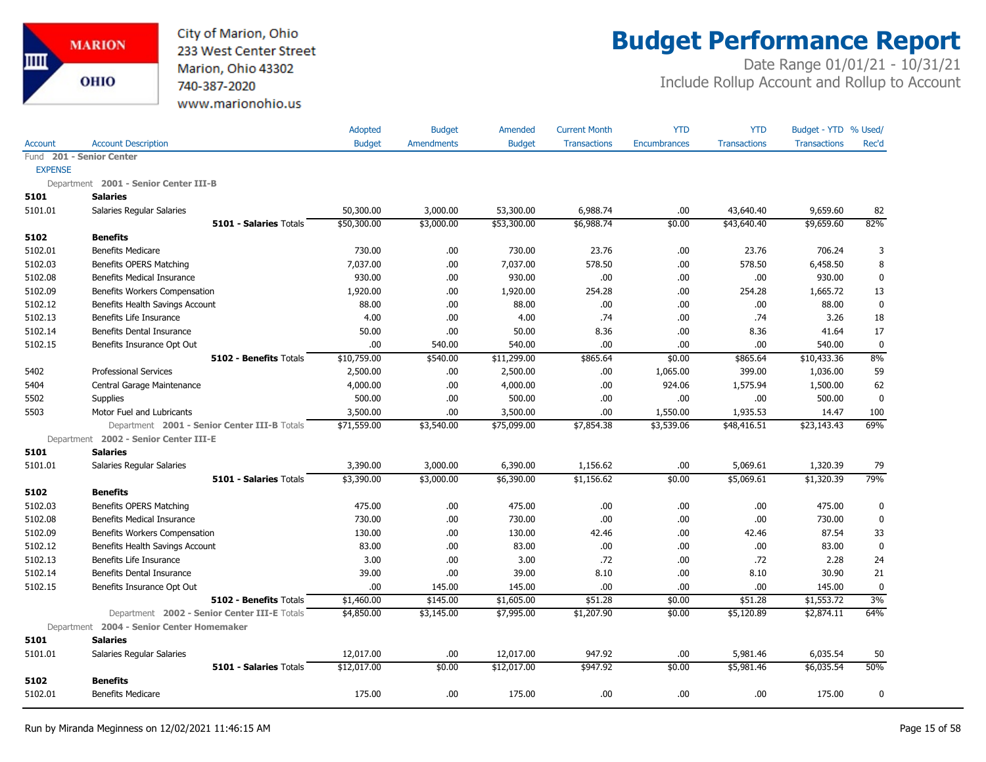

## **Budget Performance Report**

|                |                                              | Adopted       | <b>Budget</b> | Amended       | <b>Current Month</b> | <b>YTD</b>          | <b>YTD</b>          | Budget - YTD % Used/ |             |
|----------------|----------------------------------------------|---------------|---------------|---------------|----------------------|---------------------|---------------------|----------------------|-------------|
| <b>Account</b> | <b>Account Description</b>                   | <b>Budget</b> | Amendments    | <b>Budget</b> | <b>Transactions</b>  | <b>Encumbrances</b> | <b>Transactions</b> | <b>Transactions</b>  | Rec'd       |
| Fund           | 201 - Senior Center                          |               |               |               |                      |                     |                     |                      |             |
| <b>EXPENSE</b> |                                              |               |               |               |                      |                     |                     |                      |             |
|                | Department 2001 - Senior Center III-B        |               |               |               |                      |                     |                     |                      |             |
| 5101           | <b>Salaries</b>                              |               |               |               |                      |                     |                     |                      |             |
| 5101.01        | Salaries Regular Salaries                    | 50,300.00     | 3,000.00      | 53,300.00     | 6,988.74             | .00                 | 43,640.40           | 9,659.60             | 82          |
|                | 5101 - Salaries Totals                       | \$50,300.00   | \$3,000.00    | \$53,300.00   | \$6,988.74           | \$0.00              | \$43,640.40         | \$9,659.60           | 82%         |
| 5102           | <b>Benefits</b>                              |               |               |               |                      |                     |                     |                      |             |
| 5102.01        | <b>Benefits Medicare</b>                     | 730.00        | .00.          | 730.00        | 23.76                | .00                 | 23.76               | 706.24               | 3           |
| 5102.03        | Benefits OPERS Matching                      | 7,037.00      | .00           | 7,037.00      | 578.50               | .00                 | 578.50              | 6,458.50             | 8           |
| 5102.08        | <b>Benefits Medical Insurance</b>            | 930.00        | .00           | 930.00        | .00.                 | .00                 | .00                 | 930.00               | $\mathbf 0$ |
| 5102.09        | Benefits Workers Compensation                | 1,920.00      | .00           | 1,920.00      | 254.28               | .00                 | 254.28              | 1,665.72             | 13          |
| 5102.12        | Benefits Health Savings Account              | 88.00         | .00           | 88.00         | .00.                 | .00                 | .00                 | 88.00                | $\mathbf 0$ |
| 5102.13        | Benefits Life Insurance                      | 4.00          | .00.          | 4.00          | .74                  | .00                 | .74                 | 3.26                 | 18          |
| 5102.14        | <b>Benefits Dental Insurance</b>             | 50.00         | .00.          | 50.00         | 8.36                 | .00                 | 8.36                | 41.64                | 17          |
| 5102.15        | Benefits Insurance Opt Out                   | .00           | 540.00        | 540.00        | .00.                 | .00                 | .00.                | 540.00               | $\mathbf 0$ |
|                | 5102 - Benefits Totals                       | \$10,759.00   | \$540.00      | \$11,299.00   | \$865.64             | \$0.00              | \$865.64            | \$10,433.36          | 8%          |
| 5402           | Professional Services                        | 2,500.00      | .00.          | 2,500.00      | .00.                 | 1,065.00            | 399.00              | 1,036.00             | 59          |
| 5404           | Central Garage Maintenance                   | 4,000.00      | .00.          | 4,000.00      | .00.                 | 924.06              | 1,575.94            | 1,500.00             | 62          |
| 5502           | Supplies                                     | 500.00        | .00.          | 500.00        | .00.                 | .00                 | .00                 | 500.00               | $\mathbf 0$ |
| 5503           | Motor Fuel and Lubricants                    | 3,500.00      | .00           | 3,500.00      | .00                  | 1,550.00            | 1,935.53            | 14.47                | 100         |
|                | Department 2001 - Senior Center III-B Totals | \$71,559.00   | \$3,540.00    | \$75,099.00   | \$7,854.38           | \$3,539.06          | \$48,416.51         | \$23,143.43          | 69%         |
|                | Department 2002 - Senior Center III-E        |               |               |               |                      |                     |                     |                      |             |
| 5101           | <b>Salaries</b>                              |               |               |               |                      |                     |                     |                      |             |
| 5101.01        | Salaries Regular Salaries                    | 3,390.00      | 3,000.00      | 6,390.00      | 1,156.62             | .00                 | 5,069.61            | 1,320.39             | 79          |
|                | 5101 - Salaries Totals                       | \$3,390.00    | \$3,000.00    | \$6,390.00    | \$1,156.62           | \$0.00              | \$5,069.61          | \$1,320.39           | 79%         |
| 5102           | <b>Benefits</b>                              |               |               |               |                      |                     |                     |                      |             |
| 5102.03        | Benefits OPERS Matching                      | 475.00        | .00.          | 475.00        | .00.                 | .00                 | .00                 | 475.00               | 0           |
| 5102.08        | <b>Benefits Medical Insurance</b>            | 730.00        | .00.          | 730.00        | .00.                 | .00                 | .00                 | 730.00               | $\mathbf 0$ |
| 5102.09        | Benefits Workers Compensation                | 130.00        | .00.          | 130.00        | 42.46                | .00                 | 42.46               | 87.54                | 33          |
| 5102.12        | Benefits Health Savings Account              | 83.00         | .00.          | 83.00         | .00.                 | .00                 | .00.                | 83.00                | $\mathbf 0$ |
| 5102.13        | Benefits Life Insurance                      | 3.00          | .00           | 3.00          | .72                  | .00                 | .72                 | 2.28                 | 24          |
| 5102.14        | <b>Benefits Dental Insurance</b>             | 39.00         | .00.          | 39.00         | 8.10                 | .00                 | 8.10                | 30.90                | 21          |
| 5102.15        | Benefits Insurance Opt Out                   | .00           | 145.00        | 145.00        | .00                  | .00                 | .00.                | 145.00               | $\mathbf 0$ |
|                | <b>5102 - Benefits Totals</b>                | \$1,460.00    | \$145.00      | \$1,605.00    | \$51.28              | \$0.00              | \$51.28             | \$1,553.72           | 3%          |
|                | Department 2002 - Senior Center III-E Totals | \$4,850.00    | \$3,145.00    | \$7,995.00    | \$1,207.90           | \$0.00              | \$5,120.89          | \$2,874.11           | 64%         |
|                | Department 2004 - Senior Center Homemaker    |               |               |               |                      |                     |                     |                      |             |
| 5101           | <b>Salaries</b>                              |               |               |               |                      |                     |                     |                      |             |
| 5101.01        | Salaries Regular Salaries                    | 12,017.00     | .00.          | 12,017.00     | 947.92               | .00                 | 5,981.46            | 6,035.54             | 50          |
|                | 5101 - Salaries Totals                       | \$12,017.00   | \$0.00        | \$12,017.00   | \$947.92             | \$0.00              | \$5,981.46          | \$6,035.54           | 50%         |
| 5102           | <b>Benefits</b>                              |               |               |               |                      |                     |                     |                      |             |
| 5102.01        | <b>Benefits Medicare</b>                     | 175.00        | .00.          | 175.00        | .00.                 | .00                 | .00.                | 175.00               | 0           |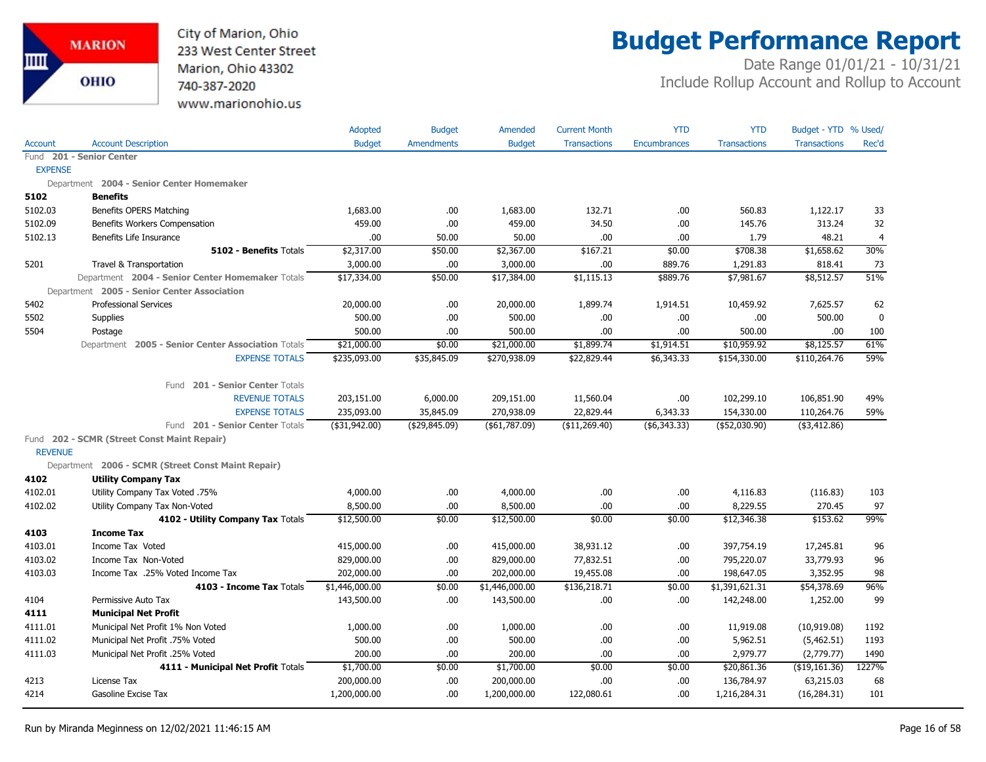

## **Budget Performance Report**

|                |                                                    | Adopted          | <b>Budget</b>     | Amended        | <b>Current Month</b> | <b>YTD</b>          | <b>YTD</b>          | Budget - YTD % Used/ |                |
|----------------|----------------------------------------------------|------------------|-------------------|----------------|----------------------|---------------------|---------------------|----------------------|----------------|
| <b>Account</b> | <b>Account Description</b>                         | <b>Budget</b>    | <b>Amendments</b> | <b>Budget</b>  | <b>Transactions</b>  | <b>Encumbrances</b> | <b>Transactions</b> | <b>Transactions</b>  | Rec'd          |
|                | Fund 201 - Senior Center                           |                  |                   |                |                      |                     |                     |                      |                |
| <b>EXPENSE</b> |                                                    |                  |                   |                |                      |                     |                     |                      |                |
|                | Department 2004 - Senior Center Homemaker          |                  |                   |                |                      |                     |                     |                      |                |
| 5102           | <b>Benefits</b>                                    |                  |                   |                |                      |                     |                     |                      |                |
| 5102.03        | <b>Benefits OPERS Matching</b>                     | 1,683.00         | .00.              | 1,683.00       | 132.71               | .00                 | 560.83              | 1,122.17             | 33             |
| 5102.09        | Benefits Workers Compensation                      | 459.00           | .00.              | 459.00         | 34.50                | .00.                | 145.76              | 313.24               | 32             |
| 5102.13        | Benefits Life Insurance                            | .00              | 50.00             | 50.00          | .00                  | .00                 | 1.79                | 48.21                | $\overline{4}$ |
|                | 5102 - Benefits Totals                             | \$2,317.00       | \$50.00           | \$2,367.00     | \$167.21             | \$0.00              | \$708.38            | \$1,658.62           | 30%            |
| 5201           | Travel & Transportation                            | 3,000.00         | .00               | 3,000.00       | .00                  | 889.76              | 1,291.83            | 818.41               | 73             |
|                | Department 2004 - Senior Center Homemaker Totals   | \$17,334.00      | \$50.00           | \$17,384.00    | \$1,115.13           | \$889.76            | \$7,981.67          | \$8,512.57           | 51%            |
|                | Department 2005 - Senior Center Association        |                  |                   |                |                      |                     |                     |                      |                |
| 5402           | <b>Professional Services</b>                       | 20,000.00        | .00.              | 20,000.00      | 1,899.74             | 1,914.51            | 10,459.92           | 7,625.57             | 62             |
| 5502           | <b>Supplies</b>                                    | 500.00           | .00.              | 500.00         | .00.                 | .00                 | .00                 | 500.00               | $\mathbf 0$    |
| 5504           | Postage                                            | 500.00           | .00.              | 500.00         | .00.                 | .00.                | 500.00              | .00                  | 100            |
|                | Department 2005 - Senior Center Association Totals | \$21,000.00      | \$0.00            | \$21,000.00    | \$1,899.74           | \$1,914.51          | \$10,959.92         | \$8,125.57           | 61%            |
|                | <b>EXPENSE TOTALS</b>                              | \$235,093.00     | \$35,845.09       | \$270,938.09   | \$22,829.44          | \$6,343.33          | \$154,330.00        | \$110,264.76         | 59%            |
|                | Fund 201 - Senior Center Totals                    |                  |                   |                |                      |                     |                     |                      |                |
|                | <b>REVENUE TOTALS</b>                              | 203,151.00       | 6,000.00          | 209,151.00     | 11,560.04            | .00                 | 102,299.10          | 106,851.90           | 49%            |
|                | <b>EXPENSE TOTALS</b>                              | 235,093.00       | 35,845.09         | 270,938.09     | 22,829.44            | 6,343.33            | 154,330.00          | 110,264.76           | 59%            |
|                | Fund 201 - Senior Center Totals                    | $($ \$31,942.00) | ( \$29, 845.09)   | ( \$61,787.09) | (\$11,269.40)        | ( \$6,343.33)       | $($ \$52,030.90)    | ( \$3,412.86)        |                |
|                | Fund 202 - SCMR (Street Const Maint Repair)        |                  |                   |                |                      |                     |                     |                      |                |
| <b>REVENUE</b> |                                                    |                  |                   |                |                      |                     |                     |                      |                |
|                | Department 2006 - SCMR (Street Const Maint Repair) |                  |                   |                |                      |                     |                     |                      |                |
| 4102           | <b>Utility Company Tax</b>                         |                  |                   |                |                      |                     |                     |                      |                |
| 4102.01        | Utility Company Tax Voted .75%                     | 4,000.00         | .00.              | 4,000.00       | .00.                 | .00                 | 4,116.83            | (116.83)             | 103            |
| 4102.02        | Utility Company Tax Non-Voted                      | 8,500.00         | .00.              | 8,500.00       | .00                  | .00                 | 8,229.55            | 270.45               | 97             |
|                | 4102 - Utility Company Tax Totals                  | \$12,500.00      | \$0.00            | \$12,500.00    | \$0.00               | \$0.00              | \$12,346.38         | \$153.62             | 99%            |
| 4103           | <b>Income Tax</b>                                  |                  |                   |                |                      |                     |                     |                      |                |
| 4103.01        | Income Tax Voted                                   | 415,000.00       | .00.              | 415,000.00     | 38,931.12            | .00                 | 397,754.19          | 17,245.81            | 96             |
| 4103.02        | Income Tax Non-Voted                               | 829,000.00       | .00.              | 829,000.00     | 77,832.51            | .00                 | 795,220.07          | 33,779.93            | 96             |
| 4103.03        | Income Tax .25% Voted Income Tax                   | 202,000.00       | .00.              | 202,000.00     | 19,455.08            | .00                 | 198,647.05          | 3,352.95             | 98             |
|                | 4103 - Income Tax Totals                           | \$1,446,000.00   | \$0.00            | \$1,446,000.00 | \$136,218.71         | \$0.00              | \$1,391,621.31      | \$54,378.69          | 96%            |
| 4104           | Permissive Auto Tax                                | 143,500.00       | .00               | 143,500.00     | .00                  | .00                 | 142,248.00          | 1,252.00             | 99             |
| 4111           | <b>Municipal Net Profit</b>                        |                  |                   |                |                      |                     |                     |                      |                |
| 4111.01        | Municipal Net Profit 1% Non Voted                  | 1,000.00         | .00.              | 1,000.00       | .00                  | .00                 | 11,919.08           | (10,919.08)          | 1192           |
| 4111.02        | Municipal Net Profit .75% Voted                    | 500.00           | .00.              | 500.00         | .00.                 | .00                 | 5,962.51            | (5,462.51)           | 1193           |
| 4111.03        | Municipal Net Profit .25% Voted                    | 200.00           | .00.              | 200.00         | .00                  | .00                 | 2,979.77            | (2,779.77)           | 1490           |
|                | 4111 - Municipal Net Profit Totals                 | \$1,700.00       | \$0.00            | \$1,700.00     | \$0.00               | \$0.00              | \$20,861.36         | ( \$19, 161.36)      | 1227%          |
| 4213           | License Tax                                        | 200,000.00       | .00               | 200,000.00     | .00.                 | .00                 | 136,784.97          | 63,215.03            | 68             |
| 4214           | Gasoline Excise Tax                                | 1,200,000.00     | .00.              | 1,200,000.00   | 122,080.61           | .00                 | 1,216,284.31        | (16, 284.31)         | 101            |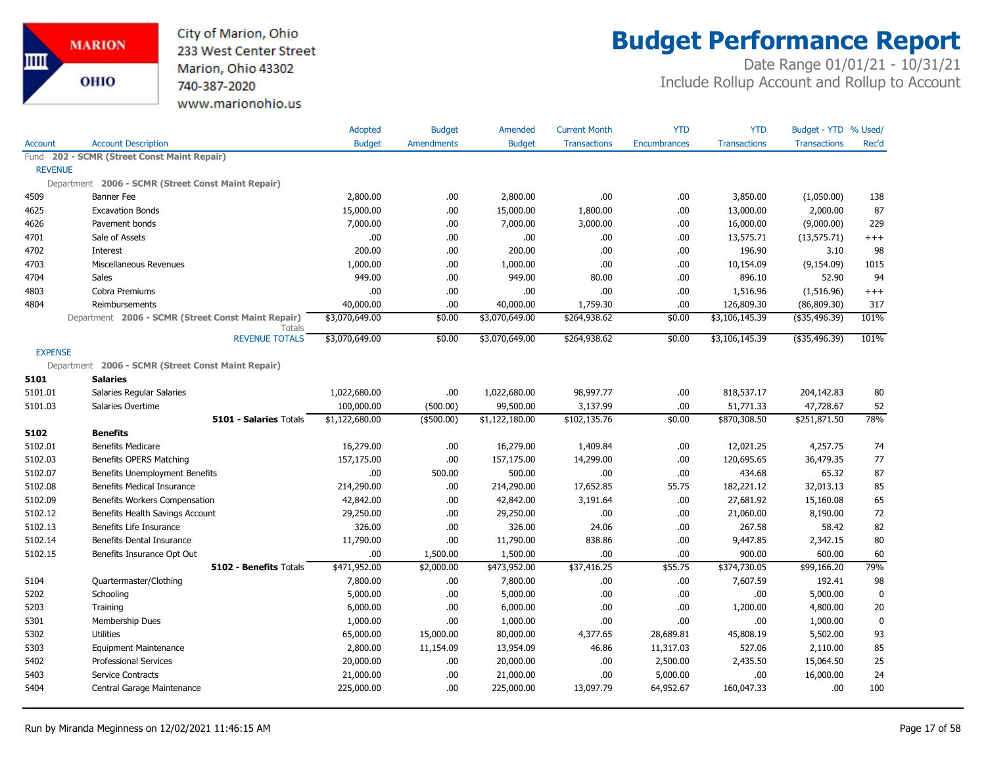

## **Budget Performance Report**

|                |                                                    | Adopted        | <b>Budget</b>     | Amended        | <b>Current Month</b> | <b>YTD</b>          | <b>YTD</b>          | Budget - YTD % Used/ |             |
|----------------|----------------------------------------------------|----------------|-------------------|----------------|----------------------|---------------------|---------------------|----------------------|-------------|
| <b>Account</b> | <b>Account Description</b>                         | <b>Budget</b>  | <b>Amendments</b> | <b>Budget</b>  | <b>Transactions</b>  | <b>Encumbrances</b> | <b>Transactions</b> | <b>Transactions</b>  | Rec'd       |
|                | Fund 202 - SCMR (Street Const Maint Repair)        |                |                   |                |                      |                     |                     |                      |             |
| <b>REVENUE</b> |                                                    |                |                   |                |                      |                     |                     |                      |             |
|                | Department 2006 - SCMR (Street Const Maint Repair) |                |                   |                |                      |                     |                     |                      |             |
| 4509           | <b>Banner Fee</b>                                  | 2,800.00       | .00               | 2,800.00       | .00                  | .00                 | 3,850.00            | (1,050.00)           | 138         |
| 4625           | <b>Excavation Bonds</b>                            | 15,000.00      | .00               | 15,000.00      | 1,800.00             | .00                 | 13,000.00           | 2,000.00             | 87          |
| 4626           | Pavement bonds                                     | 7,000.00       | .00.              | 7,000.00       | 3,000.00             | .00                 | 16,000.00           | (9,000.00)           | 229         |
| 4701           | Sale of Assets                                     | .00.           | .00               | .00            | .00.                 | .00                 | 13,575.71           | (13, 575.71)         | $^{+++}$    |
| 4702           | Interest                                           | 200.00         | .00               | 200.00         | .00                  | .00                 | 196.90              | 3.10                 | 98          |
| 4703           | Miscellaneous Revenues                             | 1,000.00       | .00               | 1,000.00       | .00                  | .00                 | 10,154.09           | (9, 154.09)          | 1015        |
| 4704           | <b>Sales</b>                                       | 949.00         | .00.              | 949.00         | 80.00                | .00                 | 896.10              | 52.90                | 94          |
| 4803           | Cobra Premiums                                     | .00.           | .00               | .00            | .00.                 | .00                 | 1,516.96            | (1,516.96)           | $^{+++}$    |
| 4804           | Reimbursements                                     | 40,000.00      | .00               | 40,000.00      | 1,759.30             | .00                 | 126,809.30          | (86, 809.30)         | 317         |
|                | Department 2006 - SCMR (Street Const Maint Repair) | \$3,070,649.00 | \$0.00            | \$3,070,649.00 | \$264,938.62         | \$0.00              | \$3,106,145.39      | $($ \$35,496.39)     | 101%        |
|                | <b>Totals</b><br><b>REVENUE TOTALS</b>             | \$3,070,649.00 | \$0.00            | \$3,070,649.00 | \$264,938.62         | \$0.00              | \$3,106,145.39      | $($ \$35,496.39)     | 101%        |
| <b>EXPENSE</b> |                                                    |                |                   |                |                      |                     |                     |                      |             |
|                | Department 2006 - SCMR (Street Const Maint Repair) |                |                   |                |                      |                     |                     |                      |             |
| 5101           | <b>Salaries</b>                                    |                |                   |                |                      |                     |                     |                      |             |
| 5101.01        | Salaries Regular Salaries                          | 1,022,680.00   | .00               | 1,022,680.00   | 98,997.77            | .00                 | 818,537.17          | 204,142.83           | 80          |
| 5101.03        | Salaries Overtime                                  | 100,000.00     | (500.00)          | 99,500.00      | 3,137.99             | .00                 | 51,771.33           | 47,728.67            | 52          |
|                | <b>5101 - Salaries Totals</b>                      | \$1,122,680.00 | (\$500.00)        | \$1,122,180.00 | \$102,135.76         | \$0.00              | \$870,308.50        | \$251,871.50         | 78%         |
| 5102           | <b>Benefits</b>                                    |                |                   |                |                      |                     |                     |                      |             |
| 5102.01        | <b>Benefits Medicare</b>                           | 16,279.00      | .00               | 16,279.00      | 1,409.84             | .00                 | 12,021.25           | 4,257.75             | 74          |
| 5102.03        | Benefits OPERS Matching                            | 157,175.00     | .00               | 157,175.00     | 14,299.00            | .00                 | 120,695.65          | 36,479.35            | 77          |
| 5102.07        | Benefits Unemployment Benefits                     | .00            | 500.00            | 500.00         | .00                  | .00                 | 434.68              | 65.32                | 87          |
| 5102.08        | <b>Benefits Medical Insurance</b>                  | 214,290.00     | .00.              | 214,290.00     | 17,652.85            | 55.75               | 182,221.12          | 32,013.13            | 85          |
| 5102.09        | Benefits Workers Compensation                      | 42,842.00      | .00               | 42,842.00      | 3,191.64             | .00                 | 27,681.92           | 15,160.08            | 65          |
| 5102.12        | Benefits Health Savings Account                    | 29,250.00      | .00               | 29,250.00      | .00                  | .00                 | 21,060.00           | 8,190.00             | 72          |
| 5102.13        | Benefits Life Insurance                            | 326.00         | .00               | 326.00         | 24.06                | .00                 | 267.58              | 58.42                | 82          |
| 5102.14        | Benefits Dental Insurance                          | 11,790.00      | .00               | 11,790.00      | 838.86               | .00                 | 9,447.85            | 2,342.15             | 80          |
| 5102.15        | Benefits Insurance Opt Out                         | .00            | 1,500.00          | 1,500.00       | .00.                 | .00                 | 900.00              | 600.00               | 60          |
|                | 5102 - Benefits Totals                             | \$471,952.00   | \$2,000.00        | \$473,952.00   | \$37,416.25          | \$55.75             | \$374,730.05        | \$99,166.20          | 79%         |
| 5104           | Quartermaster/Clothing                             | 7,800.00       | .00.              | 7,800.00       | .00.                 | .00                 | 7,607.59            | 192.41               | 98          |
| 5202           | Schooling                                          | 5,000.00       | .00.              | 5,000.00       | .00.                 | .00                 | .00.                | 5,000.00             | $\mathbf 0$ |
| 5203           | Training                                           | 6,000.00       | .00.              | 6,000.00       | .00.                 | .00                 | 1,200.00            | 4,800.00             | 20          |
| 5301           | Membership Dues                                    | 1,000.00       | .00               | 1,000.00       | .00.                 | .00                 | .00.                | 1,000.00             | $\mathbf 0$ |
| 5302           | <b>Utilities</b>                                   | 65,000.00      | 15,000.00         | 80,000.00      | 4,377.65             | 28,689.81           | 45,808.19           | 5,502.00             | 93          |
| 5303           | <b>Equipment Maintenance</b>                       | 2,800.00       | 11,154.09         | 13,954.09      | 46.86                | 11,317.03           | 527.06              | 2,110.00             | 85          |
| 5402           | <b>Professional Services</b>                       | 20,000.00      | .00               | 20,000.00      | .00.                 | 2,500.00            | 2,435.50            | 15,064.50            | 25          |
| 5403           | Service Contracts                                  | 21,000.00      | .00               | 21,000.00      | .00                  | 5,000.00            | .00                 | 16,000.00            | 24          |
| 5404           | Central Garage Maintenance                         | 225,000.00     | .00               | 225,000.00     | 13,097.79            | 64,952.67           | 160,047.33          | .00                  | 100         |
|                |                                                    |                |                   |                |                      |                     |                     |                      |             |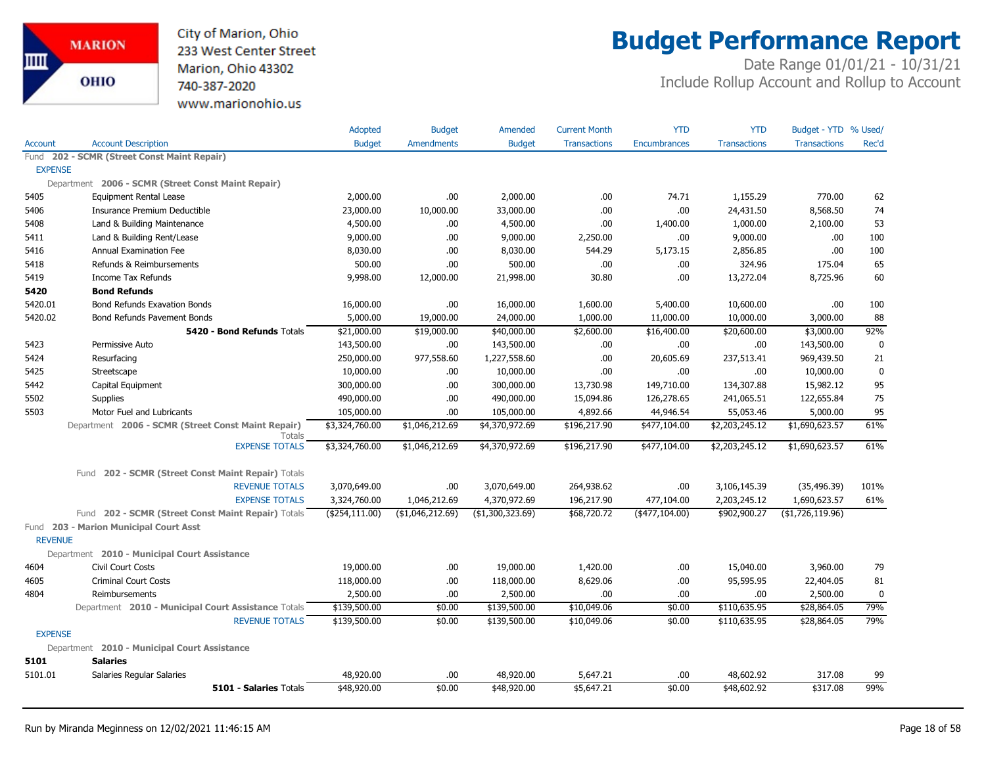

## **Budget Performance Report**

|                |                                                              | Adopted          | <b>Budget</b>     | Amended          | <b>Current Month</b> | <b>YTD</b>          | <b>YTD</b>          | Budget - YTD % Used/ |             |
|----------------|--------------------------------------------------------------|------------------|-------------------|------------------|----------------------|---------------------|---------------------|----------------------|-------------|
| Account        | <b>Account Description</b>                                   | <b>Budget</b>    | <b>Amendments</b> | <b>Budget</b>    | <b>Transactions</b>  | <b>Encumbrances</b> | <b>Transactions</b> | <b>Transactions</b>  | Rec'd       |
|                | Fund 202 - SCMR (Street Const Maint Repair)                  |                  |                   |                  |                      |                     |                     |                      |             |
| <b>EXPENSE</b> |                                                              |                  |                   |                  |                      |                     |                     |                      |             |
|                | Department 2006 - SCMR (Street Const Maint Repair)           |                  |                   |                  |                      |                     |                     |                      |             |
| 5405           | <b>Equipment Rental Lease</b>                                | 2,000.00         | .00.              | 2,000.00         | .00                  | 74.71               | 1,155.29            | 770.00               | 62          |
| 5406           | Insurance Premium Deductible                                 | 23,000.00        | 10,000.00         | 33,000.00        | .00                  | .00                 | 24,431.50           | 8,568.50             | 74          |
| 5408           | Land & Building Maintenance                                  | 4,500.00         | .00.              | 4,500.00         | .00                  | 1,400.00            | 1,000.00            | 2,100.00             | 53          |
| 5411           | Land & Building Rent/Lease                                   | 9,000.00         | .00.              | 9,000.00         | 2,250.00             | .00                 | 9,000.00            | .00.                 | 100         |
| 5416           | Annual Examination Fee                                       | 8,030.00         | .00               | 8,030.00         | 544.29               | 5,173.15            | 2,856.85            | .00.                 | 100         |
| 5418           | Refunds & Reimbursements                                     | 500.00           | .00               | 500.00           | .00                  | .00                 | 324.96              | 175.04               | 65          |
| 5419           | Income Tax Refunds                                           | 9,998.00         | 12,000.00         | 21,998.00        | 30.80                | .00                 | 13,272.04           | 8,725.96             | 60          |
| 5420           | <b>Bond Refunds</b>                                          |                  |                   |                  |                      |                     |                     |                      |             |
| 5420.01        | <b>Bond Refunds Exavation Bonds</b>                          | 16,000.00        | .00               | 16,000.00        | 1,600.00             | 5,400.00            | 10,600.00           | .00                  | 100         |
| 5420.02        | Bond Refunds Pavement Bonds                                  | 5,000.00         | 19,000.00         | 24,000.00        | 1,000.00             | 11,000.00           | 10,000.00           | 3,000.00             | 88          |
|                | 5420 - Bond Refunds Totals                                   | \$21,000.00      | \$19,000.00       | \$40,000.00      | \$2,600.00           | \$16,400.00         | \$20,600.00         | \$3,000.00           | 92%         |
| 5423           | Permissive Auto                                              | 143,500.00       | .00.              | 143,500.00       | .00.                 | .00.                | .00                 | 143,500.00           | $\mathbf 0$ |
| 5424           | Resurfacing                                                  | 250,000.00       | 977,558.60        | 1,227,558.60     | .00.                 | 20,605.69           | 237,513.41          | 969,439.50           | 21          |
| 5425           | Streetscape                                                  | 10,000.00        | .00               | 10,000.00        | .00                  | .00                 | .00                 | 10,000.00            | $\mathbf 0$ |
| 5442           | Capital Equipment                                            | 300,000.00       | .00.              | 300,000.00       | 13,730.98            | 149,710.00          | 134,307.88          | 15,982.12            | 95          |
| 5502           | Supplies                                                     | 490,000.00       | .00               | 490,000.00       | 15,094.86            | 126,278.65          | 241,065.51          | 122,655.84           | 75          |
| 5503           | Motor Fuel and Lubricants                                    | 105,000.00       | .00               | 105,000.00       | 4,892.66             | 44,946.54           | 55,053.46           | 5,000.00             | 95          |
|                | Department 2006 - SCMR (Street Const Maint Repair)<br>Totals | \$3,324,760.00   | \$1,046,212.69    | \$4,370,972.69   | \$196,217.90         | \$477,104.00        | \$2,203,245.12      | \$1,690,623.57       | 61%         |
|                | <b>EXPENSE TOTALS</b>                                        | \$3,324,760.00   | \$1,046,212.69    | \$4,370,972.69   | \$196,217.90         | \$477,104.00        | \$2,203,245.12      | \$1,690,623.57       | 61%         |
|                | 202 - SCMR (Street Const Maint Repair) Totals<br>Fund        |                  |                   |                  |                      |                     |                     |                      |             |
|                | <b>REVENUE TOTALS</b>                                        | 3,070,649.00     | .00.              | 3,070,649.00     | 264,938.62           | .00.                | 3,106,145.39        | (35, 496.39)         | 101%        |
|                | <b>EXPENSE TOTALS</b>                                        | 3,324,760.00     | 1,046,212.69      | 4,370,972.69     | 196,217.90           | 477,104.00          | 2,203,245.12        | 1,690,623.57         | 61%         |
|                | Fund 202 - SCMR (Street Const Maint Repair) Totals           | ( \$254, 111.00) | ( \$1,046,212.69) | (\$1,300,323.69) | \$68,720.72          | $($ \$477,104.00)   | \$902,900.27        | ( \$1,726,119.96)    |             |
| <b>REVENUE</b> | Fund 203 - Marion Municipal Court Asst                       |                  |                   |                  |                      |                     |                     |                      |             |
|                | Department 2010 - Municipal Court Assistance                 |                  |                   |                  |                      |                     |                     |                      |             |
| 4604           | Civil Court Costs                                            | 19,000.00        | .00.              | 19,000.00        | 1,420.00             | .00                 | 15,040.00           | 3,960.00             | 79          |
| 4605           | <b>Criminal Court Costs</b>                                  | 118,000.00       | .00.              | 118,000.00       | 8,629.06             | .00.                | 95,595.95           | 22,404.05            | 81          |
| 4804           | Reimbursements                                               | 2,500.00         | 00.               | 2,500.00         | .00                  | .00                 | .00                 | 2,500.00             | $\mathbf 0$ |
|                | Department 2010 - Municipal Court Assistance Totals          | \$139,500.00     | \$0.00            | \$139,500.00     | \$10,049.06          | \$0.00              | \$110,635.95        | \$28,864.05          | 79%         |
|                | <b>REVENUE TOTALS</b>                                        | \$139,500.00     | \$0.00            | \$139,500.00     | \$10,049.06          | \$0.00              | \$110,635.95        | \$28,864.05          | 79%         |
| <b>EXPENSE</b> |                                                              |                  |                   |                  |                      |                     |                     |                      |             |
|                | Department 2010 - Municipal Court Assistance                 |                  |                   |                  |                      |                     |                     |                      |             |
| 5101           | <b>Salaries</b>                                              |                  |                   |                  |                      |                     |                     |                      |             |
| 5101.01        | Salaries Regular Salaries                                    | 48,920.00        | .00.              | 48,920.00        | 5,647.21             | .00                 | 48,602.92           | 317.08               | 99          |
|                | 5101 - Salaries Totals                                       | \$48,920.00      | \$0.00            | \$48,920.00      | \$5,647.21           | \$0.00              | \$48,602.92         | \$317.08             | 99%         |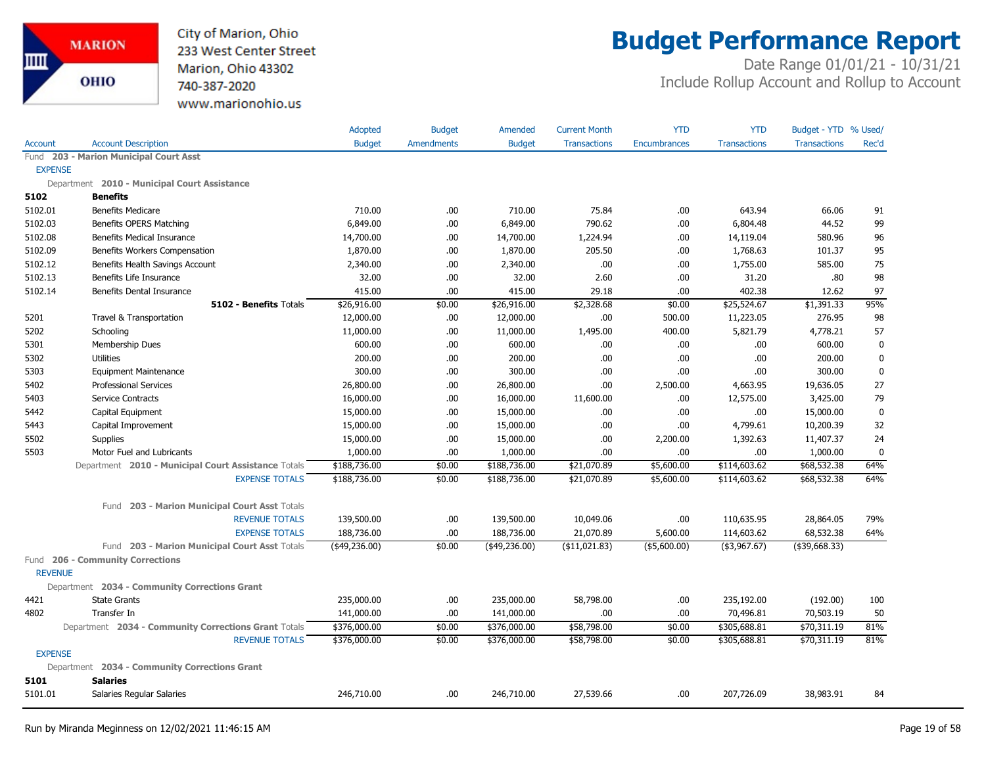

### **Budget Performance Report**

|                |                                                      | Adopted       | <b>Budget</b>     | Amended       | <b>Current Month</b> | <b>YTD</b>          | <b>YTD</b>          | Budget - YTD % Used/ |             |
|----------------|------------------------------------------------------|---------------|-------------------|---------------|----------------------|---------------------|---------------------|----------------------|-------------|
| <b>Account</b> | <b>Account Description</b>                           | <b>Budget</b> | <b>Amendments</b> | <b>Budget</b> | <b>Transactions</b>  | <b>Encumbrances</b> | <b>Transactions</b> | <b>Transactions</b>  | Rec'd       |
|                | Fund 203 - Marion Municipal Court Asst               |               |                   |               |                      |                     |                     |                      |             |
| <b>EXPENSE</b> |                                                      |               |                   |               |                      |                     |                     |                      |             |
|                | Department 2010 - Municipal Court Assistance         |               |                   |               |                      |                     |                     |                      |             |
| 5102           | <b>Benefits</b>                                      |               |                   |               |                      |                     |                     |                      |             |
| 5102.01        | <b>Benefits Medicare</b>                             | 710.00        | .00.              | 710.00        | 75.84                | .00.                | 643.94              | 66.06                | 91          |
| 5102.03        | Benefits OPERS Matching                              | 6,849.00      | .00.              | 6,849.00      | 790.62               | .00.                | 6,804.48            | 44.52                | 99          |
| 5102.08        | <b>Benefits Medical Insurance</b>                    | 14,700.00     | .00.              | 14,700.00     | 1,224.94             | .00.                | 14,119.04           | 580.96               | 96          |
| 5102.09        | Benefits Workers Compensation                        | 1,870.00      | .00.              | 1,870.00      | 205.50               | .00                 | 1,768.63            | 101.37               | 95          |
| 5102.12        | Benefits Health Savings Account                      | 2,340.00      | .00.              | 2,340.00      | .00                  | .00                 | 1,755.00            | 585.00               | 75          |
| 5102.13        | Benefits Life Insurance                              | 32.00         | .00               | 32.00         | 2.60                 | .00.                | 31.20               | .80                  | 98          |
| 5102.14        | Benefits Dental Insurance                            | 415.00        | .00               | 415.00        | 29.18                | .00                 | 402.38              | 12.62                | 97          |
|                | 5102 - Benefits Totals                               | \$26,916.00   | \$0.00            | \$26,916.00   | \$2,328.68           | \$0.00              | \$25,524.67         | \$1,391.33           | 95%         |
| 5201           | Travel & Transportation                              | 12,000.00     | .00.              | 12,000.00     | .00                  | 500.00              | 11,223.05           | 276.95               | 98          |
| 5202           | Schooling                                            | 11,000.00     | .00.              | 11,000.00     | 1,495.00             | 400.00              | 5,821.79            | 4,778.21             | 57          |
| 5301           | Membership Dues                                      | 600.00        | .00               | 600.00        | .00                  | .00                 | .00.                | 600.00               | $\pmb{0}$   |
| 5302           | <b>Utilities</b>                                     | 200.00        | .00.              | 200.00        | .00.                 | .00                 | .00.                | 200.00               | $\mathbf 0$ |
| 5303           | <b>Equipment Maintenance</b>                         | 300.00        | .00.              | 300.00        | .00                  | .00.                | .00                 | 300.00               | 0           |
| 5402           | <b>Professional Services</b>                         | 26,800.00     | .00.              | 26,800.00     | .00                  | 2,500.00            | 4,663.95            | 19,636.05            | 27          |
| 5403           | Service Contracts                                    | 16,000.00     | .00               | 16,000.00     | 11,600.00            | .00.                | 12,575.00           | 3,425.00             | 79          |
| 5442           | Capital Equipment                                    | 15,000.00     | .00               | 15,000.00     | .00                  | .00                 | .00.                | 15,000.00            | $\mathbf 0$ |
| 5443           | Capital Improvement                                  | 15,000.00     | .00.              | 15,000.00     | .00.                 | .00                 | 4,799.61            | 10,200.39            | 32          |
| 5502           | <b>Supplies</b>                                      | 15,000.00     | .00               | 15,000.00     | .00                  | 2,200.00            | 1,392.63            | 11,407.37            | 24          |
| 5503           | Motor Fuel and Lubricants                            | 1,000.00      | .00               | 1,000.00      | .00                  | .00.                | .00                 | 1,000.00             | $\mathbf 0$ |
|                | Department 2010 - Municipal Court Assistance Totals  | \$188,736.00  | \$0.00            | \$188,736.00  | \$21,070.89          | \$5,600.00          | \$114,603.62        | \$68,532.38          | 64%         |
|                | <b>EXPENSE TOTALS</b>                                | \$188,736.00  | \$0.00            | \$188,736.00  | \$21,070.89          | \$5,600.00          | \$114,603.62        | \$68,532.38          | 64%         |
|                | 203 - Marion Municipal Court Asst Totals<br>Fund     |               |                   |               |                      |                     |                     |                      |             |
|                | <b>REVENUE TOTALS</b>                                | 139,500.00    | .00.              | 139,500.00    | 10,049.06            | .00                 | 110,635.95          | 28,864.05            | 79%         |
|                | <b>EXPENSE TOTALS</b>                                | 188,736.00    | .00               | 188,736.00    | 21,070.89            | 5,600.00            | 114,603.62          | 68,532.38            | 64%         |
|                | Fund 203 - Marion Municipal Court Asst Totals        | (\$49,236.00) | \$0.00            | (\$49,236.00) | $($ \$11,021.83)     | $($ \$5,600.00)     | ( \$3,967.67)       | $($ \$39,668.33)     |             |
|                | Fund 206 - Community Corrections                     |               |                   |               |                      |                     |                     |                      |             |
| <b>REVENUE</b> |                                                      |               |                   |               |                      |                     |                     |                      |             |
|                | Department 2034 - Community Corrections Grant        |               |                   |               |                      |                     |                     |                      |             |
| 4421           | <b>State Grants</b>                                  | 235,000.00    | .00.              | 235,000.00    | 58,798.00            | .00.                | 235,192.00          | (192.00)             | 100         |
| 4802           | Transfer In                                          | 141,000.00    | .00.              | 141,000.00    | .00                  | .00                 | 70,496.81           | 70,503.19            | 50          |
|                | Department 2034 - Community Corrections Grant Totals | \$376,000.00  | \$0.00            | \$376,000.00  | \$58,798.00          | \$0.00              | \$305,688.81        | \$70,311.19          | 81%         |
|                | <b>REVENUE TOTALS</b>                                | \$376,000.00  | \$0.00            | \$376,000.00  | \$58,798.00          | \$0.00              | \$305,688.81        | \$70,311.19          | 81%         |
| <b>EXPENSE</b> |                                                      |               |                   |               |                      |                     |                     |                      |             |
|                | Department 2034 - Community Corrections Grant        |               |                   |               |                      |                     |                     |                      |             |
| 5101           | <b>Salaries</b>                                      |               |                   |               |                      |                     |                     |                      |             |
| 5101.01        | Salaries Regular Salaries                            | 246,710.00    | .00.              | 246,710.00    | 27,539.66            | .00.                | 207,726.09          | 38,983.91            | 84          |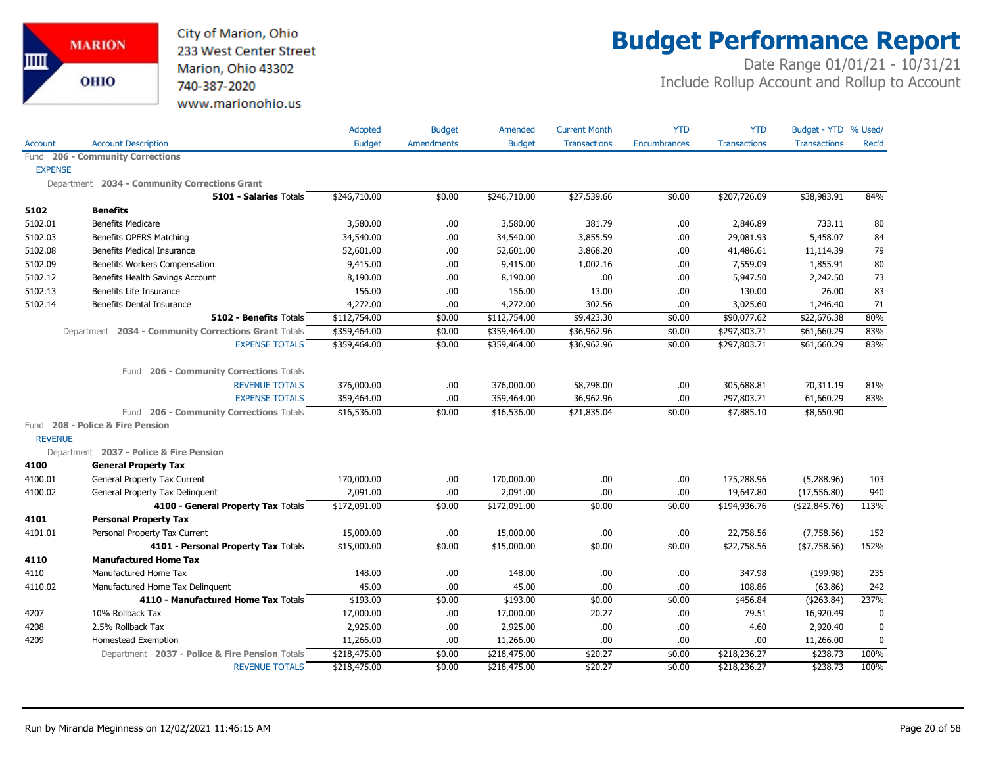

# **Budget Performance Report**

|                |                                                      | Adopted       | <b>Budget</b>     | Amended       | <b>Current Month</b> | <b>YTD</b>          | <b>YTD</b>          | Budget - YTD % Used/ |             |
|----------------|------------------------------------------------------|---------------|-------------------|---------------|----------------------|---------------------|---------------------|----------------------|-------------|
| Account        | <b>Account Description</b>                           | <b>Budget</b> | <b>Amendments</b> | <b>Budget</b> | <b>Transactions</b>  | <b>Encumbrances</b> | <b>Transactions</b> | <b>Transactions</b>  | Rec'd       |
|                | Fund 206 - Community Corrections                     |               |                   |               |                      |                     |                     |                      |             |
| <b>EXPENSE</b> |                                                      |               |                   |               |                      |                     |                     |                      |             |
|                | Department 2034 - Community Corrections Grant        |               |                   |               |                      |                     |                     |                      |             |
|                | 5101 - Salaries Totals                               | \$246,710.00  | \$0.00            | \$246,710.00  | \$27,539.66          | \$0.00              | \$207,726.09        | \$38,983.91          | 84%         |
| 5102           | <b>Benefits</b>                                      |               |                   |               |                      |                     |                     |                      |             |
| 5102.01        | <b>Benefits Medicare</b>                             | 3,580.00      | .00.              | 3,580.00      | 381.79               | .00.                | 2,846.89            | 733.11               | 80          |
| 5102.03        | <b>Benefits OPERS Matching</b>                       | 34,540.00     | .00.              | 34,540.00     | 3,855.59             | .00                 | 29,081.93           | 5,458.07             | 84          |
| 5102.08        | <b>Benefits Medical Insurance</b>                    | 52,601.00     | .00.              | 52,601.00     | 3,868.20             | .00                 | 41,486.61           | 11,114.39            | 79          |
| 5102.09        | Benefits Workers Compensation                        | 9,415.00      | .00.              | 9,415.00      | 1,002.16             | .00.                | 7,559.09            | 1,855.91             | 80          |
| 5102.12        | Benefits Health Savings Account                      | 8,190.00      | .00.              | 8,190.00      | .00.                 | .00.                | 5,947.50            | 2,242.50             | 73          |
| 5102.13        | Benefits Life Insurance                              | 156.00        | .00.              | 156.00        | 13.00                | .00.                | 130.00              | 26.00                | 83          |
| 5102.14        | <b>Benefits Dental Insurance</b>                     | 4,272.00      | .00.              | 4,272.00      | 302.56               | .00                 | 3,025.60            | 1,246.40             | 71          |
|                | 5102 - Benefits Totals                               | \$112,754.00  | \$0.00            | \$112,754.00  | \$9,423.30           | \$0.00              | \$90,077.62         | \$22,676.38          | 80%         |
|                | Department 2034 - Community Corrections Grant Totals | \$359,464.00  | \$0.00            | \$359,464.00  | \$36,962.96          | \$0.00              | \$297,803.71        | \$61,660.29          | 83%         |
|                | <b>EXPENSE TOTALS</b>                                | \$359,464.00  | \$0.00            | \$359,464.00  | \$36,962.96          | \$0.00              | \$297,803.71        | \$61,660.29          | 83%         |
|                | 206 - Community Corrections Totals<br>Fund           |               |                   |               |                      |                     |                     |                      |             |
|                | <b>REVENUE TOTALS</b>                                | 376,000.00    | .00.              | 376,000.00    | 58,798.00            | .00.                | 305,688.81          | 70,311.19            | 81%         |
|                | <b>EXPENSE TOTALS</b>                                | 359,464.00    | .00               | 359,464.00    | 36,962.96            | .00                 | 297,803.71          | 61,660.29            | 83%         |
|                | 206 - Community Corrections Totals<br>Fund           | \$16,536.00   | \$0.00            | \$16,536.00   | \$21,835.04          | \$0.00              | \$7,885.10          | \$8,650.90           |             |
|                | Fund 208 - Police & Fire Pension                     |               |                   |               |                      |                     |                     |                      |             |
| <b>REVENUE</b> |                                                      |               |                   |               |                      |                     |                     |                      |             |
|                | Department 2037 - Police & Fire Pension              |               |                   |               |                      |                     |                     |                      |             |
| 4100           | <b>General Property Tax</b>                          |               |                   |               |                      |                     |                     |                      |             |
| 4100.01        | General Property Tax Current                         | 170,000.00    | .00.              | 170,000.00    | .00                  | .00                 | 175,288.96          | (5,288.96)           | 103         |
| 4100.02        | General Property Tax Delinquent                      | 2,091.00      | .00.              | 2,091.00      | .00.                 | .00.                | 19,647.80           | (17, 556.80)         | 940         |
|                | 4100 - General Property Tax Totals                   | \$172,091.00  | \$0.00            | \$172,091.00  | \$0.00               | \$0.00              | \$194,936.76        | (\$22,845.76)        | 113%        |
| 4101           | <b>Personal Property Tax</b>                         |               |                   |               |                      |                     |                     |                      |             |
| 4101.01        | Personal Property Tax Current                        | 15,000.00     | .00.              | 15,000.00     | .00                  | .00                 | 22,758.56           | (7,758.56)           | 152         |
|                | 4101 - Personal Property Tax Totals                  | \$15,000.00   | \$0.00            | \$15,000.00   | \$0.00               | \$0.00              | \$22,758.56         | (\$7,758.56)         | 152%        |
| 4110           | <b>Manufactured Home Tax</b>                         |               |                   |               |                      |                     |                     |                      |             |
| 4110           | Manufactured Home Tax                                | 148.00        | .00               | 148.00        | .00.                 | .00                 | 347.98              | (199.98)             | 235         |
| 4110.02        | Manufactured Home Tax Delinquent                     | 45.00         | .00.              | 45.00         | .00.                 | .00.                | 108.86              | (63.86)              | 242         |
|                | 4110 - Manufactured Home Tax Totals                  | \$193.00      | \$0.00            | \$193.00      | \$0.00               | \$0.00              | \$456.84            | ( \$263.84)          | 237%        |
| 4207           | 10% Rollback Tax                                     | 17,000.00     | .00.              | 17,000.00     | 20.27                | .00                 | 79.51               | 16,920.49            | 0           |
| 4208           | 2.5% Rollback Tax                                    | 2,925.00      | .00               | 2,925.00      | .00.                 | .00.                | 4.60                | 2,920.40             | $\mathbf 0$ |
| 4209           | Homestead Exemption                                  | 11,266.00     | .00.              | 11,266.00     | .00.                 | .00.                | .00                 | 11,266.00            | 0           |
|                | Department 2037 - Police & Fire Pension Totals       | \$218,475.00  | \$0.00            | \$218,475.00  | \$20.27              | \$0.00              | \$218,236.27        | \$238.73             | 100%        |
|                | <b>REVENUE TOTALS</b>                                | \$218,475.00  | \$0.00            | \$218,475.00  | \$20.27              | \$0.00              | \$218,236.27        | \$238.73             | 100%        |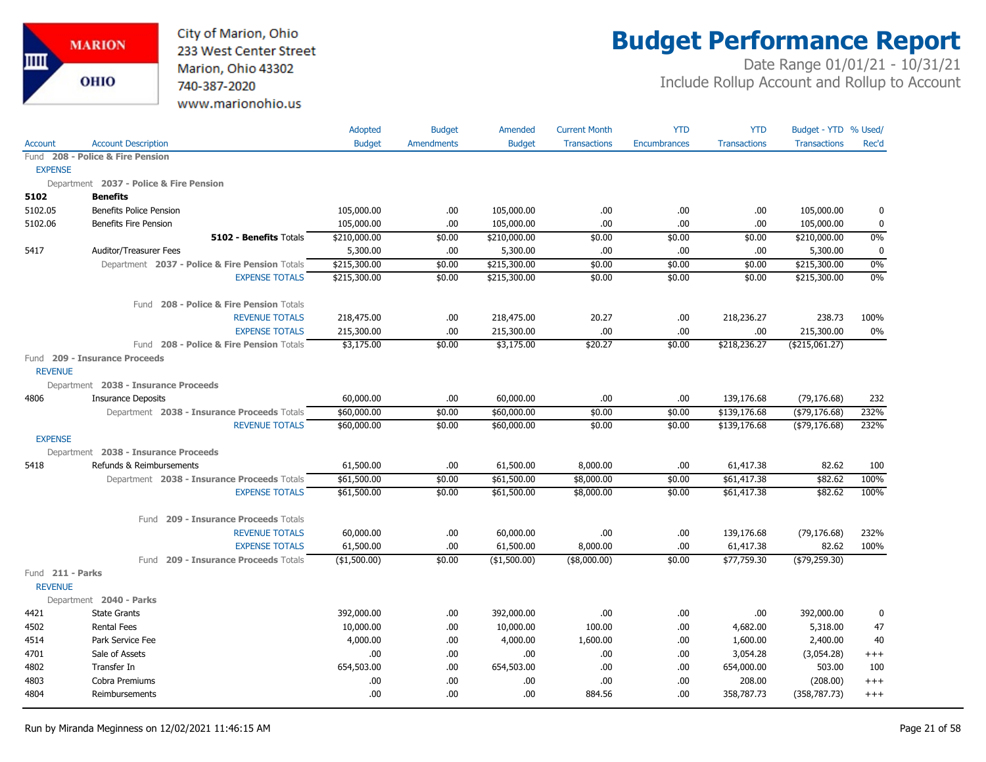

## **Budget Performance Report**

|                                    |                                                | <b>Adopted</b> | <b>Budget</b>     | Amended       | <b>Current Month</b> | <b>YTD</b>          | <b>YTD</b>          | Budget - YTD % Used/ |             |
|------------------------------------|------------------------------------------------|----------------|-------------------|---------------|----------------------|---------------------|---------------------|----------------------|-------------|
| <b>Account</b>                     | <b>Account Description</b>                     | <b>Budget</b>  | <b>Amendments</b> | <b>Budget</b> | <b>Transactions</b>  | <b>Encumbrances</b> | <b>Transactions</b> | <b>Transactions</b>  | Rec'd       |
|                                    | Fund 208 - Police & Fire Pension               |                |                   |               |                      |                     |                     |                      |             |
| <b>EXPENSE</b>                     |                                                |                |                   |               |                      |                     |                     |                      |             |
|                                    | Department 2037 - Police & Fire Pension        |                |                   |               |                      |                     |                     |                      |             |
| 5102                               | <b>Benefits</b>                                |                |                   |               |                      |                     |                     |                      |             |
| 5102.05                            | <b>Benefits Police Pension</b>                 | 105,000.00     | .00.              | 105,000.00    | .00.                 | .00                 | .00                 | 105,000.00           | 0           |
| 5102.06                            | <b>Benefits Fire Pension</b>                   | 105,000.00     | .00.              | 105,000.00    | .00.                 | .00                 | .00.                | 105,000.00           | 0           |
|                                    | 5102 - Benefits Totals                         | \$210,000.00   | \$0.00            | \$210,000.00  | \$0.00               | \$0.00              | \$0.00              | \$210,000.00         | 0%          |
| 5417                               | Auditor/Treasurer Fees                         | 5,300.00       | .00.              | 5,300.00      | .00.                 | .00                 | .00.                | 5,300.00             | $\mathbf 0$ |
|                                    | Department 2037 - Police & Fire Pension Totals | \$215,300.00   | \$0.00            | \$215,300.00  | \$0.00               | \$0.00              | \$0.00              | \$215,300.00         | 0%          |
|                                    | <b>EXPENSE TOTALS</b>                          | \$215,300.00   | \$0.00            | \$215,300.00  | \$0.00               | \$0.00              | \$0.00              | \$215,300.00         | 0%          |
|                                    | Fund 208 - Police & Fire Pension Totals        |                |                   |               |                      |                     |                     |                      |             |
|                                    | <b>REVENUE TOTALS</b>                          | 218,475.00     | .00.              | 218,475.00    | 20.27                | .00                 | 218,236.27          | 238.73               | 100%        |
|                                    | <b>EXPENSE TOTALS</b>                          | 215,300.00     | .00               | 215,300.00    | .00.                 | .00                 | .00                 | 215,300.00           | 0%          |
|                                    | Fund 208 - Police & Fire Pension Totals        | \$3,175.00     | \$0.00            | \$3,175.00    | \$20.27              | \$0.00              | \$218,236.27        | ( \$215,061.27)      |             |
|                                    | Fund 209 - Insurance Proceeds                  |                |                   |               |                      |                     |                     |                      |             |
| <b>REVENUE</b>                     |                                                |                |                   |               |                      |                     |                     |                      |             |
|                                    | Department 2038 - Insurance Proceeds           |                |                   |               |                      |                     |                     |                      |             |
| 4806                               | <b>Insurance Deposits</b>                      | 60,000.00      | .00.              | 60,000.00     | .00.                 | .00                 | 139,176.68          | (79, 176.68)         | 232         |
|                                    | Department 2038 - Insurance Proceeds Totals    | \$60,000.00    | \$0.00            | \$60,000.00   | \$0.00               | \$0.00              | \$139,176.68        | ( \$79, 176.68)      | 232%        |
|                                    | <b>REVENUE TOTALS</b>                          | \$60,000.00    | \$0.00            | \$60,000.00   | \$0.00               | \$0.00              | \$139,176.68        | $($ \$79,176.68)     | 232%        |
| <b>EXPENSE</b>                     |                                                |                |                   |               |                      |                     |                     |                      |             |
|                                    | Department 2038 - Insurance Proceeds           |                |                   |               |                      |                     |                     |                      |             |
| 5418                               | Refunds & Reimbursements                       | 61,500.00      | .00.              | 61,500.00     | 8,000.00             | .00                 | 61,417.38           | 82.62                | 100         |
|                                    | Department 2038 - Insurance Proceeds Totals    | \$61,500.00    | \$0.00            | \$61,500.00   | \$8,000.00           | \$0.00              | \$61,417.38         | \$82.62              | 100%        |
|                                    | <b>EXPENSE TOTALS</b>                          | \$61,500.00    | \$0.00            | \$61,500.00   | \$8,000.00           | \$0.00              | \$61,417.38         | \$82.62              | 100%        |
|                                    | Fund 209 - Insurance Proceeds Totals           |                |                   |               |                      |                     |                     |                      |             |
|                                    | <b>REVENUE TOTALS</b>                          | 60,000.00      | .00.              | 60,000.00     | .00.                 | .00                 | 139,176.68          | (79, 176.68)         | 232%        |
|                                    | <b>EXPENSE TOTALS</b>                          | 61,500.00      | .00.              | 61,500.00     | 8,000.00             | .00                 | 61,417.38           | 82.62                | 100%        |
|                                    | 209 - Insurance Proceeds Totals<br>Fund        | (\$1,500.00)   | \$0.00            | (\$1,500.00)  | (\$8,000.00)         | \$0.00              | \$77,759.30         | ( \$79, 259.30)      |             |
| Fund 211 - Parks<br><b>REVENUE</b> |                                                |                |                   |               |                      |                     |                     |                      |             |
|                                    | Department 2040 - Parks                        |                |                   |               |                      |                     |                     |                      |             |
| 4421                               | <b>State Grants</b>                            | 392,000.00     | .00.              | 392,000.00    | .00.                 | .00                 | .00                 | 392,000.00           | 0           |
| 4502                               | <b>Rental Fees</b>                             | 10,000.00      | .00.              | 10,000.00     | 100.00               | .00                 | 4,682.00            | 5,318.00             | 47          |
| 4514                               | Park Service Fee                               | 4,000.00       | .00.              | 4,000.00      | 1,600.00             | .00                 | 1,600.00            | 2,400.00             | 40          |
| 4701                               | Sale of Assets                                 | .00            | .00.              | .00.          | .00                  | .00                 | 3,054.28            | (3,054.28)           | $^{+++}$    |
| 4802                               | Transfer In                                    | 654,503.00     | .00               | 654,503.00    | .00                  | .00                 | 654,000.00          | 503.00               | 100         |
| 4803                               | Cobra Premiums                                 | .00            | .00               | .00           | .00                  | .00                 | 208.00              | (208.00)             | $^{+++}$    |
| 4804                               | Reimbursements                                 | .00            | .00.              | .00           | 884.56               | .00                 | 358,787.73          | (358, 787.73)        | $^{+++}$    |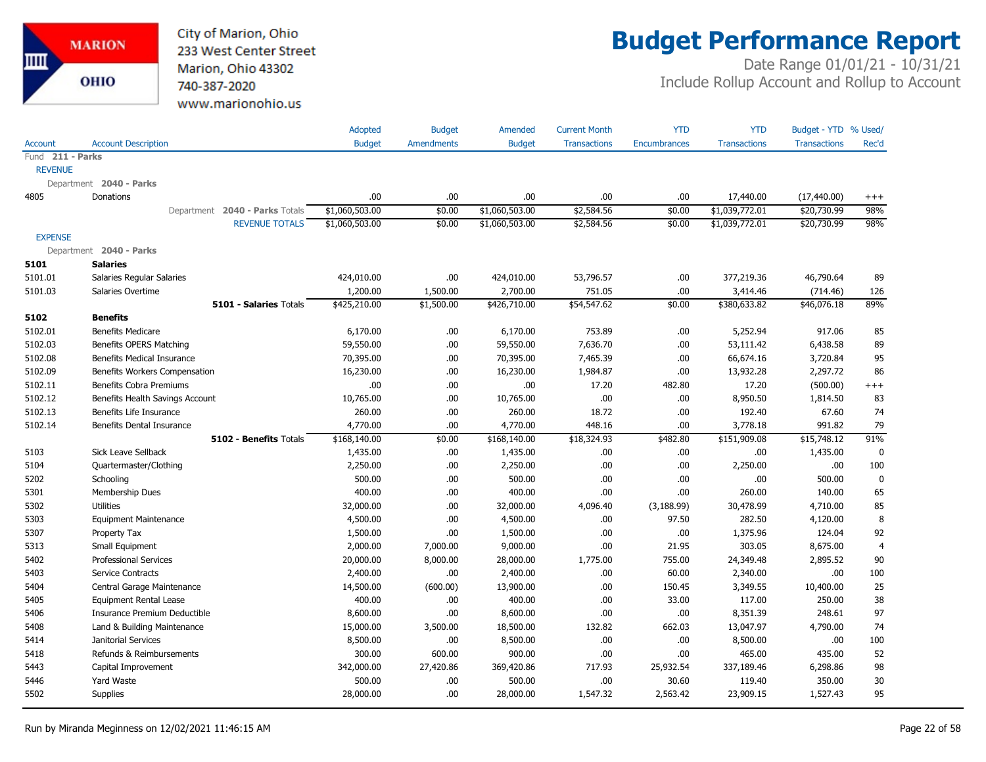

## **Budget Performance Report**

|                  |                                  | Adopted        | <b>Budget</b>     | Amended        | <b>Current Month</b> | <b>YTD</b>          | <b>YTD</b>          | Budget - YTD % Used/ |                |
|------------------|----------------------------------|----------------|-------------------|----------------|----------------------|---------------------|---------------------|----------------------|----------------|
| <b>Account</b>   | <b>Account Description</b>       | <b>Budget</b>  | <b>Amendments</b> | <b>Budget</b>  | <b>Transactions</b>  | <b>Encumbrances</b> | <b>Transactions</b> | <b>Transactions</b>  | Rec'd          |
| Fund 211 - Parks |                                  |                |                   |                |                      |                     |                     |                      |                |
| <b>REVENUE</b>   |                                  |                |                   |                |                      |                     |                     |                      |                |
|                  | Department 2040 - Parks          |                |                   |                |                      |                     |                     |                      |                |
| 4805             | Donations                        | .00            | .00.              | .00            | .00                  | .00.                | 17,440.00           | (17, 440.00)         | $^{+++}$       |
|                  | Department 2040 - Parks Totals   | \$1,060,503.00 | \$0.00            | \$1,060,503.00 | \$2,584.56           | \$0.00              | \$1,039,772.01      | \$20,730.99          | 98%            |
|                  | <b>REVENUE TOTALS</b>            | \$1,060,503.00 | \$0.00            | \$1,060,503.00 | \$2,584.56           | \$0.00              | \$1,039,772.01      | \$20,730.99          | 98%            |
| <b>EXPENSE</b>   |                                  |                |                   |                |                      |                     |                     |                      |                |
|                  | Department 2040 - Parks          |                |                   |                |                      |                     |                     |                      |                |
| 5101             | <b>Salaries</b>                  |                |                   |                |                      |                     |                     |                      |                |
| 5101.01          | Salaries Regular Salaries        | 424,010.00     | .00               | 424,010.00     | 53,796.57            | .00                 | 377,219.36          | 46,790.64            | 89             |
| 5101.03          | Salaries Overtime                | 1,200.00       | 1,500.00          | 2,700.00       | 751.05               | .00                 | 3,414.46            | (714.46)             | 126            |
|                  | 5101 - Salaries Totals           | \$425,210.00   | \$1,500.00        | \$426,710.00   | \$54,547.62          | \$0.00              | \$380,633.82        | \$46,076.18          | 89%            |
| 5102             | <b>Benefits</b>                  |                |                   |                |                      |                     |                     |                      |                |
| 5102.01          | <b>Benefits Medicare</b>         | 6,170.00       | .00.              | 6,170.00       | 753.89               | .00.                | 5,252.94            | 917.06               | 85             |
| 5102.03          | Benefits OPERS Matching          | 59,550.00      | .00.              | 59,550.00      | 7,636.70             | .00                 | 53,111.42           | 6,438.58             | 89             |
| 5102.08          | Benefits Medical Insurance       | 70,395.00      | .00.              | 70,395.00      | 7,465.39             | .00                 | 66,674.16           | 3,720.84             | 95             |
| 5102.09          | Benefits Workers Compensation    | 16,230.00      | .00.              | 16,230.00      | 1,984.87             | .00.                | 13,932.28           | 2,297.72             | 86             |
| 5102.11          | <b>Benefits Cobra Premiums</b>   | .00            | .00               | .00            | 17.20                | 482.80              | 17.20               | (500.00)             | $^{+++}$       |
| 5102.12          | Benefits Health Savings Account  | 10,765.00      | .00.              | 10,765.00      | .00.                 | .00.                | 8,950.50            | 1,814.50             | 83             |
| 5102.13          | Benefits Life Insurance          | 260.00         | .00               | 260.00         | 18.72                | .00                 | 192.40              | 67.60                | 74             |
| 5102.14          | <b>Benefits Dental Insurance</b> | 4,770.00       | 00.               | 4,770.00       | 448.16               | .00.                | 3,778.18            | 991.82               | 79             |
|                  | 5102 - Benefits Totals           | \$168,140.00   | \$0.00            | \$168,140.00   | \$18,324.93          | \$482.80            | \$151,909.08        | \$15,748.12          | 91%            |
| 5103             | Sick Leave Sellback              | 1,435.00       | .00.              | 1,435.00       | .00.                 | .00.                | .00                 | 1,435.00             | $\mathbf 0$    |
| 5104             | Quartermaster/Clothing           | 2,250.00       | .00.              | 2,250.00       | .00.                 | .00.                | 2,250.00            | .00.                 | 100            |
| 5202             | Schooling                        | 500.00         | .00.              | 500.00         | .00.                 | .00.                | .00                 | 500.00               | $\mathbf 0$    |
| 5301             | Membership Dues                  | 400.00         | .00               | 400.00         | .00.                 | .00                 | 260.00              | 140.00               | 65             |
| 5302             | <b>Utilities</b>                 | 32,000.00      | .00.              | 32,000.00      | 4,096.40             | (3, 188.99)         | 30,478.99           | 4,710.00             | 85             |
| 5303             | <b>Equipment Maintenance</b>     | 4,500.00       | .00.              | 4,500.00       | .00.                 | 97.50               | 282.50              | 4,120.00             | 8              |
| 5307             | Property Tax                     | 1,500.00       | .00.              | 1,500.00       | .00.                 | .00                 | 1,375.96            | 124.04               | 92             |
| 5313             | Small Equipment                  | 2,000.00       | 7,000.00          | 9,000.00       | .00                  | 21.95               | 303.05              | 8,675.00             | $\overline{4}$ |
| 5402             | <b>Professional Services</b>     | 20,000.00      | 8,000.00          | 28,000.00      | 1,775.00             | 755.00              | 24,349.48           | 2,895.52             | 90             |
| 5403             | <b>Service Contracts</b>         | 2,400.00       | .00               | 2,400.00       | .00.                 | 60.00               | 2,340.00            | .00                  | 100            |
| 5404             | Central Garage Maintenance       | 14,500.00      | (600.00)          | 13,900.00      | .00.                 | 150.45              | 3,349.55            | 10,400.00            | 25             |
| 5405             | <b>Equipment Rental Lease</b>    | 400.00         | .00.              | 400.00         | .00.                 | 33.00               | 117.00              | 250.00               | 38             |
| 5406             | Insurance Premium Deductible     | 8,600.00       | .00.              | 8,600.00       | .00.                 | .00.                | 8,351.39            | 248.61               | 97             |
| 5408             | Land & Building Maintenance      | 15,000.00      | 3,500.00          | 18,500.00      | 132.82               | 662.03              | 13,047.97           | 4,790.00             | 74             |
| 5414             | Janitorial Services              | 8,500.00       | .00.              | 8,500.00       | .00.                 | .00.                | 8,500.00            | .00.                 | 100            |
| 5418             | Refunds & Reimbursements         | 300.00         | 600.00            | 900.00         | .00.                 | .00                 | 465.00              | 435.00               | 52             |
| 5443             | Capital Improvement              | 342,000.00     | 27,420.86         | 369,420.86     | 717.93               | 25,932.54           | 337,189.46          | 6,298.86             | 98             |
| 5446             | Yard Waste                       | 500.00         | .00.              | 500.00         | .00                  | 30.60               | 119.40              | 350.00               | 30             |
| 5502             | <b>Supplies</b>                  | 28,000.00      | .00               | 28,000.00      | 1,547.32             | 2,563.42            | 23,909.15           | 1,527.43             | 95             |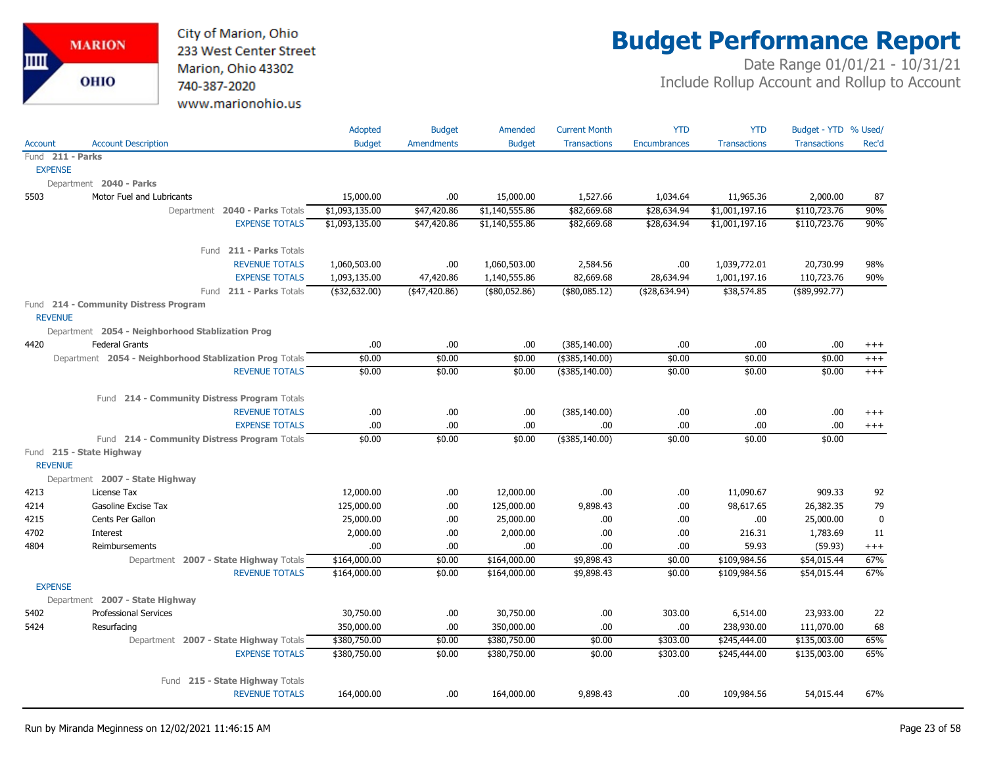

## **Budget Performance Report**

|                  |                                                                       | <b>Adopted</b> | <b>Budget</b>     | Amended        | <b>Current Month</b> | <b>YTD</b>          | <b>YTD</b>          | Budget - YTD % Used/ |                      |
|------------------|-----------------------------------------------------------------------|----------------|-------------------|----------------|----------------------|---------------------|---------------------|----------------------|----------------------|
| Account          | <b>Account Description</b>                                            | <b>Budget</b>  | <b>Amendments</b> | <b>Budget</b>  | <b>Transactions</b>  | <b>Encumbrances</b> | <b>Transactions</b> | <b>Transactions</b>  | Rec'd                |
| Fund 211 - Parks |                                                                       |                |                   |                |                      |                     |                     |                      |                      |
| <b>EXPENSE</b>   |                                                                       |                |                   |                |                      |                     |                     |                      |                      |
|                  | Department 2040 - Parks                                               |                |                   |                |                      |                     |                     |                      |                      |
| 5503             | Motor Fuel and Lubricants                                             | 15,000.00      | .00.              | 15,000.00      | 1,527.66             | 1,034.64            | 11,965.36           | 2,000.00             | 87                   |
|                  | Department 2040 - Parks Totals                                        | \$1,093,135.00 | \$47,420.86       | \$1,140,555.86 | \$82,669.68          | \$28,634.94         | \$1,001,197.16      | \$110,723.76         | 90%                  |
|                  | <b>EXPENSE TOTALS</b>                                                 | \$1,093,135.00 | \$47,420.86       | \$1,140,555.86 | \$82,669.68          | \$28,634.94         | \$1,001,197.16      | \$110,723.76         | 90%                  |
|                  | Fund 211 - Parks Totals                                               |                |                   |                |                      |                     |                     |                      |                      |
|                  | <b>REVENUE TOTALS</b>                                                 | 1,060,503.00   | .00.              | 1,060,503.00   | 2,584.56             | .00                 | 1,039,772.01        | 20,730.99            | 98%                  |
|                  | <b>EXPENSE TOTALS</b>                                                 | 1,093,135.00   | 47,420.86         | 1,140,555.86   | 82,669.68            | 28,634.94           | 1,001,197.16        | 110,723.76           | 90%                  |
|                  | Fund 211 - Parks Totals                                               | (\$32,632.00)  | (47, 420.86)      | (\$80,052.86)  | (\$80,085.12)        | ( \$28,634.94)      | \$38,574.85         | $($ \$89,992.77)     |                      |
|                  | Fund 214 - Community Distress Program                                 |                |                   |                |                      |                     |                     |                      |                      |
| <b>REVENUE</b>   |                                                                       |                |                   |                |                      |                     |                     |                      |                      |
|                  | Department 2054 - Neighborhood Stablization Prog                      |                |                   |                |                      |                     |                     |                      |                      |
| 4420             | <b>Federal Grants</b>                                                 | .00.           | .00.              | .00.           | (385, 140.00)        | .00                 | .00                 | .00.                 | $^{+++}$             |
|                  | Department 2054 - Neighborhood Stablization Prog Totals               | \$0.00         | \$0.00            | \$0.00         | (\$385,140.00)       | \$0.00              | \$0.00              | \$0.00               | $^{+++}$             |
|                  | <b>REVENUE TOTALS</b>                                                 | \$0.00         | \$0.00            | \$0.00         | (\$385,140.00)       | \$0.00              | \$0.00              | \$0.00               | $+++$                |
|                  |                                                                       |                |                   |                |                      |                     |                     |                      |                      |
|                  | Fund 214 - Community Distress Program Totals<br><b>REVENUE TOTALS</b> |                |                   | .00            |                      |                     | .00.                | .00                  |                      |
|                  | <b>EXPENSE TOTALS</b>                                                 | .00.<br>.00.   | .00.<br>.00       | .00            | (385, 140.00)<br>.00 | .00<br>.00          | .00.                | .00                  | $^{+++}$<br>$^{+++}$ |
|                  | Fund 214 - Community Distress Program Totals                          | \$0.00         | \$0.00            | \$0.00         | (\$385,140.00)       | \$0.00              | \$0.00              | \$0.00               |                      |
|                  | Fund 215 - State Highway                                              |                |                   |                |                      |                     |                     |                      |                      |
| <b>REVENUE</b>   |                                                                       |                |                   |                |                      |                     |                     |                      |                      |
|                  | Department 2007 - State Highway                                       |                |                   |                |                      |                     |                     |                      |                      |
| 4213             | License Tax                                                           | 12,000.00      | .00.              | 12,000.00      | .00                  | .00                 | 11,090.67           | 909.33               | 92                   |
| 4214             | Gasoline Excise Tax                                                   | 125,000.00     | .00.              | 125,000.00     | 9,898.43             | .00                 | 98,617.65           | 26,382.35            | 79                   |
| 4215             | Cents Per Gallon                                                      | 25,000.00      | .00.              | 25,000.00      | .00                  | .00                 | .00                 | 25,000.00            | $\mathbf 0$          |
| 4702             | Interest                                                              | 2,000.00       | .00.              | 2,000.00       | .00                  | .00.                | 216.31              | 1,783.69             | 11                   |
| 4804             | Reimbursements                                                        | .00.           | .00.              | .00.           | .00                  | .00                 | 59.93               | (59.93)              | $^{+++}$             |
|                  | Department 2007 - State Highway Totals                                | \$164,000.00   | \$0.00            | \$164,000.00   | \$9,898.43           | \$0.00              | \$109,984.56        | \$54,015.44          | 67%                  |
|                  | <b>REVENUE TOTALS</b>                                                 | \$164,000.00   | \$0.00            | \$164,000.00   | \$9,898.43           | \$0.00              | \$109,984.56        | \$54,015.44          | 67%                  |
| <b>EXPENSE</b>   |                                                                       |                |                   |                |                      |                     |                     |                      |                      |
|                  | Department 2007 - State Highway                                       |                |                   |                |                      |                     |                     |                      |                      |
| 5402             | <b>Professional Services</b>                                          | 30,750.00      | .00.              | 30,750.00      | .00.                 | 303.00              | 6,514.00            | 23,933.00            | 22                   |
| 5424             | Resurfacing                                                           | 350,000.00     | .00.              | 350,000.00     | .00                  | .00                 | 238,930.00          | 111,070.00           | 68                   |
|                  | Department 2007 - State Highway Totals                                | \$380,750.00   | \$0.00            | \$380,750.00   | \$0.00               | \$303.00            | \$245,444.00        | \$135,003.00         | 65%                  |
|                  | <b>EXPENSE TOTALS</b>                                                 | \$380,750.00   | \$0.00            | \$380,750.00   | \$0.00               | \$303.00            | \$245,444.00        | \$135,003.00         | 65%                  |
|                  | Fund 215 - State Highway Totals                                       |                |                   |                |                      |                     |                     |                      |                      |
|                  | <b>REVENUE TOTALS</b>                                                 | 164,000.00     | .00               | 164,000.00     | 9,898.43             | .00                 | 109,984.56          | 54,015.44            | 67%                  |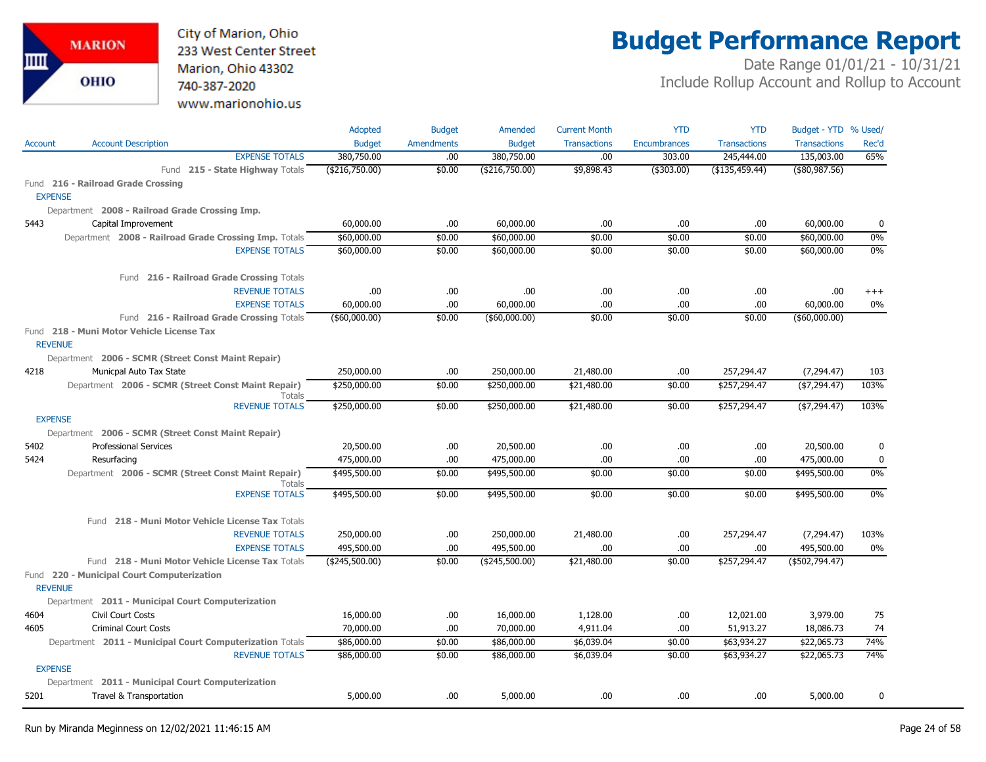City of Marion, Ohio 233 West Center Street Marion, Ohio 43302 740-387-2020 www.marionohio.us

# **Budget Performance Report**

|                |                                                                     | Adopted          | <b>Budget</b>     | Amended        | <b>Current Month</b> | <b>YTD</b>   | <b>YTD</b>          | Budget - YTD % Used/ |          |
|----------------|---------------------------------------------------------------------|------------------|-------------------|----------------|----------------------|--------------|---------------------|----------------------|----------|
| <b>Account</b> | <b>Account Description</b>                                          | <b>Budget</b>    | <b>Amendments</b> | <b>Budget</b>  | <b>Transactions</b>  | Encumbrances | <b>Transactions</b> | <b>Transactions</b>  | Rec'd    |
|                | <b>EXPENSE TOTALS</b>                                               | 380,750.00       | .00               | 380,750.00     | .00                  | 303.00       | 245,444.00          | 135,003.00           | 65%      |
|                | Fund 215 - State Highway Totals                                     | (\$216,750.00)   | \$0.00            | (\$216,750.00) | \$9,898.43           | (\$303.00)   | (\$135,459.44)      | $($ \$80,987.56)     |          |
|                | Fund 216 - Railroad Grade Crossing                                  |                  |                   |                |                      |              |                     |                      |          |
|                | <b>EXPENSE</b>                                                      |                  |                   |                |                      |              |                     |                      |          |
|                | Department 2008 - Railroad Grade Crossing Imp.                      |                  |                   |                |                      |              |                     |                      |          |
| 5443           | Capital Improvement                                                 | 60,000.00        | .00               | 60,000.00      | .00                  | .00          | .00                 | 60,000.00            | 0        |
|                | Department 2008 - Railroad Grade Crossing Imp. Totals               | \$60,000.00      | \$0.00            | \$60,000.00    | \$0.00               | \$0.00       | \$0.00              | \$60,000.00          | $0\%$    |
|                | <b>EXPENSE TOTALS</b>                                               | \$60,000.00      | \$0.00            | \$60,000.00    | \$0.00               | \$0.00       | \$0.00              | \$60,000.00          | $0\%$    |
|                | Fund 216 - Railroad Grade Crossing Totals                           |                  |                   |                |                      |              |                     |                      |          |
|                | <b>REVENUE TOTALS</b>                                               | .00.             | .00.              | .00.           | .00                  | .00.         | .00                 | .00                  | $^{+++}$ |
|                | <b>EXPENSE TOTALS</b>                                               | 60,000.00        | .00               | 60,000.00      | .00                  | .00          | .00                 | 60,000.00            | 0%       |
|                | Fund 216 - Railroad Grade Crossing Totals                           | $($ \$60,000.00) | \$0.00            | ( \$60,000.00) | \$0.00               | \$0.00       | \$0.00              | $($ \$60,000.00)     |          |
|                | Fund 218 - Muni Motor Vehicle License Tax                           |                  |                   |                |                      |              |                     |                      |          |
|                | <b>REVENUE</b>                                                      |                  |                   |                |                      |              |                     |                      |          |
|                | Department 2006 - SCMR (Street Const Maint Repair)                  |                  |                   |                |                      |              |                     |                      |          |
| 4218           | Municpal Auto Tax State                                             | 250,000.00       | .00               | 250,000.00     | 21,480.00            | .00          | 257,294.47          | (7, 294.47)          | 103      |
|                | Department 2006 - SCMR (Street Const Maint Repair)<br><b>Totals</b> | \$250,000.00     | \$0.00            | \$250,000.00   | \$21,480.00          | \$0.00       | \$257,294.47        | ( \$7,294.47)        | 103%     |
|                | <b>REVENUE TOTALS</b>                                               | \$250,000.00     | \$0.00            | \$250,000.00   | \$21,480.00          | \$0.00       | \$257,294.47        | ( \$7,294.47)        | 103%     |
|                | <b>EXPENSE</b>                                                      |                  |                   |                |                      |              |                     |                      |          |
|                | Department 2006 - SCMR (Street Const Maint Repair)                  |                  |                   |                |                      |              |                     |                      |          |
| 5402           | <b>Professional Services</b>                                        | 20,500.00        | .00               | 20,500.00      | .00                  | .00          | .00                 | 20,500.00            | 0        |
| 5424           | Resurfacing                                                         | 475,000.00       | .00               | 475,000.00     | .00                  | .00.         | .00                 | 475,000.00           | 0        |
|                | Department 2006 - SCMR (Street Const Maint Repair)<br><b>Totals</b> | \$495,500.00     | \$0.00            | \$495,500.00   | \$0.00               | \$0.00       | \$0.00              | \$495,500.00         | $0\%$    |
|                | <b>EXPENSE TOTALS</b>                                               | \$495,500.00     | \$0.00            | \$495,500.00   | \$0.00               | \$0.00       | \$0.00              | \$495,500.00         | 0%       |
|                | Fund 218 - Muni Motor Vehicle License Tax Totals                    |                  |                   |                |                      |              |                     |                      |          |
|                | <b>REVENUE TOTALS</b>                                               | 250,000.00       | .00.              | 250,000.00     | 21,480.00            | .00          | 257,294.47          | (7,294.47)           | 103%     |
|                | <b>EXPENSE TOTALS</b>                                               | 495,500.00       | .00               | 495,500.00     | .00                  | .00          | .00                 | 495,500.00           | 0%       |
|                | Fund 218 - Muni Motor Vehicle License Tax Totals                    | (\$245,500.00)   | \$0.00            | (\$245,500.00) | \$21,480.00          | \$0.00       | \$257,294.47        | (\$502,794.47)       |          |
|                | Fund 220 - Municipal Court Computerization<br><b>REVENUE</b>        |                  |                   |                |                      |              |                     |                      |          |
|                | Department 2011 - Municipal Court Computerization                   |                  |                   |                |                      |              |                     |                      |          |
| 4604           | Civil Court Costs                                                   | 16,000.00        | .00.              | 16,000.00      | 1,128.00             | .00.         | 12,021.00           | 3,979.00             | 75       |
| 4605           | <b>Criminal Court Costs</b>                                         | 70,000.00        | .00.              | 70,000.00      | 4,911.04             | .00.         | 51,913.27           | 18,086.73            | 74       |
|                | Department 2011 - Municipal Court Computerization Totals            | \$86,000.00      | \$0.00            | \$86,000.00    | \$6,039.04           | \$0.00       | \$63,934.27         | \$22,065.73          | 74%      |
|                | <b>REVENUE TOTALS</b>                                               | \$86,000.00      | \$0.00            | \$86,000.00    | \$6,039.04           | \$0.00       | \$63,934.27         | \$22,065.73          | 74%      |
|                | <b>EXPENSE</b>                                                      |                  |                   |                |                      |              |                     |                      |          |
|                | Department 2011 - Municipal Court Computerization                   |                  |                   |                |                      |              |                     |                      |          |
| 5201           | Travel & Transportation                                             | 5,000.00         | .00.              | 5,000.00       | .00                  | .00          | .00                 | 5,000.00             | 0        |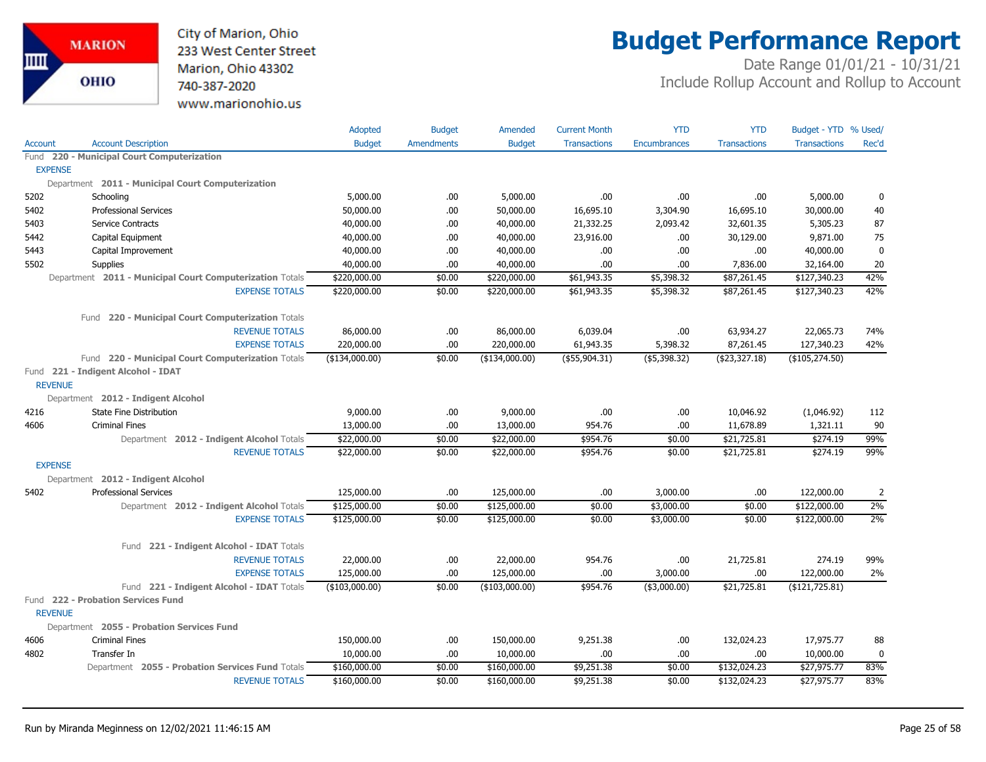

## **Budget Performance Report**

|                |                                                          | <b>Adopted</b> | <b>Budget</b>     | Amended        | <b>Current Month</b> | <b>YTD</b>          | <b>YTD</b>          | Budget - YTD % Used/ |             |
|----------------|----------------------------------------------------------|----------------|-------------------|----------------|----------------------|---------------------|---------------------|----------------------|-------------|
| <b>Account</b> | <b>Account Description</b>                               | <b>Budget</b>  | <b>Amendments</b> | <b>Budget</b>  | <b>Transactions</b>  | <b>Encumbrances</b> | <b>Transactions</b> | <b>Transactions</b>  | Rec'd       |
|                | Fund 220 - Municipal Court Computerization               |                |                   |                |                      |                     |                     |                      |             |
| <b>EXPENSE</b> |                                                          |                |                   |                |                      |                     |                     |                      |             |
|                | Department 2011 - Municipal Court Computerization        |                |                   |                |                      |                     |                     |                      |             |
| 5202           | Schooling                                                | 5,000.00       | .00.              | 5,000.00       | .00                  | .00                 | .00.                | 5,000.00             | 0           |
| 5402           | <b>Professional Services</b>                             | 50,000.00      | .00.              | 50,000.00      | 16,695.10            | 3,304.90            | 16,695.10           | 30,000.00            | 40          |
| 5403           | <b>Service Contracts</b>                                 | 40,000.00      | .00.              | 40,000.00      | 21,332.25            | 2,093.42            | 32,601.35           | 5,305.23             | 87          |
| 5442           | Capital Equipment                                        | 40,000.00      | .00.              | 40,000.00      | 23,916.00            | .00.                | 30,129.00           | 9,871.00             | 75          |
| 5443           | Capital Improvement                                      | 40,000.00      | .00.              | 40,000.00      | .00                  | .00.                | .00                 | 40,000.00            | $\mathbf 0$ |
| 5502           | Supplies                                                 | 40,000.00      | .00.              | 40,000.00      | .00                  | .00                 | 7,836.00            | 32,164.00            | 20          |
|                | Department 2011 - Municipal Court Computerization Totals | \$220,000.00   | \$0.00            | \$220,000.00   | \$61,943.35          | \$5,398.32          | \$87,261.45         | \$127,340.23         | 42%         |
|                | <b>EXPENSE TOTALS</b>                                    | \$220,000.00   | \$0.00            | \$220,000.00   | \$61,943.35          | \$5,398.32          | \$87,261.45         | \$127,340.23         | 42%         |
|                | 220 - Municipal Court Computerization Totals<br>Fund     |                |                   |                |                      |                     |                     |                      |             |
|                | <b>REVENUE TOTALS</b>                                    | 86,000.00      | .00               | 86,000.00      | 6,039.04             | .00                 | 63,934.27           | 22,065.73            | 74%         |
|                | <b>EXPENSE TOTALS</b>                                    | 220,000.00     | .00.              | 220,000.00     | 61,943.35            | 5,398.32            | 87,261.45           | 127,340.23           | 42%         |
|                | Fund 220 - Municipal Court Computerization Totals        | (\$134,000.00) | \$0.00            | (\$134,000.00) | (\$55,904.31)        | (\$5,398.32)        | ( \$23, 327.18)     | (\$105,274.50)       |             |
| <b>REVENUE</b> | Fund 221 - Indigent Alcohol - IDAT                       |                |                   |                |                      |                     |                     |                      |             |
|                | Department 2012 - Indigent Alcohol                       |                |                   |                |                      |                     |                     |                      |             |
| 4216           | State Fine Distribution                                  | 9,000.00       | .00.              | 9,000.00       | .00                  | .00.                | 10,046.92           | (1,046.92)           | 112         |
| 4606           | <b>Criminal Fines</b>                                    | 13,000.00      | .00.              | 13,000.00      | 954.76               | .00.                | 11,678.89           | 1,321.11             | 90          |
|                | Department 2012 - Indigent Alcohol Totals                | \$22,000.00    | \$0.00            | \$22,000.00    | \$954.76             | \$0.00              | \$21,725.81         | \$274.19             | 99%         |
|                | <b>REVENUE TOTALS</b>                                    | \$22,000.00    | \$0.00            | \$22,000.00    | \$954.76             | \$0.00              | \$21,725.81         | \$274.19             | 99%         |
| <b>EXPENSE</b> |                                                          |                |                   |                |                      |                     |                     |                      |             |
|                | Department 2012 - Indigent Alcohol                       |                |                   |                |                      |                     |                     |                      |             |
| 5402           | <b>Professional Services</b>                             | 125,000.00     | .00.              | 125,000.00     | .00                  | 3,000.00            | .00                 | 122,000.00           | 2           |
|                | Department 2012 - Indigent Alcohol Totals                | \$125,000.00   | \$0.00            | \$125,000.00   | \$0.00               | \$3,000.00          | \$0.00              | \$122,000.00         | $2\%$       |
|                | <b>EXPENSE TOTALS</b>                                    | \$125,000.00   | \$0.00            | \$125,000.00   | \$0.00               | \$3,000.00          | \$0.00              | \$122,000.00         | 2%          |
|                | 221 - Indigent Alcohol - IDAT Totals<br>Fund             |                |                   |                |                      |                     |                     |                      |             |
|                | <b>REVENUE TOTALS</b>                                    | 22,000.00      | .00               | 22,000.00      | 954.76               | .00                 | 21,725.81           | 274.19               | 99%         |
|                | <b>EXPENSE TOTALS</b>                                    | 125,000.00     | .00.              | 125,000.00     | .00                  | 3,000.00            | .00.                | 122,000.00           | 2%          |
|                | Fund 221 - Indigent Alcohol - IDAT Totals                | (\$103,000.00) | \$0.00            | (\$103,000.00) | \$954.76             | $($ \$3,000.00)     | \$21,725.81         | (\$121,725.81)       |             |
| <b>REVENUE</b> | Fund 222 - Probation Services Fund                       |                |                   |                |                      |                     |                     |                      |             |
|                | Department 2055 - Probation Services Fund                |                |                   |                |                      |                     |                     |                      |             |
| 4606           | <b>Criminal Fines</b>                                    | 150,000.00     | .00.              | 150,000.00     | 9,251.38             | .00.                | 132,024.23          | 17,975.77            | 88          |
| 4802           | Transfer In                                              | 10,000.00      | .00.              | 10,000.00      | .00                  | .00                 | .00                 | 10,000.00            | 0           |
|                | Department 2055 - Probation Services Fund Totals         | \$160,000.00   | \$0.00            | \$160,000.00   | \$9,251.38           | \$0.00              | \$132,024.23        | \$27,975.77          | 83%         |
|                | <b>REVENUE TOTALS</b>                                    | \$160,000.00   | \$0.00            | \$160,000.00   | \$9,251.38           | \$0.00              | \$132,024.23        | \$27,975.77          | 83%         |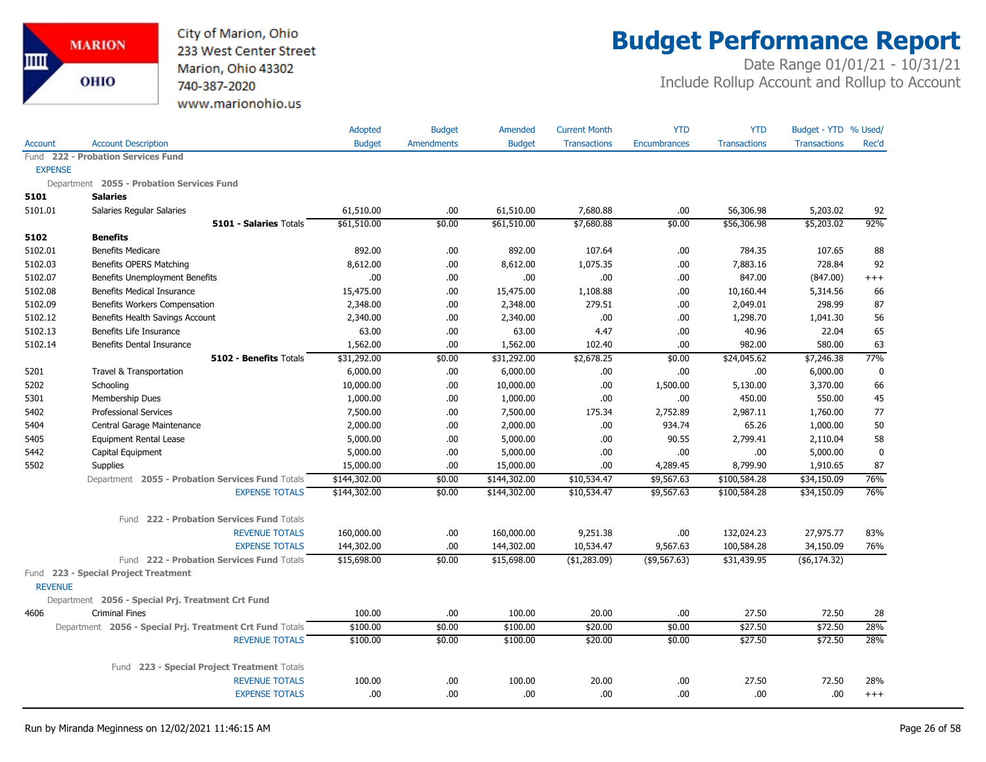

## **Budget Performance Report**

|                |                                                          | <b>Adopted</b> | <b>Budget</b>     | Amended       | <b>Current Month</b> | <b>YTD</b>          | <b>YTD</b>          | Budget - YTD % Used/ |             |
|----------------|----------------------------------------------------------|----------------|-------------------|---------------|----------------------|---------------------|---------------------|----------------------|-------------|
| <b>Account</b> | <b>Account Description</b>                               | <b>Budget</b>  | <b>Amendments</b> | <b>Budget</b> | Transactions         | <b>Encumbrances</b> | <b>Transactions</b> | <b>Transactions</b>  | Rec'd       |
|                | Fund 222 - Probation Services Fund                       |                |                   |               |                      |                     |                     |                      |             |
| <b>EXPENSE</b> |                                                          |                |                   |               |                      |                     |                     |                      |             |
|                | Department 2055 - Probation Services Fund                |                |                   |               |                      |                     |                     |                      |             |
| 5101           | <b>Salaries</b>                                          |                |                   |               |                      |                     |                     |                      |             |
| 5101.01        | Salaries Regular Salaries                                | 61,510.00      | .00               | 61,510.00     | 7,680.88             | .00                 | 56,306.98           | 5,203.02             | 92          |
|                | <b>5101 - Salaries Totals</b>                            | \$61,510.00    | \$0.00            | \$61,510.00   | \$7,680.88           | \$0.00              | \$56,306.98         | \$5,203.02           | 92%         |
| 5102           | <b>Benefits</b>                                          |                |                   |               |                      |                     |                     |                      |             |
| 5102.01        | <b>Benefits Medicare</b>                                 | 892.00         | .00               | 892.00        | 107.64               | .00                 | 784.35              | 107.65               | 88          |
| 5102.03        | Benefits OPERS Matching                                  | 8,612.00       | .00               | 8,612.00      | 1,075.35             | .00.                | 7,883.16            | 728.84               | 92          |
| 5102.07        | Benefits Unemployment Benefits                           | .00            | .00               | .00.          | .00.                 | .00.                | 847.00              | (847.00)             | $+++$       |
| 5102.08        | <b>Benefits Medical Insurance</b>                        | 15,475.00      | .00               | 15,475.00     | 1,108.88             | .00                 | 10,160.44           | 5,314.56             | 66          |
| 5102.09        | Benefits Workers Compensation                            | 2,348.00       | .00               | 2,348.00      | 279.51               | .00                 | 2,049.01            | 298.99               | 87          |
| 5102.12        | Benefits Health Savings Account                          | 2,340.00       | .00               | 2,340.00      | .00                  | .00                 | 1,298.70            | 1,041.30             | 56          |
| 5102.13        | Benefits Life Insurance                                  | 63.00          | .00               | 63.00         | 4.47                 | .00                 | 40.96               | 22.04                | 65          |
| 5102.14        | Benefits Dental Insurance                                | 1,562.00       | .00               | 1,562.00      | 102.40               | .00                 | 982.00              | 580.00               | 63          |
|                | 5102 - Benefits Totals                                   | \$31,292.00    | \$0.00            | \$31,292.00   | \$2,678.25           | \$0.00              | \$24,045.62         | \$7,246.38           | 77%         |
| 5201           | Travel & Transportation                                  | 6,000.00       | .00.              | 6,000.00      | .00                  | .00                 | .00                 | 6,000.00             | $\mathbf 0$ |
| 5202           | Schooling                                                | 10,000.00      | .00               | 10,000.00     | .00                  | 1,500.00            | 5,130.00            | 3,370.00             | 66          |
| 5301           | Membership Dues                                          | 1,000.00       | .00               | 1,000.00      | .00                  | .00                 | 450.00              | 550.00               | 45          |
| 5402           | <b>Professional Services</b>                             | 7,500.00       | .00               | 7,500.00      | 175.34               | 2,752.89            | 2,987.11            | 1,760.00             | 77          |
| 5404           | Central Garage Maintenance                               | 2,000.00       | .00               | 2,000.00      | .00.                 | 934.74              | 65.26               | 1,000.00             | 50          |
| 5405           | <b>Equipment Rental Lease</b>                            | 5,000.00       | .00.              | 5,000.00      | .00                  | 90.55               | 2,799.41            | 2,110.04             | 58          |
| 5442           | Capital Equipment                                        | 5,000.00       | .00               | 5,000.00      | .00                  | .00                 | .00.                | 5,000.00             | $\mathbf 0$ |
| 5502           | <b>Supplies</b>                                          | 15,000.00      | .00               | 15,000.00     | .00                  | 4,289.45            | 8,799.90            | 1,910.65             | 87          |
|                | Department 2055 - Probation Services Fund Totals         | \$144,302.00   | \$0.00            | \$144,302.00  | \$10,534.47          | \$9,567.63          | \$100,584.28        | \$34,150.09          | 76%         |
|                | <b>EXPENSE TOTALS</b>                                    | \$144,302.00   | \$0.00            | \$144,302.00  | \$10,534.47          | \$9,567.63          | \$100,584.28        | \$34,150.09          | 76%         |
|                | Fund 222 - Probation Services Fund Totals                |                |                   |               |                      |                     |                     |                      |             |
|                | <b>REVENUE TOTALS</b>                                    | 160,000.00     | .00               | 160,000.00    | 9,251.38             | .00.                | 132,024.23          | 27,975.77            | 83%         |
|                | <b>EXPENSE TOTALS</b>                                    | 144,302.00     | .00               | 144,302.00    | 10,534.47            | 9,567.63            | 100,584.28          | 34,150.09            | 76%         |
|                | Fund 222 - Probation Services Fund Totals                | \$15,698.00    | \$0.00            | \$15,698.00   | (\$1,283.09)         | (\$9,567.63)        | \$31,439.95         | ( \$6,174.32)        |             |
| <b>REVENUE</b> | Fund 223 - Special Project Treatment                     |                |                   |               |                      |                     |                     |                      |             |
|                | Department 2056 - Special Prj. Treatment Crt Fund        |                |                   |               |                      |                     |                     |                      |             |
| 4606           | <b>Criminal Fines</b>                                    | 100.00         | .00.              | 100.00        | 20.00                | .00                 | 27.50               | 72.50                | 28          |
|                | Department 2056 - Special Prj. Treatment Crt Fund Totals | \$100.00       | \$0.00            | \$100.00      | \$20.00              | \$0.00              | \$27.50             | \$72.50              | 28%         |
|                | <b>REVENUE TOTALS</b>                                    | \$100.00       | \$0.00            | \$100.00      | \$20.00              | \$0.00              | \$27.50             | \$72.50              | 28%         |
|                | Fund 223 - Special Project Treatment Totals              |                |                   |               |                      |                     |                     |                      |             |
|                | <b>REVENUE TOTALS</b>                                    | 100.00         | .00               | 100.00        | 20.00                | .00                 | 27.50               | 72.50                | 28%         |
|                | <b>EXPENSE TOTALS</b>                                    | .00            | .00               | .00.          | .00                  | .00                 | .00                 | .00                  | $^{+++}$    |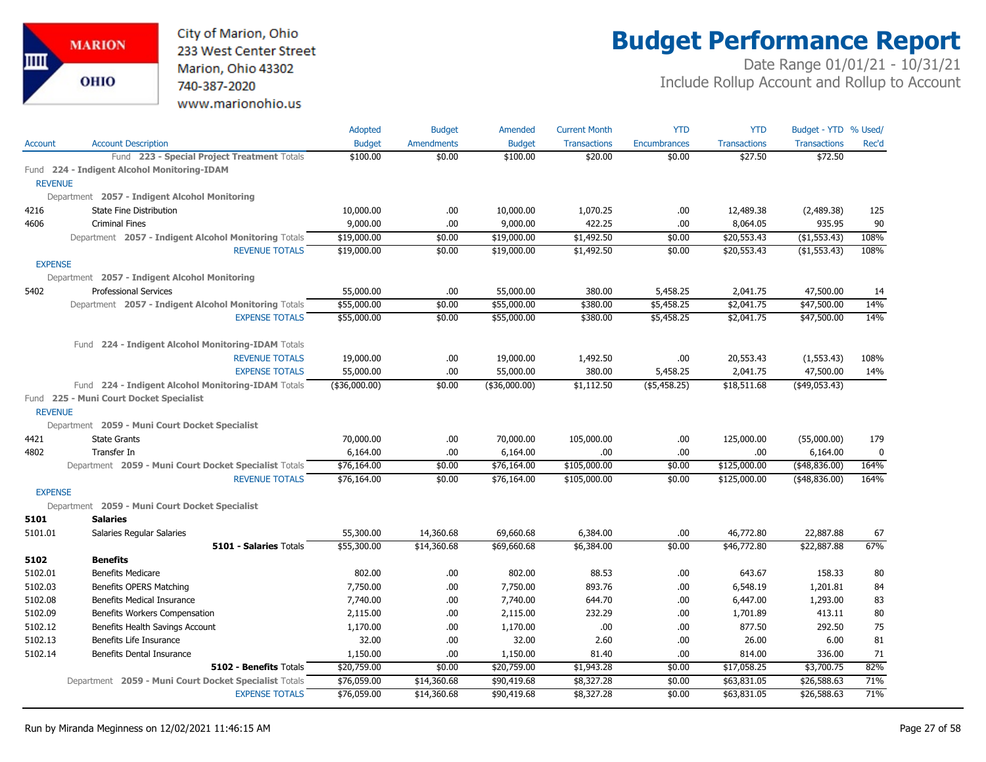City of Marion, Ohio 233 West Center Street Marion, Ohio 43302 740-387-2020 www.marionohio.us

# **Budget Performance Report**

|                |                                                       | Adopted       | <b>Budget</b> | Amended       | <b>Current Month</b> | <b>YTD</b>          | <b>YTD</b>          | Budget - YTD % Used/ |       |
|----------------|-------------------------------------------------------|---------------|---------------|---------------|----------------------|---------------------|---------------------|----------------------|-------|
| Account        | <b>Account Description</b>                            | <b>Budget</b> | Amendments    | <b>Budget</b> | <b>Transactions</b>  | <b>Encumbrances</b> | <b>Transactions</b> | <b>Transactions</b>  | Rec'd |
|                | Fund 223 - Special Project Treatment Totals           | \$100.00      | \$0.00        | \$100.00      | \$20.00              | \$0.00              | \$27.50             | \$72.50              |       |
|                | Fund 224 - Indigent Alcohol Monitoring-IDAM           |               |               |               |                      |                     |                     |                      |       |
| <b>REVENUE</b> |                                                       |               |               |               |                      |                     |                     |                      |       |
|                | Department 2057 - Indigent Alcohol Monitoring         |               |               |               |                      |                     |                     |                      |       |
| 4216           | <b>State Fine Distribution</b>                        | 10,000.00     | .00.          | 10,000.00     | 1,070.25             | .00                 | 12,489.38           | (2,489.38)           | 125   |
| 4606           | <b>Criminal Fines</b>                                 | 9,000.00      | .00.          | 9,000.00      | 422.25               | .00                 | 8,064.05            | 935.95               | 90    |
|                | Department 2057 - Indigent Alcohol Monitoring Totals  | \$19,000.00   | \$0.00        | \$19,000.00   | \$1,492.50           | \$0.00              | \$20,553.43         | (\$1,553.43)         | 108%  |
|                | <b>REVENUE TOTALS</b>                                 | \$19,000.00   | \$0.00        | \$19,000.00   | \$1,492.50           | \$0.00              | \$20,553.43         | (\$1,553.43)         | 108%  |
| <b>EXPENSE</b> |                                                       |               |               |               |                      |                     |                     |                      |       |
|                | Department 2057 - Indigent Alcohol Monitoring         |               |               |               |                      |                     |                     |                      |       |
| 5402           | <b>Professional Services</b>                          | 55,000.00     | .00           | 55,000.00     | 380.00               | 5,458.25            | 2,041.75            | 47,500.00            | 14    |
|                | Department 2057 - Indigent Alcohol Monitoring Totals  | \$55,000.00   | \$0.00        | \$55,000.00   | \$380.00             | \$5,458.25          | \$2,041.75          | \$47,500.00          | 14%   |
|                | <b>EXPENSE TOTALS</b>                                 | \$55,000.00   | \$0.00        | \$55,000.00   | \$380.00             | \$5,458.25          | \$2,041.75          | \$47,500.00          | 14%   |
|                | Fund 224 - Indigent Alcohol Monitoring-IDAM Totals    |               |               |               |                      |                     |                     |                      |       |
|                | <b>REVENUE TOTALS</b>                                 | 19,000.00     | .00.          | 19,000.00     | 1,492.50             | .00                 | 20,553.43           | (1,553.43)           | 108%  |
|                | <b>EXPENSE TOTALS</b>                                 | 55,000.00     | .00           | 55,000.00     | 380.00               | 5,458.25            | 2,041.75            | 47,500.00            | 14%   |
|                | Fund 224 - Indigent Alcohol Monitoring-IDAM Totals    | (\$36,000.00) | \$0.00        | (\$36,000.00) | \$1,112.50           | ( \$5,458.25)       | \$18,511.68         | $($ \$49,053.43)     |       |
|                | Fund 225 - Muni Court Docket Specialist               |               |               |               |                      |                     |                     |                      |       |
| <b>REVENUE</b> | Department 2059 - Muni Court Docket Specialist        |               |               |               |                      |                     |                     |                      |       |
| 4421           | <b>State Grants</b>                                   | 70,000.00     | .00.          | 70,000.00     | 105,000.00           | .00                 | 125,000.00          | (55,000.00)          | 179   |
| 4802           | Transfer In                                           | 6,164.00      | .00.          | 6,164.00      | .00.                 | .00                 | .00                 | 6,164.00             | 0     |
|                | Department 2059 - Muni Court Docket Specialist Totals | \$76,164.00   | \$0.00        | \$76,164.00   | \$105,000.00         | \$0.00              | \$125,000.00        | $($ \$48,836.00)     | 164%  |
|                | <b>REVENUE TOTALS</b>                                 | \$76,164.00   | \$0.00        | \$76,164.00   | \$105,000.00         | \$0.00              | \$125,000.00        | $($ \$48,836.00)     | 164%  |
| <b>EXPENSE</b> |                                                       |               |               |               |                      |                     |                     |                      |       |
|                | Department 2059 - Muni Court Docket Specialist        |               |               |               |                      |                     |                     |                      |       |
| 5101           | <b>Salaries</b>                                       |               |               |               |                      |                     |                     |                      |       |
| 5101.01        | Salaries Regular Salaries                             | 55,300.00     | 14,360.68     | 69,660.68     | 6,384.00             | .00                 | 46,772.80           | 22,887.88            | 67    |
|                | <b>5101 - Salaries Totals</b>                         | \$55,300.00   | \$14,360.68   | \$69,660.68   | \$6,384.00           | \$0.00              | \$46,772.80         | \$22,887.88          | 67%   |
| 5102           | <b>Benefits</b>                                       |               |               |               |                      |                     |                     |                      |       |
| 5102.01        | <b>Benefits Medicare</b>                              | 802.00        | .00           | 802.00        | 88.53                | .00                 | 643.67              | 158.33               | 80    |
| 5102.03        | Benefits OPERS Matching                               | 7,750.00      | .00.          | 7,750.00      | 893.76               | .00                 | 6,548.19            | 1,201.81             | 84    |
| 5102.08        | <b>Benefits Medical Insurance</b>                     | 7,740.00      | .00.          | 7,740.00      | 644.70               | .00                 | 6,447.00            | 1,293.00             | 83    |
| 5102.09        | Benefits Workers Compensation                         | 2,115.00      | .00           | 2,115.00      | 232.29               | .00                 | 1,701.89            | 413.11               | 80    |
| 5102.12        | Benefits Health Savings Account                       | 1,170.00      | .00.          | 1,170.00      | .00.                 | .00                 | 877.50              | 292.50               | 75    |
| 5102.13        | Benefits Life Insurance                               | 32.00         | .00.          | 32.00         | 2.60                 | .00                 | 26.00               | 6.00                 | 81    |
| 5102.14        | Benefits Dental Insurance                             | 1,150.00      | .00.          | 1,150.00      | 81.40                | .00                 | 814.00              | 336.00               | 71    |
|                | 5102 - Benefits Totals                                | \$20,759.00   | \$0.00        | \$20,759.00   | \$1,943.28           | \$0.00              | \$17,058.25         | \$3,700.75           | 82%   |
|                | Department 2059 - Muni Court Docket Specialist Totals | \$76,059.00   | \$14,360.68   | \$90,419.68   | \$8,327.28           | \$0.00              | \$63,831.05         | \$26,588.63          | 71%   |
|                | <b>EXPENSE TOTALS</b>                                 | \$76,059.00   | \$14,360.68   | \$90,419.68   | \$8,327.28           | \$0.00              | \$63,831.05         | \$26,588.63          | 71%   |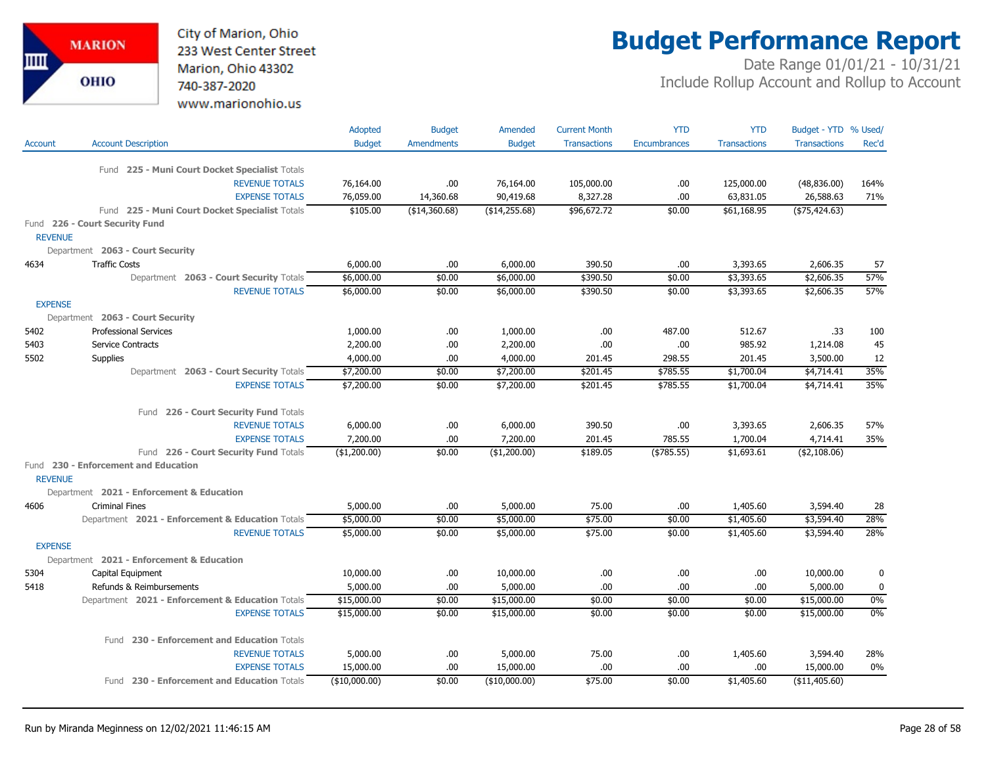City of Marion, Ohio 233 West Center Street Marion, Ohio 43302 740-387-2020 www.marionohio.us

## **Budget Performance Report**

|                |                                                          | <b>Adopted</b> | <b>Budget</b>     | Amended       | <b>Current Month</b> | <b>YTD</b>          | <b>YTD</b>          | Budget - YTD % Used/ |           |
|----------------|----------------------------------------------------------|----------------|-------------------|---------------|----------------------|---------------------|---------------------|----------------------|-----------|
| Account        | <b>Account Description</b>                               | <b>Budget</b>  | <b>Amendments</b> | <b>Budget</b> | <b>Transactions</b>  | <b>Encumbrances</b> | <b>Transactions</b> | <b>Transactions</b>  | Rec'd     |
|                |                                                          |                |                   |               |                      |                     |                     |                      |           |
|                | Fund 225 - Muni Court Docket Specialist Totals           |                |                   |               |                      |                     |                     |                      |           |
|                | <b>REVENUE TOTALS</b>                                    | 76,164.00      | .00.              | 76,164.00     | 105,000.00           | .00                 | 125,000.00          | (48, 836.00)         | 164%      |
|                | <b>EXPENSE TOTALS</b>                                    | 76,059.00      | 14,360.68         | 90,419.68     | 8,327.28             | .00                 | 63,831.05           | 26,588.63            | 71%       |
|                | Fund 225 - Muni Court Docket Specialist Totals           | \$105.00       | ( \$14,360.68)    | (\$14,255.68) | \$96,672.72          | \$0.00              | \$61,168.95         | $(*75,424.63)$       |           |
|                | Fund 226 - Court Security Fund                           |                |                   |               |                      |                     |                     |                      |           |
| <b>REVENUE</b> |                                                          |                |                   |               |                      |                     |                     |                      |           |
|                | Department 2063 - Court Security<br><b>Traffic Costs</b> |                |                   |               |                      |                     |                     |                      |           |
| 4634           |                                                          | 6,000.00       | .00               | 6,000.00      | 390.50               | .00.                | 3,393.65            | 2,606.35             | 57<br>57% |
|                | Department 2063 - Court Security Totals                  | \$6,000.00     | \$0.00            | \$6,000.00    | \$390.50             | \$0.00              | \$3,393.65          | \$2,606.35           | 57%       |
| <b>EXPENSE</b> | <b>REVENUE TOTALS</b>                                    | \$6,000.00     | \$0.00            | \$6,000.00    | \$390.50             | \$0.00              | \$3,393.65          | \$2,606.35           |           |
|                | Department 2063 - Court Security                         |                |                   |               |                      |                     |                     |                      |           |
| 5402           | <b>Professional Services</b>                             | 1,000.00       | .00               | 1,000.00      | .00                  | 487.00              | 512.67              | .33                  | 100       |
| 5403           | Service Contracts                                        | 2,200.00       | .00.              | 2,200.00      | .00                  | .00                 | 985.92              | 1,214.08             | 45        |
| 5502           | <b>Supplies</b>                                          | 4,000.00       | .00.              | 4,000.00      | 201.45               | 298.55              | 201.45              | 3,500.00             | 12        |
|                | Department 2063 - Court Security Totals                  | \$7,200.00     | \$0.00            | \$7,200.00    | \$201.45             | \$785.55            | \$1,700.04          | \$4,714.41           | 35%       |
|                | <b>EXPENSE TOTALS</b>                                    | \$7,200.00     | \$0.00            | \$7,200.00    | \$201.45             | \$785.55            | \$1,700.04          | \$4,714.41           | 35%       |
|                |                                                          |                |                   |               |                      |                     |                     |                      |           |
|                | Fund 226 - Court Security Fund Totals                    |                |                   |               |                      |                     |                     |                      |           |
|                | <b>REVENUE TOTALS</b>                                    | 6,000.00       | .00               | 6,000.00      | 390.50               | .00.                | 3,393.65            | 2,606.35             | 57%       |
|                | <b>EXPENSE TOTALS</b>                                    | 7,200.00       | .00               | 7,200.00      | 201.45               | 785.55              | 1,700.04            | 4,714.41             | 35%       |
|                | Fund 226 - Court Security Fund Totals                    | (\$1,200.00)   | \$0.00            | (\$1,200.00)  | \$189.05             | ( \$785.55)         | \$1,693.61          | $($ \$2,108.06)      |           |
|                | Fund 230 - Enforcement and Education                     |                |                   |               |                      |                     |                     |                      |           |
| <b>REVENUE</b> |                                                          |                |                   |               |                      |                     |                     |                      |           |
|                | Department 2021 - Enforcement & Education                |                |                   |               |                      |                     |                     |                      |           |
| 4606           | <b>Criminal Fines</b>                                    | 5,000.00       | .00.              | 5,000.00      | 75.00                | .00.                | 1,405.60            | 3,594.40             | 28        |
|                | Department 2021 - Enforcement & Education Totals         | \$5,000.00     | \$0.00            | \$5,000.00    | \$75.00              | \$0.00              | \$1,405.60          | \$3,594.40           | 28%       |
|                | <b>REVENUE TOTALS</b>                                    | \$5,000.00     | \$0.00            | \$5,000.00    | \$75.00              | \$0.00              | \$1,405.60          | \$3,594.40           | 28%       |
| <b>EXPENSE</b> |                                                          |                |                   |               |                      |                     |                     |                      |           |
|                | Department 2021 - Enforcement & Education                |                |                   |               |                      |                     |                     |                      |           |
| 5304           | Capital Equipment                                        | 10,000.00      | .00.              | 10,000.00     | .00                  | .00                 | .00                 | 10,000.00            | 0         |
| 5418           | Refunds & Reimbursements                                 | 5,000.00       | .00               | 5,000.00      | .00                  | .00                 | .00                 | 5,000.00             | $\pmb{0}$ |
|                | Department 2021 - Enforcement & Education Totals         | \$15,000.00    | \$0.00            | \$15,000.00   | \$0.00               | \$0.00              | \$0.00              | \$15,000.00          | $0\%$     |
|                | <b>EXPENSE TOTALS</b>                                    | \$15,000.00    | \$0.00            | \$15,000.00   | \$0.00               | \$0.00              | \$0.00              | \$15,000.00          | 0%        |
|                | Fund 230 - Enforcement and Education Totals              |                |                   |               |                      |                     |                     |                      |           |
|                | <b>REVENUE TOTALS</b>                                    | 5,000.00       | .00               | 5,000.00      | 75.00                | .00.                | 1,405.60            | 3,594.40             | 28%       |
|                | <b>EXPENSE TOTALS</b>                                    | 15,000.00      | .00               | 15,000.00     | .00                  | .00                 | .00                 | 15,000.00            | $0\%$     |
|                | Fund 230 - Enforcement and Education Totals              | (10,000.00)    | \$0.00            | (\$10,000.00) | \$75.00              | \$0.00              | \$1,405.60          | (\$11,405.60)        |           |
|                |                                                          |                |                   |               |                      |                     |                     |                      |           |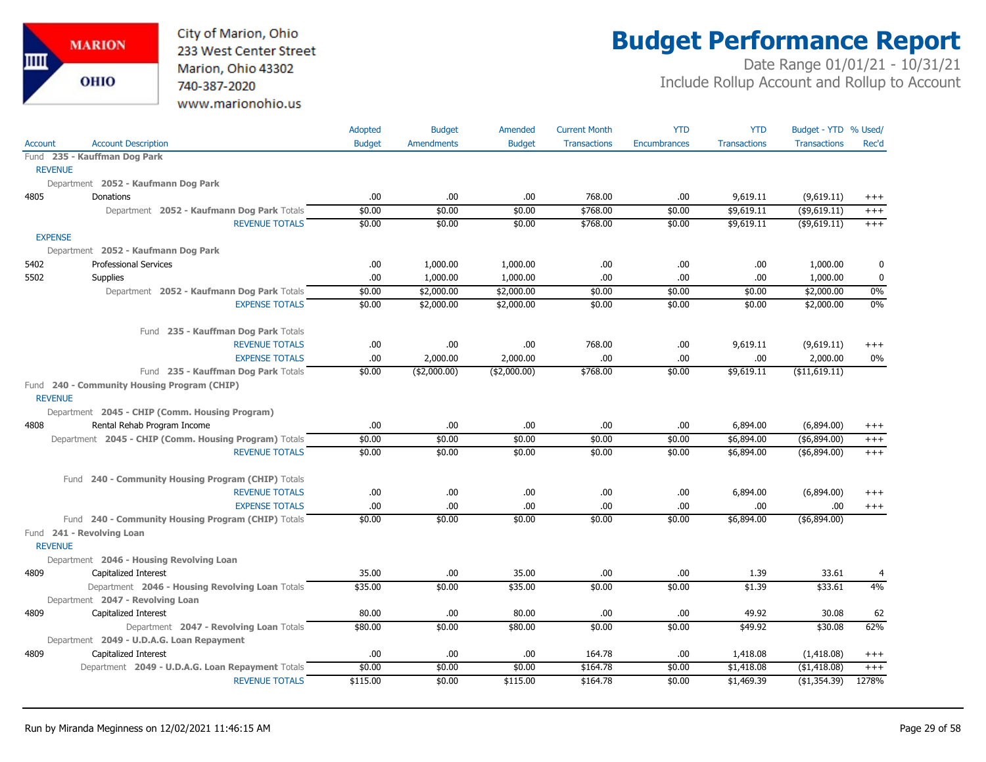

## **Budget Performance Report**

|                |                                                               | Adopted       | <b>Budget</b>     | Amended       | <b>Current Month</b> | <b>YTD</b>   | <b>YTD</b>          | Budget - YTD % Used/ |          |
|----------------|---------------------------------------------------------------|---------------|-------------------|---------------|----------------------|--------------|---------------------|----------------------|----------|
| <b>Account</b> | <b>Account Description</b>                                    | <b>Budget</b> | <b>Amendments</b> | <b>Budget</b> | <b>Transactions</b>  | Encumbrances | <b>Transactions</b> | <b>Transactions</b>  | Rec'd    |
|                | Fund 235 - Kauffman Dog Park                                  |               |                   |               |                      |              |                     |                      |          |
|                | <b>REVENUE</b>                                                |               |                   |               |                      |              |                     |                      |          |
|                | Department 2052 - Kaufmann Dog Park                           |               |                   |               |                      |              |                     |                      |          |
| 4805           | Donations                                                     | .00           | .00               | .00           | 768.00               | .00          | 9,619.11            | (9,619.11)           | $^{+++}$ |
|                | Department 2052 - Kaufmann Dog Park Totals                    | \$0.00        | \$0.00            | \$0.00        | \$768.00             | \$0.00       | \$9,619.11          | $($ \$9,619.11)      | $^{+++}$ |
|                | <b>REVENUE TOTALS</b>                                         | \$0.00        | \$0.00            | \$0.00        | \$768.00             | \$0.00       | \$9,619.11          | (\$9,619.11)         | $^{+++}$ |
|                | <b>EXPENSE</b>                                                |               |                   |               |                      |              |                     |                      |          |
|                | Department 2052 - Kaufmann Dog Park                           |               |                   |               |                      |              |                     |                      |          |
| 5402           | <b>Professional Services</b>                                  | .00           | 1,000.00          | 1,000.00      | .00                  | .00          | .00.                | 1,000.00             | 0        |
| 5502           | <b>Supplies</b>                                               | .00           | 1,000.00          | 1,000.00      | .00                  | .00          | .00                 | 1,000.00             | 0        |
|                | Department 2052 - Kaufmann Dog Park Totals                    | \$0.00        | \$2,000.00        | \$2,000.00    | \$0.00               | \$0.00       | \$0.00              | \$2,000.00           | $0\%$    |
|                | <b>EXPENSE TOTALS</b>                                         | \$0.00        | \$2,000.00        | \$2,000.00    | \$0.00               | \$0.00       | \$0.00              | \$2,000.00           | 0%       |
|                | Fund 235 - Kauffman Dog Park Totals                           |               |                   |               |                      |              |                     |                      |          |
|                | <b>REVENUE TOTALS</b>                                         | .00           | .00.              | .00           | 768.00               | .00          | 9,619.11            | (9,619.11)           | $^{+++}$ |
|                | <b>EXPENSE TOTALS</b>                                         | .00           | 2,000.00          | 2,000.00      | .00                  | .00.         | .00                 | 2,000.00             | 0%       |
|                | Fund 235 - Kauffman Dog Park Totals                           | \$0.00        | ( \$2,000.00)     | ( \$2,000.00) | \$768.00             | \$0.00       | \$9,619.11          | ( \$11,619.11)       |          |
|                | Fund 240 - Community Housing Program (CHIP)<br><b>REVENUE</b> |               |                   |               |                      |              |                     |                      |          |
|                | Department 2045 - CHIP (Comm. Housing Program)                |               |                   |               |                      |              |                     |                      |          |
| 4808           | Rental Rehab Program Income                                   | .00           | .00.              | .00.          | .00                  | .00.         | 6,894.00            | (6,894.00)           | $^{+++}$ |
|                | Department 2045 - CHIP (Comm. Housing Program) Totals         | \$0.00        | \$0.00            | \$0.00        | \$0.00               | \$0.00       | \$6,894.00          | ( \$6,894.00)        | $^{+++}$ |
|                | <b>REVENUE TOTALS</b>                                         | \$0.00        | \$0.00            | \$0.00        | \$0.00               | \$0.00       | \$6,894.00          | ( \$6,894.00)        | $+++$    |
|                | Fund 240 - Community Housing Program (CHIP) Totals            |               |                   |               |                      |              |                     |                      |          |
|                | <b>REVENUE TOTALS</b>                                         | .00           | .00.              | .00           | .00                  | .00.         | 6,894.00            | (6,894.00)           | $^{+++}$ |
|                | <b>EXPENSE TOTALS</b>                                         | .00           | .00.              | .00           | .00                  | .00          | .00                 | .00.                 | $+++$    |
|                | Fund 240 - Community Housing Program (CHIP) Totals            | \$0.00        | \$0.00            | \$0.00        | \$0.00               | \$0.00       | \$6,894.00          | ( \$6,894.00)        |          |
|                | Fund 241 - Revolving Loan                                     |               |                   |               |                      |              |                     |                      |          |
|                | <b>REVENUE</b>                                                |               |                   |               |                      |              |                     |                      |          |
|                | Department 2046 - Housing Revolving Loan                      |               |                   |               |                      |              |                     |                      |          |
| 4809           | Capitalized Interest                                          | 35.00         | .00.              | 35.00         | .00                  | .00          | 1.39                | 33.61                | 4        |
|                | Department 2046 - Housing Revolving Loan Totals               | \$35.00       | \$0.00            | \$35.00       | \$0.00               | \$0.00       | \$1.39              | \$33.61              | 4%       |
|                | Department 2047 - Revolving Loan                              |               |                   |               |                      |              |                     |                      |          |
| 4809           | Capitalized Interest                                          | 80.00         | .00.              | 80.00         | .00                  | .00          | 49.92               | 30.08                | 62       |
|                | Department 2047 - Revolving Loan Totals                       | \$80.00       | \$0.00            | \$80.00       | \$0.00               | \$0.00       | \$49.92             | \$30.08              | 62%      |
|                | Department 2049 - U.D.A.G. Loan Repayment                     |               |                   |               |                      |              |                     |                      |          |
| 4809           | Capitalized Interest                                          | .00           | .00.              | .00.          | 164.78               | .00          | 1,418.08            | (1,418.08)           | $^{+++}$ |
|                | Department 2049 - U.D.A.G. Loan Repayment Totals              | \$0.00        | \$0.00            | \$0.00        | \$164.78             | \$0.00       | \$1,418.08          | (\$1,418.08)         | $+++$    |
|                | <b>REVENUE TOTALS</b>                                         | \$115.00      | \$0.00            | \$115.00      | \$164.78             | \$0.00       | \$1,469.39          | (\$1,354.39)         | 1278%    |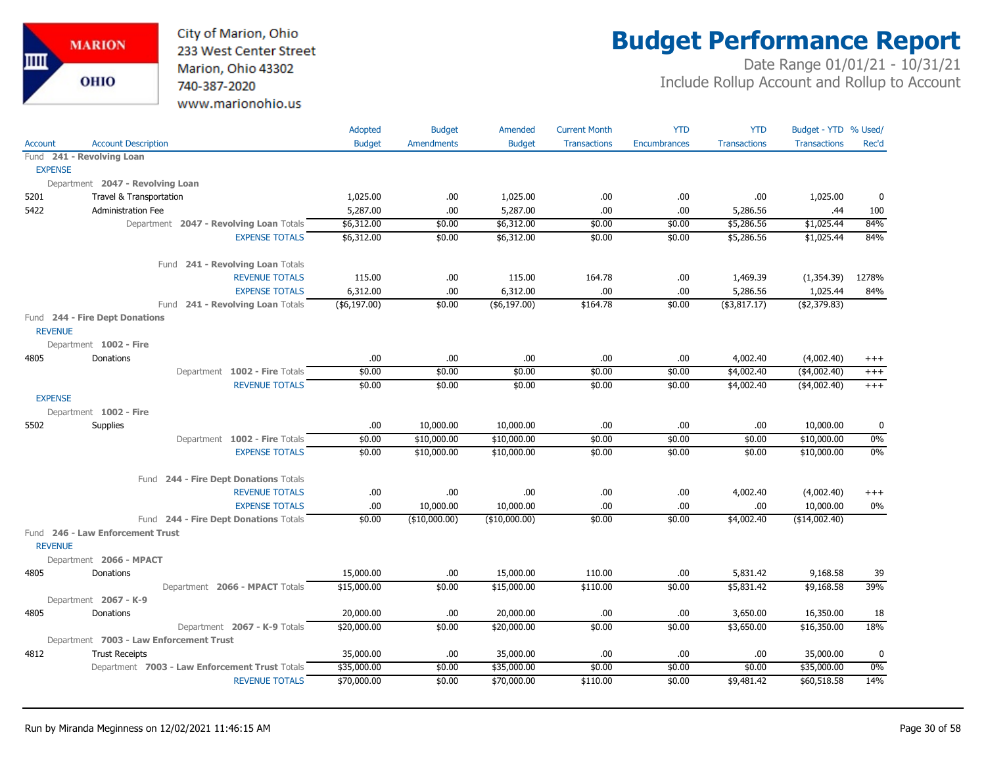

# **Budget Performance Report**

|                |                                                | Adopted       | <b>Budget</b>     | Amended       | <b>Current Month</b> | <b>YTD</b>   | <b>YTD</b>          | Budget - YTD % Used/ |          |
|----------------|------------------------------------------------|---------------|-------------------|---------------|----------------------|--------------|---------------------|----------------------|----------|
| <b>Account</b> | <b>Account Description</b>                     | <b>Budget</b> | <b>Amendments</b> | <b>Budget</b> | <b>Transactions</b>  | Encumbrances | <b>Transactions</b> | <b>Transactions</b>  | Rec'd    |
|                | Fund 241 - Revolving Loan                      |               |                   |               |                      |              |                     |                      |          |
| <b>EXPENSE</b> |                                                |               |                   |               |                      |              |                     |                      |          |
|                | Department 2047 - Revolving Loan               |               |                   |               |                      |              |                     |                      |          |
| 5201           | Travel & Transportation                        | 1,025.00      | .00.              | 1,025.00      | .00                  | .00.         | .00                 | 1,025.00             | 0        |
| 5422           | <b>Administration Fee</b>                      | 5,287.00      | .00.              | 5,287.00      | .00                  | .00          | 5,286.56            | .44                  | 100      |
|                | Department 2047 - Revolving Loan Totals        | \$6,312.00    | \$0.00            | \$6,312.00    | \$0.00               | \$0.00       | \$5,286.56          | \$1,025.44           | 84%      |
|                | <b>EXPENSE TOTALS</b>                          | \$6,312.00    | \$0.00            | \$6,312.00    | \$0.00               | \$0.00       | \$5,286.56          | \$1,025.44           | 84%      |
|                | Fund 241 - Revolving Loan Totals               |               |                   |               |                      |              |                     |                      |          |
|                | <b>REVENUE TOTALS</b>                          | 115.00        | .00.              | 115.00        | 164.78               | .00.         | 1,469.39            | (1,354.39)           | 1278%    |
|                | <b>EXPENSE TOTALS</b>                          | 6,312.00      | .00.              | 6,312.00      | .00                  | .00          | 5,286.56            | 1,025.44             | 84%      |
|                | Fund 241 - Revolving Loan Totals               | (\$6,197.00)  | \$0.00            | ( \$6,197.00) | \$164.78             | \$0.00       | ( \$3,817.17)       | (42, 379.83)         |          |
| <b>REVENUE</b> | Fund 244 - Fire Dept Donations                 |               |                   |               |                      |              |                     |                      |          |
|                | Department 1002 - Fire                         |               |                   |               |                      |              |                     |                      |          |
| 4805           | Donations                                      | .00           | .00.              | .00.          | .00                  | .00.         | 4,002.40            | (4,002.40)           | $^{+++}$ |
|                | Department 1002 - Fire Totals                  | \$0.00        | \$0.00            | \$0.00        | \$0.00               | \$0.00       | \$4,002.40          | $(*4,002.40)$        | $^{+++}$ |
|                | <b>REVENUE TOTALS</b>                          | \$0.00        | \$0.00            | \$0.00        | \$0.00               | \$0.00       | \$4,002.40          | ( \$4,002.40)        | $+++$    |
| <b>EXPENSE</b> |                                                |               |                   |               |                      |              |                     |                      |          |
|                | Department 1002 - Fire                         |               |                   |               |                      |              |                     |                      |          |
| 5502           | Supplies                                       | .00           | 10,000.00         | 10,000.00     | .00                  | .00.         | .00                 | 10,000.00            | 0        |
|                | Department 1002 - Fire Totals                  | \$0.00        | \$10,000.00       | \$10,000.00   | \$0.00               | \$0.00       | \$0.00              | \$10,000.00          | $0\%$    |
|                | <b>EXPENSE TOTALS</b>                          | \$0.00        | \$10,000.00       | \$10,000.00   | \$0.00               | \$0.00       | \$0.00              | \$10,000.00          | $0\%$    |
|                |                                                |               |                   |               |                      |              |                     |                      |          |
|                | Fund 244 - Fire Dept Donations Totals          |               |                   |               |                      |              |                     |                      |          |
|                | <b>REVENUE TOTALS</b>                          | .00           | .00.              | .00           | .00                  | .00          | 4,002.40            | (4,002.40)           | $^{+++}$ |
|                | <b>EXPENSE TOTALS</b>                          | .00           | 10,000.00         | 10,000.00     | .00                  | .00          | .00                 | 10,000.00            | 0%       |
|                | Fund 244 - Fire Dept Donations Totals          | \$0.00        | (\$10,000.00)     | (\$10,000.00) | \$0.00               | \$0.00       | \$4,002.40          | (\$14,002.40)        |          |
|                | Fund 246 - Law Enforcement Trust               |               |                   |               |                      |              |                     |                      |          |
| <b>REVENUE</b> |                                                |               |                   |               |                      |              |                     |                      |          |
|                | Department 2066 - MPACT                        |               |                   |               |                      |              |                     |                      |          |
| 4805           | Donations                                      | 15,000.00     | .00.              | 15,000.00     | 110.00               | .00          | 5,831.42            | 9,168.58             | 39       |
|                | Department 2066 - MPACT Totals                 | \$15,000.00   | \$0.00            | \$15,000.00   | \$110.00             | \$0.00       | \$5,831.42          | \$9,168.58           | 39%      |
|                | Department 2067 - K-9                          |               |                   |               |                      |              |                     |                      |          |
| 4805           | Donations                                      | 20,000.00     | .00.              | 20,000.00     | .00                  | .00          | 3,650.00            | 16,350.00            | 18       |
|                | Department 2067 - K-9 Totals                   | \$20,000.00   | \$0.00            | \$20,000.00   | \$0.00               | \$0.00       | \$3,650.00          | \$16,350.00          | 18%      |
|                | Department 7003 - Law Enforcement Trust        |               |                   |               |                      |              |                     |                      |          |
| 4812           | <b>Trust Receipts</b>                          | 35,000.00     | .00.              | 35,000.00     | .00                  | .00.         | .00.                | 35,000.00            | 0        |
|                | Department 7003 - Law Enforcement Trust Totals | \$35,000.00   | \$0.00            | \$35,000.00   | \$0.00               | \$0.00       | \$0.00              | \$35,000.00          | $0\%$    |
|                | <b>REVENUE TOTALS</b>                          | \$70,000.00   | \$0.00            | \$70,000.00   | \$110.00             | \$0.00       | \$9,481.42          | \$60,518.58          | 14%      |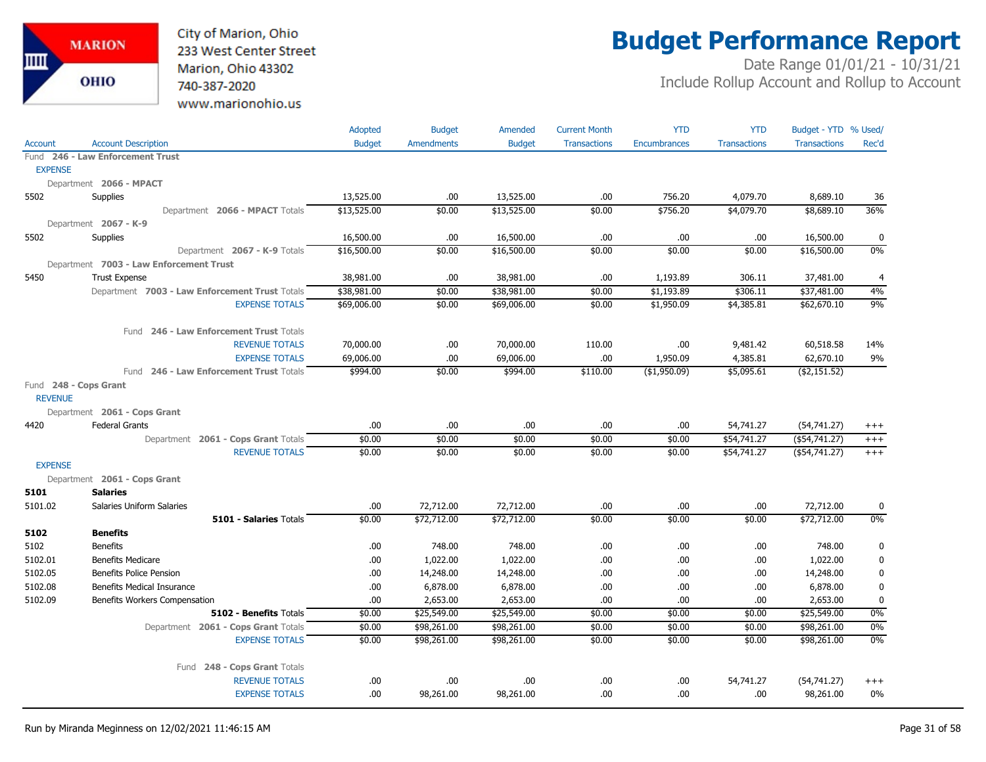

# **Budget Performance Report**

|                |                                                              | Adopted       | <b>Budget</b>     | Amended       | <b>Current Month</b> | <b>YTD</b>          | <b>YTD</b>               | Budget - YTD % Used/             |                   |
|----------------|--------------------------------------------------------------|---------------|-------------------|---------------|----------------------|---------------------|--------------------------|----------------------------------|-------------------|
| <b>Account</b> | <b>Account Description</b>                                   | <b>Budget</b> | <b>Amendments</b> | <b>Budget</b> | <b>Transactions</b>  | <b>Encumbrances</b> | <b>Transactions</b>      | <b>Transactions</b>              | Rec'd             |
|                | Fund 246 - Law Enforcement Trust                             |               |                   |               |                      |                     |                          |                                  |                   |
| <b>EXPENSE</b> |                                                              |               |                   |               |                      |                     |                          |                                  |                   |
|                | Department 2066 - MPACT                                      |               |                   |               |                      |                     |                          |                                  |                   |
| 5502           | Supplies                                                     | 13,525.00     | .00.              | 13,525.00     | .00.                 | 756.20              | 4,079.70                 | 8,689.10                         | 36                |
|                | Department 2066 - MPACT Totals                               | \$13,525.00   | \$0.00            | \$13,525.00   | \$0.00               | \$756.20            | \$4,079.70               | \$8,689.10                       | 36%               |
|                | Department 2067 - K-9                                        |               |                   |               |                      |                     |                          |                                  |                   |
| 5502           | Supplies                                                     | 16,500.00     | .00               | 16,500.00     | .00.                 | .00                 | .00                      | 16,500.00                        | 0                 |
|                | Department 2067 - K-9 Totals                                 | \$16,500.00   | \$0.00            | \$16,500.00   | \$0.00               | \$0.00              | \$0.00                   | \$16,500.00                      | 0%                |
|                | Department 7003 - Law Enforcement Trust                      |               |                   |               |                      |                     |                          |                                  |                   |
| 5450           | <b>Trust Expense</b>                                         | 38,981.00     | .00               | 38,981.00     | .00                  | 1,193.89            | 306.11                   | 37,481.00                        | 4                 |
|                | Department 7003 - Law Enforcement Trust Totals               | \$38,981.00   | \$0.00            | \$38,981.00   | \$0.00               | \$1,193.89          | \$306.11                 | \$37,481.00                      | 4%                |
|                | <b>EXPENSE TOTALS</b>                                        | \$69,006.00   | \$0.00            | \$69,006.00   | \$0.00               | \$1,950.09          | \$4,385.81               | \$62,670.10                      | 9%                |
|                | Fund 246 - Law Enforcement Trust Totals                      |               |                   |               |                      |                     |                          |                                  |                   |
|                | <b>REVENUE TOTALS</b>                                        | 70,000.00     | .00.              | 70,000.00     | 110.00               | .00.                | 9,481.42                 | 60,518.58                        | 14%               |
|                | <b>EXPENSE TOTALS</b>                                        | 69,006.00     | .00               | 69,006.00     | .00.                 | 1,950.09            | 4,385.81                 | 62,670.10                        | 9%                |
|                | Fund 246 - Law Enforcement Trust Totals                      | \$994.00      | \$0.00            | \$994.00      | \$110.00             | ( \$1,950.09)       | \$5,095.61               | ( \$2,151.52)                    |                   |
| <b>REVENUE</b> | Fund 248 - Cops Grant                                        |               |                   |               |                      |                     |                          |                                  |                   |
|                |                                                              |               |                   |               |                      |                     |                          |                                  |                   |
| 4420           | Department 2061 - Cops Grant                                 | $.00$         | .00               | .00           | .00.                 | .00                 |                          |                                  |                   |
|                | <b>Federal Grants</b><br>Department 2061 - Cops Grant Totals | \$0.00        | \$0.00            | \$0.00        | \$0.00               | \$0.00              | 54,741.27<br>\$54,741.27 | (54, 741.27)<br>$($ \$54,741.27) | $^{+++}$          |
|                | <b>REVENUE TOTALS</b>                                        | \$0.00        | \$0.00            | \$0.00        | \$0.00               | \$0.00              | \$54,741.27              | $($ \$54,741.27)                 | $^{+++}$<br>$+++$ |
| <b>EXPENSE</b> |                                                              |               |                   |               |                      |                     |                          |                                  |                   |
|                | Department 2061 - Cops Grant                                 |               |                   |               |                      |                     |                          |                                  |                   |
| 5101           | <b>Salaries</b>                                              |               |                   |               |                      |                     |                          |                                  |                   |
| 5101.02        | Salaries Uniform Salaries                                    | .00           | 72,712.00         | 72,712.00     | .00.                 | .00                 | .00.                     | 72,712.00                        | 0                 |
|                | 5101 - Salaries Totals                                       | \$0.00        | \$72,712.00       | \$72,712.00   | \$0.00               | \$0.00              | \$0.00                   | \$72,712.00                      | 0%                |
| 5102           | <b>Benefits</b>                                              |               |                   |               |                      |                     |                          |                                  |                   |
| 5102           | <b>Benefits</b>                                              | .00           | 748.00            | 748.00        | .00.                 | .00                 | .00                      | 748.00                           | $\mathbf 0$       |
| 5102.01        | <b>Benefits Medicare</b>                                     | .00           | 1,022.00          | 1,022.00      | .00.                 | .00                 | .00.                     | 1,022.00                         | 0                 |
| 5102.05        | Benefits Police Pension                                      | .00.          | 14,248.00         | 14,248.00     | .00.                 | .00                 | .00                      | 14,248.00                        | 0                 |
| 5102.08        | <b>Benefits Medical Insurance</b>                            | .00           | 6,878.00          | 6,878.00      | .00.                 | .00                 | .00                      | 6,878.00                         | $\mathbf 0$       |
| 5102.09        | Benefits Workers Compensation                                | .00           | 2,653.00          | 2,653.00      | .00.                 | .00                 | .00                      | 2,653.00                         | $\mathbf 0$       |
|                | 5102 - Benefits Totals                                       | \$0.00        | \$25,549.00       | \$25,549.00   | \$0.00               | \$0.00              | \$0.00                   | \$25,549.00                      | $0\%$             |
|                | Department 2061 - Cops Grant Totals                          | \$0.00        | \$98,261.00       | \$98,261.00   | \$0.00               | \$0.00              | \$0.00                   | \$98,261.00                      | 0%                |
|                | <b>EXPENSE TOTALS</b>                                        | \$0.00        | \$98,261.00       | \$98,261.00   | \$0.00               | \$0.00              | \$0.00                   | \$98,261.00                      | 0%                |
|                | Fund 248 - Cops Grant Totals                                 |               |                   |               |                      |                     |                          |                                  |                   |
|                | <b>REVENUE TOTALS</b>                                        | .00.          | .00.              | .00.          | .00.                 | .00                 | 54,741.27                | (54, 741.27)                     | $^{+++}$          |
|                | <b>EXPENSE TOTALS</b>                                        | .00           | 98,261.00         | 98,261.00     | .00.                 | .00                 | .00                      | 98,261.00                        | $0\%$             |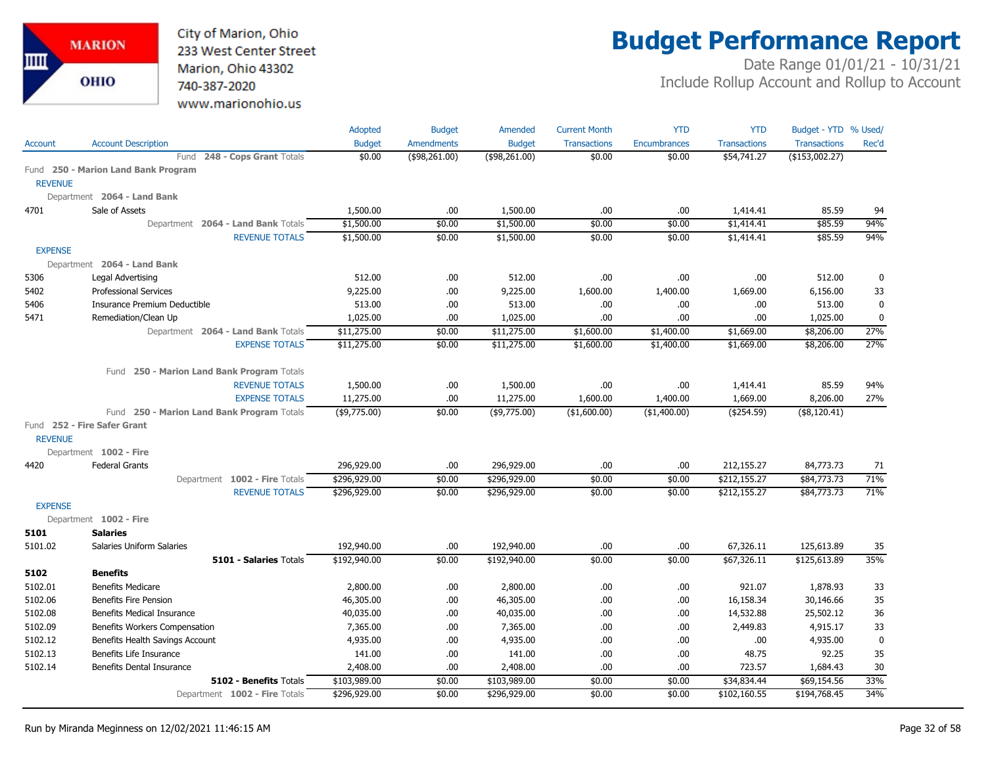City of Marion, Ohio 233 West Center Street Marion, Ohio 43302 740-387-2020 www.marionohio.us

# **Budget Performance Report**

|                |                                            | Adopted                 | <b>Budget</b>     | Amended       | <b>Current Month</b> | <b>YTD</b>          | <b>YTD</b>          | Budget - YTD % Used/ |             |
|----------------|--------------------------------------------|-------------------------|-------------------|---------------|----------------------|---------------------|---------------------|----------------------|-------------|
| <b>Account</b> | <b>Account Description</b>                 | <b>Budget</b><br>\$0.00 | <b>Amendments</b> | <b>Budget</b> | <b>Transactions</b>  | <b>Encumbrances</b> | <b>Transactions</b> | <b>Transactions</b>  | Rec'd       |
|                | 248 - Cops Grant Totals<br>Fund            |                         | (\$98,261.00)     | (\$98,261.00) | \$0.00               | \$0.00              | \$54,741.27         | $($ \$153,002.27)    |             |
| <b>REVENUE</b> | Fund 250 - Marion Land Bank Program        |                         |                   |               |                      |                     |                     |                      |             |
|                | Department 2064 - Land Bank                |                         |                   |               |                      |                     |                     |                      |             |
| 4701           | Sale of Assets                             | 1,500.00                | .00.              | 1,500.00      | .00                  | .00                 | 1,414.41            | 85.59                | 94          |
|                | Department 2064 - Land Bank Totals         | \$1,500.00              | \$0.00            | \$1,500.00    | \$0.00               | \$0.00              | \$1,414.41          | \$85.59              | 94%         |
|                | <b>REVENUE TOTALS</b>                      | \$1,500.00              | \$0.00            | \$1,500.00    | \$0.00               | \$0.00              | \$1,414.41          | \$85.59              | 94%         |
| <b>EXPENSE</b> |                                            |                         |                   |               |                      |                     |                     |                      |             |
|                | Department 2064 - Land Bank                |                         |                   |               |                      |                     |                     |                      |             |
| 5306           | Legal Advertising                          | 512.00                  | .00               | 512.00        | .00                  | .00                 | .00.                | 512.00               | 0           |
| 5402           | <b>Professional Services</b>               | 9,225.00                | .00.              | 9,225.00      | 1,600.00             | 1,400.00            | 1,669.00            | 6,156.00             | 33          |
| 5406           | Insurance Premium Deductible               | 513.00                  | .00.              | 513.00        | .00.                 | .00                 | .00.                | 513.00               | $\mathbf 0$ |
| 5471           | Remediation/Clean Up                       | 1,025.00                | .00.              | 1,025.00      | .00                  | .00                 | .00                 | 1,025.00             | $\mathbf 0$ |
|                | Department 2064 - Land Bank Totals         | \$11,275.00             | \$0.00            | \$11,275.00   | \$1,600.00           | \$1,400.00          | \$1,669.00          | \$8,206.00           | 27%         |
|                | <b>EXPENSE TOTALS</b>                      | \$11,275.00             | \$0.00            | \$11,275.00   | \$1,600.00           | \$1,400.00          | \$1,669.00          | \$8,206.00           | 27%         |
|                |                                            |                         |                   |               |                      |                     |                     |                      |             |
|                | Fund 250 - Marion Land Bank Program Totals |                         |                   |               |                      |                     |                     |                      |             |
|                | <b>REVENUE TOTALS</b>                      | 1,500.00                | .00.              | 1,500.00      | .00                  | .00                 | 1,414.41            | 85.59                | 94%         |
|                | <b>EXPENSE TOTALS</b>                      | 11,275.00               | .00.              | 11,275.00     | 1,600.00             | 1,400.00            | 1,669.00            | 8,206.00             | 27%         |
|                | Fund 250 - Marion Land Bank Program Totals | (\$9,775.00)            | \$0.00            | (\$9,775.00)  | ( \$1,600.00)        | ( \$1,400.00)       | ( \$254.59)         | (\$8,120.41)         |             |
|                | Fund 252 - Fire Safer Grant                |                         |                   |               |                      |                     |                     |                      |             |
| <b>REVENUE</b> |                                            |                         |                   |               |                      |                     |                     |                      |             |
|                | Department 1002 - Fire                     |                         |                   |               |                      |                     |                     |                      |             |
| 4420           | <b>Federal Grants</b>                      | 296,929.00              | .00.              | 296,929.00    | .00                  | .00                 | 212,155.27          | 84,773.73            | 71          |
|                | Department 1002 - Fire Totals              | \$296,929.00            | \$0.00            | \$296,929.00  | \$0.00               | \$0.00              | \$212,155.27        | \$84,773.73          | 71%         |
|                | <b>REVENUE TOTALS</b>                      | \$296,929.00            | \$0.00            | \$296,929.00  | \$0.00               | \$0.00              | \$212,155.27        | \$84,773.73          | 71%         |
| <b>EXPENSE</b> |                                            |                         |                   |               |                      |                     |                     |                      |             |
|                | Department 1002 - Fire                     |                         |                   |               |                      |                     |                     |                      |             |
| 5101           | <b>Salaries</b>                            |                         |                   |               |                      |                     |                     |                      |             |
| 5101.02        | Salaries Uniform Salaries                  | 192,940.00              | .00.              | 192,940.00    | .00.                 | .00                 | 67,326.11           | 125,613.89           | 35          |
|                | 5101 - Salaries Totals                     | \$192,940.00            | \$0.00            | \$192,940.00  | \$0.00               | \$0.00              | \$67,326.11         | \$125,613.89         | 35%         |
| 5102           | <b>Benefits</b>                            |                         |                   |               |                      |                     |                     |                      |             |
| 5102.01        | <b>Benefits Medicare</b>                   | 2,800.00                | .00.              | 2,800.00      | .00.                 | .00                 | 921.07              | 1,878.93             | 33          |
| 5102.06        | <b>Benefits Fire Pension</b>               | 46,305.00               | .00.              | 46,305.00     | .00.                 | .00                 | 16,158.34           | 30,146.66            | 35          |
| 5102.08        | Benefits Medical Insurance                 | 40,035.00               | .00.              | 40,035.00     | .00                  | .00                 | 14,532.88           | 25,502.12            | 36          |
| 5102.09        | Benefits Workers Compensation              | 7,365.00                | .00.              | 7,365.00      | .00                  | .00                 | 2,449.83            | 4,915.17             | 33          |
| 5102.12        | Benefits Health Savings Account            | 4,935.00                | .00.              | 4,935.00      | .00                  | .00                 | .00                 | 4,935.00             | $\mathbf 0$ |
| 5102.13        | Benefits Life Insurance                    | 141.00                  | .00.              | 141.00        | .00.                 | .00                 | 48.75               | 92.25                | 35          |
| 5102.14        | <b>Benefits Dental Insurance</b>           | 2,408.00                | .00               | 2,408.00      | .00                  | .00                 | 723.57              | 1,684.43             | 30          |
|                | 5102 - Benefits Totals                     | \$103,989.00            | \$0.00            | \$103,989.00  | \$0.00               | \$0.00              | \$34,834.44         | \$69,154.56          | 33%         |
|                | Department 1002 - Fire Totals              | \$296,929.00            | \$0.00            | \$296,929.00  | \$0.00               | \$0.00              | \$102,160.55        | \$194,768.45         | 34%         |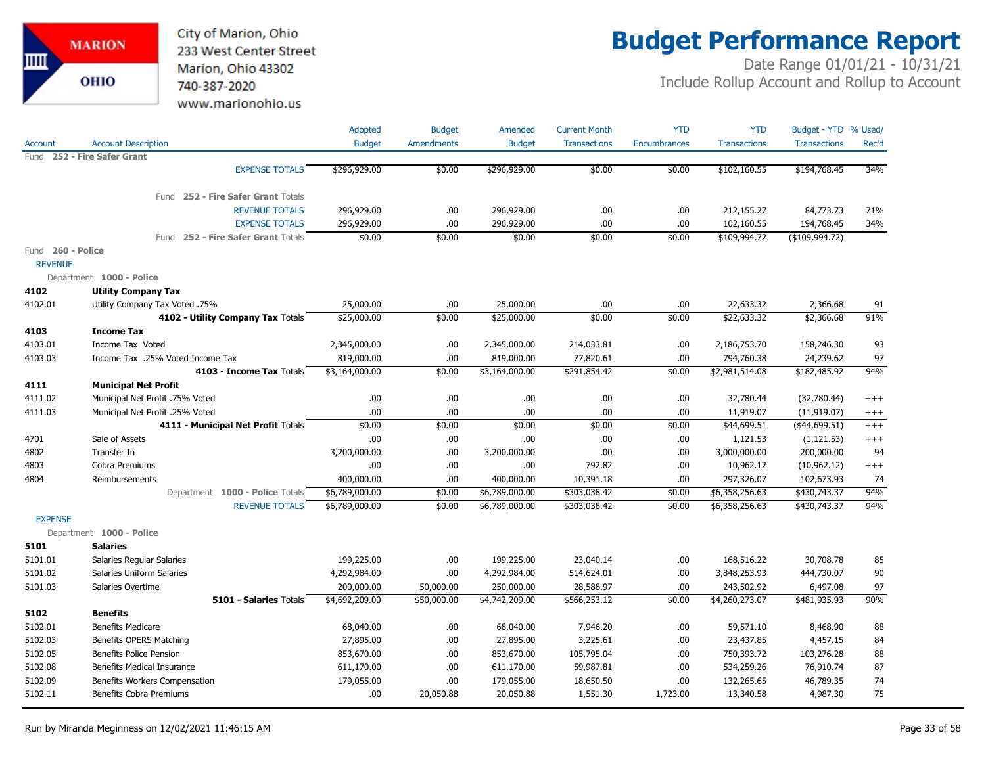

## **Budget Performance Report**

|                        |                                    | Adopted        | <b>Budget</b>     | Amended        | <b>Current Month</b> | <b>YTD</b>          | <b>YTD</b>          | Budget - YTD % Used/ |          |
|------------------------|------------------------------------|----------------|-------------------|----------------|----------------------|---------------------|---------------------|----------------------|----------|
| Account                | <b>Account Description</b>         | <b>Budget</b>  | <b>Amendments</b> | <b>Budget</b>  | <b>Transactions</b>  | <b>Encumbrances</b> | <b>Transactions</b> | <b>Transactions</b>  | Rec'd    |
| Fund                   | 252 - Fire Safer Grant             |                |                   |                |                      |                     |                     |                      |          |
|                        | <b>EXPENSE TOTALS</b>              | \$296,929.00   | \$0.00            | \$296,929.00   | \$0.00               | \$0.00              | \$102,160.55        | \$194,768.45         | 34%      |
|                        | Fund 252 - Fire Safer Grant Totals |                |                   |                |                      |                     |                     |                      |          |
|                        | <b>REVENUE TOTALS</b>              | 296,929.00     | .00               | 296,929.00     | .00.                 | .00                 | 212,155.27          | 84,773.73            | 71%      |
|                        | <b>EXPENSE TOTALS</b>              | 296,929.00     | .00.              | 296,929.00     | .00.                 | .00                 | 102,160.55          | 194,768.45           | 34%      |
|                        | Fund 252 - Fire Safer Grant Totals | \$0.00         | \$0.00            | \$0.00         | \$0.00               | \$0.00              | \$109,994.72        | (\$109,994.72)       |          |
| Fund<br><b>REVENUE</b> | 260 - Police                       |                |                   |                |                      |                     |                     |                      |          |
|                        | Department 1000 - Police           |                |                   |                |                      |                     |                     |                      |          |
| 4102                   | <b>Utility Company Tax</b>         |                |                   |                |                      |                     |                     |                      |          |
| 4102.01                | Utility Company Tax Voted .75%     | 25,000.00      | .00.              | 25,000.00      | .00.                 | .00                 | 22,633.32           | 2,366.68             | 91       |
|                        | 4102 - Utility Company Tax Totals  | \$25,000.00    | \$0.00            | \$25,000.00    | \$0.00               | \$0.00              | \$22,633.32         | \$2,366.68           | 91%      |
| 4103                   | <b>Income Tax</b>                  |                |                   |                |                      |                     |                     |                      |          |
| 4103.01                | Income Tax Voted                   | 2,345,000.00   | .00.              | 2,345,000.00   | 214,033.81           | .00                 | 2,186,753.70        | 158,246.30           | 93       |
| 4103.03                | Income Tax .25% Voted Income Tax   | 819,000.00     | .00.              | 819,000.00     | 77,820.61            | .00                 | 794,760.38          | 24,239.62            | 97       |
|                        | 4103 - Income Tax Totals           | \$3,164,000.00 | \$0.00            | \$3,164,000.00 | \$291,854.42         | \$0.00              | \$2,981,514.08      | \$182,485.92         | 94%      |
| 4111                   | <b>Municipal Net Profit</b>        |                |                   |                |                      |                     |                     |                      |          |
| 4111.02                | Municipal Net Profit .75% Voted    | .00.           | .00.              | .00            | .00.                 | .00                 | 32,780.44           | (32,780.44)          | $^{+++}$ |
| 4111.03                | Municipal Net Profit .25% Voted    | .00            | .00.              | .00            | .00                  | .00                 | 11,919.07           | (11, 919.07)         | $^{+++}$ |
|                        | 4111 - Municipal Net Profit Totals | \$0.00         | \$0.00            | \$0.00         | \$0.00               | \$0.00              | \$44,699.51         | (\$44,699.51)        | $^{+++}$ |
| 4701                   | Sale of Assets                     | .00            | .00.              | .00            | .00.                 | .00                 | 1,121.53            | (1, 121.53)          | $^{+++}$ |
| 4802                   | Transfer In                        | 3,200,000.00   | .00.              | 3,200,000.00   | .00.                 | .00                 | 3,000,000.00        | 200,000.00           | 94       |
| 4803                   | Cobra Premiums                     | .00            | .00.              | .00            | 792.82               | .00                 | 10,962.12           | (10,962.12)          | $^{+++}$ |
| 4804                   | Reimbursements                     | 400,000.00     | .00               | 400,000.00     | 10,391.18            | .00                 | 297,326.07          | 102,673.93           | 74       |
|                        | Department 1000 - Police Totals    | \$6,789,000.00 | \$0.00            | \$6,789,000.00 | \$303,038.42         | \$0.00              | \$6,358,256.63      | \$430,743.37         | 94%      |
|                        | <b>REVENUE TOTALS</b>              | \$6,789,000.00 | \$0.00            | \$6,789,000.00 | \$303,038.42         | \$0.00              | \$6,358,256.63      | \$430,743.37         | 94%      |
| <b>EXPENSE</b>         |                                    |                |                   |                |                      |                     |                     |                      |          |
|                        | Department 1000 - Police           |                |                   |                |                      |                     |                     |                      |          |
| 5101                   | <b>Salaries</b>                    |                |                   |                |                      |                     |                     |                      |          |
| 5101.01                | Salaries Regular Salaries          | 199,225.00     | .00.              | 199,225.00     | 23,040.14            | .00                 | 168,516.22          | 30,708.78            | 85       |
| 5101.02                | Salaries Uniform Salaries          | 4,292,984.00   | .00.              | 4,292,984.00   | 514,624.01           | .00                 | 3,848,253.93        | 444,730.07           | 90       |
| 5101.03                | Salaries Overtime                  | 200,000.00     | 50,000.00         | 250,000.00     | 28,588.97            | .00                 | 243,502.92          | 6,497.08             | 97       |
|                        | <b>5101 - Salaries Totals</b>      | \$4,692,209.00 | \$50,000.00       | \$4,742,209.00 | \$566,253.12         | \$0.00              | \$4,260,273.07      | \$481,935.93         | 90%      |
| 5102                   | <b>Benefits</b>                    |                |                   |                |                      |                     |                     |                      |          |
| 5102.01                | <b>Benefits Medicare</b>           | 68,040.00      | .00.              | 68,040.00      | 7,946.20             | .00                 | 59,571.10           | 8,468.90             | 88       |
| 5102.03                | Benefits OPERS Matching            | 27,895.00      | .00.              | 27,895.00      | 3,225.61             | .00                 | 23,437.85           | 4,457.15             | 84       |
| 5102.05                | <b>Benefits Police Pension</b>     | 853,670.00     | .00.              | 853,670.00     | 105,795.04           | .00                 | 750,393.72          | 103,276.28           | 88       |
| 5102.08                | <b>Benefits Medical Insurance</b>  | 611,170.00     | .00.              | 611,170.00     | 59,987.81            | .00                 | 534,259.26          | 76,910.74            | 87       |
| 5102.09                | Benefits Workers Compensation      | 179,055.00     | .00.              | 179,055.00     | 18,650.50            | .00                 | 132,265.65          | 46,789.35            | 74       |
| 5102.11                | <b>Benefits Cobra Premiums</b>     | .00            | 20,050.88         | 20,050.88      | 1,551.30             | 1,723.00            | 13,340.58           | 4,987.30             | 75       |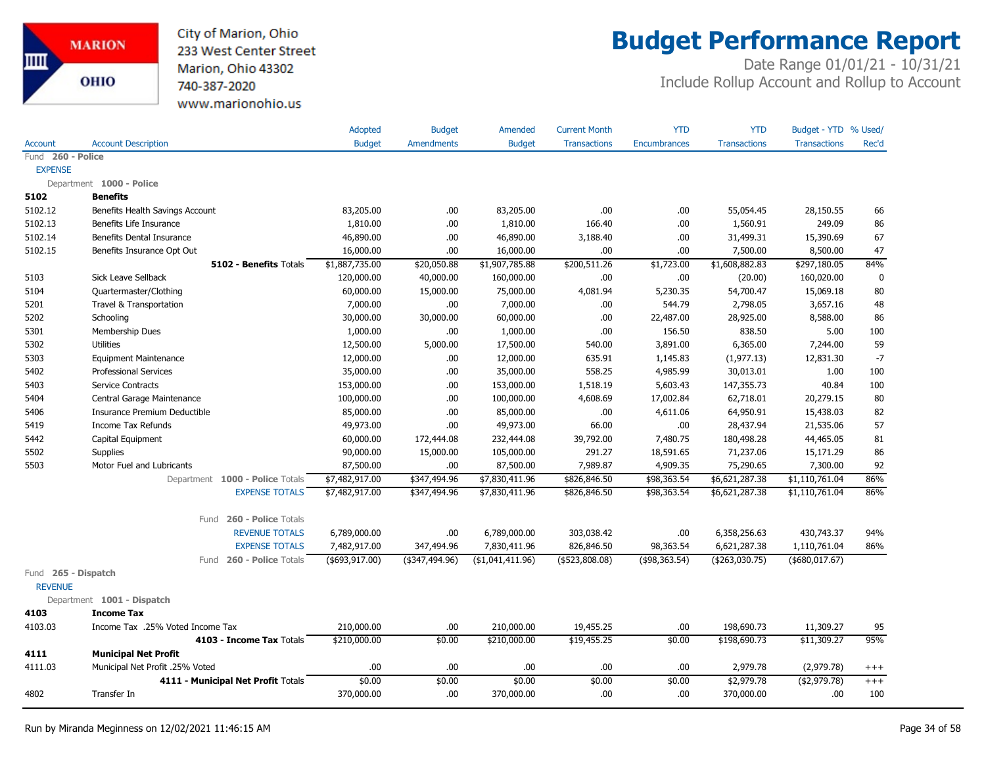

### **Budget Performance Report**

|                                       |                                    | Adopted         | <b>Budget</b>     | Amended           | <b>Current Month</b> | <b>YTD</b>          | <b>YTD</b>          | Budget - YTD % Used/ |             |
|---------------------------------------|------------------------------------|-----------------|-------------------|-------------------|----------------------|---------------------|---------------------|----------------------|-------------|
| <b>Account</b>                        | <b>Account Description</b>         | <b>Budget</b>   | <b>Amendments</b> | <b>Budget</b>     | <b>Transactions</b>  | <b>Encumbrances</b> | <b>Transactions</b> | <b>Transactions</b>  | Rec'd       |
| Fund 260 - Police                     |                                    |                 |                   |                   |                      |                     |                     |                      |             |
| <b>EXPENSE</b>                        |                                    |                 |                   |                   |                      |                     |                     |                      |             |
|                                       | Department 1000 - Police           |                 |                   |                   |                      |                     |                     |                      |             |
| 5102                                  | <b>Benefits</b>                    |                 |                   |                   |                      |                     |                     |                      |             |
| 5102.12                               | Benefits Health Savings Account    | 83,205.00       | .00.              | 83,205.00         | .00                  | .00                 | 55,054.45           | 28,150.55            | 66          |
| 5102.13                               | Benefits Life Insurance            | 1,810.00        | .00.              | 1,810.00          | 166.40               | .00                 | 1,560.91            | 249.09               | 86          |
| 5102.14                               | Benefits Dental Insurance          | 46,890.00       | .00.              | 46,890.00         | 3,188.40             | .00.                | 31,499.31           | 15,390.69            | 67          |
| 5102.15                               | Benefits Insurance Opt Out         | 16,000.00       | .00               | 16,000.00         | .00                  | .00                 | 7,500.00            | 8,500.00             | 47          |
|                                       | 5102 - Benefits Totals             | \$1,887,735.00  | \$20,050.88       | \$1,907,785.88    | \$200,511.26         | \$1,723.00          | \$1,608,882.83      | \$297,180.05         | 84%         |
| 5103                                  | Sick Leave Sellback                | 120,000.00      | 40,000.00         | 160,000.00        | .00                  | .00                 | (20.00)             | 160,020.00           | $\mathbf 0$ |
| 5104                                  | Quartermaster/Clothing             | 60,000.00       | 15,000.00         | 75,000.00         | 4,081.94             | 5,230.35            | 54,700.47           | 15,069.18            | 80          |
| 5201                                  | Travel & Transportation            | 7,000.00        | .00.              | 7,000.00          | .00                  | 544.79              | 2,798.05            | 3,657.16             | 48          |
| 5202                                  | Schooling                          | 30,000.00       | 30,000.00         | 60,000.00         | .00                  | 22,487.00           | 28,925.00           | 8,588.00             | 86          |
| 5301                                  | Membership Dues                    | 1,000.00        | .00.              | 1,000.00          | .00                  | 156.50              | 838.50              | 5.00                 | 100         |
| 5302                                  | <b>Utilities</b>                   | 12,500.00       | 5,000.00          | 17,500.00         | 540.00               | 3,891.00            | 6,365.00            | 7,244.00             | 59          |
| 5303                                  | <b>Equipment Maintenance</b>       | 12,000.00       | .00               | 12,000.00         | 635.91               | 1,145.83            | (1, 977.13)         | 12,831.30            | $-7$        |
| 5402                                  | <b>Professional Services</b>       | 35,000.00       | .00.              | 35,000.00         | 558.25               | 4,985.99            | 30,013.01           | 1.00                 | 100         |
| 5403                                  | Service Contracts                  | 153,000.00      | .00.              | 153,000.00        | 1,518.19             | 5,603.43            | 147,355.73          | 40.84                | 100         |
| 5404                                  | Central Garage Maintenance         | 100,000.00      | .00               | 100,000.00        | 4,608.69             | 17,002.84           | 62,718.01           | 20,279.15            | 80          |
| 5406                                  | Insurance Premium Deductible       | 85,000.00       | .00               | 85,000.00         | .00                  | 4,611.06            | 64,950.91           | 15,438.03            | 82          |
| 5419                                  | <b>Income Tax Refunds</b>          | 49,973.00       | .00               | 49,973.00         | 66.00                | .00.                | 28,437.94           | 21,535.06            | 57          |
| 5442                                  | Capital Equipment                  | 60,000.00       | 172,444.08        | 232,444.08        | 39,792.00            | 7,480.75            | 180,498.28          | 44,465.05            | 81          |
| 5502                                  | <b>Supplies</b>                    | 90,000.00       | 15,000.00         | 105,000.00        | 291.27               | 18,591.65           | 71,237.06           | 15,171.29            | 86          |
| 5503                                  | Motor Fuel and Lubricants          | 87,500.00       | .00.              | 87,500.00         | 7,989.87             | 4,909.35            | 75,290.65           | 7,300.00             | 92          |
|                                       | Department 1000 - Police Totals    | \$7,482,917.00  | \$347,494.96      | \$7,830,411.96    | \$826,846.50         | \$98,363.54         | \$6,621,287.38      | \$1,110,761.04       | 86%         |
|                                       | <b>EXPENSE TOTALS</b>              | \$7,482,917.00  | \$347,494.96      | \$7,830,411.96    | \$826,846.50         | \$98,363.54         | \$6,621,287.38      | \$1,110,761.04       | 86%         |
|                                       | Fund 260 - Police Totals           |                 |                   |                   |                      |                     |                     |                      |             |
|                                       | <b>REVENUE TOTALS</b>              | 6,789,000.00    | .00.              | 6,789,000.00      | 303,038.42           | .00                 | 6,358,256.63        | 430,743.37           | 94%         |
|                                       | <b>EXPENSE TOTALS</b>              | 7,482,917.00    | 347,494.96        | 7,830,411.96      | 826,846.50           | 98,363.54           | 6,621,287.38        | 1,110,761.04         | 86%         |
|                                       | 260 - Police Totals<br>Fund        | (\$693, 917.00) | $(*347,494.96)$   | ( \$1,041,411.96) | (\$523,808.08)       | ( \$98, 363.54)     | (\$263,030.75)      | (\$680,017.67)       |             |
| Fund 265 - Dispatch<br><b>REVENUE</b> |                                    |                 |                   |                   |                      |                     |                     |                      |             |
|                                       | Department 1001 - Dispatch         |                 |                   |                   |                      |                     |                     |                      |             |
| 4103                                  | <b>Income Tax</b>                  |                 |                   |                   |                      |                     |                     |                      |             |
| 4103.03                               | Income Tax .25% Voted Income Tax   | 210,000.00      | .00.              | 210,000.00        | 19,455.25            | .00.                | 198,690.73          | 11,309.27            | 95          |
|                                       | 4103 - Income Tax Totals           | \$210,000.00    | \$0.00            | \$210,000.00      | \$19,455.25          | \$0.00              | \$198,690.73        | \$11,309.27          | 95%         |
| 4111                                  | <b>Municipal Net Profit</b>        |                 |                   |                   |                      |                     |                     |                      |             |
| 4111.03                               | Municipal Net Profit .25% Voted    | .00             | .00.              | .00               | .00                  | .00                 | 2,979.78            | (2,979.78)           | $^{+++}$    |
|                                       | 4111 - Municipal Net Profit Totals | \$0.00          | \$0.00            | \$0.00            | \$0.00               | \$0.00              | \$2,979.78          | ( \$2,979.78)        | $+++$       |
| 4802                                  | Transfer In                        | 370,000.00      | .00               | 370,000.00        | .00                  | .00.                | 370,000.00          | .00                  | 100         |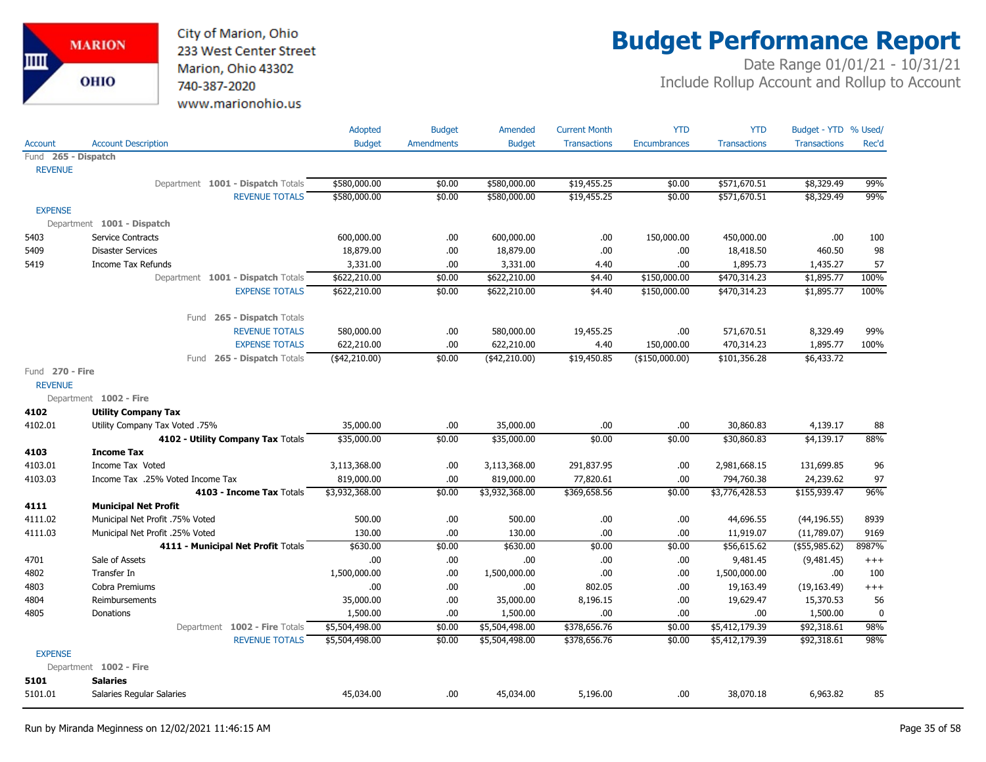City of Marion, Ohio 233 West Center Street Marion, Ohio 43302 740-387-2020 www.marionohio.us

# **Budget Performance Report**

|                     |                                    | <b>Adopted</b> | <b>Budget</b>     | Amended        | <b>Current Month</b> | <b>YTD</b>          | <b>YTD</b>          | Budget - YTD % Used/ |             |
|---------------------|------------------------------------|----------------|-------------------|----------------|----------------------|---------------------|---------------------|----------------------|-------------|
| Account             | <b>Account Description</b>         | <b>Budget</b>  | <b>Amendments</b> | <b>Budget</b>  | <b>Transactions</b>  | <b>Encumbrances</b> | <b>Transactions</b> | <b>Transactions</b>  | Rec'd       |
| Fund 265 - Dispatch |                                    |                |                   |                |                      |                     |                     |                      |             |
| <b>REVENUE</b>      |                                    |                |                   |                |                      |                     |                     |                      |             |
|                     | Department 1001 - Dispatch Totals  | \$580,000.00   | \$0.00            | \$580,000.00   | \$19,455.25          | \$0.00              | \$571,670.51        | \$8,329.49           | 99%         |
|                     | <b>REVENUE TOTALS</b>              | \$580,000.00   | \$0.00            | \$580,000.00   | \$19,455.25          | \$0.00              | \$571,670.51        | \$8,329.49           | 99%         |
| <b>EXPENSE</b>      |                                    |                |                   |                |                      |                     |                     |                      |             |
|                     | Department 1001 - Dispatch         |                |                   |                |                      |                     |                     |                      |             |
| 5403                | Service Contracts                  | 600,000.00     | .00               | 600,000.00     | .00.                 | 150,000.00          | 450,000.00          | .00.                 | 100         |
| 5409                | <b>Disaster Services</b>           | 18,879.00      | .00               | 18,879.00      | .00                  | .00.                | 18,418.50           | 460.50               | 98          |
| 5419                | <b>Income Tax Refunds</b>          | 3,331.00       | .00               | 3,331.00       | 4.40                 | .00.                | 1,895.73            | 1,435.27             | 57          |
|                     | Department 1001 - Dispatch Totals  | \$622,210.00   | \$0.00            | \$622,210.00   | \$4.40               | \$150,000.00        | \$470,314.23        | \$1,895.77           | 100%        |
|                     | <b>EXPENSE TOTALS</b>              | \$622,210.00   | \$0.00            | \$622,210.00   | \$4.40               | \$150,000.00        | \$470,314.23        | \$1,895.77           | 100%        |
|                     |                                    |                |                   |                |                      |                     |                     |                      |             |
|                     | Fund 265 - Dispatch Totals         |                |                   |                |                      |                     |                     |                      |             |
|                     | <b>REVENUE TOTALS</b>              | 580,000.00     | .00               | 580,000.00     | 19,455.25            | .00.                | 571,670.51          | 8,329.49             | 99%         |
|                     | <b>EXPENSE TOTALS</b>              | 622,210.00     | .00               | 622,210.00     | 4.40                 | 150,000.00          | 470,314.23          | 1,895.77             | 100%        |
|                     | Fund 265 - Dispatch Totals         | $(*42,210.00)$ | \$0.00            | $(*42,210.00)$ | \$19,450.85          | (\$150,000.00)      | \$101,356.28        | \$6,433.72           |             |
| Fund 270 - Fire     |                                    |                |                   |                |                      |                     |                     |                      |             |
| <b>REVENUE</b>      |                                    |                |                   |                |                      |                     |                     |                      |             |
|                     | Department 1002 - Fire             |                |                   |                |                      |                     |                     |                      |             |
| 4102                | <b>Utility Company Tax</b>         |                |                   |                |                      |                     |                     |                      |             |
| 4102.01             | Utility Company Tax Voted .75%     | 35,000.00      | .00               | 35,000.00      | .00                  | .00                 | 30,860.83           | 4,139.17             | 88          |
|                     |                                    |                |                   |                | \$0.00               | \$0.00              | \$30,860.83         |                      |             |
|                     | 4102 - Utility Company Tax Totals  | \$35,000.00    | \$0.00            | \$35,000.00    |                      |                     |                     | \$4,139.17           | 88%         |
| 4103                | <b>Income Tax</b>                  |                |                   |                |                      |                     |                     |                      |             |
| 4103.01             | Income Tax Voted                   | 3,113,368.00   | .00               | 3,113,368.00   | 291,837.95           | .00.                | 2,981,668.15        | 131,699.85           | 96          |
| 4103.03             | Income Tax .25% Voted Income Tax   | 819,000.00     | .00               | 819,000.00     | 77,820.61            | .00.                | 794,760.38          | 24,239.62            | 97          |
|                     | 4103 - Income Tax Totals           | \$3,932,368.00 | \$0.00            | \$3,932,368.00 | \$369,658.56         | \$0.00              | \$3,776,428.53      | \$155,939.47         | 96%         |
| 4111                | <b>Municipal Net Profit</b>        |                |                   |                |                      |                     |                     |                      |             |
| 4111.02             | Municipal Net Profit .75% Voted    | 500.00         | .00.              | 500.00         | .00.                 | .00.                | 44,696.55           | (44, 196.55)         | 8939        |
| 4111.03             | Municipal Net Profit .25% Voted    | 130.00         | .00               | 130.00         | .00                  | .00.                | 11,919.07           | (11,789.07)          | 9169        |
|                     | 4111 - Municipal Net Profit Totals | \$630.00       | \$0.00            | \$630.00       | \$0.00               | \$0.00              | \$56,615.62         | (\$55,985.62)        | 8987%       |
| 4701                | Sale of Assets                     | .00            | .00               | .00            | .00                  | .00.                | 9,481.45            | (9,481.45)           | $^{+++}$    |
| 4802                | Transfer In                        | 1,500,000.00   | .00               | 1,500,000.00   | .00.                 | .00.                | 1,500,000.00        | .00.                 | 100         |
| 4803                | Cobra Premiums                     | .00            | .00               | .00            | 802.05               | .00.                | 19,163.49           | (19, 163.49)         | $^{+++}$    |
| 4804                | Reimbursements                     | 35,000.00      | .00.              | 35,000.00      | 8,196.15             | .00                 | 19,629.47           | 15,370.53            | 56          |
| 4805                | Donations                          | 1,500.00       | .00.              | 1,500.00       | .00.                 | .00.                | .00                 | 1,500.00             | $\mathbf 0$ |
|                     | Department 1002 - Fire Totals      | \$5,504,498.00 | \$0.00            | \$5,504,498.00 | \$378,656.76         | \$0.00              | \$5,412,179.39      | \$92,318.61          | 98%         |
|                     | <b>REVENUE TOTALS</b>              | \$5,504,498.00 | \$0.00            | \$5,504,498.00 | \$378,656.76         | \$0.00              | \$5,412,179.39      | \$92,318.61          | 98%         |
| <b>EXPENSE</b>      |                                    |                |                   |                |                      |                     |                     |                      |             |
|                     | Department 1002 - Fire             |                |                   |                |                      |                     |                     |                      |             |
| 5101                | <b>Salaries</b>                    |                |                   |                |                      |                     | 38,070.18           | 6,963.82             | 85          |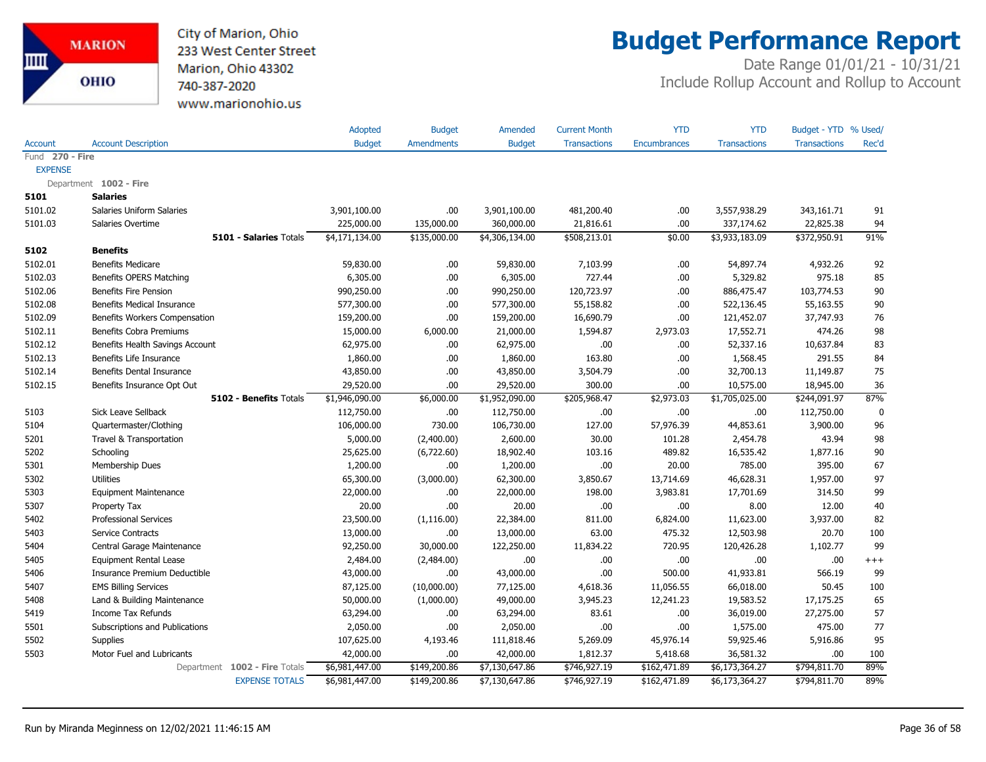

## **Budget Performance Report**

|                 |                                   | Adopted        | <b>Budget</b>     | Amended        | <b>Current Month</b> | <b>YTD</b>          | <b>YTD</b>          | Budget - YTD % Used/ |       |
|-----------------|-----------------------------------|----------------|-------------------|----------------|----------------------|---------------------|---------------------|----------------------|-------|
| Account         | <b>Account Description</b>        | <b>Budget</b>  | <b>Amendments</b> | <b>Budget</b>  | <b>Transactions</b>  | <b>Encumbrances</b> | <b>Transactions</b> | <b>Transactions</b>  | Rec'd |
| Fund 270 - Fire |                                   |                |                   |                |                      |                     |                     |                      |       |
| <b>EXPENSE</b>  |                                   |                |                   |                |                      |                     |                     |                      |       |
|                 | Department 1002 - Fire            |                |                   |                |                      |                     |                     |                      |       |
| 5101            | <b>Salaries</b>                   |                |                   |                |                      |                     |                     |                      |       |
| 5101.02         | <b>Salaries Uniform Salaries</b>  | 3,901,100.00   | .00.              | 3,901,100.00   | 481,200.40           | .00.                | 3,557,938.29        | 343,161.71           | 91    |
| 5101.03         | Salaries Overtime                 | 225,000.00     | 135,000.00        | 360,000.00     | 21,816.61            | .00                 | 337,174.62          | 22,825.38            | 94    |
|                 | 5101 - Salaries Totals            | \$4,171,134.00 | \$135,000.00      | \$4,306,134.00 | \$508,213.01         | \$0.00              | \$3,933,183.09      | \$372,950.91         | 91%   |
| 5102            | <b>Benefits</b>                   |                |                   |                |                      |                     |                     |                      |       |
| 5102.01         | <b>Benefits Medicare</b>          | 59,830.00      | .00.              | 59,830.00      | 7,103.99             | .00.                | 54,897.74           | 4,932.26             | 92    |
| 5102.03         | Benefits OPERS Matching           | 6,305.00       | .00.              | 6,305.00       | 727.44               | .00.                | 5,329.82            | 975.18               | 85    |
| 5102.06         | <b>Benefits Fire Pension</b>      | 990,250.00     | .00.              | 990,250.00     | 120,723.97           | .00.                | 886,475.47          | 103,774.53           | 90    |
| 5102.08         | <b>Benefits Medical Insurance</b> | 577,300.00     | .00.              | 577,300.00     | 55,158.82            | .00.                | 522,136.45          | 55,163.55            | 90    |
| 5102.09         | Benefits Workers Compensation     | 159,200.00     | .00               | 159,200.00     | 16,690.79            | .00                 | 121,452.07          | 37,747.93            | 76    |
| 5102.11         | Benefits Cobra Premiums           | 15,000.00      | 6,000.00          | 21,000.00      | 1,594.87             | 2,973.03            | 17,552.71           | 474.26               | 98    |
| 5102.12         | Benefits Health Savings Account   | 62,975.00      | .00.              | 62,975.00      | .00.                 | .00                 | 52,337.16           | 10,637.84            | 83    |
| 5102.13         | Benefits Life Insurance           | 1,860.00       | .00.              | 1,860.00       | 163.80               | .00.                | 1,568.45            | 291.55               | 84    |
| 5102.14         | Benefits Dental Insurance         | 43,850.00      | .00.              | 43,850.00      | 3,504.79             | .00.                | 32,700.13           | 11,149.87            | 75    |
| 5102.15         | Benefits Insurance Opt Out        | 29,520.00      | .00.              | 29,520.00      | 300.00               | .00.                | 10,575.00           | 18,945.00            | 36    |
|                 | 5102 - Benefits Totals            | \$1,946,090.00 | \$6,000.00        | \$1,952,090.00 | \$205,968.47         | \$2,973.03          | \$1,705,025.00      | \$244,091.97         | 87%   |
| 5103            | Sick Leave Sellback               | 112,750.00     | .00.              | 112,750.00     | .00                  | .00                 | .00.                | 112,750.00           | 0     |
| 5104            | Quartermaster/Clothing            | 106,000.00     | 730.00            | 106,730.00     | 127.00               | 57,976.39           | 44,853.61           | 3,900.00             | 96    |
| 5201            | Travel & Transportation           | 5,000.00       | (2,400.00)        | 2,600.00       | 30.00                | 101.28              | 2,454.78            | 43.94                | 98    |
| 5202            | Schooling                         | 25,625.00      | (6,722.60)        | 18,902.40      | 103.16               | 489.82              | 16,535.42           | 1,877.16             | 90    |
| 5301            | Membership Dues                   | 1,200.00       | .00.              | 1,200.00       | .00.                 | 20.00               | 785.00              | 395.00               | 67    |
| 5302            | <b>Utilities</b>                  | 65,300.00      | (3,000.00)        | 62,300.00      | 3,850.67             | 13,714.69           | 46,628.31           | 1,957.00             | 97    |
| 5303            | <b>Equipment Maintenance</b>      | 22,000.00      | .00.              | 22,000.00      | 198.00               | 3,983.81            | 17,701.69           | 314.50               | 99    |
| 5307            | Property Tax                      | 20.00          | .00               | 20.00          | .00.                 | .00.                | 8.00                | 12.00                | 40    |
| 5402            | <b>Professional Services</b>      | 23,500.00      | (1, 116.00)       | 22,384.00      | 811.00               | 6,824.00            | 11,623.00           | 3,937.00             | 82    |
| 5403            | Service Contracts                 | 13,000.00      | .00.              | 13,000.00      | 63.00                | 475.32              | 12,503.98           | 20.70                | 100   |
| 5404            | Central Garage Maintenance        | 92,250.00      | 30,000.00         | 122,250.00     | 11,834.22            | 720.95              | 120,426.28          | 1,102.77             | 99    |
| 5405            | <b>Equipment Rental Lease</b>     | 2,484.00       | (2,484.00)        | .00            | .00.                 | .00.                | .00                 | .00                  | $+++$ |
| 5406            | Insurance Premium Deductible      | 43,000.00      | .00.              | 43,000.00      | .00.                 | 500.00              | 41,933.81           | 566.19               | 99    |
| 5407            | <b>EMS Billing Services</b>       | 87,125.00      | (10,000.00)       | 77,125.00      | 4,618.36             | 11,056.55           | 66,018.00           | 50.45                | 100   |
| 5408            | Land & Building Maintenance       | 50,000.00      | (1,000.00)        | 49,000.00      | 3,945.23             | 12,241.23           | 19,583.52           | 17,175.25            | 65    |
| 5419            | Income Tax Refunds                | 63,294.00      | .00.              | 63,294.00      | 83.61                | .00.                | 36,019.00           | 27,275.00            | 57    |
| 5501            | Subscriptions and Publications    | 2,050.00       | .00               | 2,050.00       | .00                  | .00.                | 1,575.00            | 475.00               | 77    |
| 5502            | <b>Supplies</b>                   | 107,625.00     | 4,193.46          | 111,818.46     | 5,269.09             | 45,976.14           | 59,925.46           | 5,916.86             | 95    |
| 5503            | Motor Fuel and Lubricants         | 42,000.00      | .00.              | 42,000.00      | 1,812.37             | 5,418.68            | 36,581.32           | .00.                 | 100   |
|                 | Department 1002 - Fire Totals     | \$6,981,447.00 | \$149,200.86      | \$7,130,647.86 | \$746,927.19         | \$162,471.89        | \$6,173,364.27      | \$794,811.70         | 89%   |
|                 | <b>EXPENSE TOTALS</b>             | \$6,981,447.00 | \$149,200.86      | \$7,130,647.86 | \$746,927.19         | \$162,471.89        | \$6,173,364.27      | \$794,811.70         | 89%   |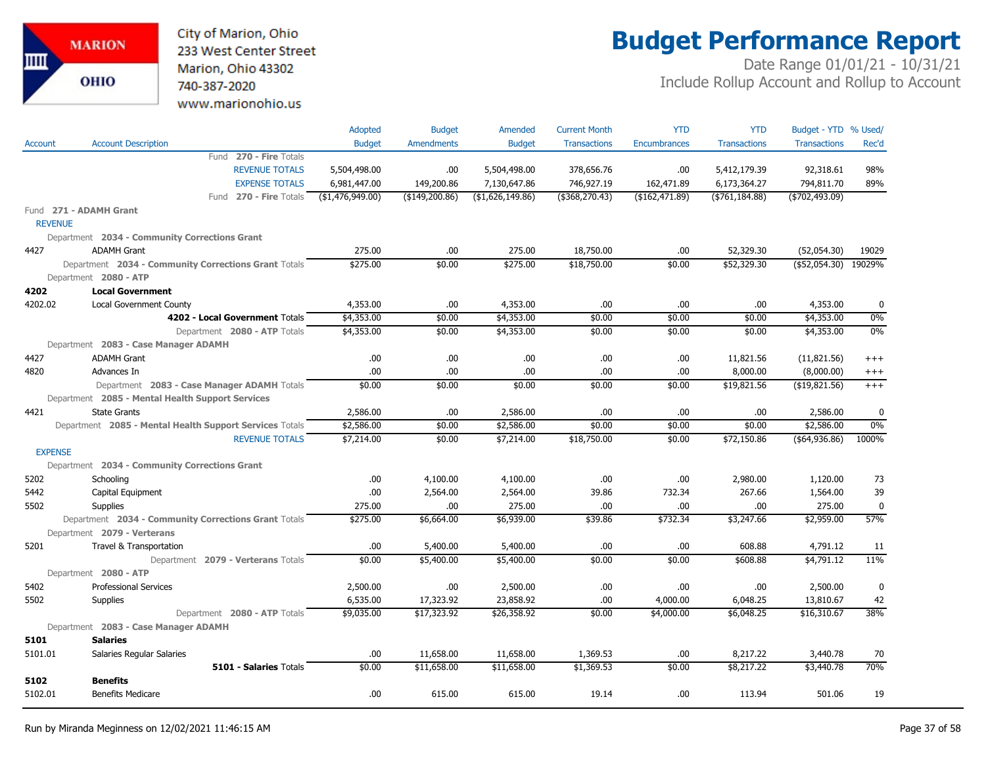City of Marion, Ohio 233 West Center Street Marion, Ohio 43302 740-387-2020 www.marionohio.us

# **Budget Performance Report**

|                |                                                         | Adopted          | <b>Budget</b>     | Amended           | <b>Current Month</b> | <b>YTD</b>          | <b>YTD</b>          | Budget - YTD % Used/ |              |
|----------------|---------------------------------------------------------|------------------|-------------------|-------------------|----------------------|---------------------|---------------------|----------------------|--------------|
| Account        | <b>Account Description</b>                              | <b>Budget</b>    | <b>Amendments</b> | <b>Budget</b>     | <b>Transactions</b>  | <b>Encumbrances</b> | <b>Transactions</b> | <b>Transactions</b>  | Rec'd        |
|                | Fund 270 - Fire Totals                                  |                  |                   |                   |                      |                     |                     |                      |              |
|                | <b>REVENUE TOTALS</b>                                   | 5,504,498.00     | .00               | 5,504,498.00      | 378,656.76           | .00                 | 5,412,179.39        | 92,318.61            | 98%          |
|                | <b>EXPENSE TOTALS</b>                                   | 6,981,447.00     | 149,200.86        | 7,130,647.86      | 746,927.19           | 162,471.89          | 6,173,364.27        | 794,811.70           | 89%          |
|                | Fund 270 - Fire Totals                                  | (\$1,476,949.00) | $($ \$149,200.86) | ( \$1,626,149.86) | (\$368,270.43)       | ( \$162, 471.89)    | ( \$761, 184.88)    | ( \$702, 493.09)     |              |
|                | Fund 271 - ADAMH Grant                                  |                  |                   |                   |                      |                     |                     |                      |              |
| <b>REVENUE</b> |                                                         |                  |                   |                   |                      |                     |                     |                      |              |
|                | Department 2034 - Community Corrections Grant           |                  |                   |                   |                      |                     |                     |                      |              |
| 4427           | <b>ADAMH Grant</b>                                      | 275.00           | .00.              | 275.00            | 18,750.00            | .00                 | 52,329.30           | (52,054.30)          | 19029        |
|                | Department 2034 - Community Corrections Grant Totals    | \$275.00         | \$0.00            | \$275.00          | \$18,750.00          | \$0.00              | \$52,329.30         | (\$52,054.30)        | 19029%       |
|                | Department 2080 - ATP                                   |                  |                   |                   |                      |                     |                     |                      |              |
| 4202           | <b>Local Government</b>                                 |                  |                   |                   |                      |                     |                     |                      |              |
| 4202.02        | Local Government County                                 | 4,353.00         | .00               | 4,353.00          | .00                  | .00                 | .00                 | 4,353.00             | $\mathbf{0}$ |
|                | 4202 - Local Government Totals                          | \$4,353.00       | \$0.00            | \$4,353.00        | \$0.00               | \$0.00              | \$0.00              | \$4,353.00           | 0%           |
|                | Department 2080 - ATP Totals                            | \$4,353.00       | \$0.00            | \$4,353.00        | \$0.00               | \$0.00              | \$0.00              | \$4,353.00           | 0%           |
|                | Department 2083 - Case Manager ADAMH                    |                  |                   |                   |                      |                     |                     |                      |              |
| 4427           | <b>ADAMH Grant</b>                                      | .00              | .00.              | .00               | .00                  | .00                 | 11,821.56           | (11,821.56)          | $+++$        |
| 4820           | Advances In                                             | .00              | .00.              | .00               | .00.                 | .00                 | 8,000.00            | (8,000.00)           | $^{+++}$     |
|                | Department 2083 - Case Manager ADAMH Totals             | \$0.00           | \$0.00            | \$0.00            | \$0.00               | \$0.00              | \$19,821.56         | ( \$19, 821.56)      | $+++$        |
|                | Department 2085 - Mental Health Support Services        |                  |                   |                   |                      |                     |                     |                      |              |
| 4421           | <b>State Grants</b>                                     | 2,586.00         | .00               | 2,586.00          | .00                  | .00                 | .00                 | 2,586.00             | 0            |
|                | Department 2085 - Mental Health Support Services Totals | \$2,586.00       | \$0.00            | \$2,586.00        | \$0.00               | \$0.00              | \$0.00              | \$2,586.00           | 0%           |
|                | <b>REVENUE TOTALS</b>                                   | \$7,214.00       | \$0.00            | \$7,214.00        | \$18,750.00          | \$0.00              | \$72,150.86         | ( \$64, 936.86)      | 1000%        |
| <b>EXPENSE</b> |                                                         |                  |                   |                   |                      |                     |                     |                      |              |
|                | Department 2034 - Community Corrections Grant           |                  |                   |                   |                      |                     |                     |                      |              |
| 5202           | Schooling                                               | .00              | 4,100.00          | 4,100.00          | .00.                 | .00                 | 2,980.00            | 1,120.00             | 73           |
| 5442           | Capital Equipment                                       | .00              | 2,564.00          | 2,564.00          | 39.86                | 732.34              | 267.66              | 1,564.00             | 39           |
| 5502           | <b>Supplies</b>                                         | 275.00           | .00               | 275.00            | .00                  | .00                 | .00                 | 275.00               | 0            |
|                | Department 2034 - Community Corrections Grant Totals    | \$275.00         | \$6,664.00        | \$6,939.00        | \$39.86              | \$732.34            | \$3,247.66          | \$2,959.00           | 57%          |
|                | Department 2079 - Verterans                             |                  |                   |                   |                      |                     |                     |                      |              |
| 5201           | Travel & Transportation                                 | .00              | 5,400.00          | 5,400.00          | .00.                 | .00                 | 608.88              | 4,791.12             | 11           |
|                | Department 2079 - Verterans Totals                      | \$0.00           | \$5,400.00        | \$5,400.00        | \$0.00               | \$0.00              | \$608.88            | \$4,791.12           | 11%          |
|                | Department 2080 - ATP                                   |                  |                   |                   |                      |                     |                     |                      |              |
| 5402           | <b>Professional Services</b>                            | 2,500.00         | .00.              | 2,500.00          | .00.                 | .00                 | .00.                | 2,500.00             | 0            |
| 5502           | <b>Supplies</b>                                         | 6,535.00         | 17,323.92         | 23,858.92         | .00.                 | 4,000.00            | 6,048.25            | 13,810.67            | 42           |
|                | Department 2080 - ATP Totals                            | \$9,035.00       | \$17,323.92       | \$26,358.92       | \$0.00               | \$4,000.00          | \$6,048.25          | \$16,310.67          | 38%          |
|                | Department 2083 - Case Manager ADAMH                    |                  |                   |                   |                      |                     |                     |                      |              |
| 5101           | <b>Salaries</b>                                         |                  |                   |                   |                      |                     |                     |                      |              |
| 5101.01        | Salaries Regular Salaries                               | .00              | 11,658.00         | 11,658.00         | 1,369.53             | .00                 | 8,217.22            | 3,440.78             | 70           |
|                | 5101 - Salaries Totals                                  | \$0.00           | \$11,658.00       | \$11,658.00       | \$1,369.53           | \$0.00              | \$8,217.22          | \$3,440.78           | 70%          |
| 5102           | <b>Benefits</b>                                         |                  |                   |                   |                      |                     |                     |                      |              |
| 5102.01        | <b>Benefits Medicare</b>                                | .00              | 615.00            | 615.00            | 19.14                | .00                 | 113.94              | 501.06               | 19           |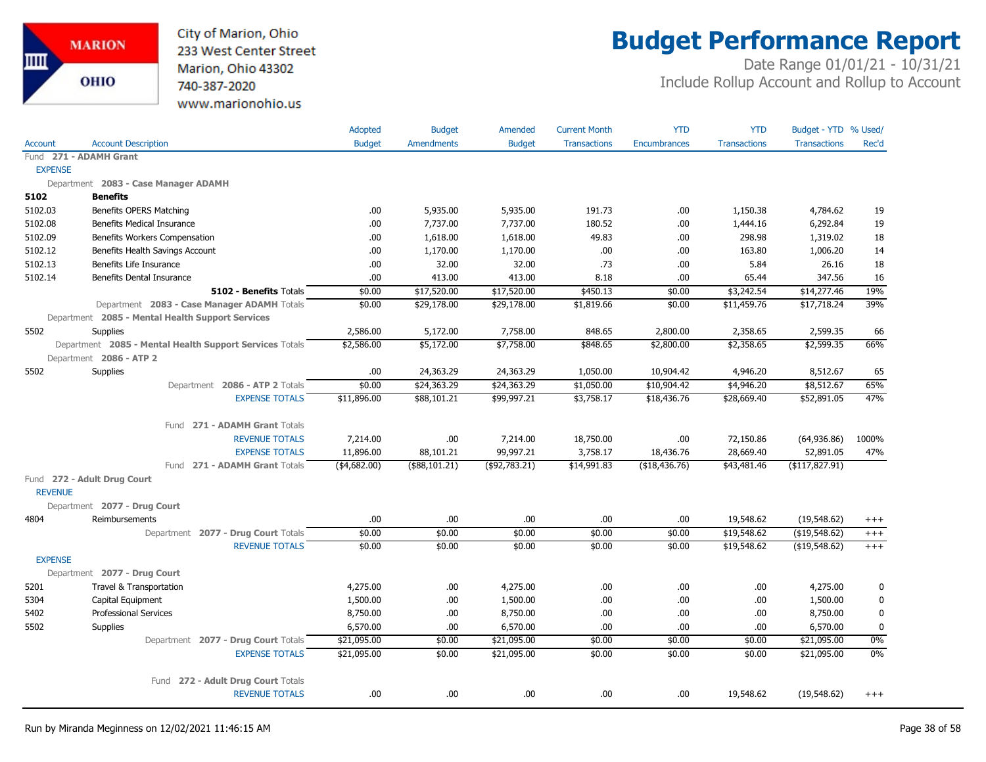

## **Budget Performance Report**

|                |                                                         | Adopted       | <b>Budget</b>     | Amended       | <b>Current Month</b> | <b>YTD</b>          | <b>YTD</b>          | Budget - YTD % Used/ |             |
|----------------|---------------------------------------------------------|---------------|-------------------|---------------|----------------------|---------------------|---------------------|----------------------|-------------|
| <b>Account</b> | <b>Account Description</b>                              | <b>Budget</b> | <b>Amendments</b> | <b>Budget</b> | <b>Transactions</b>  | <b>Encumbrances</b> | <b>Transactions</b> | <b>Transactions</b>  | Rec'd       |
|                | Fund 271 - ADAMH Grant                                  |               |                   |               |                      |                     |                     |                      |             |
| <b>EXPENSE</b> |                                                         |               |                   |               |                      |                     |                     |                      |             |
|                | Department 2083 - Case Manager ADAMH                    |               |                   |               |                      |                     |                     |                      |             |
| 5102           | <b>Benefits</b>                                         |               |                   |               |                      |                     |                     |                      |             |
| 5102.03        | Benefits OPERS Matching                                 | .00.          | 5,935.00          | 5,935.00      | 191.73               | .00                 | 1,150.38            | 4,784.62             | 19          |
| 5102.08        | <b>Benefits Medical Insurance</b>                       | .00.          | 7,737.00          | 7,737.00      | 180.52               | .00.                | 1,444.16            | 6,292.84             | 19          |
| 5102.09        | Benefits Workers Compensation                           | .00           | 1,618.00          | 1,618.00      | 49.83                | .00                 | 298.98              | 1,319.02             | 18          |
| 5102.12        | Benefits Health Savings Account                         | .00           | 1,170.00          | 1,170.00      | .00.                 | .00                 | 163.80              | 1,006.20             | 14          |
| 5102.13        | Benefits Life Insurance                                 | .00.          | 32.00             | 32.00         | .73                  | .00.                | 5.84                | 26.16                | 18          |
| 5102.14        | Benefits Dental Insurance                               | .00.          | 413.00            | 413.00        | 8.18                 | .00.                | 65.44               | 347.56               | 16          |
|                | 5102 - Benefits Totals                                  | \$0.00        | \$17,520.00       | \$17,520.00   | \$450.13             | \$0.00              | \$3,242.54          | \$14,277.46          | 19%         |
|                | Department 2083 - Case Manager ADAMH Totals             | \$0.00        | \$29,178.00       | \$29,178.00   | \$1,819.66           | \$0.00              | \$11,459.76         | \$17,718.24          | 39%         |
|                | Department 2085 - Mental Health Support Services        |               |                   |               |                      |                     |                     |                      |             |
| 5502           | <b>Supplies</b>                                         | 2,586.00      | 5,172.00          | 7,758.00      | 848.65               | 2,800.00            | 2,358.65            | 2,599.35             | 66          |
|                | Department 2085 - Mental Health Support Services Totals | \$2,586.00    | \$5,172.00        | \$7,758.00    | \$848.65             | \$2,800.00          | \$2,358.65          | \$2,599.35           | 66%         |
|                | Department 2086 - ATP 2                                 |               |                   |               |                      |                     |                     |                      |             |
| 5502           | Supplies                                                | .00.          | 24,363.29         | 24,363.29     | 1,050.00             | 10,904.42           | 4,946.20            | 8,512.67             | 65          |
|                | Department 2086 - ATP 2 Totals                          | \$0.00        | \$24,363.29       | \$24,363.29   | \$1,050.00           | \$10,904.42         | \$4,946.20          | \$8,512.67           | 65%         |
|                | <b>EXPENSE TOTALS</b>                                   | \$11,896.00   | \$88,101.21       | \$99,997.21   | \$3,758.17           | \$18,436.76         | \$28,669.40         | \$52,891.05          | 47%         |
|                | Fund 271 - ADAMH Grant Totals                           |               |                   |               |                      |                     |                     |                      |             |
|                | <b>REVENUE TOTALS</b>                                   | 7,214.00      | .00.              | 7,214.00      | 18,750.00            | .00.                | 72,150.86           | (64,936.86)          | 1000%       |
|                | <b>EXPENSE TOTALS</b>                                   | 11,896.00     | 88,101.21         | 99,997.21     | 3,758.17             | 18,436.76           | 28,669.40           | 52,891.05            | 47%         |
|                | 271 - ADAMH Grant Totals<br>Fund                        | $(*4,682.00)$ | (\$88,101.21)     | (\$92,783.21) | \$14,991.83          | (\$18,436.76)       | \$43,481.46         | (\$117,827.91)       |             |
|                | Fund 272 - Adult Drug Court                             |               |                   |               |                      |                     |                     |                      |             |
| <b>REVENUE</b> |                                                         |               |                   |               |                      |                     |                     |                      |             |
|                | Department 2077 - Drug Court                            |               |                   |               |                      |                     |                     |                      |             |
| 4804           | Reimbursements                                          | .00.          | .00.              | .00.          | .00.                 | .00.                | 19,548.62           | (19,548.62)          | $^{+++}$    |
|                | Department 2077 - Drug Court Totals                     | \$0.00        | \$0.00            | \$0.00        | \$0.00               | \$0.00              | \$19,548.62         | (\$19,548.62)        | $+++$       |
|                | <b>REVENUE TOTALS</b>                                   | \$0.00        | \$0.00            | \$0.00        | \$0.00               | \$0.00              | \$19,548.62         | (\$19,548.62)        | $+++$       |
| <b>EXPENSE</b> |                                                         |               |                   |               |                      |                     |                     |                      |             |
|                | Department 2077 - Drug Court                            |               |                   |               |                      |                     |                     |                      |             |
| 5201           | Travel & Transportation                                 | 4,275.00      | .00               | 4,275.00      | .00.                 | .00.                | .00.                | 4,275.00             | 0           |
| 5304           | Capital Equipment                                       | 1,500.00      | .00               | 1,500.00      | .00.                 | .00.                | .00.                | 1,500.00             | $\mathbf 0$ |
| 5402           | <b>Professional Services</b>                            | 8,750.00      | .00               | 8,750.00      | .00                  | .00.                | .00                 | 8,750.00             | 0           |
| 5502           | <b>Supplies</b>                                         | 6,570.00      | .00.              | 6,570.00      | .00                  | .00.                | .00.                | 6,570.00             | $\mathbf 0$ |
|                | Department 2077 - Drug Court Totals                     | \$21,095.00   | \$0.00            | \$21,095.00   | \$0.00               | \$0.00              | \$0.00              | \$21,095.00          | 0%          |
|                | <b>EXPENSE TOTALS</b>                                   | \$21,095.00   | \$0.00            | \$21,095.00   | \$0.00               | \$0.00              | \$0.00              | \$21,095.00          | $0\%$       |
|                |                                                         |               |                   |               |                      |                     |                     |                      |             |
|                | 272 - Adult Drug Court Totals<br>Fund                   |               |                   |               |                      |                     |                     |                      |             |
|                | <b>REVENUE TOTALS</b>                                   | .00.          | .00               | .00           | .00.                 | .00.                | 19,548.62           | (19, 548.62)         | $^{+++}$    |
|                |                                                         |               |                   |               |                      |                     |                     |                      |             |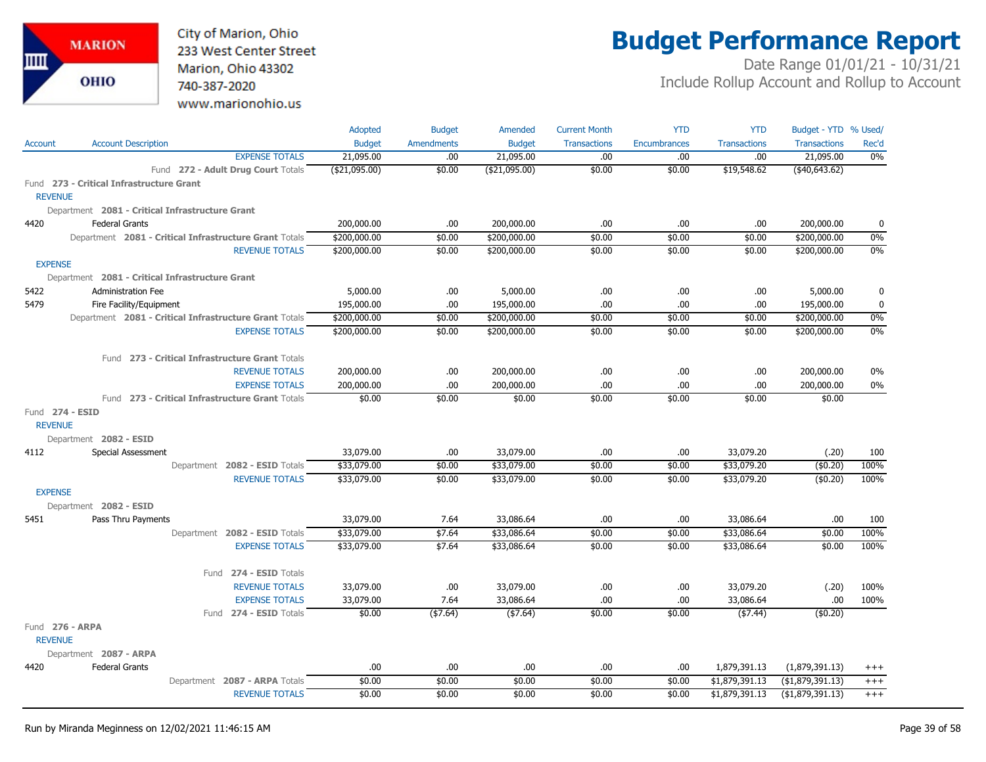City of Marion, Ohio 233 West Center Street Marion, Ohio 43302 740-387-2020 www.marionohio.us

# **Budget Performance Report**

|                 |                                                        | Adopted        | <b>Budget</b>     | Amended        | <b>Current Month</b> | <b>YTD</b>          | <b>YTD</b>          | Budget - YTD % Used/ |              |
|-----------------|--------------------------------------------------------|----------------|-------------------|----------------|----------------------|---------------------|---------------------|----------------------|--------------|
| Account         | <b>Account Description</b>                             | <b>Budget</b>  | <b>Amendments</b> | <b>Budget</b>  | <b>Transactions</b>  | <b>Encumbrances</b> | <b>Transactions</b> | <b>Transactions</b>  | Rec'd        |
|                 | <b>EXPENSE TOTALS</b>                                  | 21,095.00      | .00.              | 21,095.00      | .00.                 | .00.                | .00.                | 21,095.00            | 0%           |
|                 | Fund 272 - Adult Drug Court Totals                     | ( \$21,095.00) | \$0.00            | ( \$21,095.00) | \$0.00               | \$0.00              | \$19,548.62         | (40, 643.62)         |              |
|                 | Fund 273 - Critical Infrastructure Grant               |                |                   |                |                      |                     |                     |                      |              |
| <b>REVENUE</b>  |                                                        |                |                   |                |                      |                     |                     |                      |              |
|                 | Department 2081 - Critical Infrastructure Grant        |                |                   |                |                      |                     |                     |                      |              |
| 4420            | <b>Federal Grants</b>                                  | 200,000.00     | .00               | 200,000.00     | .00                  | .00.                | .00.                | 200,000.00           | $\mathbf{0}$ |
|                 | Department 2081 - Critical Infrastructure Grant Totals | \$200,000.00   | \$0.00            | \$200,000.00   | \$0.00               | \$0.00              | \$0.00              | \$200,000.00         | 0%           |
|                 | <b>REVENUE TOTALS</b>                                  | \$200,000.00   | \$0.00            | \$200,000.00   | \$0.00               | \$0.00              | \$0.00              | \$200,000.00         | 0%           |
| <b>EXPENSE</b>  |                                                        |                |                   |                |                      |                     |                     |                      |              |
|                 | Department 2081 - Critical Infrastructure Grant        |                |                   |                |                      |                     |                     |                      |              |
| 5422            | <b>Administration Fee</b>                              | 5,000.00       | .00               | 5,000.00       | .00                  | .00.                | .00                 | 5,000.00             | $\mathbf{0}$ |
| 5479            | Fire Facility/Equipment                                | 195,000.00     | .00               | 195,000.00     | .00                  | .00                 | .00                 | 195,000.00           | $\mathbf{0}$ |
|                 | Department 2081 - Critical Infrastructure Grant Totals | \$200,000.00   | \$0.00            | \$200,000.00   | \$0.00               | \$0.00              | \$0.00              | \$200,000.00         | 0%           |
|                 | <b>EXPENSE TOTALS</b>                                  | \$200,000.00   | \$0.00            | \$200,000.00   | \$0.00               | \$0.00              | \$0.00              | \$200,000.00         | 0%           |
|                 | Fund 273 - Critical Infrastructure Grant Totals        |                |                   |                |                      |                     |                     |                      |              |
|                 | <b>REVENUE TOTALS</b>                                  | 200,000.00     | .00               | 200,000.00     | .00                  | .00.                | .00.                | 200,000.00           | 0%           |
|                 | <b>EXPENSE TOTALS</b>                                  | 200,000.00     | .00               | 200,000.00     | .00.                 | .00.                | .00.                | 200,000.00           | 0%           |
|                 | Fund 273 - Critical Infrastructure Grant Totals        | \$0.00         | \$0.00            | \$0.00         | \$0.00               | \$0.00              | \$0.00              | \$0.00               |              |
| Fund 274 - ESID |                                                        |                |                   |                |                      |                     |                     |                      |              |
| <b>REVENUE</b>  |                                                        |                |                   |                |                      |                     |                     |                      |              |
|                 | Department 2082 - ESID                                 |                |                   |                |                      |                     |                     |                      |              |
| 4112            | <b>Special Assessment</b>                              | 33,079.00      | .00               | 33,079.00      | .00.                 | .00.                | 33,079.20           | (.20)                | 100          |
|                 | Department 2082 - ESID Totals                          | \$33,079.00    | \$0.00            | \$33,079.00    | \$0.00               | \$0.00              | \$33,079.20         | (\$0.20)             | 100%         |
|                 | <b>REVENUE TOTALS</b>                                  | \$33,079.00    | \$0.00            | \$33,079.00    | \$0.00               | \$0.00              | \$33,079.20         | (\$0.20)             | 100%         |
| <b>EXPENSE</b>  |                                                        |                |                   |                |                      |                     |                     |                      |              |
|                 | Department 2082 - ESID                                 |                |                   |                |                      |                     |                     |                      |              |
| 5451            | Pass Thru Payments                                     | 33,079.00      | 7.64              | 33,086.64      | .00                  | .00                 | 33,086.64           | .00                  | 100          |
|                 | Department 2082 - ESID Totals                          | \$33,079.00    | \$7.64            | \$33,086.64    | \$0.00               | \$0.00              | \$33,086.64         | \$0.00               | 100%         |
|                 | <b>EXPENSE TOTALS</b>                                  | \$33,079.00    | \$7.64            | \$33,086.64    | \$0.00               | \$0.00              | \$33,086.64         | \$0.00               | 100%         |
|                 | Fund 274 - ESID Totals                                 |                |                   |                |                      |                     |                     |                      |              |
|                 | <b>REVENUE TOTALS</b>                                  | 33,079.00      | .00               | 33,079.00      | .00                  | .00.                | 33,079.20           | (.20)                | 100%         |
|                 | <b>EXPENSE TOTALS</b>                                  | 33,079.00      | 7.64              | 33,086.64      | .00                  | .00                 | 33,086.64           | .00                  | 100%         |
|                 | Fund 274 - ESID Totals                                 | \$0.00         | ( \$7.64)         | (\$7.64)       | \$0.00               | \$0.00              | ( \$7.44)           | (\$0.20)             |              |
| Fund 276 - ARPA |                                                        |                |                   |                |                      |                     |                     |                      |              |
| <b>REVENUE</b>  |                                                        |                |                   |                |                      |                     |                     |                      |              |
|                 | Department 2087 - ARPA                                 |                |                   |                |                      |                     |                     |                      |              |
| 4420            | <b>Federal Grants</b>                                  | .00.           | .00               | .00.           | .00                  | .00                 | 1,879,391.13        | (1,879,391.13)       | $^{+++}$     |
|                 | Department 2087 - ARPA Totals                          | \$0.00         | \$0.00            | \$0.00         | \$0.00               | \$0.00              | \$1,879,391.13      | ( \$1,879,391.13)    | $^{+++}$     |
|                 | <b>REVENUE TOTALS</b>                                  | \$0.00         | \$0.00            | \$0.00         | \$0.00               | \$0.00              | \$1,879,391.13      | ( \$1,879,391.13)    | $+++$        |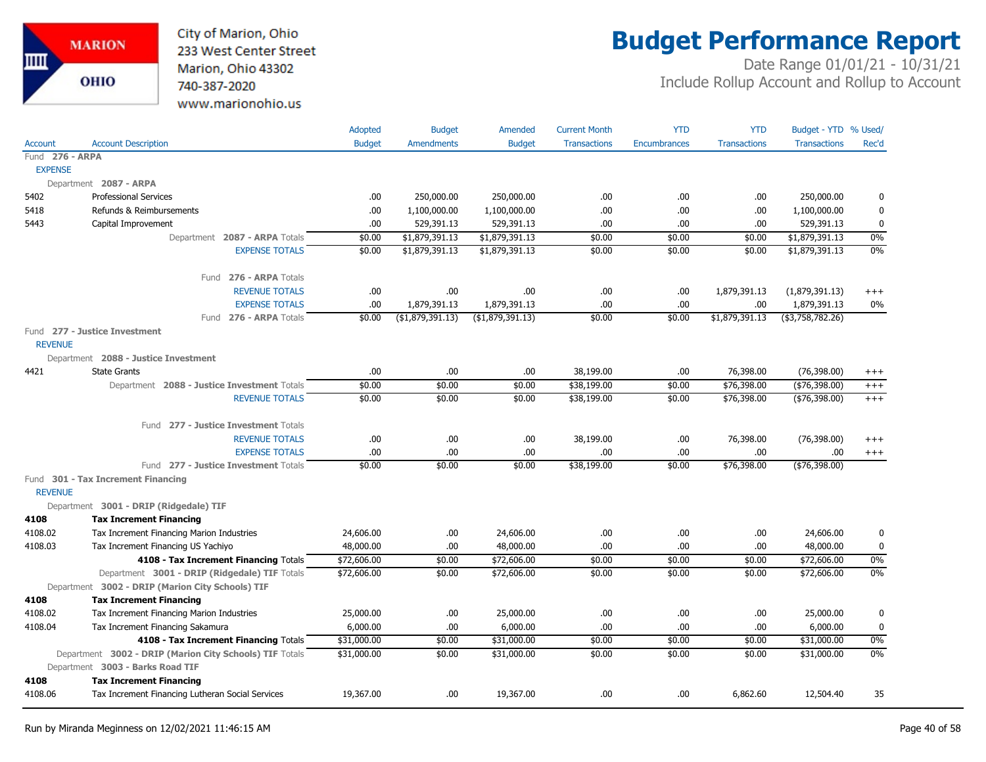

## **Budget Performance Report**

|                 |                                                         | Adopted       | <b>Budget</b>     | Amended           | <b>Current Month</b> | <b>YTD</b>          | <b>YTD</b>          | Budget - YTD % Used/ |             |
|-----------------|---------------------------------------------------------|---------------|-------------------|-------------------|----------------------|---------------------|---------------------|----------------------|-------------|
| <b>Account</b>  | <b>Account Description</b>                              | <b>Budget</b> | <b>Amendments</b> | <b>Budget</b>     | <b>Transactions</b>  | <b>Encumbrances</b> | <b>Transactions</b> | <b>Transactions</b>  | Rec'd       |
| Fund 276 - ARPA |                                                         |               |                   |                   |                      |                     |                     |                      |             |
| <b>EXPENSE</b>  |                                                         |               |                   |                   |                      |                     |                     |                      |             |
|                 | Department 2087 - ARPA                                  |               |                   |                   |                      |                     |                     |                      |             |
| 5402            | <b>Professional Services</b>                            | .00           | 250,000.00        | 250,000.00        | .00.                 | .00                 | .00.                | 250,000.00           | 0           |
| 5418            | Refunds & Reimbursements                                | .00           | 1,100,000.00      | 1,100,000.00      | .00.                 | .00                 | .00                 | 1,100,000.00         | $\mathbf 0$ |
| 5443            | Capital Improvement                                     | .00           | 529,391.13        | 529,391.13        | .00.                 | .00                 | .00                 | 529,391.13           | $\mathbf 0$ |
|                 | Department 2087 - ARPA Totals                           | \$0.00        | \$1,879,391.13    | \$1,879,391.13    | \$0.00               | \$0.00              | \$0.00              | \$1,879,391.13       | 0%          |
|                 | <b>EXPENSE TOTALS</b>                                   | \$0.00        | \$1,879,391.13    | \$1,879,391.13    | \$0.00               | \$0.00              | \$0.00              | \$1,879,391.13       | 0%          |
|                 | Fund 276 - ARPA Totals                                  |               |                   |                   |                      |                     |                     |                      |             |
|                 | <b>REVENUE TOTALS</b>                                   | .00.          | .00.              | .00               | .00.                 | .00                 | 1,879,391.13        | (1,879,391.13)       | $^{+++}$    |
|                 | <b>EXPENSE TOTALS</b>                                   | .00           | 1,879,391.13      | 1,879,391.13      | .00                  | .00                 | .00.                | 1,879,391.13         | $0\%$       |
|                 | Fund 276 - ARPA Totals                                  | \$0.00        | (\$1,879,391.13)  | ( \$1,879,391.13) | \$0.00               | \$0.00              | \$1,879,391.13      | $($ \$3,758,782.26)  |             |
|                 | Fund 277 - Justice Investment                           |               |                   |                   |                      |                     |                     |                      |             |
| <b>REVENUE</b>  |                                                         |               |                   |                   |                      |                     |                     |                      |             |
|                 | Department 2088 - Justice Investment                    |               |                   |                   |                      |                     |                     |                      |             |
| 4421            | <b>State Grants</b>                                     | .00           | .00.              | .00.              | 38,199.00            | .00                 | 76,398.00           | (76, 398.00)         | $^{+++}$    |
|                 | Department 2088 - Justice Investment Totals             | \$0.00        | \$0.00            | \$0.00            | \$38,199.00          | \$0.00              | \$76,398.00         | ( \$76, 398.00)      | $^{+++}$    |
|                 | <b>REVENUE TOTALS</b>                                   | \$0.00        | \$0.00            | \$0.00            | \$38,199.00          | \$0.00              | \$76,398.00         | ( \$76, 398.00)      | $+++$       |
|                 | Fund 277 - Justice Investment Totals                    |               |                   |                   |                      |                     |                     |                      |             |
|                 | <b>REVENUE TOTALS</b>                                   | .00.          | .00.              | .00.              | 38,199.00            | .00                 | 76,398.00           | (76, 398.00)         | $^{+++}$    |
|                 | <b>EXPENSE TOTALS</b>                                   | .00           | .00.              | .00               | .00.                 | .00                 | .00.                | .00                  | $^{+++}$    |
|                 | Fund 277 - Justice Investment Totals                    | \$0.00        | \$0.00            | \$0.00            | \$38,199.00          | \$0.00              | \$76,398.00         | $(*76,398.00)$       |             |
| <b>REVENUE</b>  | Fund 301 - Tax Increment Financing                      |               |                   |                   |                      |                     |                     |                      |             |
|                 | Department 3001 - DRIP (Ridgedale) TIF                  |               |                   |                   |                      |                     |                     |                      |             |
| 4108            | <b>Tax Increment Financing</b>                          |               |                   |                   |                      |                     |                     |                      |             |
| 4108.02         | Tax Increment Financing Marion Industries               | 24,606.00     | .00.              | 24,606.00         | .00.                 | .00                 | .00                 | 24,606.00            | 0           |
| 4108.03         | Tax Increment Financing US Yachiyo                      | 48,000.00     | .00.              | 48,000.00         | .00.                 | .00                 | .00                 | 48,000.00            | $\mathbf 0$ |
|                 | 4108 - Tax Increment Financing Totals                   | \$72,606.00   | \$0.00            | \$72,606.00       | \$0.00               | \$0.00              | \$0.00              | \$72,606.00          | 0%          |
|                 | Department 3001 - DRIP (Ridgedale) TIF Totals           | \$72,606.00   | \$0.00            | \$72,606.00       | \$0.00               | \$0.00              | \$0.00              | \$72,606.00          | 0%          |
|                 | Department 3002 - DRIP (Marion City Schools) TIF        |               |                   |                   |                      |                     |                     |                      |             |
| 4108            | <b>Tax Increment Financing</b>                          |               |                   |                   |                      |                     |                     |                      |             |
| 4108.02         | Tax Increment Financing Marion Industries               | 25,000.00     | .00.              | 25,000.00         | .00.                 | .00                 | .00.                | 25,000.00            | 0           |
| 4108.04         | Tax Increment Financing Sakamura                        | 6,000.00      | .00.              | 6,000.00          | .00                  | .00.                | .00                 | 6,000.00             | $\pmb{0}$   |
|                 | 4108 - Tax Increment Financing Totals                   | \$31,000.00   | \$0.00            | \$31,000.00       | \$0.00               | \$0.00              | \$0.00              | \$31,000.00          | 0%          |
|                 | Department 3002 - DRIP (Marion City Schools) TIF Totals | \$31,000.00   | \$0.00            | \$31,000.00       | \$0.00               | \$0.00              | \$0.00              | \$31,000.00          | 0%          |
|                 | Department 3003 - Barks Road TIF                        |               |                   |                   |                      |                     |                     |                      |             |
| 4108            | <b>Tax Increment Financing</b>                          |               |                   |                   |                      |                     |                     |                      |             |
| 4108.06         | Tax Increment Financing Lutheran Social Services        | 19,367.00     | .00.              | 19,367.00         | .00                  | .00                 | 6,862.60            | 12,504.40            | 35          |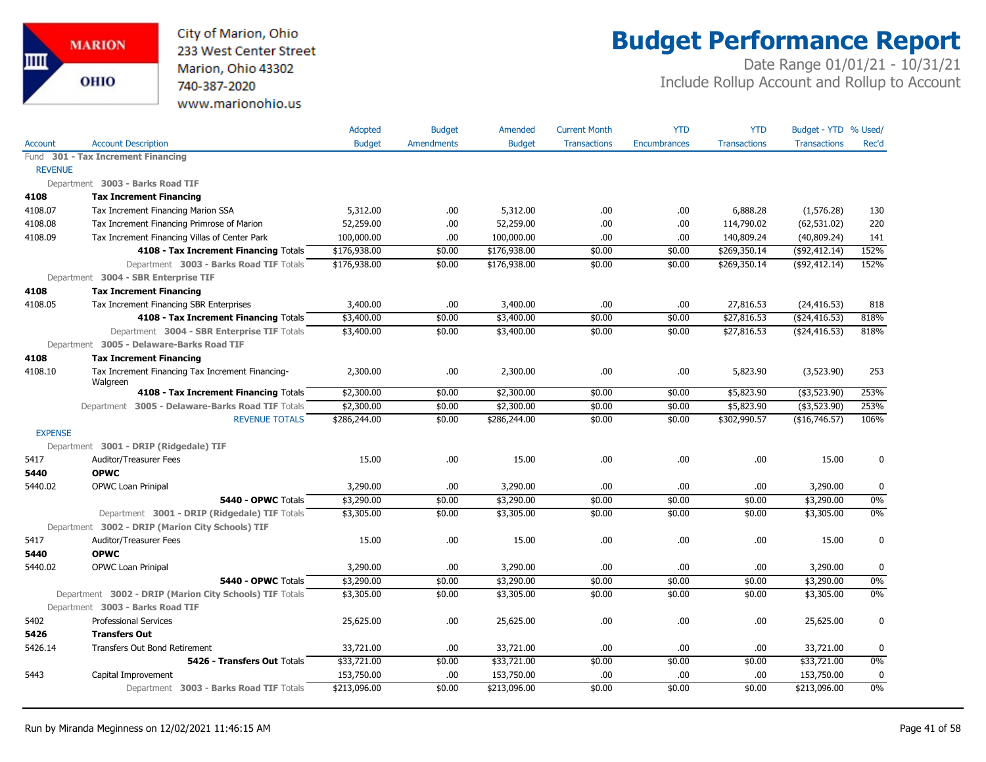

## **Budget Performance Report**

|                |                                                                                             | Adopted       | <b>Budget</b>     | Amended       | <b>Current Month</b> | <b>YTD</b>   | <b>YTD</b>          | Budget - YTD % Used/ |       |
|----------------|---------------------------------------------------------------------------------------------|---------------|-------------------|---------------|----------------------|--------------|---------------------|----------------------|-------|
| <b>Account</b> | <b>Account Description</b>                                                                  | <b>Budget</b> | <b>Amendments</b> | <b>Budget</b> | <b>Transactions</b>  | Encumbrances | <b>Transactions</b> | <b>Transactions</b>  | Rec'd |
|                | Fund 301 - Tax Increment Financing                                                          |               |                   |               |                      |              |                     |                      |       |
| <b>REVENUE</b> |                                                                                             |               |                   |               |                      |              |                     |                      |       |
|                | Department 3003 - Barks Road TIF                                                            |               |                   |               |                      |              |                     |                      |       |
| 4108           | <b>Tax Increment Financing</b>                                                              |               |                   |               |                      |              |                     |                      |       |
| 4108.07        | Tax Increment Financing Marion SSA                                                          | 5,312.00      | .00.              | 5,312.00      | .00                  | .00          | 6,888.28            | (1,576.28)           | 130   |
| 4108.08        | Tax Increment Financing Primrose of Marion                                                  | 52,259.00     | .00.              | 52,259.00     | .00.                 | .00          | 114,790.02          | (62, 531.02)         | 220   |
| 4108.09        | Tax Increment Financing Villas of Center Park                                               | 100,000.00    | .00.              | 100,000.00    | .00.                 | .00          | 140,809.24          | (40,809.24)          | 141   |
|                | 4108 - Tax Increment Financing Totals                                                       | \$176,938.00  | \$0.00            | \$176,938.00  | \$0.00               | \$0.00       | \$269,350.14        | $($ \$92,412.14)     | 152%  |
|                | Department 3003 - Barks Road TIF Totals                                                     | \$176,938.00  | \$0.00            | \$176,938.00  | \$0.00               | \$0.00       | \$269,350.14        | ( \$92, 412.14)      | 152%  |
|                | Department 3004 - SBR Enterprise TIF                                                        |               |                   |               |                      |              |                     |                      |       |
| 4108           | <b>Tax Increment Financing</b>                                                              |               |                   |               |                      |              |                     |                      |       |
| 4108.05        | Tax Increment Financing SBR Enterprises                                                     | 3,400.00      | .00               | 3,400.00      | .00                  | .00          | 27,816.53           | (24, 416.53)         | 818   |
|                | 4108 - Tax Increment Financing Totals                                                       | \$3,400.00    | \$0.00            | \$3,400.00    | \$0.00               | \$0.00       | \$27,816.53         | $($ \$24,416.53)     | 818%  |
|                | Department 3004 - SBR Enterprise TIF Totals                                                 | \$3,400.00    | \$0.00            | \$3,400.00    | \$0.00               | \$0.00       | \$27,816.53         | ( \$24,416.53)       | 818%  |
|                | Department 3005 - Delaware-Barks Road TIF                                                   |               |                   |               |                      |              |                     |                      |       |
| 4108           | <b>Tax Increment Financing</b>                                                              |               |                   |               |                      |              |                     |                      |       |
| 4108.10        | Tax Increment Financing Tax Increment Financing-<br>Walgreen                                | 2,300.00      | .00.              | 2,300.00      | .00.                 | .00          | 5,823.90            | (3,523.90)           | 253   |
|                | 4108 - Tax Increment Financing Totals                                                       | \$2,300.00    | \$0.00            | \$2,300.00    | \$0.00               | \$0.00       | \$5,823.90          | $($ \$3,523.90)      | 253%  |
|                | Department 3005 - Delaware-Barks Road TIF Totals                                            | \$2,300.00    | \$0.00            | \$2,300.00    | \$0.00               | \$0.00       | \$5,823.90          | $($ \$3,523.90)      | 253%  |
|                | <b>REVENUE TOTALS</b>                                                                       | \$286,244.00  | \$0.00            | \$286,244.00  | \$0.00               | \$0.00       | \$302,990.57        | (\$16,746.57)        | 106%  |
| <b>EXPENSE</b> |                                                                                             |               |                   |               |                      |              |                     |                      |       |
|                | Department 3001 - DRIP (Ridgedale) TIF                                                      |               |                   |               |                      |              |                     |                      |       |
| 5417           | Auditor/Treasurer Fees                                                                      | 15.00         | .00.              | 15.00         | .00.                 | .00          | .00.                | 15.00                | 0     |
| 5440           | <b>OPWC</b>                                                                                 |               |                   |               |                      |              |                     |                      |       |
| 5440.02        | OPWC Loan Prinipal                                                                          | 3,290.00      | .00.              | 3,290.00      | .00                  | .00          | .00                 | 3,290.00             | 0     |
|                | 5440 - OPWC Totals                                                                          | \$3,290.00    | \$0.00            | \$3,290.00    | \$0.00               | \$0.00       | \$0.00              | \$3,290.00           | $0\%$ |
|                | Department 3001 - DRIP (Ridgedale) TIF Totals                                               | \$3,305.00    | \$0.00            | \$3,305.00    | \$0.00               | \$0.00       | \$0.00              | \$3,305.00           | 0%    |
|                | Department 3002 - DRIP (Marion City Schools) TIF                                            |               |                   |               |                      |              |                     |                      |       |
| 5417           | Auditor/Treasurer Fees                                                                      | 15.00         | .00               | 15.00         | .00.                 | .00          | .00                 | 15.00                | 0     |
| 5440           | <b>OPWC</b>                                                                                 |               |                   |               |                      |              |                     |                      |       |
| 5440.02        | <b>OPWC Loan Prinipal</b>                                                                   | 3,290.00      | .00.              | 3,290.00      | .00.                 | .00          | .00                 | 3,290.00             | 0     |
|                | 5440 - OPWC Totals                                                                          | \$3,290.00    | \$0.00            | \$3,290.00    | \$0.00               | \$0.00       | \$0.00              | \$3,290.00           | $0\%$ |
|                | Department 3002 - DRIP (Marion City Schools) TIF Totals<br>Department 3003 - Barks Road TIF | \$3,305.00    | \$0.00            | \$3,305.00    | \$0.00               | \$0.00       | \$0.00              | \$3,305.00           | 0%    |
| 5402           | <b>Professional Services</b>                                                                | 25,625.00     | .00               | 25,625.00     | .00.                 | .00          | .00                 | 25,625.00            | 0     |
| 5426           | <b>Transfers Out</b>                                                                        |               |                   |               |                      |              |                     |                      |       |
| 5426.14        | <b>Transfers Out Bond Retirement</b>                                                        | 33,721.00     | .00.              | 33,721.00     | .00                  | .00.         | .00                 | 33,721.00            | 0     |
|                | 5426 - Transfers Out Totals                                                                 | \$33,721.00   | \$0.00            | \$33,721.00   | \$0.00               | \$0.00       | \$0.00              | \$3,721.00           | $0\%$ |
| 5443           | Capital Improvement                                                                         | 153,750.00    | .00.              | 153,750.00    | .00.                 | .00          | .00                 | 153,750.00           | 0     |
|                | Department 3003 - Barks Road TIF Totals                                                     | \$213,096.00  | \$0.00            | \$213,096.00  | \$0.00               | \$0.00       | \$0.00              | \$213,096.00         | $0\%$ |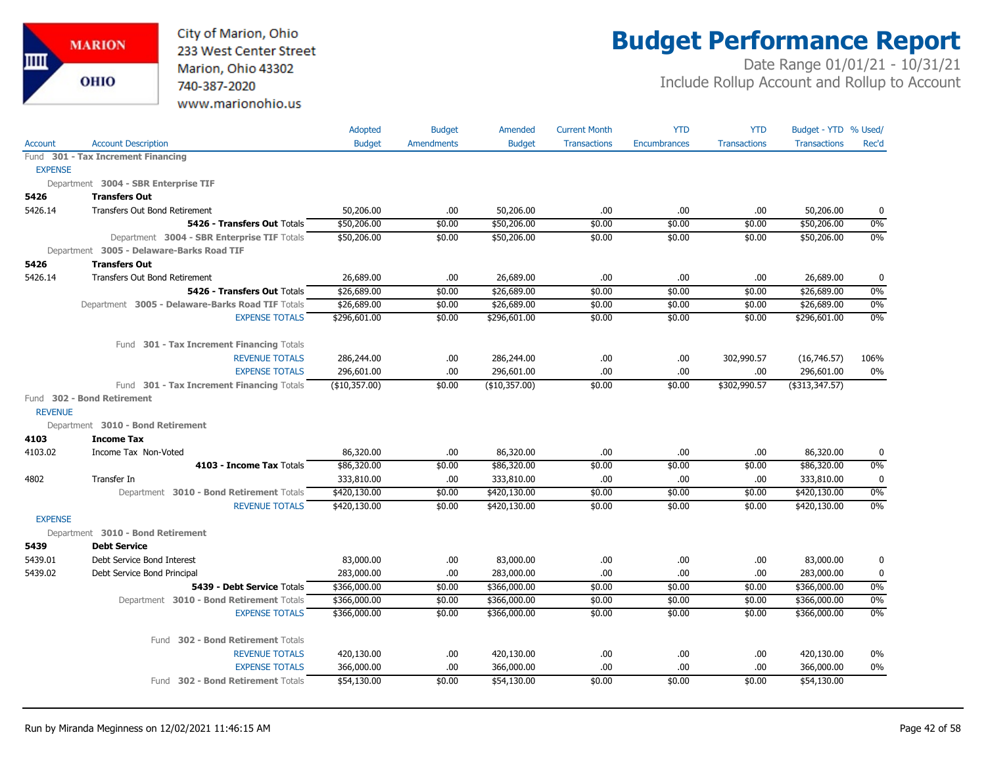City of Marion, Ohio 233 West Center Street Marion, Ohio 43302 740-387-2020 www.marionohio.us

# **Budget Performance Report**

|                |                                                  | Adopted       | <b>Budget</b>     | Amended       | <b>Current Month</b> | <b>YTD</b>   | <b>YTD</b>          | Budget - YTD % Used/ |             |
|----------------|--------------------------------------------------|---------------|-------------------|---------------|----------------------|--------------|---------------------|----------------------|-------------|
| Account        | <b>Account Description</b>                       | <b>Budget</b> | <b>Amendments</b> | <b>Budget</b> | <b>Transactions</b>  | Encumbrances | <b>Transactions</b> | <b>Transactions</b>  | Rec'd       |
|                | Fund 301 - Tax Increment Financing               |               |                   |               |                      |              |                     |                      |             |
| <b>EXPENSE</b> |                                                  |               |                   |               |                      |              |                     |                      |             |
|                | Department 3004 - SBR Enterprise TIF             |               |                   |               |                      |              |                     |                      |             |
| 5426           | <b>Transfers Out</b>                             |               |                   |               |                      |              |                     |                      |             |
| 5426.14        | <b>Transfers Out Bond Retirement</b>             | 50,206.00     | .00.              | 50,206.00     | .00                  | .00.         | .00                 | 50,206.00            | 0           |
|                | 5426 - Transfers Out Totals                      | \$50,206.00   | \$0.00            | \$50,206.00   | \$0.00               | \$0.00       | \$0.00              | \$50,206.00          | $0\%$       |
|                | Department 3004 - SBR Enterprise TIF Totals      | \$50,206.00   | \$0.00            | \$50,206.00   | \$0.00               | \$0.00       | \$0.00              | \$50,206.00          | $0\%$       |
|                | Department 3005 - Delaware-Barks Road TIF        |               |                   |               |                      |              |                     |                      |             |
| 5426           | <b>Transfers Out</b>                             |               |                   |               |                      |              |                     |                      |             |
| 5426.14        | Transfers Out Bond Retirement                    | 26,689.00     | .00.              | 26,689.00     | .00                  | .00.         | .00                 | 26,689.00            | 0           |
|                | 5426 - Transfers Out Totals                      | \$26,689.00   | \$0.00            | \$26,689.00   | \$0.00               | \$0.00       | \$0.00              | \$26,689.00          | 0%          |
|                | Department 3005 - Delaware-Barks Road TIF Totals | \$26,689.00   | \$0.00            | \$26,689.00   | \$0.00               | \$0.00       | \$0.00              | \$26,689.00          | $0\%$       |
|                | <b>EXPENSE TOTALS</b>                            | \$296,601.00  | \$0.00            | \$296,601.00  | \$0.00               | \$0.00       | \$0.00              | \$296,601.00         | 0%          |
|                | Fund 301 - Tax Increment Financing Totals        |               |                   |               |                      |              |                     |                      |             |
|                | <b>REVENUE TOTALS</b>                            | 286,244.00    | .00.              | 286,244.00    | .00                  | .00          | 302,990.57          | (16,746.57)          | 106%        |
|                | <b>EXPENSE TOTALS</b>                            | 296,601.00    | .00               | 296,601.00    | .00                  | .00          | .00                 | 296,601.00           | $0\%$       |
|                | Fund 301 - Tax Increment Financing Totals        | (\$10,357.00) | \$0.00            | (\$10,357.00) | \$0.00               | \$0.00       | \$302,990.57        | $($ \$313,347.57)    |             |
| <b>REVENUE</b> | Fund 302 - Bond Retirement                       |               |                   |               |                      |              |                     |                      |             |
|                | Department 3010 - Bond Retirement                |               |                   |               |                      |              |                     |                      |             |
| 4103           | <b>Income Tax</b>                                |               |                   |               |                      |              |                     |                      |             |
| 4103.02        | Income Tax Non-Voted                             | 86,320.00     | .00.              | 86,320.00     | .00                  | .00          | .00                 | 86,320.00            | 0           |
|                | 4103 - Income Tax Totals                         | \$86,320.00   | \$0.00            | \$86,320.00   | \$0.00               | \$0.00       | \$0.00              | \$86,320.00          | $0\%$       |
| 4802           | Transfer In                                      | 333,810.00    | .00               | 333,810.00    | .00.                 | .00          | .00                 | 333,810.00           | 0           |
|                | Department 3010 - Bond Retirement Totals         | \$420,130.00  | \$0.00            | \$420,130.00  | \$0.00               | \$0.00       | \$0.00              | \$420,130.00         | $0\%$       |
|                | <b>REVENUE TOTALS</b>                            | \$420,130.00  | \$0.00            | \$420,130.00  | \$0.00               | \$0.00       | \$0.00              | \$420,130.00         | 0%          |
| <b>EXPENSE</b> |                                                  |               |                   |               |                      |              |                     |                      |             |
|                | Department 3010 - Bond Retirement                |               |                   |               |                      |              |                     |                      |             |
| 5439           | <b>Debt Service</b>                              |               |                   |               |                      |              |                     |                      |             |
| 5439.01        | Debt Service Bond Interest                       | 83,000.00     | .00.              | 83,000.00     | .00                  | .00.         | .00                 | 83,000.00            | 0           |
| 5439.02        | Debt Service Bond Principal                      | 283,000.00    | .00.              | 283,000.00    | .00                  | .00          | .00                 | 283,000.00           | $\mathbf 0$ |
|                | 5439 - Debt Service Totals                       | \$366,000.00  | \$0.00            | \$366,000.00  | \$0.00               | \$0.00       | \$0.00              | \$366,000.00         | $0\%$       |
|                | Department 3010 - Bond Retirement Totals         | \$366,000.00  | \$0.00            | \$366,000.00  | \$0.00               | \$0.00       | \$0.00              | \$366,000.00         | $0\%$       |
|                | <b>EXPENSE TOTALS</b>                            | \$366,000.00  | \$0.00            | \$366,000.00  | \$0.00               | \$0.00       | \$0.00              | \$366,000.00         | $0\%$       |
|                | 302 - Bond Retirement Totals<br>Fund             |               |                   |               |                      |              |                     |                      |             |
|                | <b>REVENUE TOTALS</b>                            | 420,130.00    | .00.              | 420,130.00    | .00                  | .00.         | .00                 | 420,130.00           | 0%          |
|                | <b>EXPENSE TOTALS</b>                            | 366,000.00    | .00               | 366,000.00    | .00                  | .00          | .00                 | 366,000.00           | 0%          |
|                | Fund 302 - Bond Retirement Totals                | \$54,130.00   | \$0.00            | \$54,130.00   | \$0.00               | \$0.00       | \$0.00              | \$54,130.00          |             |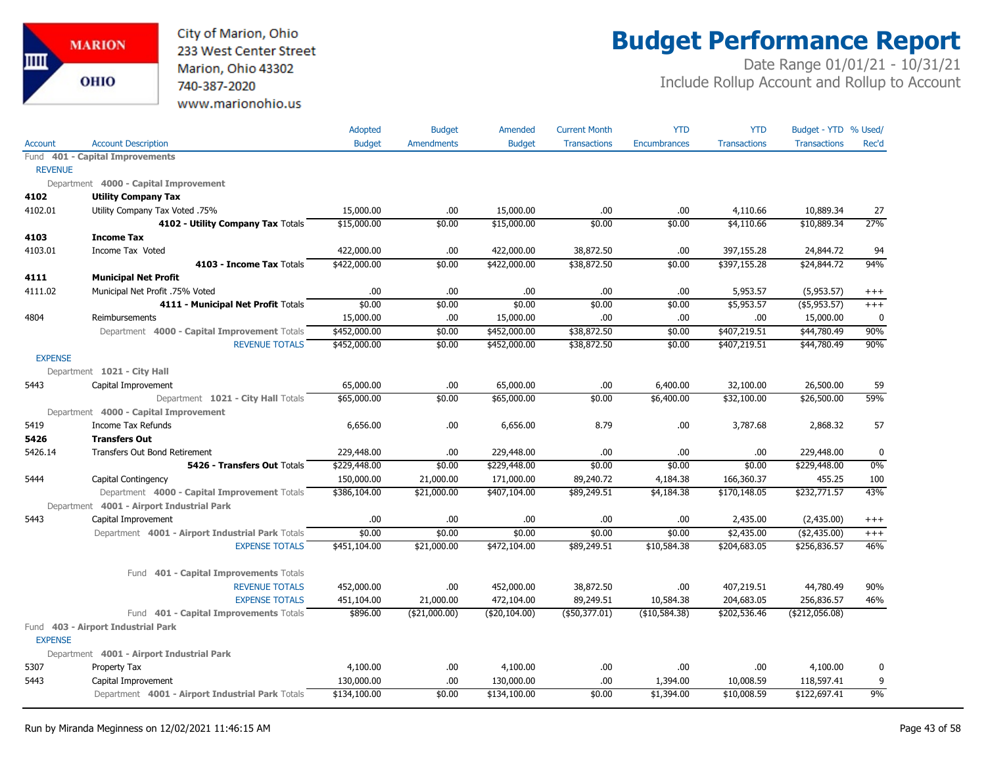

## **Budget Performance Report**

|                |                                                  | Adopted       | <b>Budget</b>     | Amended       | <b>Current Month</b> | <b>YTD</b>          | <b>YTD</b>          | Budget - YTD % Used/ |             |
|----------------|--------------------------------------------------|---------------|-------------------|---------------|----------------------|---------------------|---------------------|----------------------|-------------|
| Account        | <b>Account Description</b>                       | <b>Budget</b> | <b>Amendments</b> | <b>Budget</b> | <b>Transactions</b>  | <b>Encumbrances</b> | <b>Transactions</b> | <b>Transactions</b>  | Rec'd       |
|                | Fund 401 - Capital Improvements                  |               |                   |               |                      |                     |                     |                      |             |
| <b>REVENUE</b> |                                                  |               |                   |               |                      |                     |                     |                      |             |
|                | Department 4000 - Capital Improvement            |               |                   |               |                      |                     |                     |                      |             |
| 4102           | <b>Utility Company Tax</b>                       |               |                   |               |                      |                     |                     |                      |             |
| 4102.01        | Utility Company Tax Voted .75%                   | 15,000.00     | .00               | 15,000.00     | .00.                 | .00                 | 4,110.66            | 10,889.34            | 27          |
|                | 4102 - Utility Company Tax Totals                | \$15,000.00   | \$0.00            | \$15,000.00   | \$0.00               | \$0.00              | \$4,110.66          | \$10,889.34          | 27%         |
| 4103           | <b>Income Tax</b>                                |               |                   |               |                      |                     |                     |                      |             |
| 4103.01        | Income Tax Voted                                 | 422,000.00    | .00.              | 422,000.00    | 38,872.50            | .00                 | 397,155.28          | 24,844.72            | 94          |
|                | 4103 - Income Tax Totals                         | \$422,000.00  | \$0.00            | \$422,000.00  | \$38,872.50          | \$0.00              | \$397,155.28        | \$24,844.72          | 94%         |
| 4111           | <b>Municipal Net Profit</b>                      |               |                   |               |                      |                     |                     |                      |             |
| 4111.02        | Municipal Net Profit .75% Voted                  | .00           | .00.              | .00           | .00.                 | .00                 | 5,953.57            | (5,953.57)           | $^{+++}$    |
|                | 4111 - Municipal Net Profit Totals               | \$0.00        | \$0.00            | \$0.00        | \$0.00               | \$0.00              | \$5,953.57          | ( \$5,953.57)        | $^{+++}$    |
| 4804           | Reimbursements                                   | 15,000.00     | .00.              | 15,000.00     | .00.                 | .00                 | .00.                | 15,000.00            | 0           |
|                | Department 4000 - Capital Improvement Totals     | \$452,000.00  | \$0.00            | \$452,000.00  | \$38,872.50          | \$0.00              | \$407,219.51        | \$44,780.49          | 90%         |
|                | <b>REVENUE TOTALS</b>                            | \$452,000.00  | \$0.00            | \$452,000.00  | \$38,872.50          | \$0.00              | \$407,219.51        | \$44,780.49          | 90%         |
| <b>EXPENSE</b> |                                                  |               |                   |               |                      |                     |                     |                      |             |
|                | Department 1021 - City Hall                      |               |                   |               |                      |                     |                     |                      |             |
| 5443           | Capital Improvement                              | 65,000.00     | .00.              | 65,000.00     | .00.                 | 6,400.00            | 32,100.00           | 26,500.00            | 59          |
|                | Department 1021 - City Hall Totals               | \$65,000.00   | \$0.00            | \$65,000.00   | \$0.00               | \$6,400.00          | \$32,100.00         | \$26,500.00          | 59%         |
|                | Department 4000 - Capital Improvement            |               |                   |               |                      |                     |                     |                      |             |
| 5419           | Income Tax Refunds                               | 6,656.00      | .00               | 6,656.00      | 8.79                 | .00                 | 3,787.68            | 2,868.32             | 57          |
| 5426           | <b>Transfers Out</b>                             |               |                   |               |                      |                     |                     |                      |             |
| 5426.14        | Transfers Out Bond Retirement                    | 229,448.00    | .00.              | 229,448.00    | .00                  | .00                 | .00                 | 229,448.00           | $\mathbf 0$ |
|                | 5426 - Transfers Out Totals                      | \$229,448.00  | \$0.00            | \$229,448.00  | \$0.00               | \$0.00              | \$0.00              | \$229,448.00         | 0%          |
| 5444           | Capital Contingency                              | 150,000.00    | 21,000.00         | 171,000.00    | 89,240.72            | 4,184.38            | 166,360.37          | 455.25               | 100         |
|                | Department 4000 - Capital Improvement Totals     | \$386,104.00  | \$21,000.00       | \$407,104.00  | \$89,249.51          | \$4,184.38          | \$170,148.05        | \$232,771.57         | 43%         |
|                | Department 4001 - Airport Industrial Park        |               |                   |               |                      |                     |                     |                      |             |
| 5443           | Capital Improvement                              | .00           | .00.              | .00           | .00.                 | .00                 | 2,435.00            | (2,435.00)           | $^{+++}$    |
|                | Department 4001 - Airport Industrial Park Totals | \$0.00        | \$0.00            | \$0.00        | \$0.00               | \$0.00              | \$2,435.00          | ( \$2,435.00)        | $^{+++}$    |
|                | <b>EXPENSE TOTALS</b>                            | \$451,104.00  | \$21,000.00       | \$472,104.00  | \$89,249.51          | \$10,584.38         | \$204,683.05        | \$256,836.57         | 46%         |
|                | 401 - Capital Improvements Totals<br>Fund        |               |                   |               |                      |                     |                     |                      |             |
|                | <b>REVENUE TOTALS</b>                            | 452,000.00    | .00.              | 452,000.00    | 38,872.50            | .00                 | 407,219.51          | 44,780.49            | 90%         |
|                | <b>EXPENSE TOTALS</b>                            | 451,104.00    | 21,000.00         | 472,104.00    | 89,249.51            | 10,584.38           | 204,683.05          | 256,836.57           | 46%         |
|                | Fund 401 - Capital Improvements Totals           | \$896.00      | ( \$21,000.00)    | (\$20,104.00) | (\$50,377.01)        | (\$10,584.38)       | \$202,536.46        | ( \$212,056.08)      |             |
|                | Fund 403 - Airport Industrial Park               |               |                   |               |                      |                     |                     |                      |             |
| <b>EXPENSE</b> |                                                  |               |                   |               |                      |                     |                     |                      |             |
|                | Department 4001 - Airport Industrial Park        |               |                   |               |                      |                     |                     |                      |             |
| 5307           | Property Tax                                     | 4,100.00      | .00.              | 4,100.00      | .00.                 | .00                 | .00.                | 4,100.00             | 0           |
| 5443           | Capital Improvement                              | 130,000.00    | .00               | 130,000.00    | .00.                 | 1,394.00            | 10,008.59           | 118,597.41           | 9           |
|                | Department 4001 - Airport Industrial Park Totals | \$134,100.00  | \$0.00            | \$134,100.00  | \$0.00               | \$1,394.00          | \$10,008.59         | \$122,697.41         | 9%          |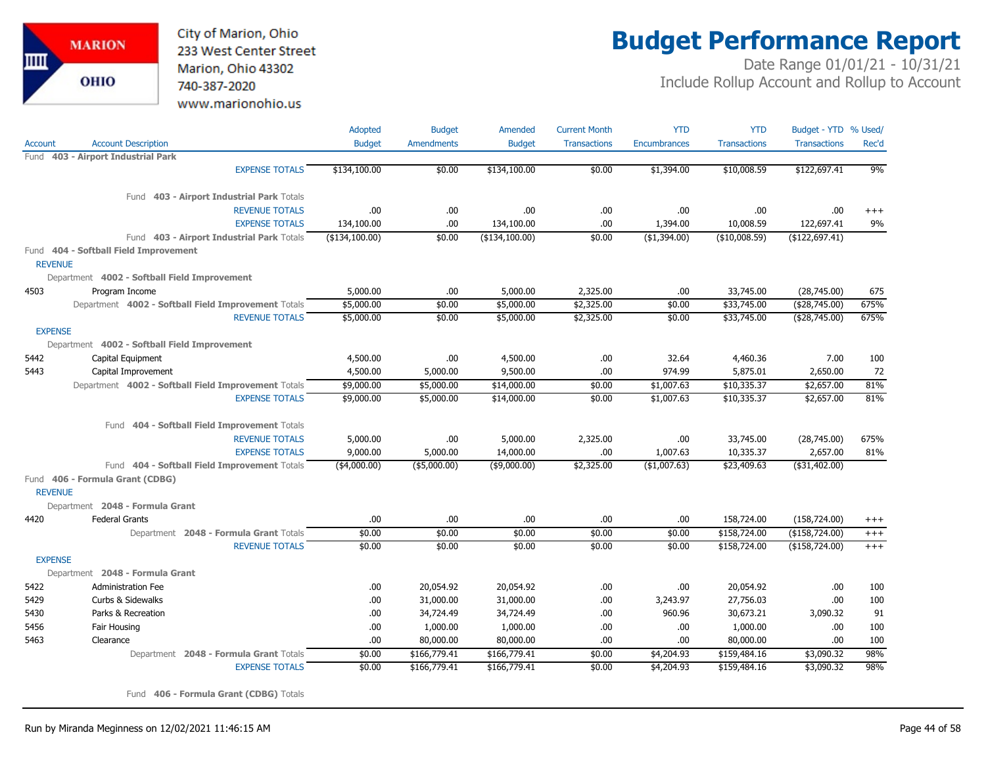

## **Budget Performance Report**

Date Range 01/01/21 - 10/31/21 Include Rollup Account and Rollup to Account

|                |                                                     | Adopted        | <b>Budget</b>     | Amended          | <b>Current Month</b> | <b>YTD</b>          | <b>YTD</b>          | Budget - YTD % Used/ |          |
|----------------|-----------------------------------------------------|----------------|-------------------|------------------|----------------------|---------------------|---------------------|----------------------|----------|
| Account        | <b>Account Description</b>                          | <b>Budget</b>  | <b>Amendments</b> | <b>Budget</b>    | <b>Transactions</b>  | <b>Encumbrances</b> | <b>Transactions</b> | <b>Transactions</b>  | Rec'd    |
| Fund           | 403 - Airport Industrial Park                       |                |                   |                  |                      |                     |                     |                      |          |
|                | <b>EXPENSE TOTALS</b>                               | \$134,100.00   | \$0.00            | \$134,100.00     | \$0.00               | \$1,394.00          | \$10,008.59         | \$122,697.41         | 9%       |
|                | Fund 403 - Airport Industrial Park Totals           |                |                   |                  |                      |                     |                     |                      |          |
|                | <b>REVENUE TOTALS</b>                               | .00            | .00.              | .00.             | .00                  | .00                 | .00                 | .00                  | $^{+++}$ |
|                | <b>EXPENSE TOTALS</b>                               | 134,100.00     | .00               | 134,100.00       | .00                  | 1,394.00            | 10,008.59           | 122,697.41           | 9%       |
|                | Fund 403 - Airport Industrial Park Totals           | (\$134,100.00) | \$0.00            | ( \$134, 100.00) | \$0.00               | ( \$1,394.00)       | ( \$10,008.59)      | (\$122,697.41)       |          |
| <b>REVENUE</b> | Fund 404 - Softball Field Improvement               |                |                   |                  |                      |                     |                     |                      |          |
|                | Department 4002 - Softball Field Improvement        |                |                   |                  |                      |                     |                     |                      |          |
| 4503           | Program Income                                      | 5,000.00       | .00               | 5,000.00         | 2,325.00             | .00                 | 33,745.00           | (28,745.00)          | 675      |
|                | Department 4002 - Softball Field Improvement Totals | \$5,000.00     | \$0.00            | \$5,000.00       | \$2,325.00           | \$0.00              | \$33,745.00         | ( \$28,745.00)       | 675%     |
|                | <b>REVENUE TOTALS</b>                               | \$5,000.00     | \$0.00            | \$5,000.00       | \$2,325.00           | \$0.00              | \$33,745.00         | ( \$28,745.00)       | 675%     |
| <b>EXPENSE</b> |                                                     |                |                   |                  |                      |                     |                     |                      |          |
|                | Department 4002 - Softball Field Improvement        |                |                   |                  |                      |                     |                     |                      |          |
| 5442           | Capital Equipment                                   | 4,500.00       | .00.              | 4,500.00         | .00                  | 32.64               | 4,460.36            | 7.00                 | 100      |
| 5443           | Capital Improvement                                 | 4,500.00       | 5,000.00          | 9,500.00         | .00                  | 974.99              | 5,875.01            | 2,650.00             | 72       |
|                | Department 4002 - Softball Field Improvement Totals | \$9,000.00     | \$5,000.00        | \$14,000.00      | \$0.00               | \$1,007.63          | \$10,335.37         | \$2,657.00           | 81%      |
|                | <b>EXPENSE TOTALS</b>                               | \$9,000.00     | \$5,000.00        | \$14,000.00      | \$0.00               | \$1,007.63          | \$10,335.37         | \$2,657.00           | 81%      |
|                | Fund 404 - Softball Field Improvement Totals        |                |                   |                  |                      |                     |                     |                      |          |
|                | <b>REVENUE TOTALS</b>                               | 5,000.00       | .00.              | 5,000.00         | 2,325.00             | .00                 | 33,745.00           | (28,745.00)          | 675%     |
|                | <b>EXPENSE TOTALS</b>                               | 9,000.00       | 5,000.00          | 14,000.00        | .00                  | 1,007.63            | 10,335.37           | 2,657.00             | 81%      |
|                | Fund 404 - Softball Field Improvement Totals        | $(*4,000.00)$  | $($ \$5,000.00)   | $($ \$9,000.00)  | \$2,325.00           | ( \$1,007.63)       | \$23,409.63         | ( \$31,402.00)       |          |
| <b>REVENUE</b> | Fund 406 - Formula Grant (CDBG)                     |                |                   |                  |                      |                     |                     |                      |          |
|                | Department 2048 - Formula Grant                     |                |                   |                  |                      |                     |                     |                      |          |
| 4420           | <b>Federal Grants</b>                               | .00            | .00               | .00.             | .00                  | .00                 | 158,724.00          | (158, 724.00)        | $^{+++}$ |
|                | Department 2048 - Formula Grant Totals              | \$0.00         | \$0.00            | \$0.00           | \$0.00               | \$0.00              | \$158,724.00        | (\$158,724.00)       | $^{+++}$ |
|                | <b>REVENUE TOTALS</b>                               | \$0.00         | \$0.00            | \$0.00           | \$0.00               | \$0.00              | \$158,724.00        | (\$158,724.00)       | $+++$    |
| <b>EXPENSE</b> |                                                     |                |                   |                  |                      |                     |                     |                      |          |
|                | Department 2048 - Formula Grant                     |                |                   |                  |                      |                     |                     |                      |          |
| 5422           | <b>Administration Fee</b>                           | .00.           | 20,054.92         | 20,054.92        | .00                  | .00                 | 20,054.92           | .00                  | 100      |
| 5429           | Curbs & Sidewalks                                   | .00.           | 31,000.00         | 31,000.00        | .00                  | 3,243.97            | 27,756.03           | .00                  | 100      |
| 5430           | Parks & Recreation                                  | .00            | 34,724.49         | 34,724.49        | .00                  | 960.96              | 30,673.21           | 3,090.32             | 91       |
| 5456           | Fair Housing                                        | .00.           | 1,000.00          | 1,000.00         | .00                  | .00                 | 1,000.00            | .00                  | 100      |
| 5463           | Clearance                                           | .00            | 80,000.00         | 80,000.00        | .00                  | .00                 | 80,000.00           | .00                  | 100      |
|                | Department 2048 - Formula Grant Totals              | \$0.00         | \$166,779.41      | \$166,779.41     | \$0.00               | \$4,204.93          | \$159,484.16        | \$3,090.32           | 98%      |
|                | <b>EXPENSE TOTALS</b>                               | \$0.00         | \$166,779.41      | \$166,779.41     | \$0.00               | \$4,204.93          | \$159,484.16        | \$3,090.32           | 98%      |

Fund **406 - Formula Grant (CDBG)** Totals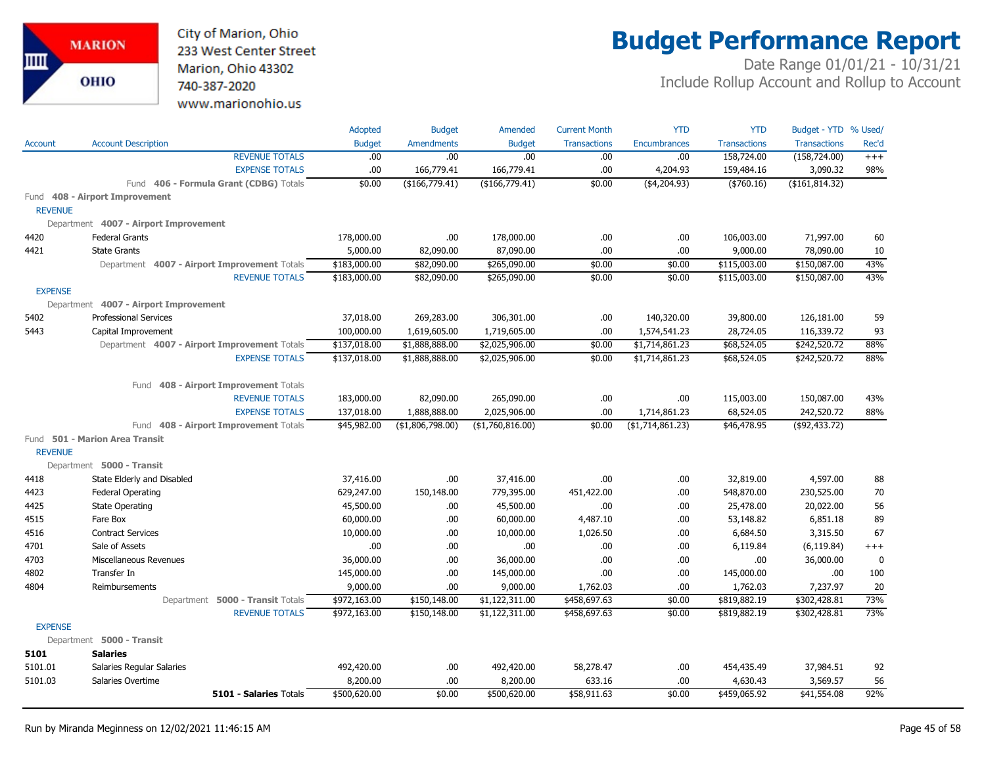City of Marion, Ohio 233 West Center Street Marion, Ohio 43302 740-387-2020 www.marionohio.us

# **Budget Performance Report**

|                |                                              | Adopted                  | <b>Budget</b>                | Amended                          | <b>Current Month</b>         | <b>YTD</b>          | <b>YTD</b>             | Budget - YTD % Used/         |           |
|----------------|----------------------------------------------|--------------------------|------------------------------|----------------------------------|------------------------------|---------------------|------------------------|------------------------------|-----------|
| <b>Account</b> | <b>Account Description</b>                   | <b>Budget</b>            | <b>Amendments</b>            | <b>Budget</b>                    | <b>Transactions</b>          | <b>Encumbrances</b> | <b>Transactions</b>    | <b>Transactions</b>          | Rec'd     |
|                | <b>REVENUE TOTALS</b>                        | .00                      | .00.                         | .00                              | .00                          | .00                 | 158,724.00             | (158, 724.00)                | $+++$     |
|                | <b>EXPENSE TOTALS</b>                        | .00                      | 166,779.41                   | 166,779.41                       | .00                          | 4,204.93            | 159,484.16             | 3,090.32                     | 98%       |
|                | Fund 406 - Formula Grant (CDBG) Totals       | \$0.00                   | (\$166,779.41)               | (\$166,779.41)                   | \$0.00                       | ( \$4, 204.93)      | ( \$760.16)            | (\$161, 814.32)              |           |
|                | Fund 408 - Airport Improvement               |                          |                              |                                  |                              |                     |                        |                              |           |
| <b>REVENUE</b> |                                              |                          |                              |                                  |                              |                     |                        |                              |           |
|                | Department 4007 - Airport Improvement        |                          |                              |                                  |                              |                     |                        |                              |           |
| 4420           | <b>Federal Grants</b>                        | 178,000.00               | .00.                         | 178,000.00                       | .00                          | .00                 | 106,003.00             | 71,997.00                    | 60        |
| 4421           | <b>State Grants</b>                          | 5,000.00                 | 82,090.00                    | 87,090.00                        | .00                          | .00                 | 9,000.00               | 78,090.00                    | 10        |
|                | Department 4007 - Airport Improvement Totals | \$183,000.00             | \$82,090.00                  | \$265,090.00                     | \$0.00                       | \$0.00              | \$115,003.00           | \$150,087.00                 | 43%       |
|                | <b>REVENUE TOTALS</b>                        | \$183,000.00             | \$82,090.00                  | \$265,090.00                     | \$0.00                       | \$0.00              | \$115,003.00           | \$150,087.00                 | 43%       |
| <b>EXPENSE</b> |                                              |                          |                              |                                  |                              |                     |                        |                              |           |
|                | Department 4007 - Airport Improvement        |                          |                              |                                  |                              |                     |                        |                              |           |
| 5402           | <b>Professional Services</b>                 | 37,018.00                | 269,283.00                   | 306,301.00                       | .00.                         | 140,320.00          | 39,800.00              | 126,181.00                   | 59        |
| 5443           | Capital Improvement                          | 100,000.00               | 1,619,605.00                 | 1,719,605.00                     | .00                          | 1,574,541.23        | 28,724.05              | 116,339.72                   | 93        |
|                | Department 4007 - Airport Improvement Totals | \$137,018.00             | \$1,888,888.00               | \$2,025,906.00                   | \$0.00                       | \$1,714,861.23      | \$68,524.05            | \$242,520.72                 | 88%       |
|                | <b>EXPENSE TOTALS</b>                        | \$137,018.00             | \$1,888,888.00               | \$2,025,906.00                   | \$0.00                       | \$1,714,861.23      | \$68,524.05            | \$242,520.72                 | 88%       |
|                |                                              |                          |                              |                                  |                              |                     |                        |                              |           |
|                | Fund 408 - Airport Improvement Totals        |                          |                              |                                  |                              |                     |                        |                              |           |
|                | <b>REVENUE TOTALS</b>                        | 183,000.00               | 82,090.00                    | 265,090.00                       | .00.                         | .00                 | 115,003.00             | 150,087.00                   | 43%       |
|                | <b>EXPENSE TOTALS</b>                        | 137,018.00               | 1,888,888.00                 | 2,025,906.00                     | .00                          | 1,714,861.23        | 68,524.05              | 242,520.72                   | 88%       |
|                | Fund 408 - Airport Improvement Totals        | \$45,982.00              | (\$1,806,798.00)             | ( \$1,760,816.00)                | \$0.00                       | ( \$1,714,861.23)   | \$46,478.95            | ( \$92, 433.72)              |           |
|                | Fund 501 - Marion Area Transit               |                          |                              |                                  |                              |                     |                        |                              |           |
| <b>REVENUE</b> |                                              |                          |                              |                                  |                              |                     |                        |                              |           |
|                | Department 5000 - Transit                    |                          |                              |                                  |                              |                     |                        |                              |           |
| 4418           | State Elderly and Disabled                   | 37,416.00                | .00.                         | 37,416.00                        | .00                          | .00                 | 32,819.00              | 4,597.00                     | 88        |
| 4423           | Federal Operating                            | 629,247.00               | 150,148.00                   | 779,395.00                       | 451,422.00                   | .00                 | 548,870.00             | 230,525.00                   | 70        |
| 4425           | State Operating                              | 45,500.00                | .00                          | 45,500.00                        | .00                          | .00                 | 25,478.00              | 20,022.00                    | 56        |
| 4515           | Fare Box                                     | 60,000.00                | .00.                         | 60,000.00                        | 4,487.10                     | .00                 | 53,148.82              | 6,851.18                     | 89        |
| 4516           | <b>Contract Services</b>                     | 10,000.00                | .00.                         | 10,000.00                        | 1,026.50                     | .00                 | 6,684.50               | 3,315.50                     | 67        |
| 4701           | Sale of Assets                               | .00                      | .00.                         | .00.                             | .00                          | .00                 | 6,119.84               | (6, 119.84)                  | $^{+++}$  |
| 4703           | Miscellaneous Revenues                       | 36,000.00                | .00.                         | 36,000.00                        | .00                          | .00                 | .00.                   | 36,000.00                    | 0         |
| 4802<br>4804   | Transfer In<br>Reimbursements                | 145,000.00               | .00.<br>00.                  | 145,000.00<br>9,000.00           | .00<br>1,762.03              | .00<br>.00          | 145,000.00<br>1,762.03 | .00.                         | 100<br>20 |
|                | Department 5000 - Transit Totals             | 9,000.00<br>\$972,163.00 |                              |                                  |                              | \$0.00              | \$819,882.19           | 7,237.97                     | 73%       |
|                | <b>REVENUE TOTALS</b>                        | \$972,163.00             | \$150,148.00<br>\$150,148.00 | \$1,122,311.00<br>\$1,122,311.00 | \$458,697.63<br>\$458,697.63 | \$0.00              | \$819,882.19           | \$302,428.81<br>\$302,428.81 | 73%       |
| <b>EXPENSE</b> |                                              |                          |                              |                                  |                              |                     |                        |                              |           |
|                | Department 5000 - Transit                    |                          |                              |                                  |                              |                     |                        |                              |           |
| 5101           | <b>Salaries</b>                              |                          |                              |                                  |                              |                     |                        |                              |           |
| 5101.01        | <b>Salaries Regular Salaries</b>             | 492,420.00               | .00                          | 492,420.00                       | 58,278.47                    | .00                 | 454,435.49             | 37,984.51                    | 92        |
| 5101.03        | Salaries Overtime                            | 8,200.00                 | .00.                         | 8,200.00                         | 633.16                       | .00                 | 4,630.43               | 3,569.57                     | 56        |
|                | <b>5101 - Salaries Totals</b>                | \$500,620.00             | \$0.00                       | \$500,620.00                     | \$58,911.63                  | \$0.00              | \$459,065.92           | \$41,554.08                  | 92%       |
|                |                                              |                          |                              |                                  |                              |                     |                        |                              |           |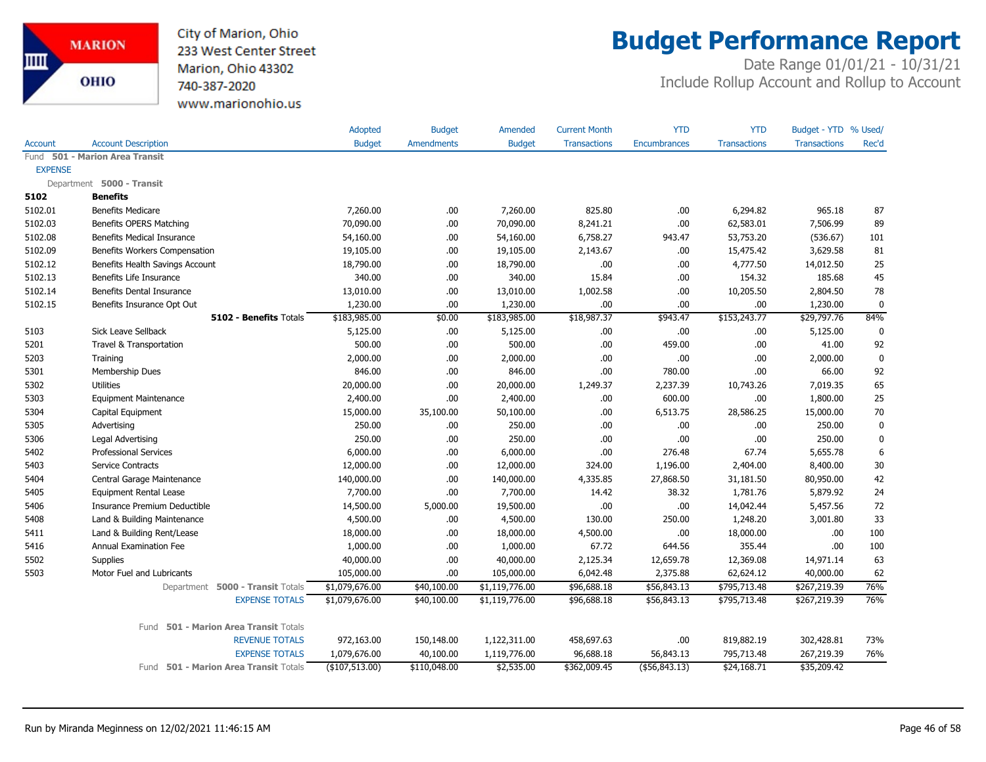

### **Budget Performance Report**

|                        | <b>Account Description</b>               | Adopted<br><b>Budget</b> | <b>Budget</b><br><b>Amendments</b> | Amended        | <b>Current Month</b><br><b>Transactions</b> | <b>YTD</b>    | <b>YTD</b><br><b>Transactions</b> | Budget - YTD % Used/<br><b>Transactions</b> | Rec'd       |
|------------------------|------------------------------------------|--------------------------|------------------------------------|----------------|---------------------------------------------|---------------|-----------------------------------|---------------------------------------------|-------------|
| <b>Account</b><br>Fund | <b>501 - Marion Area Transit</b>         |                          |                                    | <b>Budget</b>  |                                             | Encumbrances  |                                   |                                             |             |
| <b>EXPENSE</b>         |                                          |                          |                                    |                |                                             |               |                                   |                                             |             |
|                        | Department 5000 - Transit                |                          |                                    |                |                                             |               |                                   |                                             |             |
| 5102                   | <b>Benefits</b>                          |                          |                                    |                |                                             |               |                                   |                                             |             |
| 5102.01                | <b>Benefits Medicare</b>                 | 7,260.00                 | .00                                | 7,260.00       | 825.80                                      | .00           | 6,294.82                          | 965.18                                      | 87          |
| 5102.03                | Benefits OPERS Matching                  | 70,090.00                | .00                                | 70,090.00      | 8,241.21                                    | .00           | 62,583.01                         | 7,506.99                                    | 89          |
| 5102.08                | <b>Benefits Medical Insurance</b>        | 54,160.00                | .00                                | 54,160.00      | 6,758.27                                    | 943.47        | 53,753.20                         | (536.67)                                    | 101         |
| 5102.09                | Benefits Workers Compensation            | 19,105.00                | .00                                | 19,105.00      | 2,143.67                                    | .00           | 15,475.42                         | 3,629.58                                    | 81          |
| 5102.12                | Benefits Health Savings Account          | 18,790.00                | .00                                | 18,790.00      | .00                                         | .00           | 4,777.50                          | 14,012.50                                   | 25          |
| 5102.13                | Benefits Life Insurance                  | 340.00                   | .00.                               | 340.00         | 15.84                                       | .00           | 154.32                            | 185.68                                      | 45          |
| 5102.14                | Benefits Dental Insurance                | 13,010.00                | .00                                | 13,010.00      | 1,002.58                                    | .00           | 10,205.50                         | 2,804.50                                    | 78          |
| 5102.15                | Benefits Insurance Opt Out               | 1,230.00                 | .00                                | 1,230.00       | .00                                         | .00           | .00                               | 1,230.00                                    | 0           |
|                        | 5102 - Benefits Totals                   | \$183,985.00             | \$0.00                             | \$183,985.00   | \$18,987.37                                 | \$943.47      | \$153,243.77                      | \$29,797.76                                 | 84%         |
| 5103                   | Sick Leave Sellback                      | 5,125.00                 | .00                                | 5,125.00       | .00.                                        | .00           | .00                               | 5,125.00                                    | 0           |
| 5201                   | Travel & Transportation                  | 500.00                   | .00.                               | 500.00         | .00.                                        | 459.00        | .00.                              | 41.00                                       | 92          |
| 5203                   | Training                                 | 2,000.00                 | .00                                | 2,000.00       | .00.                                        | .00           | .00                               | 2,000.00                                    | $\mathbf 0$ |
| 5301                   | Membership Dues                          | 846.00                   | .00                                | 846.00         | .00                                         | 780.00        | .00                               | 66.00                                       | 92          |
| 5302                   | <b>Utilities</b>                         | 20,000.00                | .00                                | 20,000.00      | 1,249.37                                    | 2,237.39      | 10,743.26                         | 7,019.35                                    | 65          |
| 5303                   | <b>Equipment Maintenance</b>             | 2,400.00                 | .00                                | 2,400.00       | .00                                         | 600.00        | .00                               | 1,800.00                                    | 25          |
| 5304                   | Capital Equipment                        | 15,000.00                | 35,100.00                          | 50,100.00      | .00.                                        | 6,513.75      | 28,586.25                         | 15,000.00                                   | 70          |
| 5305                   | Advertising                              | 250.00                   | .00                                | 250.00         | .00.                                        | .00           | .00                               | 250.00                                      | $\mathbf 0$ |
| 5306                   | Legal Advertising                        | 250.00                   | .00                                | 250.00         | .00                                         | .00           | .00                               | 250.00                                      | $\mathbf 0$ |
| 5402                   | <b>Professional Services</b>             | 6,000.00                 | .00                                | 6,000.00       | .00                                         | 276.48        | 67.74                             | 5,655.78                                    | 6           |
| 5403                   | Service Contracts                        | 12,000.00                | .00                                | 12,000.00      | 324.00                                      | 1,196.00      | 2,404.00                          | 8,400.00                                    | 30          |
| 5404                   | Central Garage Maintenance               | 140,000.00               | .00                                | 140,000.00     | 4,335.85                                    | 27,868.50     | 31,181.50                         | 80,950.00                                   | 42          |
| 5405                   | <b>Equipment Rental Lease</b>            | 7,700.00                 | .00                                | 7,700.00       | 14.42                                       | 38.32         | 1,781.76                          | 5,879.92                                    | 24          |
| 5406                   | Insurance Premium Deductible             | 14,500.00                | 5,000.00                           | 19,500.00      | .00.                                        | .00           | 14,042.44                         | 5,457.56                                    | 72          |
| 5408                   | Land & Building Maintenance              | 4,500.00                 | .00                                | 4,500.00       | 130.00                                      | 250.00        | 1,248.20                          | 3,001.80                                    | 33          |
| 5411                   | Land & Building Rent/Lease               | 18,000.00                | .00                                | 18,000.00      | 4,500.00                                    | .00           | 18,000.00                         | .00                                         | 100         |
| 5416                   | Annual Examination Fee                   | 1,000.00                 | .00                                | 1,000.00       | 67.72                                       | 644.56        | 355.44                            | .00                                         | 100         |
| 5502                   | Supplies                                 | 40,000.00                | .00.                               | 40,000.00      | 2,125.34                                    | 12,659.78     | 12,369.08                         | 14,971.14                                   | 63          |
| 5503                   | Motor Fuel and Lubricants                | 105,000.00               | .00                                | 105,000.00     | 6,042.48                                    | 2,375.88      | 62,624.12                         | 40,000.00                                   | 62          |
|                        | Department 5000 - Transit Totals         | \$1,079,676.00           | \$40,100.00                        | \$1,119,776.00 | \$96,688.18                                 | \$56,843.13   | \$795,713.48                      | \$267,219.39                                | 76%         |
|                        | <b>EXPENSE TOTALS</b>                    | \$1,079,676.00           | \$40,100.00                        | \$1,119,776.00 | \$96,688.18                                 | \$56,843.13   | \$795,713.48                      | \$267,219.39                                | 76%         |
|                        | 501 - Marion Area Transit Totals<br>Fund |                          |                                    |                |                                             |               |                                   |                                             |             |
|                        | <b>REVENUE TOTALS</b>                    | 972,163.00               | 150,148.00                         | 1,122,311.00   | 458,697.63                                  | .00           | 819,882.19                        | 302,428.81                                  | 73%         |
|                        | <b>EXPENSE TOTALS</b>                    | 1,079,676.00             | 40,100.00                          | 1,119,776.00   | 96,688.18                                   | 56,843.13     | 795,713.48                        | 267,219.39                                  | 76%         |
|                        | Fund 501 - Marion Area Transit Totals    | (\$107,513.00)           | \$110,048.00                       | \$2,535.00     | \$362,009.45                                | (\$56,843.13) | \$24,168.71                       | \$35,209.42                                 |             |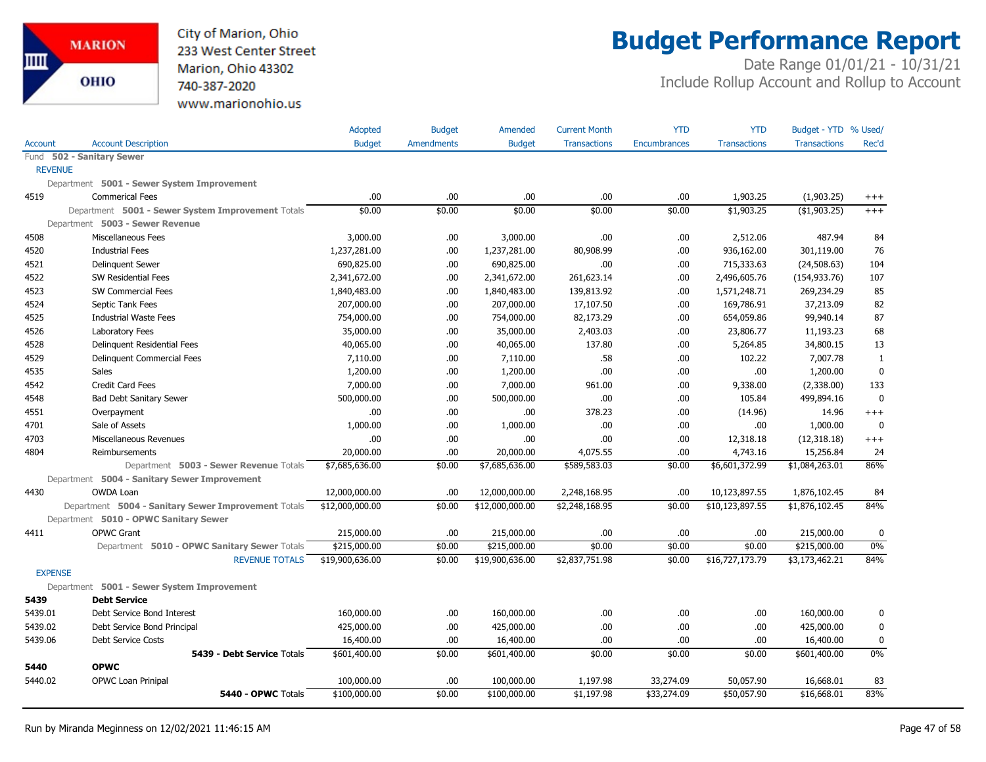

## **Budget Performance Report**

|                |                                                     | Adopted         | <b>Budget</b>     | Amended         | <b>Current Month</b> | <b>YTD</b>          | <b>YTD</b>          | Budget - YTD % Used/ |              |
|----------------|-----------------------------------------------------|-----------------|-------------------|-----------------|----------------------|---------------------|---------------------|----------------------|--------------|
| <b>Account</b> | <b>Account Description</b>                          | <b>Budget</b>   | <b>Amendments</b> | <b>Budget</b>   | <b>Transactions</b>  | <b>Encumbrances</b> | <b>Transactions</b> | <b>Transactions</b>  | Rec'd        |
|                | Fund 502 - Sanitary Sewer                           |                 |                   |                 |                      |                     |                     |                      |              |
| <b>REVENUE</b> |                                                     |                 |                   |                 |                      |                     |                     |                      |              |
|                | Department 5001 - Sewer System Improvement          |                 |                   |                 |                      |                     |                     |                      |              |
| 4519           | <b>Commerical Fees</b>                              | .00             | .00               | .00             | .00                  | .00                 | 1,903.25            | (1,903.25)           | $^{+++}$     |
|                | Department 5001 - Sewer System Improvement Totals   | \$0.00          | \$0.00            | \$0.00          | \$0.00               | \$0.00              | \$1,903.25          | (\$1,903.25)         | $+++$        |
|                | Department 5003 - Sewer Revenue                     |                 |                   |                 |                      |                     |                     |                      |              |
| 4508           | <b>Miscellaneous Fees</b>                           | 3,000.00        | .00.              | 3,000.00        | .00                  | .00                 | 2,512.06            | 487.94               | 84           |
| 4520           | <b>Industrial Fees</b>                              | 1,237,281.00    | .00               | 1,237,281.00    | 80,908.99            | .00                 | 936,162.00          | 301,119.00           | 76           |
| 4521           | <b>Delinquent Sewer</b>                             | 690,825.00      | .00.              | 690,825.00      | .00                  | .00                 | 715,333.63          | (24, 508.63)         | 104          |
| 4522           | SW Residential Fees                                 | 2,341,672.00    | .00.              | 2,341,672.00    | 261,623.14           | .00                 | 2,496,605.76        | (154, 933.76)        | 107          |
| 4523           | SW Commercial Fees                                  | 1,840,483.00    | .00               | 1,840,483.00    | 139,813.92           | .00                 | 1,571,248.71        | 269,234.29           | 85           |
| 4524           | Septic Tank Fees                                    | 207,000.00      | .00               | 207,000.00      | 17,107.50            | .00                 | 169,786.91          | 37,213.09            | 82           |
| 4525           | <b>Industrial Waste Fees</b>                        | 754,000.00      | .00.              | 754,000.00      | 82,173.29            | .00                 | 654,059.86          | 99,940.14            | 87           |
| 4526           | Laboratory Fees                                     | 35,000.00       | .00.              | 35,000.00       | 2,403.03             | .00                 | 23,806.77           | 11,193.23            | 68           |
| 4528           | Delinquent Residential Fees                         | 40,065.00       | .00               | 40,065.00       | 137.80               | .00                 | 5,264.85            | 34,800.15            | 13           |
| 4529           | Delinquent Commercial Fees                          | 7,110.00        | .00               | 7,110.00        | .58                  | .00                 | 102.22              | 7,007.78             | $\mathbf{1}$ |
| 4535           | Sales                                               | 1,200.00        | .00               | 1,200.00        | .00                  | .00                 | .00                 | 1,200.00             | $\mathbf 0$  |
| 4542           | Credit Card Fees                                    | 7,000.00        | .00.              | 7,000.00        | 961.00               | .00                 | 9,338.00            | (2,338.00)           | 133          |
| 4548           | <b>Bad Debt Sanitary Sewer</b>                      | 500,000.00      | .00               | 500,000.00      | .00.                 | .00                 | 105.84              | 499,894.16           | $\mathbf 0$  |
| 4551           | Overpayment                                         | .00             | .00.              | .00             | 378.23               | .00                 | (14.96)             | 14.96                | $+++$        |
| 4701           | Sale of Assets                                      | 1,000.00        | .00.              | 1,000.00        | .00                  | .00                 | .00                 | 1,000.00             | $\mathbf{0}$ |
| 4703           | Miscellaneous Revenues                              | .00             | .00.              | .00             | .00                  | .00                 | 12,318.18           | (12,318.18)          | $^{+++}$     |
| 4804           | Reimbursements                                      | 20,000.00       | .00               | 20,000.00       | 4,075.55             | .00                 | 4,743.16            | 15,256.84            | 24           |
|                | Department 5003 - Sewer Revenue Totals              | \$7,685,636.00  | \$0.00            | \$7,685,636.00  | \$589,583.03         | \$0.00              | \$6,601,372.99      | \$1,084,263.01       | 86%          |
|                | Department 5004 - Sanitary Sewer Improvement        |                 |                   |                 |                      |                     |                     |                      |              |
| 4430           | OWDA Loan                                           | 12,000,000.00   | .00               | 12,000,000.00   | 2,248,168.95         | .00                 | 10,123,897.55       | 1,876,102.45         | 84           |
|                | Department 5004 - Sanitary Sewer Improvement Totals | \$12,000,000.00 | \$0.00            | \$12,000,000.00 | \$2,248,168.95       | \$0.00              | \$10,123,897.55     | \$1,876,102.45       | 84%          |
|                | Department 5010 - OPWC Sanitary Sewer               |                 |                   |                 |                      |                     |                     |                      |              |
| 4411           | OPWC Grant                                          | 215,000.00      | .00               | 215,000.00      | .00                  | .00                 | .00                 | 215,000.00           | $\mathbf 0$  |
|                | Department 5010 - OPWC Sanitary Sewer Totals        | \$215,000.00    | \$0.00            | \$215,000.00    | \$0.00               | \$0.00              | \$0.00              | \$215,000.00         | $0\%$        |
|                | <b>REVENUE TOTALS</b>                               | \$19,900,636.00 | \$0.00            | \$19,900,636.00 | \$2,837,751.98       | \$0.00              | \$16,727,173.79     | \$3,173,462.21       | 84%          |
| <b>EXPENSE</b> |                                                     |                 |                   |                 |                      |                     |                     |                      |              |
|                | Department 5001 - Sewer System Improvement          |                 |                   |                 |                      |                     |                     |                      |              |
| 5439           | <b>Debt Service</b>                                 |                 |                   |                 |                      |                     |                     |                      |              |
| 5439.01        | Debt Service Bond Interest                          | 160,000.00      | .00               | 160,000.00      | .00                  | .00                 | .00                 | 160,000.00           | 0            |
| 5439.02        | Debt Service Bond Principal                         | 425,000.00      | .00               | 425,000.00      | .00                  | .00                 | .00                 | 425,000.00           | $\mathbf 0$  |
| 5439.06        | Debt Service Costs                                  | 16,400.00       | .00.              | 16,400.00       | .00                  | .00                 | .00                 | 16,400.00            | 0            |
|                | 5439 - Debt Service Totals                          | \$601,400.00    | \$0.00            | \$601,400.00    | \$0.00               | \$0.00              | \$0.00              | \$601,400.00         | $0\%$        |
| 5440           | <b>OPWC</b>                                         |                 |                   |                 |                      |                     |                     |                      |              |
| 5440.02        | OPWC Loan Prinipal                                  | 100,000.00      | .00.              | 100,000.00      | 1,197.98             | 33,274.09           | 50,057.90           | 16,668.01            | 83           |
|                | 5440 - OPWC Totals                                  | \$100,000.00    | \$0.00            | \$100,000.00    | \$1,197.98           | \$33,274.09         | \$50,057.90         | \$16,668.01          | 83%          |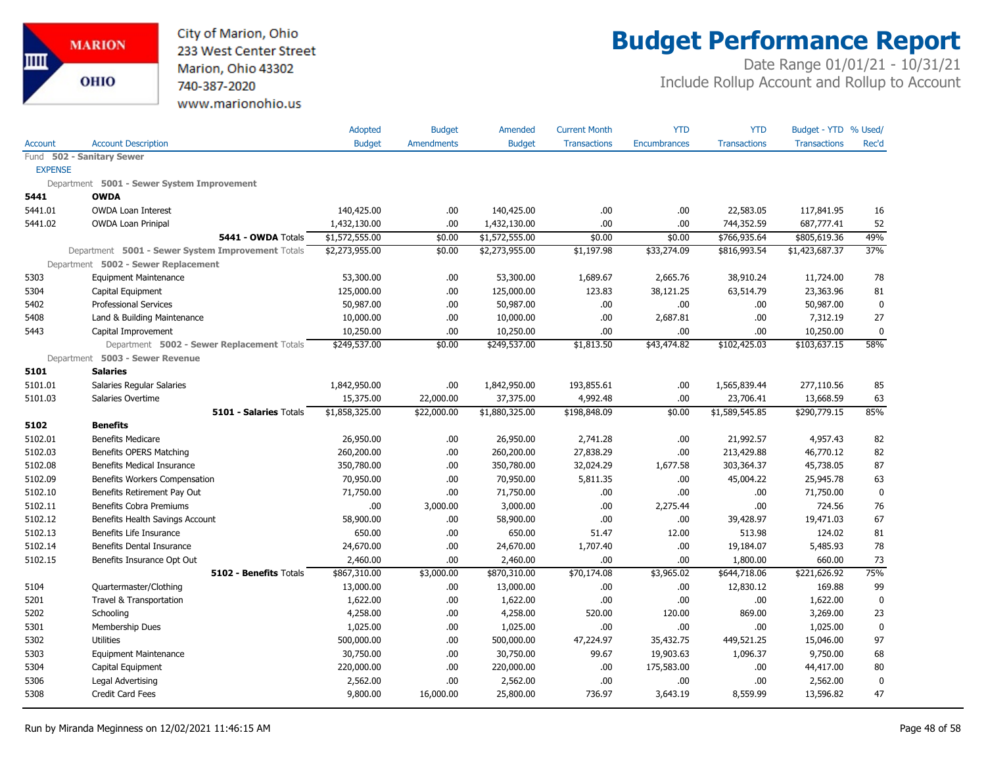

## **Budget Performance Report**

|                |                                                   | Adopted        | <b>Budget</b>     | Amended        | <b>Current Month</b> | <b>YTD</b>          | <b>YTD</b>          | Budget - YTD % Used/ |              |
|----------------|---------------------------------------------------|----------------|-------------------|----------------|----------------------|---------------------|---------------------|----------------------|--------------|
| <b>Account</b> | <b>Account Description</b>                        | <b>Budget</b>  | <b>Amendments</b> | <b>Budget</b>  | <b>Transactions</b>  | <b>Encumbrances</b> | <b>Transactions</b> | <b>Transactions</b>  | Rec'd        |
|                | Fund 502 - Sanitary Sewer                         |                |                   |                |                      |                     |                     |                      |              |
| <b>EXPENSE</b> |                                                   |                |                   |                |                      |                     |                     |                      |              |
|                | Department 5001 - Sewer System Improvement        |                |                   |                |                      |                     |                     |                      |              |
| 5441           | <b>OWDA</b>                                       |                |                   |                |                      |                     |                     |                      |              |
| 5441.01        | <b>OWDA Loan Interest</b>                         | 140,425.00     | .00.              | 140,425.00     | .00.                 | .00                 | 22,583.05           | 117,841.95           | 16           |
| 5441.02        | <b>OWDA Loan Prinipal</b>                         | 1,432,130.00   | .00               | 1,432,130.00   | .00.                 | .00                 | 744,352.59          | 687,777.41           | 52           |
|                | 5441 - OWDA Totals                                | \$1,572,555.00 | \$0.00            | \$1,572,555.00 | \$0.00               | \$0.00              | \$766,935.64        | \$805,619.36         | 49%          |
|                | Department 5001 - Sewer System Improvement Totals | \$2,273,955.00 | \$0.00            | \$2,273,955.00 | \$1,197.98           | \$33,274.09         | \$816,993.54        | \$1,423,687.37       | 37%          |
|                | Department 5002 - Sewer Replacement               |                |                   |                |                      |                     |                     |                      |              |
| 5303           | <b>Equipment Maintenance</b>                      | 53,300.00      | .00.              | 53,300.00      | 1,689.67             | 2,665.76            | 38,910.24           | 11,724.00            | 78           |
| 5304           | Capital Equipment                                 | 125,000.00     | .00.              | 125,000.00     | 123.83               | 38,121.25           | 63,514.79           | 23,363.96            | 81           |
| 5402           | <b>Professional Services</b>                      | 50,987.00      | .00.              | 50,987.00      | .00.                 | .00                 | .00.                | 50,987.00            | $\mathbf 0$  |
| 5408           | Land & Building Maintenance                       | 10,000.00      | .00.              | 10,000.00      | .00.                 | 2,687.81            | .00.                | 7,312.19             | 27           |
| 5443           | Capital Improvement                               | 10,250.00      | .00.              | 10,250.00      | .00.                 | .00.                | .00                 | 10,250.00            | $\mathbf 0$  |
|                | Department 5002 - Sewer Replacement Totals        | \$249,537.00   | \$0.00            | \$249,537.00   | \$1,813.50           | \$43,474.82         | \$102,425.03        | \$103,637.15         | 58%          |
|                | Department 5003 - Sewer Revenue                   |                |                   |                |                      |                     |                     |                      |              |
| 5101           | <b>Salaries</b>                                   |                |                   |                |                      |                     |                     |                      |              |
| 5101.01        | Salaries Regular Salaries                         | 1,842,950.00   | .00               | 1,842,950.00   | 193,855.61           | .00                 | 1,565,839.44        | 277,110.56           | 85           |
| 5101.03        | Salaries Overtime                                 | 15,375.00      | 22,000.00         | 37,375.00      | 4,992.48             | .00                 | 23,706.41           | 13,668.59            | 63           |
|                | 5101 - Salaries Totals                            | \$1,858,325.00 | \$22,000.00       | \$1,880,325.00 | \$198,848.09         | \$0.00              | \$1,589,545.85      | \$290,779.15         | 85%          |
| 5102           | <b>Benefits</b>                                   |                |                   |                |                      |                     |                     |                      |              |
| 5102.01        | <b>Benefits Medicare</b>                          | 26,950.00      | .00.              | 26,950.00      | 2,741.28             | .00                 | 21,992.57           | 4,957.43             | 82           |
| 5102.03        | <b>Benefits OPERS Matching</b>                    | 260,200.00     | .00.              | 260,200.00     | 27,838.29            | .00                 | 213,429.88          | 46,770.12            | 82           |
| 5102.08        | Benefits Medical Insurance                        | 350,780.00     | .00.              | 350,780.00     | 32,024.29            | 1,677.58            | 303,364.37          | 45,738.05            | 87           |
| 5102.09        | Benefits Workers Compensation                     | 70,950.00      | .00.              | 70,950.00      | 5,811.35             | .00                 | 45,004.22           | 25,945.78            | 63           |
| 5102.10        | Benefits Retirement Pay Out                       | 71,750.00      | .00.              | 71,750.00      | .00.                 | .00                 | .00                 | 71,750.00            | $\mathbf 0$  |
| 5102.11        | Benefits Cobra Premiums                           | .00            | 3,000.00          | 3,000.00       | .00.                 | 2,275.44            | .00                 | 724.56               | 76           |
| 5102.12        | Benefits Health Savings Account                   | 58,900.00      | .00.              | 58,900.00      | .00.                 | .00                 | 39,428.97           | 19,471.03            | 67           |
| 5102.13        | Benefits Life Insurance                           | 650.00         | .00.              | 650.00         | 51.47                | 12.00               | 513.98              | 124.02               | 81           |
| 5102.14        | <b>Benefits Dental Insurance</b>                  | 24,670.00      | .00.              | 24,670.00      | 1,707.40             | .00                 | 19,184.07           | 5,485.93             | 78           |
| 5102.15        | Benefits Insurance Opt Out                        | 2,460.00       | .00.              | 2,460.00       | .00.                 | .00                 | 1,800.00            | 660.00               | 73           |
|                | 5102 - Benefits Totals                            | \$867,310.00   | \$3,000.00        | \$870,310.00   | \$70,174.08          | \$3,965.02          | \$644,718.06        | \$221,626.92         | 75%          |
| 5104           | Quartermaster/Clothing                            | 13,000.00      | .00.              | 13,000.00      | .00.                 | .00                 | 12,830.12           | 169.88               | 99           |
| 5201           | Travel & Transportation                           | 1,622.00       | .00.              | 1,622.00       | .00.                 | .00                 | .00.                | 1,622.00             | $\mathbf{0}$ |
| 5202           | Schooling                                         | 4,258.00       | .00.              | 4,258.00       | 520.00               | 120.00              | 869.00              | 3,269.00             | 23           |
| 5301           | Membership Dues                                   | 1,025.00       | .00.              | 1,025.00       | .00.                 | .00.                | .00                 | 1,025.00             | $\pmb{0}$    |
| 5302           | <b>Utilities</b>                                  | 500,000.00     | .00.              | 500,000.00     | 47,224.97            | 35,432.75           | 449,521.25          | 15,046.00            | 97           |
| 5303           | <b>Equipment Maintenance</b>                      | 30,750.00      | .00               | 30,750.00      | 99.67                | 19,903.63           | 1,096.37            | 9,750.00             | 68           |
| 5304           | Capital Equipment                                 | 220,000.00     | .00.              | 220,000.00     | .00.                 | 175,583.00          | .00.                | 44,417.00            | 80           |
| 5306           | Legal Advertising                                 | 2,562.00       | .00.              | 2,562.00       | .00.                 | .00                 | .00                 | 2,562.00             | $\mathbf 0$  |
| 5308           | <b>Credit Card Fees</b>                           | 9,800.00       | 16,000.00         | 25,800.00      | 736.97               | 3,643.19            | 8,559.99            | 13,596.82            | 47           |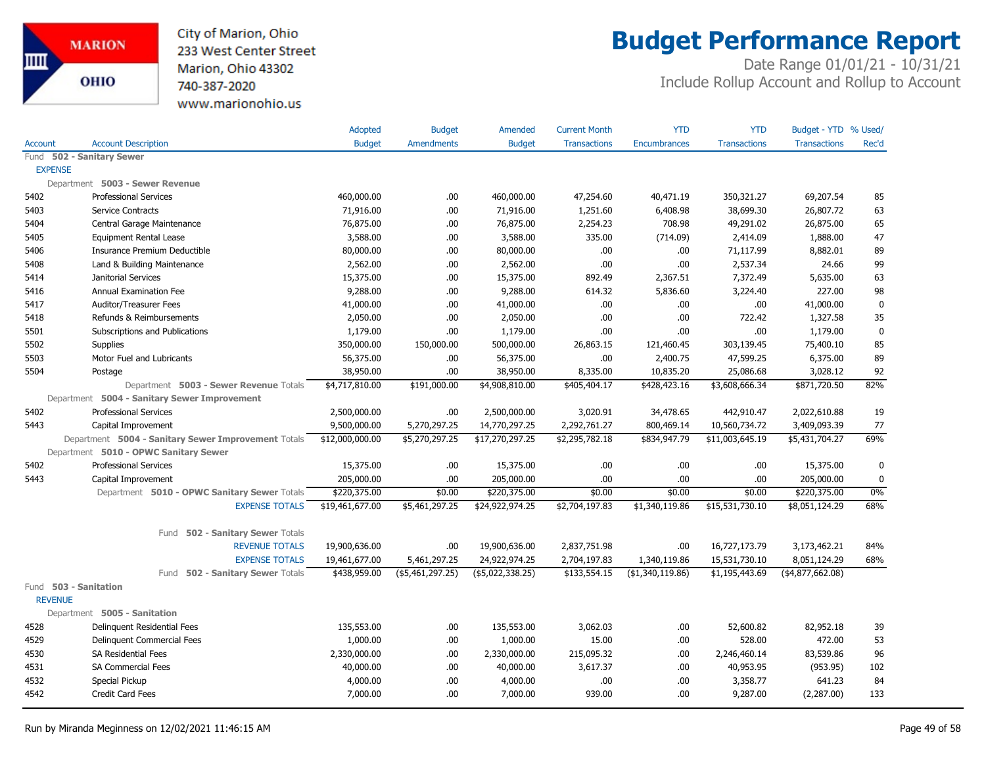City of Marion, Ohio 233 West Center Street Marion, Ohio 43302 740-387-2020 www.marionohio.us

## **Budget Performance Report**

|                |                                                     | Adopted         | <b>Budget</b>     | Amended          | <b>Current Month</b> | <b>YTD</b>          | <b>YTD</b>          | Budget - YTD % Used/ |             |
|----------------|-----------------------------------------------------|-----------------|-------------------|------------------|----------------------|---------------------|---------------------|----------------------|-------------|
| <b>Account</b> | <b>Account Description</b>                          | <b>Budget</b>   | <b>Amendments</b> | <b>Budget</b>    | <b>Transactions</b>  | <b>Encumbrances</b> | <b>Transactions</b> | <b>Transactions</b>  | Rec'd       |
| Fund           | 502 - Sanitary Sewer                                |                 |                   |                  |                      |                     |                     |                      |             |
| <b>EXPENSE</b> |                                                     |                 |                   |                  |                      |                     |                     |                      |             |
|                | Department 5003 - Sewer Revenue                     |                 |                   |                  |                      |                     |                     |                      |             |
| 5402           | <b>Professional Services</b>                        | 460,000.00      | .00               | 460,000.00       | 47,254.60            | 40,471.19           | 350,321.27          | 69,207.54            | 85          |
| 5403           | <b>Service Contracts</b>                            | 71,916.00       | .00               | 71,916.00        | 1,251.60             | 6,408.98            | 38,699.30           | 26,807.72            | 63          |
| 5404           | Central Garage Maintenance                          | 76,875.00       | .00               | 76,875.00        | 2,254.23             | 708.98              | 49,291.02           | 26,875.00            | 65          |
| 5405           | <b>Equipment Rental Lease</b>                       | 3,588.00        | .00.              | 3,588.00         | 335.00               | (714.09)            | 2,414.09            | 1,888.00             | 47          |
| 5406           | Insurance Premium Deductible                        | 80,000.00       | .00.              | 80,000.00        | .00.                 | .00                 | 71,117.99           | 8,882.01             | 89          |
| 5408           | Land & Building Maintenance                         | 2,562.00        | .00.              | 2,562.00         | .00.                 | .00                 | 2,537.34            | 24.66                | 99          |
| 5414           | Janitorial Services                                 | 15,375.00       | .00.              | 15,375.00        | 892.49               | 2,367.51            | 7,372.49            | 5,635.00             | 63          |
| 5416           | Annual Examination Fee                              | 9,288.00        | .00.              | 9,288.00         | 614.32               | 5,836.60            | 3,224.40            | 227.00               | 98          |
| 5417           | Auditor/Treasurer Fees                              | 41,000.00       | .00.              | 41,000.00        | .00.                 | .00.                | .00.                | 41,000.00            | $\mathbf 0$ |
| 5418           | Refunds & Reimbursements                            | 2,050.00        | .00.              | 2,050.00         | .00.                 | .00.                | 722.42              | 1,327.58             | 35          |
| 5501           | Subscriptions and Publications                      | 1,179.00        | .00               | 1,179.00         | .00                  | .00.                | .00                 | 1,179.00             | $\mathbf 0$ |
| 5502           | <b>Supplies</b>                                     | 350,000.00      | 150,000.00        | 500,000.00       | 26,863.15            | 121,460.45          | 303,139.45          | 75,400.10            | 85          |
| 5503           | Motor Fuel and Lubricants                           | 56,375.00       | .00.              | 56,375.00        | .00.                 | 2,400.75            | 47,599.25           | 6,375.00             | 89          |
| 5504           | Postage                                             | 38,950.00       | .00.              | 38,950.00        | 8,335.00             | 10,835.20           | 25,086.68           | 3,028.12             | 92          |
|                | Department 5003 - Sewer Revenue Totals              | \$4,717,810.00  | \$191,000.00      | \$4,908,810.00   | \$405,404.17         | \$428,423.16        | \$3,608,666.34      | \$871,720.50         | 82%         |
|                | Department 5004 - Sanitary Sewer Improvement        |                 |                   |                  |                      |                     |                     |                      |             |
| 5402           | <b>Professional Services</b>                        | 2,500,000.00    | .00.              | 2,500,000.00     | 3,020.91             | 34,478.65           | 442,910.47          | 2,022,610.88         | 19          |
| 5443           | Capital Improvement                                 | 9,500,000.00    | 5,270,297.25      | 14,770,297.25    | 2,292,761.27         | 800,469.14          | 10,560,734.72       | 3,409,093.39         | 77          |
|                | Department 5004 - Sanitary Sewer Improvement Totals | \$12,000,000.00 | \$5,270,297.25    | \$17,270,297.25  | \$2,295,782.18       | \$834,947.79        | \$11,003,645.19     | \$5,431,704.27       | 69%         |
|                | Department 5010 - OPWC Sanitary Sewer               |                 |                   |                  |                      |                     |                     |                      |             |
| 5402           | <b>Professional Services</b>                        | 15,375.00       | .00.              | 15,375.00        | .00.                 | .00.                | .00                 | 15,375.00            | 0           |
| 5443           | Capital Improvement                                 | 205,000.00      | .00               | 205,000.00       | .00.                 | .00.                | .00                 | 205,000.00           | $\mathbf 0$ |
|                | Department 5010 - OPWC Sanitary Sewer Totals        | \$220,375.00    | \$0.00            | \$220,375.00     | \$0.00               | \$0.00              | \$0.00              | \$220,375.00         | 0%          |
|                | <b>EXPENSE TOTALS</b>                               | \$19,461,677.00 | \$5,461,297.25    | \$24,922,974.25  | \$2,704,197.83       | \$1,340,119.86      | \$15,531,730.10     | \$8,051,124.29       | 68%         |
|                | Fund 502 - Sanitary Sewer Totals                    |                 |                   |                  |                      |                     |                     |                      |             |
|                | <b>REVENUE TOTALS</b>                               | 19,900,636.00   | .00.              | 19,900,636.00    | 2,837,751.98         | .00                 | 16,727,173.79       | 3,173,462.21         | 84%         |
|                | <b>EXPENSE TOTALS</b>                               | 19,461,677.00   | 5,461,297.25      | 24,922,974.25    | 2,704,197.83         | 1,340,119.86        | 15,531,730.10       | 8,051,124.29         | 68%         |
|                | 502 - Sanitary Sewer Totals<br>Fund                 | \$438,959.00    | (\$5,461,297.25)  | (\$5,022,338.25) | \$133,554.15         | ( \$1,340,119.86)   | \$1,195,443.69      | ( \$4,877,662.08)    |             |
|                | Fund 503 - Sanitation                               |                 |                   |                  |                      |                     |                     |                      |             |
| <b>REVENUE</b> |                                                     |                 |                   |                  |                      |                     |                     |                      |             |
|                | Department 5005 - Sanitation                        |                 |                   |                  |                      |                     |                     |                      |             |
| 4528           | Delinquent Residential Fees                         | 135,553.00      | .00.              | 135,553.00       | 3,062.03             | .00.                | 52,600.82           | 82,952.18            | 39          |
| 4529           | Delinquent Commercial Fees                          | 1,000.00        | .00.              | 1,000.00         | 15.00                | .00.                | 528.00              | 472.00               | 53          |
| 4530           | <b>SA Residential Fees</b>                          | 2,330,000.00    | .00.              | 2,330,000.00     | 215,095.32           | .00.                | 2,246,460.14        | 83,539.86            | 96          |
| 4531           | <b>SA Commercial Fees</b>                           | 40,000.00       | .00.              | 40,000.00        | 3,617.37             | .00.                | 40,953.95           | (953.95)             | 102         |
| 4532           | Special Pickup                                      | 4,000.00        | .00.              | 4,000.00         | .00.                 | .00.                | 3,358.77            | 641.23               | 84          |
| 4542           | <b>Credit Card Fees</b>                             | 7,000.00        | .00.              | 7,000.00         | 939.00               | .00.                | 9,287.00            | (2,287.00)           | 133         |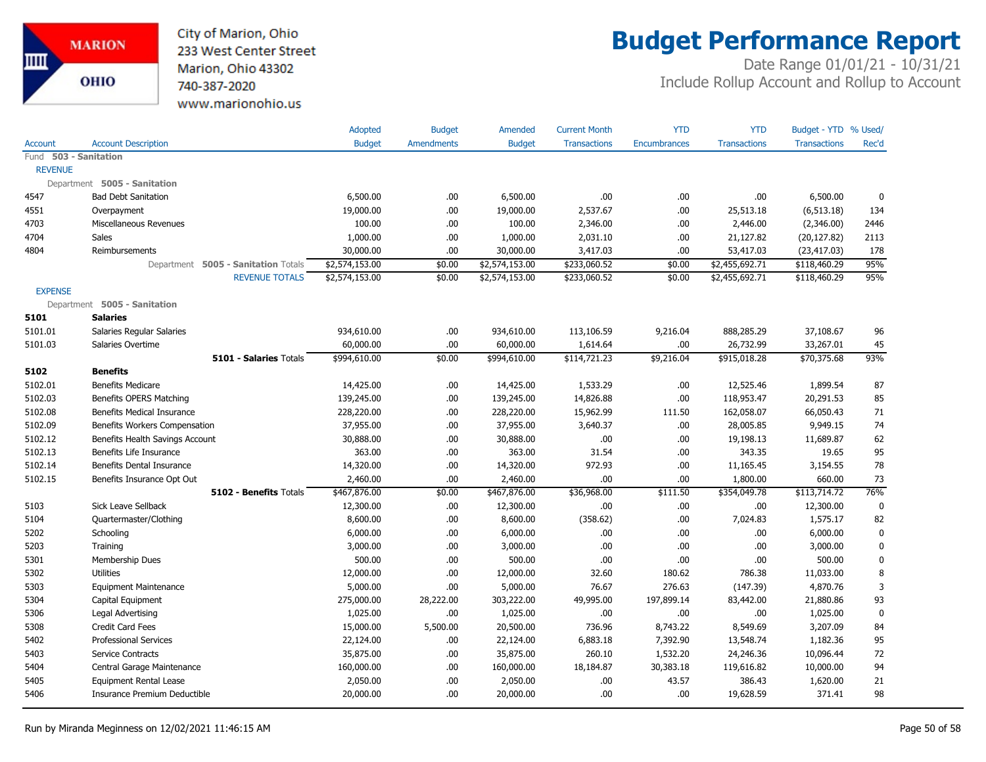

## **Budget Performance Report**

|                       |                                     | Adopted        | <b>Budget</b>     | Amended        | <b>Current Month</b> | <b>YTD</b>          | <b>YTD</b>          | Budget - YTD % Used/ |             |
|-----------------------|-------------------------------------|----------------|-------------------|----------------|----------------------|---------------------|---------------------|----------------------|-------------|
| <b>Account</b>        | <b>Account Description</b>          | <b>Budget</b>  | <b>Amendments</b> | <b>Budget</b>  | <b>Transactions</b>  | <b>Encumbrances</b> | <b>Transactions</b> | <b>Transactions</b>  | Rec'd       |
| Fund 503 - Sanitation |                                     |                |                   |                |                      |                     |                     |                      |             |
| <b>REVENUE</b>        |                                     |                |                   |                |                      |                     |                     |                      |             |
|                       | Department 5005 - Sanitation        |                |                   |                |                      |                     |                     |                      |             |
| 4547                  | <b>Bad Debt Sanitation</b>          | 6,500.00       | .00               | 6,500.00       | .00.                 | .00.                | .00.                | 6,500.00             | $\mathbf 0$ |
| 4551                  | Overpayment                         | 19,000.00      | .00               | 19,000.00      | 2,537.67             | .00.                | 25,513.18           | (6, 513.18)          | 134         |
| 4703                  | Miscellaneous Revenues              | 100.00         | .00               | 100.00         | 2,346.00             | .00                 | 2,446.00            | (2,346.00)           | 2446        |
| 4704                  | <b>Sales</b>                        | 1,000.00       | .00               | 1,000.00       | 2,031.10             | .00                 | 21,127.82           | (20, 127.82)         | 2113        |
| 4804                  | Reimbursements                      | 30,000.00      | .00               | 30,000.00      | 3,417.03             | .00                 | 53,417.03           | (23, 417.03)         | 178         |
|                       | Department 5005 - Sanitation Totals | \$2,574,153.00 | \$0.00            | \$2,574,153.00 | \$233,060.52         | \$0.00              | \$2,455,692.71      | \$118,460.29         | 95%         |
|                       | <b>REVENUE TOTALS</b>               | \$2,574,153.00 | \$0.00            | \$2,574,153.00 | \$233,060.52         | \$0.00              | \$2,455,692.71      | \$118,460.29         | 95%         |
| <b>EXPENSE</b>        |                                     |                |                   |                |                      |                     |                     |                      |             |
|                       | Department 5005 - Sanitation        |                |                   |                |                      |                     |                     |                      |             |
| 5101                  | <b>Salaries</b>                     |                |                   |                |                      |                     |                     |                      |             |
| 5101.01               | Salaries Regular Salaries           | 934,610.00     | .00               | 934,610.00     | 113,106.59           | 9,216.04            | 888,285.29          | 37,108.67            | 96          |
| 5101.03               | Salaries Overtime                   | 60,000.00      | .00               | 60,000.00      | 1,614.64             | .00                 | 26,732.99           | 33,267.01            | 45          |
|                       | 5101 - Salaries Totals              | \$994,610.00   | \$0.00            | \$994,610.00   | \$114,721.23         | \$9,216.04          | \$915,018.28        | \$70,375.68          | 93%         |
| 5102                  | <b>Benefits</b>                     |                |                   |                |                      |                     |                     |                      |             |
| 5102.01               | <b>Benefits Medicare</b>            | 14,425.00      | .00               | 14,425.00      | 1,533.29             | .00.                | 12,525.46           | 1,899.54             | 87          |
| 5102.03               | Benefits OPERS Matching             | 139,245.00     | .00               | 139,245.00     | 14,826.88            | .00                 | 118,953.47          | 20,291.53            | 85          |
| 5102.08               | Benefits Medical Insurance          | 228,220.00     | .00               | 228,220.00     | 15,962.99            | 111.50              | 162,058.07          | 66,050.43            | 71          |
| 5102.09               | Benefits Workers Compensation       | 37,955.00      | .00               | 37,955.00      | 3,640.37             | .00.                | 28,005.85           | 9,949.15             | 74          |
| 5102.12               | Benefits Health Savings Account     | 30,888.00      | .00               | 30,888.00      | .00.                 | .00                 | 19,198.13           | 11,689.87            | 62          |
| 5102.13               | Benefits Life Insurance             | 363.00         | .00               | 363.00         | 31.54                | .00                 | 343.35              | 19.65                | 95          |
| 5102.14               | Benefits Dental Insurance           | 14,320.00      | .00               | 14,320.00      | 972.93               | .00                 | 11,165.45           | 3,154.55             | 78          |
| 5102.15               | Benefits Insurance Opt Out          | 2,460.00       | .00               | 2,460.00       | .00.                 | .00.                | 1,800.00            | 660.00               | 73          |
|                       | 5102 - Benefits Totals              | \$467,876.00   | \$0.00            | \$467,876.00   | \$36,968.00          | \$111.50            | \$354,049.78        | \$113,714.72         | 76%         |
| 5103                  | <b>Sick Leave Sellback</b>          | 12,300.00      | .00               | 12,300.00      | .00                  | .00                 | .00                 | 12,300.00            | $\mathbf 0$ |
| 5104                  | Quartermaster/Clothing              | 8,600.00       | .00               | 8,600.00       | (358.62)             | .00.                | 7,024.83            | 1,575.17             | 82          |
| 5202                  | Schooling                           | 6,000.00       | .00               | 6,000.00       | .00.                 | .00                 | .00.                | 6,000.00             | $\mathbf 0$ |
| 5203                  | Training                            | 3,000.00       | .00               | 3,000.00       | .00                  | .00                 | .00                 | 3,000.00             | $\mathbf 0$ |
| 5301                  | Membership Dues                     | 500.00         | .00               | 500.00         | .00                  | .00                 | .00                 | 500.00               | $\mathbf 0$ |
| 5302                  | <b>Utilities</b>                    | 12,000.00      | .00               | 12,000.00      | 32.60                | 180.62              | 786.38              | 11,033.00            | 8           |
| 5303                  | <b>Equipment Maintenance</b>        | 5,000.00       | .00               | 5,000.00       | 76.67                | 276.63              | (147.39)            | 4,870.76             | 3           |
| 5304                  | Capital Equipment                   | 275,000.00     | 28,222.00         | 303,222.00     | 49,995.00            | 197,899.14          | 83,442.00           | 21,880.86            | 93          |
| 5306                  | Legal Advertising                   | 1,025.00       | .00               | 1,025.00       | .00                  | .00                 | .00                 | 1,025.00             | $\mathbf 0$ |
| 5308                  | Credit Card Fees                    | 15,000.00      | 5,500.00          | 20,500.00      | 736.96               | 8,743.22            | 8,549.69            | 3,207.09             | 84          |
| 5402                  | <b>Professional Services</b>        | 22,124.00      | .00               | 22,124.00      | 6,883.18             | 7,392.90            | 13,548.74           | 1,182.36             | 95          |
| 5403                  | Service Contracts                   | 35,875.00      | .00               | 35,875.00      | 260.10               | 1,532.20            | 24,246.36           | 10,096.44            | 72          |
| 5404                  | Central Garage Maintenance          | 160,000.00     | .00               | 160,000.00     | 18,184.87            | 30,383.18           | 119,616.82          | 10,000.00            | 94          |
| 5405                  | <b>Equipment Rental Lease</b>       | 2,050.00       | .00               | 2,050.00       | .00.                 | 43.57               | 386.43              | 1,620.00             | 21          |
| 5406                  | Insurance Premium Deductible        | 20,000.00      | .00               | 20,000.00      | .00                  | .00.                | 19,628.59           | 371.41               | 98          |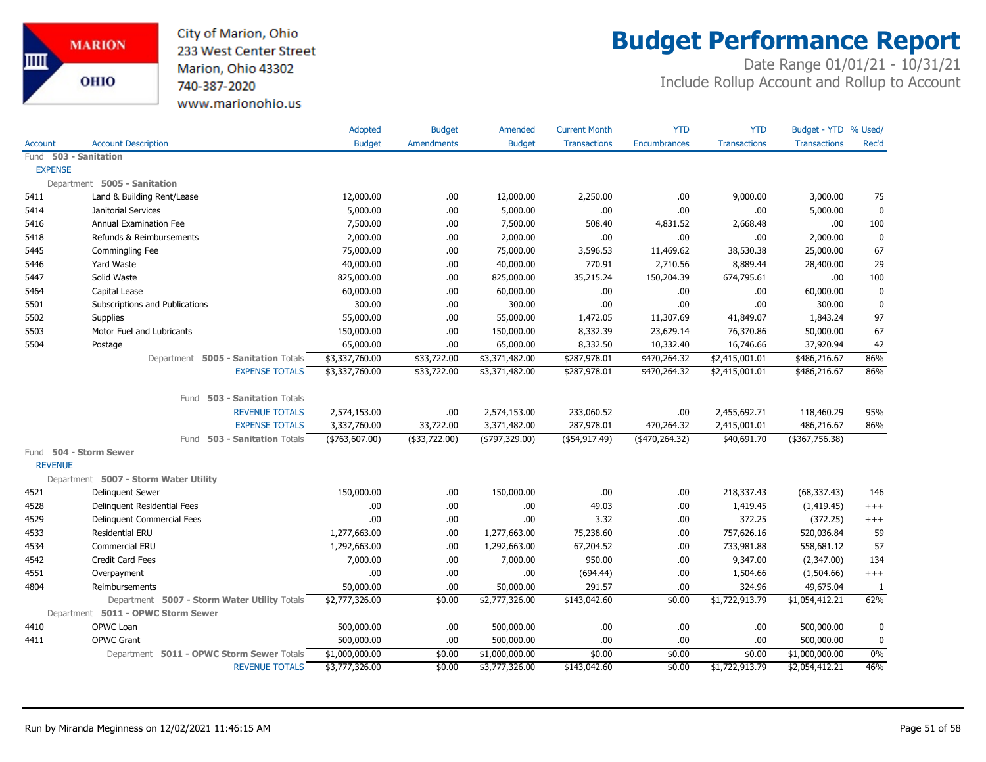City of Marion, Ohio 233 West Center Street Marion, Ohio 43302 740-387-2020 www.marionohio.us

## **Budget Performance Report**

|                |                                              | Adopted         | <b>Budget</b>     | Amended         | <b>Current Month</b> | <b>YTD</b>          | <b>YTD</b>          | Budget - YTD % Used/ |              |
|----------------|----------------------------------------------|-----------------|-------------------|-----------------|----------------------|---------------------|---------------------|----------------------|--------------|
| Account        | <b>Account Description</b>                   | <b>Budget</b>   | <b>Amendments</b> | <b>Budget</b>   | <b>Transactions</b>  | <b>Encumbrances</b> | <b>Transactions</b> | <b>Transactions</b>  | Rec'd        |
|                | Fund 503 - Sanitation                        |                 |                   |                 |                      |                     |                     |                      |              |
| <b>EXPENSE</b> |                                              |                 |                   |                 |                      |                     |                     |                      |              |
|                | Department 5005 - Sanitation                 |                 |                   |                 |                      |                     |                     |                      |              |
| 5411           | Land & Building Rent/Lease                   | 12,000.00       | .00.              | 12,000.00       | 2,250.00             | .00                 | 9,000.00            | 3,000.00             | 75           |
| 5414           | Janitorial Services                          | 5,000.00        | .00.              | 5,000.00        | .00.                 | .00                 | .00.                | 5,000.00             | $\mathbf 0$  |
| 5416           | <b>Annual Examination Fee</b>                | 7,500.00        | .00.              | 7,500.00        | 508.40               | 4,831.52            | 2,668.48            | .00.                 | 100          |
| 5418           | Refunds & Reimbursements                     | 2,000.00        | .00.              | 2,000.00        | .00.                 | .00                 | .00                 | 2,000.00             | $\mathbf 0$  |
| 5445           | Commingling Fee                              | 75,000.00       | .00.              | 75,000.00       | 3,596.53             | 11,469.62           | 38,530.38           | 25,000.00            | 67           |
| 5446           | Yard Waste                                   | 40,000.00       | .00.              | 40,000.00       | 770.91               | 2,710.56            | 8,889.44            | 28,400.00            | 29           |
| 5447           | Solid Waste                                  | 825,000.00      | .00.              | 825,000.00      | 35,215.24            | 150,204.39          | 674,795.61          | .00                  | 100          |
| 5464           | Capital Lease                                | 60,000.00       | .00.              | 60,000.00       | .00.                 | .00                 | .00                 | 60,000.00            | $\mathbf 0$  |
| 5501           | Subscriptions and Publications               | 300.00          | .00               | 300.00          | .00                  | .00                 | .00                 | 300.00               | $\mathbf 0$  |
| 5502           | Supplies                                     | 55,000.00       | .00.              | 55,000.00       | 1,472.05             | 11,307.69           | 41,849.07           | 1,843.24             | 97           |
| 5503           | Motor Fuel and Lubricants                    | 150,000.00      | .00.              | 150,000.00      | 8,332.39             | 23,629.14           | 76,370.86           | 50,000.00            | 67           |
| 5504           | Postage                                      | 65,000.00       | .00.              | 65,000.00       | 8,332.50             | 10,332.40           | 16,746.66           | 37,920.94            | 42           |
|                | Department 5005 - Sanitation Totals          | \$3,337,760.00  | \$33,722.00       | \$3,371,482.00  | \$287,978.01         | \$470,264.32        | \$2,415,001.01      | \$486,216.67         | 86%          |
|                | <b>EXPENSE TOTALS</b>                        | \$3,337,760.00  | \$33,722.00       | \$3,371,482.00  | \$287,978.01         | \$470,264.32        | \$2,415,001.01      | \$486,216.67         | 86%          |
|                |                                              |                 |                   |                 |                      |                     |                     |                      |              |
|                | Fund 503 - Sanitation Totals                 |                 |                   |                 |                      |                     |                     |                      |              |
|                | <b>REVENUE TOTALS</b>                        | 2,574,153.00    | .00.              | 2,574,153.00    | 233,060.52           | .00                 | 2,455,692.71        | 118,460.29           | 95%          |
|                | <b>EXPENSE TOTALS</b>                        | 3,337,760.00    | 33,722.00         | 3,371,482.00    | 287,978.01           | 470,264.32          | 2,415,001.01        | 486,216.67           | 86%          |
|                | Fund 503 - Sanitation Totals                 | $(*763,607.00)$ | (\$33,722.00)     | $(*797,329.00)$ | $(*54,917.49)$       | $(*470,264.32)$     | \$40,691.70         | (\$367,756.38)       |              |
|                | Fund 504 - Storm Sewer                       |                 |                   |                 |                      |                     |                     |                      |              |
| <b>REVENUE</b> |                                              |                 |                   |                 |                      |                     |                     |                      |              |
|                | Department 5007 - Storm Water Utility        |                 |                   |                 |                      |                     |                     |                      |              |
| 4521           | <b>Delinguent Sewer</b>                      | 150,000.00      | .00               | 150,000.00      | .00                  | .00                 | 218,337.43          | (68, 337.43)         | 146          |
| 4528           | Delinguent Residential Fees                  | .00             | .00.              | .00             | 49.03                | .00.                | 1,419.45            | (1,419.45)           | $^{+++}$     |
| 4529           | Delinquent Commercial Fees                   | .00             | .00               | .00             | 3.32                 | .00.                | 372.25              | (372.25)             | $^{+++}$     |
| 4533           | Residential ERU                              | 1,277,663.00    | .00.              | 1,277,663.00    | 75,238.60            | .00                 | 757,626.16          | 520,036.84           | 59           |
| 4534           | <b>Commercial ERU</b>                        | 1,292,663.00    | .00.              | 1,292,663.00    | 67,204.52            | .00                 | 733,981.88          | 558,681.12           | 57           |
| 4542           | <b>Credit Card Fees</b>                      | 7,000.00        | .00.              | 7,000.00        | 950.00               | .00                 | 9,347.00            | (2,347.00)           | 134          |
| 4551           | Overpayment                                  | .00             | .00               | .00             | (694.44)             | .00                 | 1,504.66            | (1,504.66)           | $^{+++}$     |
| 4804           | Reimbursements                               | 50,000.00       | .00               | 50,000.00       | 291.57               | .00                 | 324.96              | 49,675.04            | $\mathbf{1}$ |
|                | Department 5007 - Storm Water Utility Totals | \$2,777,326.00  | \$0.00            | \$2,777,326.00  | \$143,042.60         | \$0.00              | \$1,722,913.79      | \$1,054,412.21       | 62%          |
|                | Department 5011 - OPWC Storm Sewer           |                 |                   |                 |                      |                     |                     |                      |              |
| 4410           | OPWC Loan                                    | 500,000.00      | .00               | 500,000.00      | .00                  | .00                 | .00                 | 500,000.00           | $\mathbf 0$  |
| 4411           | <b>OPWC Grant</b>                            | 500,000.00      | .00.              | 500,000.00      | .00.                 | .00                 | .00.                | 500,000.00           | $\mathbf 0$  |
|                | Department 5011 - OPWC Storm Sewer Totals    | \$1,000,000.00  | \$0.00            | \$1,000,000.00  | \$0.00               | \$0.00              | \$0.00              | \$1,000,000.00       | $0\%$        |
|                | <b>REVENUE TOTALS</b>                        | \$3,777,326.00  | \$0.00            | \$3,777,326.00  | \$143,042.60         | \$0.00              | \$1,722,913.79      | \$2,054,412.21       | 46%          |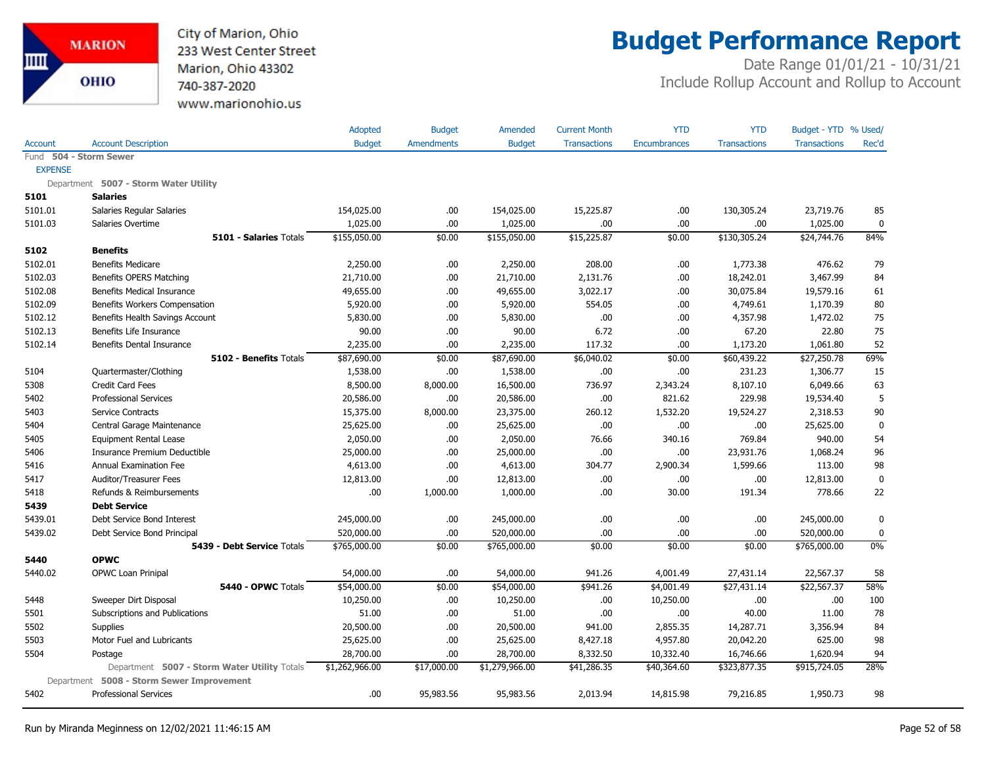City of Marion, Ohio 233 West Center Street Marion, Ohio 43302 740-387-2020 www.marionohio.us

# **Budget Performance Report**

|                |                                              | Adopted        | <b>Budget</b>     | Amended        | <b>Current Month</b> | <b>YTD</b>          | <b>YTD</b>          | Budget - YTD % Used/ |             |
|----------------|----------------------------------------------|----------------|-------------------|----------------|----------------------|---------------------|---------------------|----------------------|-------------|
| <b>Account</b> | <b>Account Description</b>                   | <b>Budget</b>  | <b>Amendments</b> | <b>Budget</b>  | <b>Transactions</b>  | <b>Encumbrances</b> | <b>Transactions</b> | <b>Transactions</b>  | Rec'd       |
|                | Fund 504 - Storm Sewer                       |                |                   |                |                      |                     |                     |                      |             |
| <b>EXPENSE</b> |                                              |                |                   |                |                      |                     |                     |                      |             |
|                | Department 5007 - Storm Water Utility        |                |                   |                |                      |                     |                     |                      |             |
| 5101           | <b>Salaries</b>                              |                |                   |                |                      |                     |                     |                      |             |
| 5101.01        | Salaries Regular Salaries                    | 154,025.00     | .00.              | 154,025.00     | 15,225.87            | .00.                | 130,305.24          | 23,719.76            | 85          |
| 5101.03        | Salaries Overtime                            | 1,025.00       | .00.              | 1,025.00       | .00                  | .00.                | .00                 | 1,025.00             | 0           |
|                | <b>5101 - Salaries Totals</b>                | \$155,050.00   | \$0.00            | \$155,050.00   | \$15,225.87          | \$0.00              | \$130,305.24        | \$24,744.76          | 84%         |
| 5102           | <b>Benefits</b>                              |                |                   |                |                      |                     |                     |                      |             |
| 5102.01        | <b>Benefits Medicare</b>                     | 2,250.00       | .00.              | 2,250.00       | 208.00               | .00                 | 1,773.38            | 476.62               | 79          |
| 5102.03        | Benefits OPERS Matching                      | 21,710.00      | .00.              | 21,710.00      | 2,131.76             | .00.                | 18,242.01           | 3,467.99             | 84          |
| 5102.08        | <b>Benefits Medical Insurance</b>            | 49,655.00      | .00.              | 49,655.00      | 3,022.17             | .00.                | 30,075.84           | 19,579.16            | 61          |
| 5102.09        | Benefits Workers Compensation                | 5,920.00       | .00.              | 5,920.00       | 554.05               | .00.                | 4,749.61            | 1,170.39             | 80          |
| 5102.12        | Benefits Health Savings Account              | 5,830.00       | .00.              | 5,830.00       | .00                  | .00.                | 4,357.98            | 1,472.02             | 75          |
| 5102.13        | Benefits Life Insurance                      | 90.00          | .00.              | 90.00          | 6.72                 | .00.                | 67.20               | 22.80                | 75          |
| 5102.14        | <b>Benefits Dental Insurance</b>             | 2,235.00       | .00               | 2,235.00       | 117.32               | .00                 | 1,173.20            | 1,061.80             | 52          |
|                | 5102 - Benefits Totals                       | \$87,690.00    | \$0.00            | \$87,690.00    | \$6,040.02           | \$0.00              | \$60,439.22         | \$27,250.78          | 69%         |
| 5104           | Quartermaster/Clothing                       | 1,538.00       | .00               | 1,538.00       | .00                  | .00                 | 231.23              | 1,306.77             | 15          |
| 5308           | <b>Credit Card Fees</b>                      | 8,500.00       | 8,000.00          | 16,500.00      | 736.97               | 2,343.24            | 8,107.10            | 6,049.66             | 63          |
| 5402           | <b>Professional Services</b>                 | 20,586.00      | .00.              | 20,586.00      | .00                  | 821.62              | 229.98              | 19,534.40            | 5           |
| 5403           | Service Contracts                            | 15,375.00      | 8,000.00          | 23,375.00      | 260.12               | 1,532.20            | 19,524.27           | 2,318.53             | 90          |
| 5404           | Central Garage Maintenance                   | 25,625.00      | .00.              | 25,625.00      | .00                  | .00.                | .00                 | 25,625.00            | $\mathbf 0$ |
| 5405           | <b>Equipment Rental Lease</b>                | 2,050.00       | .00               | 2,050.00       | 76.66                | 340.16              | 769.84              | 940.00               | 54          |
| 5406           | Insurance Premium Deductible                 | 25,000.00      | .00.              | 25,000.00      | .00                  | .00.                | 23,931.76           | 1,068.24             | 96          |
| 5416           | Annual Examination Fee                       | 4,613.00       | .00.              | 4,613.00       | 304.77               | 2,900.34            | 1,599.66            | 113.00               | 98          |
| 5417           | Auditor/Treasurer Fees                       | 12,813.00      | .00.              | 12,813.00      | .00                  | .00.                | .00                 | 12,813.00            | 0           |
| 5418           | Refunds & Reimbursements                     | .00            | 1,000.00          | 1,000.00       | .00                  | 30.00               | 191.34              | 778.66               | 22          |
| 5439           | <b>Debt Service</b>                          |                |                   |                |                      |                     |                     |                      |             |
| 5439.01        | Debt Service Bond Interest                   | 245,000.00     | .00.              | 245,000.00     | .00                  | .00.                | .00                 | 245,000.00           | 0           |
| 5439.02        | Debt Service Bond Principal                  | 520,000.00     | .00               | 520,000.00     | .00                  | .00.                | .00                 | 520,000.00           | 0           |
|                | 5439 - Debt Service Totals                   | \$765,000.00   | \$0.00            | \$765,000.00   | \$0.00               | \$0.00              | \$0.00              | \$765,000.00         | 0%          |
| 5440           | <b>OPWC</b>                                  |                |                   |                |                      |                     |                     |                      |             |
| 5440.02        | OPWC Loan Prinipal                           | 54,000.00      | .00               | 54,000.00      | 941.26               | 4,001.49            | 27,431.14           | 22,567.37            | 58          |
|                | 5440 - OPWC Totals                           | \$54,000.00    | \$0.00            | \$54,000.00    | \$941.26             | \$4,001.49          | \$27,431.14         | \$22,567.37          | 58%         |
| 5448           | Sweeper Dirt Disposal                        | 10,250.00      | .00.              | 10,250.00      | .00                  | 10,250.00           | .00                 | .00                  | 100         |
| 5501           | Subscriptions and Publications               | 51.00          | .00.              | 51.00          | .00                  | .00.                | 40.00               | 11.00                | 78          |
| 5502           | <b>Supplies</b>                              | 20,500.00      | .00               | 20,500.00      | 941.00               | 2,855.35            | 14,287.71           | 3,356.94             | 84          |
| 5503           | Motor Fuel and Lubricants                    | 25,625.00      | .00.              | 25,625.00      | 8,427.18             | 4,957.80            | 20,042.20           | 625.00               | 98          |
| 5504           | Postage                                      | 28,700.00      | .00.              | 28,700.00      | 8,332.50             | 10,332.40           | 16,746.66           | 1,620.94             | 94          |
|                | Department 5007 - Storm Water Utility Totals | \$1,262,966.00 | \$17,000.00       | \$1,279,966.00 | \$41,286.35          | \$40,364.60         | \$323,877.35        | \$915,724.05         | 28%         |
|                | Department 5008 - Storm Sewer Improvement    |                |                   |                |                      |                     |                     |                      |             |
| 5402           | <b>Professional Services</b>                 | .00            | 95,983.56         | 95,983.56      | 2,013.94             | 14,815.98           | 79,216.85           | 1,950.73             | 98          |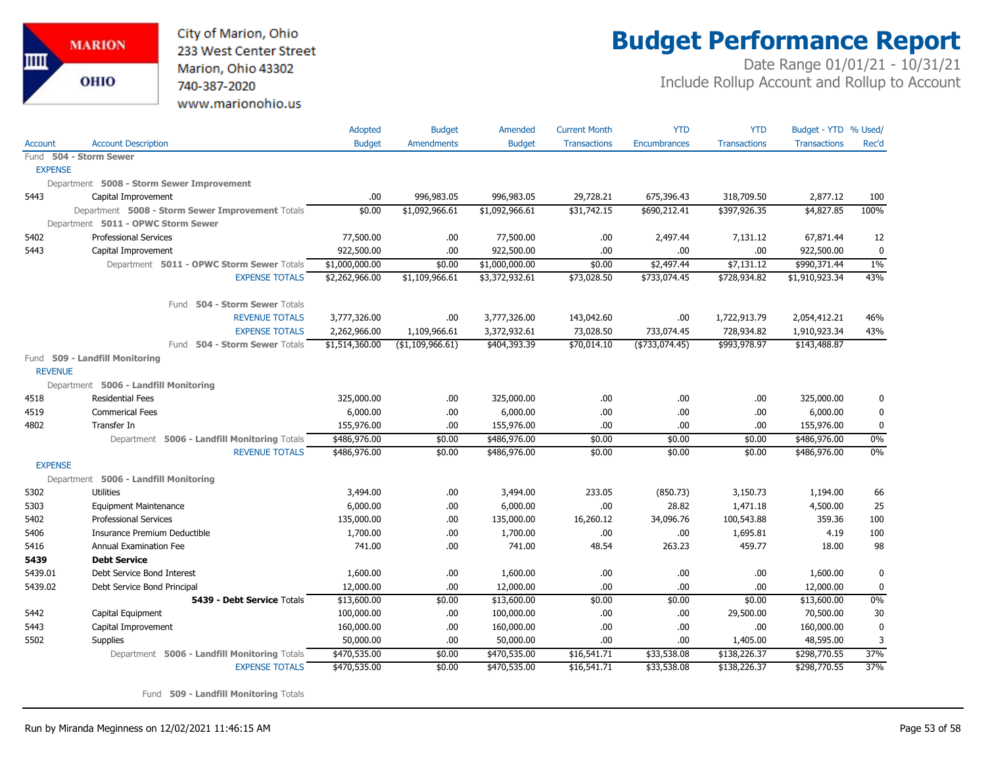

## **Budget Performance Report**

Date Range 01/01/21 - 10/31/21 Include Rollup Account and Rollup to Account

|                |                                                  | Adopted        | <b>Budget</b>       | Amended        | <b>Current Month</b> | <b>YTD</b>          | <b>YTD</b>          | Budget - YTD % Used/ |              |
|----------------|--------------------------------------------------|----------------|---------------------|----------------|----------------------|---------------------|---------------------|----------------------|--------------|
| Account        | <b>Account Description</b>                       | <b>Budget</b>  | <b>Amendments</b>   | <b>Budget</b>  | <b>Transactions</b>  | <b>Encumbrances</b> | <b>Transactions</b> | <b>Transactions</b>  | Rec'd        |
|                | Fund 504 - Storm Sewer                           |                |                     |                |                      |                     |                     |                      |              |
| <b>EXPENSE</b> |                                                  |                |                     |                |                      |                     |                     |                      |              |
|                | Department 5008 - Storm Sewer Improvement        |                |                     |                |                      |                     |                     |                      |              |
| 5443           | Capital Improvement                              | .00            | 996,983.05          | 996,983.05     | 29,728.21            | 675,396.43          | 318,709.50          | 2,877.12             | 100          |
|                | Department 5008 - Storm Sewer Improvement Totals | \$0.00         | \$1,092,966.61      | \$1,092,966.61 | \$31,742.15          | \$690,212.41        | \$397,926.35        | \$4,827.85           | 100%         |
|                | Department 5011 - OPWC Storm Sewer               |                |                     |                |                      |                     |                     |                      |              |
| 5402           | <b>Professional Services</b>                     | 77,500.00      | .00.                | 77,500.00      | .00                  | 2,497.44            | 7,131.12            | 67,871.44            | 12           |
| 5443           | Capital Improvement                              | 922,500.00     | .00.                | 922,500.00     | .00.                 | .00                 | .00                 | 922,500.00           | $\mathbf{0}$ |
|                | Department 5011 - OPWC Storm Sewer Totals        | \$1,000,000.00 | \$0.00              | \$1,000,000.00 | \$0.00               | \$2,497.44          | \$7,131.12          | \$990,371.44         | $1\%$        |
|                | <b>EXPENSE TOTALS</b>                            | \$2,262,966.00 | \$1,109,966.61      | \$3,372,932.61 | \$73,028.50          | \$733,074.45        | \$728,934.82        | \$1,910,923.34       | 43%          |
|                | 504 - Storm Sewer Totals<br>Fund                 |                |                     |                |                      |                     |                     |                      |              |
|                | <b>REVENUE TOTALS</b>                            | 3,777,326.00   | .00.                | 3,777,326.00   | 143,042.60           | .00                 | 1,722,913.79        | 2,054,412.21         | 46%          |
|                | <b>EXPENSE TOTALS</b>                            | 2,262,966.00   | 1,109,966.61        | 3,372,932.61   | 73,028.50            | 733,074.45          | 728,934.82          | 1,910,923.34         | 43%          |
|                | 504 - Storm Sewer Totals<br>Fund                 | \$1,514,360.00 | $($ \$1,109,966.61) | \$404,393.39   | \$70,014.10          | ( \$733,074.45)     | \$993,978.97        | \$143,488.87         |              |
|                | Fund 509 - Landfill Monitoring                   |                |                     |                |                      |                     |                     |                      |              |
| <b>REVENUE</b> |                                                  |                |                     |                |                      |                     |                     |                      |              |
|                | Department 5006 - Landfill Monitoring            |                |                     |                |                      |                     |                     |                      |              |
| 4518           | <b>Residential Fees</b>                          | 325,000.00     | .00.                | 325,000.00     | .00.                 | .00                 | .00.                | 325,000.00           | 0            |
| 4519           | <b>Commerical Fees</b>                           | 6,000.00       | .00.                | 6,000.00       | .00                  | .00                 | .00                 | 6,000.00             | $\mathbf 0$  |
| 4802           | Transfer In                                      | 155,976.00     | .00.                | 155,976.00     | .00.                 | .00                 | .00.                | 155,976.00           | 0            |
|                | Department 5006 - Landfill Monitoring Totals     | \$486,976.00   | \$0.00              | \$486,976.00   | \$0.00               | \$0.00              | \$0.00              | \$486,976.00         | 0%           |
|                | <b>REVENUE TOTALS</b>                            | \$486,976.00   | \$0.00              | \$486,976.00   | \$0.00               | \$0.00              | \$0.00              | \$486,976.00         | 0%           |
| <b>EXPENSE</b> |                                                  |                |                     |                |                      |                     |                     |                      |              |
|                | Department 5006 - Landfill Monitoring            |                |                     |                |                      |                     |                     |                      |              |
| 5302           | <b>Utilities</b>                                 | 3,494.00       | .00                 | 3,494.00       | 233.05               | (850.73)            | 3,150.73            | 1,194.00             | 66           |
| 5303           | <b>Equipment Maintenance</b>                     | 6,000.00       | .00.                | 6,000.00       | .00                  | 28.82               | 1,471.18            | 4,500.00             | 25           |
| 5402           | <b>Professional Services</b>                     | 135,000.00     | .00                 | 135,000.00     | 16,260.12            | 34,096.76           | 100,543.88          | 359.36               | 100          |
| 5406           | Insurance Premium Deductible                     | 1,700.00       | .00                 | 1,700.00       | .00.                 | .00                 | 1,695.81            | 4.19                 | 100          |
| 5416           | Annual Examination Fee                           | 741.00         | .00.                | 741.00         | 48.54                | 263.23              | 459.77              | 18.00                | 98           |
| 5439           | <b>Debt Service</b>                              |                |                     |                |                      |                     |                     |                      |              |
| 5439.01        | Debt Service Bond Interest                       | 1,600.00       | .00.                | 1,600.00       | .00.                 | .00                 | .00.                | 1,600.00             | 0            |
| 5439.02        | Debt Service Bond Principal                      | 12,000.00      | .00                 | 12,000.00      | .00.                 | .00                 | .00.                | 12,000.00            | 0            |
|                | 5439 - Debt Service Totals                       | \$13,600.00    | \$0.00              | \$13,600.00    | \$0.00               | \$0.00              | \$0.00              | \$13,600.00          | $0\%$        |
| 5442           | Capital Equipment                                | 100,000.00     | .00.                | 100,000.00     | .00                  | .00                 | 29,500.00           | 70,500.00            | 30           |
| 5443           | Capital Improvement                              | 160,000.00     | .00.                | 160,000.00     | .00.                 | .00                 | .00.                | 160,000.00           | $\mathbf 0$  |
| 5502           | <b>Supplies</b>                                  | 50,000.00      | .00.                | 50,000.00      | .00                  | .00                 | 1,405.00            | 48,595.00            | 3            |
|                | Department 5006 - Landfill Monitoring Totals     | \$470,535.00   | \$0.00              | \$470,535.00   | \$16,541.71          | \$33,538.08         | \$138,226.37        | \$298,770.55         | 37%          |
|                | <b>EXPENSE TOTALS</b>                            | \$470,535.00   | \$0.00              | \$470,535.00   | \$16,541.71          | \$33,538.08         | \$138,226.37        | \$298,770.55         | 37%          |

Fund **509 - Landfill Monitoring** Totals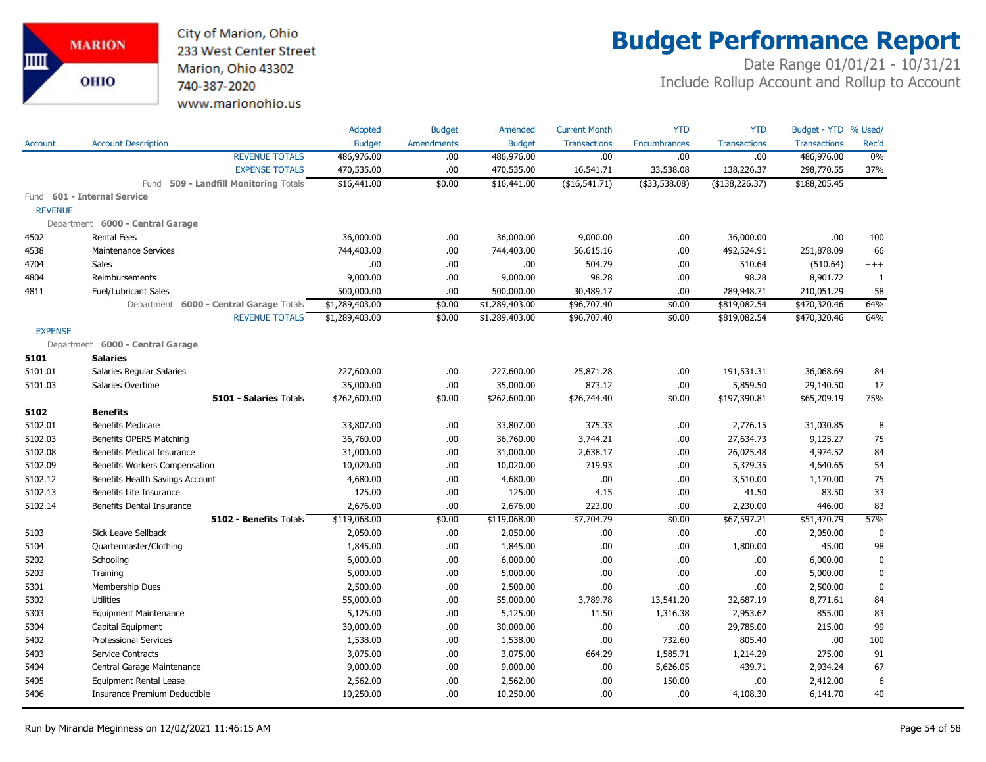City of Marion, Ohio 233 West Center Street Marion, Ohio 43302 740-387-2020 www.marionohio.us

# **Budget Performance Report**

|                |                                         | Adopted        | <b>Budget</b>     | Amended        | <b>Current Month</b> | <b>YTD</b>          | <b>YTD</b>          | Budget - YTD % Used/ |              |
|----------------|-----------------------------------------|----------------|-------------------|----------------|----------------------|---------------------|---------------------|----------------------|--------------|
| Account        | <b>Account Description</b>              | <b>Budget</b>  | <b>Amendments</b> | <b>Budget</b>  | <b>Transactions</b>  | <b>Encumbrances</b> | <b>Transactions</b> | <b>Transactions</b>  | Rec'd        |
|                | <b>REVENUE TOTALS</b>                   | 486,976.00     | .00.              | 486,976.00     | .00                  | .00.                | .00                 | 486,976.00           | 0%           |
|                | <b>EXPENSE TOTALS</b>                   | 470,535.00     | .00               | 470,535.00     | 16,541.71            | 33,538.08           | 138,226.37          | 298,770.55           | 37%          |
|                | Fund 509 - Landfill Monitoring Totals   | \$16,441.00    | \$0.00            | \$16,441.00    | ( \$16, 541.71)      | $($ \$33,538.08)    | ( \$138, 226.37)    | \$188,205.45         |              |
|                | Fund 601 - Internal Service             |                |                   |                |                      |                     |                     |                      |              |
| <b>REVENUE</b> |                                         |                |                   |                |                      |                     |                     |                      |              |
|                | Department 6000 - Central Garage        |                |                   |                |                      |                     |                     |                      |              |
| 4502           | <b>Rental Fees</b>                      | 36,000.00      | .00.              | 36,000.00      | 9,000.00             | .00                 | 36,000.00           | .00                  | 100          |
| 4538           | <b>Maintenance Services</b>             | 744,403.00     | .00.              | 744,403.00     | 56,615.16            | .00                 | 492,524.91          | 251,878.09           | 66           |
| 4704           | Sales                                   | .00            | .00.              | .00            | 504.79               | .00                 | 510.64              | (510.64)             | $^{+++}$     |
| 4804           | Reimbursements                          | 9,000.00       | .00.              | 9,000.00       | 98.28                | .00.                | 98.28               | 8,901.72             | $\mathbf{1}$ |
| 4811           | <b>Fuel/Lubricant Sales</b>             | 500,000.00     | .00               | 500,000.00     | 30,489.17            | .00.                | 289,948.71          | 210,051.29           | 58           |
|                | Department 6000 - Central Garage Totals | \$1,289,403.00 | \$0.00            | \$1,289,403.00 | \$96,707.40          | \$0.00              | \$819,082.54        | \$470,320.46         | 64%          |
|                | <b>REVENUE TOTALS</b>                   | \$1,289,403.00 | \$0.00            | \$1,289,403.00 | \$96,707.40          | \$0.00              | \$819,082.54        | \$470,320.46         | 64%          |
| <b>EXPENSE</b> |                                         |                |                   |                |                      |                     |                     |                      |              |
|                | Department 6000 - Central Garage        |                |                   |                |                      |                     |                     |                      |              |
| 5101           | <b>Salaries</b>                         |                |                   |                |                      |                     |                     |                      |              |
| 5101.01        | Salaries Regular Salaries               | 227,600.00     | .00.              | 227,600.00     | 25,871.28            | .00                 | 191,531.31          | 36,068.69            | 84           |
| 5101.03        | Salaries Overtime                       | 35,000.00      | .00               | 35,000.00      | 873.12               | .00.                | 5,859.50            | 29,140.50            | 17           |
|                | 5101 - Salaries Totals                  | \$262,600.00   | \$0.00            | \$262,600.00   | \$26,744.40          | \$0.00              | \$197,390.81        | \$65,209.19          | 75%          |
| 5102           | <b>Benefits</b>                         |                |                   |                |                      |                     |                     |                      |              |
| 5102.01        | <b>Benefits Medicare</b>                | 33,807.00      | .00.              | 33,807.00      | 375.33               | .00.                | 2,776.15            | 31,030.85            | 8            |
| 5102.03        | <b>Benefits OPERS Matching</b>          | 36,760.00      | .00.              | 36,760.00      | 3,744.21             | .00                 | 27,634.73           | 9,125.27             | 75           |
| 5102.08        | <b>Benefits Medical Insurance</b>       | 31,000.00      | .00.              | 31,000.00      | 2,638.17             | .00                 | 26,025.48           | 4,974.52             | 84           |
| 5102.09        | Benefits Workers Compensation           | 10,020.00      | .00.              | 10,020.00      | 719.93               | .00.                | 5,379.35            | 4,640.65             | 54           |
| 5102.12        | Benefits Health Savings Account         | 4,680.00       | .00.              | 4,680.00       | .00                  | .00.                | 3,510.00            | 1,170.00             | 75           |
| 5102.13        | Benefits Life Insurance                 | 125.00         | .00               | 125.00         | 4.15                 | .00.                | 41.50               | 83.50                | 33           |
| 5102.14        | Benefits Dental Insurance               | 2,676.00       | .00               | 2,676.00       | 223.00               | .00.                | 2,230.00            | 446.00               | 83           |
|                | 5102 - Benefits Totals                  | \$119,068.00   | \$0.00            | \$119,068.00   | \$7,704.79           | \$0.00              | \$67,597.21         | \$51,470.79          | 57%          |
| 5103           | Sick Leave Sellback                     | 2,050.00       | .00.              | 2,050.00       | .00.                 | .00.                | .00                 | 2,050.00             | $\mathbf 0$  |
| 5104           | Quartermaster/Clothing                  | 1,845.00       | .00.              | 1,845.00       | .00.                 | .00                 | 1,800.00            | 45.00                | 98           |
| 5202           | Schooling                               | 6,000.00       | .00.              | 6,000.00       | .00.                 | .00                 | .00                 | 6,000.00             | $\mathbf 0$  |
| 5203           | Training                                | 5,000.00       | .00.              | 5,000.00       | .00                  | .00.                | .00                 | 5,000.00             | $\bf{0}$     |
| 5301           | Membership Dues                         | 2,500.00       | .00.              | 2,500.00       | .00                  | .00                 | .00                 | 2,500.00             | 0            |
| 5302           | <b>Utilities</b>                        | 55,000.00      | .00.              | 55,000.00      | 3,789.78             | 13,541.20           | 32,687.19           | 8,771.61             | 84           |
| 5303           | <b>Equipment Maintenance</b>            | 5,125.00       | .00.              | 5,125.00       | 11.50                | 1,316.38            | 2,953.62            | 855.00               | 83           |
| 5304           | Capital Equipment                       | 30,000.00      | .00.              | 30,000.00      | .00                  | .00.                | 29,785.00           | 215.00               | 99           |
| 5402           | <b>Professional Services</b>            | 1,538.00       | .00.              | 1,538.00       | .00                  | 732.60              | 805.40              | .00.                 | 100          |
| 5403           | Service Contracts                       | 3,075.00       | .00.              | 3,075.00       | 664.29               | 1,585.71            | 1,214.29            | 275.00               | 91           |
| 5404           | Central Garage Maintenance              | 9,000.00       | .00.              | 9,000.00       | .00.                 | 5,626.05            | 439.71              | 2,934.24             | 67           |
| 5405           | <b>Equipment Rental Lease</b>           | 2,562.00       | .00               | 2,562.00       | .00                  | 150.00              | .00                 | 2,412.00             | 6            |
| 5406           | Insurance Premium Deductible            | 10,250.00      | .00.              | 10,250.00      | .00                  | .00.                | 4,108.30            | 6,141.70             | 40           |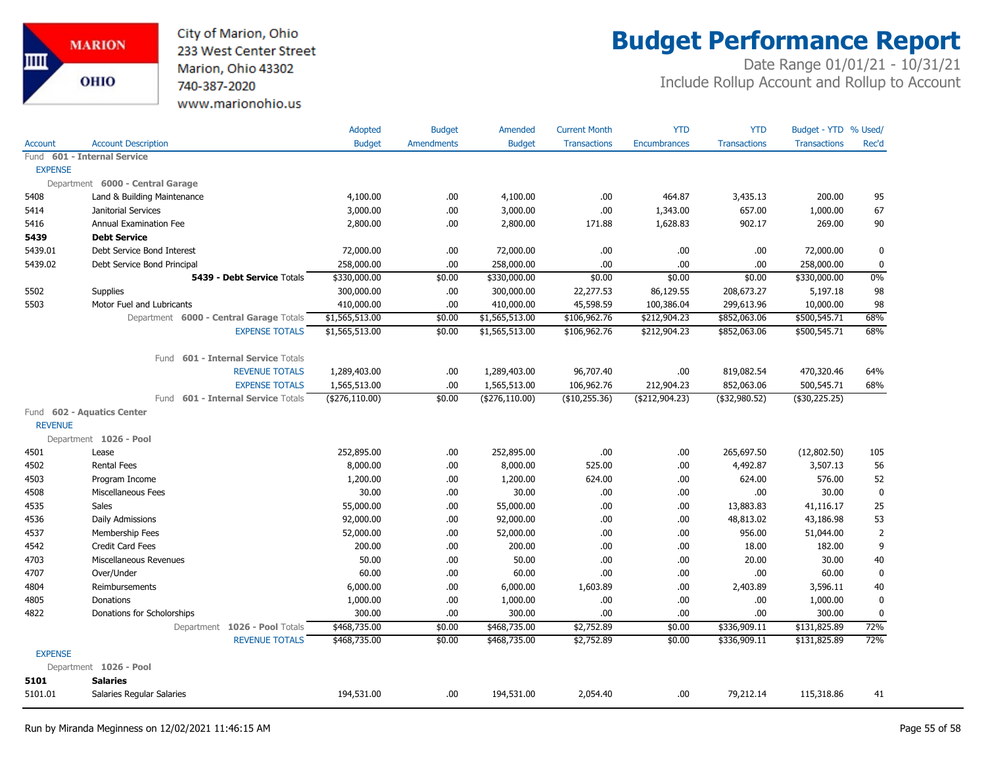City of Marion, Ohio 233 West Center Street Marion, Ohio 43302 740-387-2020 www.marionohio.us

## **Budget Performance Report**

|                |                                              | Adopted          | <b>Budget</b>     | Amended          | <b>Current Month</b> | <b>YTD</b>          | <b>YTD</b>          | Budget - YTD % Used/ |             |
|----------------|----------------------------------------------|------------------|-------------------|------------------|----------------------|---------------------|---------------------|----------------------|-------------|
| <b>Account</b> | <b>Account Description</b>                   | <b>Budget</b>    | <b>Amendments</b> | <b>Budget</b>    | <b>Transactions</b>  | <b>Encumbrances</b> | <b>Transactions</b> | <b>Transactions</b>  | Rec'd       |
| Fund           | 601 - Internal Service                       |                  |                   |                  |                      |                     |                     |                      |             |
| <b>EXPENSE</b> |                                              |                  |                   |                  |                      |                     |                     |                      |             |
|                | Department 6000 - Central Garage             |                  |                   |                  |                      |                     |                     |                      |             |
| 5408           | Land & Building Maintenance                  | 4,100.00         | .00.              | 4,100.00         | .00.                 | 464.87              | 3,435.13            | 200.00               | 95          |
| 5414           | Janitorial Services                          | 3,000.00         | .00               | 3,000.00         | .00                  | 1,343.00            | 657.00              | 1,000.00             | 67          |
| 5416           | Annual Examination Fee                       | 2,800.00         | .00               | 2,800.00         | 171.88               | 1,628.83            | 902.17              | 269.00               | 90          |
| 5439           | <b>Debt Service</b>                          |                  |                   |                  |                      |                     |                     |                      |             |
| 5439.01        | Debt Service Bond Interest                   | 72,000.00        | .00               | 72,000.00        | .00.                 | .00                 | .00                 | 72,000.00            | 0           |
| 5439.02        | Debt Service Bond Principal                  | 258,000.00       | .00.              | 258,000.00       | .00                  | .00                 | .00.                | 258,000.00           | $\mathbf 0$ |
|                | 5439 - Debt Service Totals                   | \$330,000.00     | \$0.00            | \$330,000.00     | \$0.00               | \$0.00              | \$0.00              | \$330,000.00         | $0\%$       |
| 5502           | Supplies                                     | 300,000.00       | .00.              | 300,000.00       | 22,277.53            | 86,129.55           | 208,673.27          | 5,197.18             | 98          |
| 5503           | Motor Fuel and Lubricants                    | 410,000.00       | .00               | 410,000.00       | 45,598.59            | 100,386.04          | 299,613.96          | 10,000.00            | 98          |
|                | Department 6000 - Central Garage Totals      | \$1,565,513.00   | \$0.00            | \$1,565,513.00   | \$106,962.76         | \$212,904.23        | \$852,063.06        | \$500,545.71         | 68%         |
|                | <b>EXPENSE TOTALS</b>                        | \$1,565,513.00   | \$0.00            | \$1,565,513.00   | \$106,962.76         | \$212,904.23        | \$852,063.06        | \$500,545.71         | 68%         |
|                | <b>601 - Internal Service Totals</b><br>Fund |                  |                   |                  |                      |                     |                     |                      |             |
|                | <b>REVENUE TOTALS</b>                        | 1,289,403.00     | .00.              | 1,289,403.00     | 96,707.40            | .00                 | 819,082.54          | 470,320.46           | 64%         |
|                | <b>EXPENSE TOTALS</b>                        | 1,565,513.00     | .00.              | 1,565,513.00     | 106,962.76           | 212,904.23          | 852,063.06          | 500,545.71           | 68%         |
|                | 601 - Internal Service Totals<br>Fund        | ( \$276, 110.00) | \$0.00            | ( \$276, 110.00) | (\$10,255.36)        | ( \$212, 904.23)    | (\$32,980.52)       | $(*30,225.25)$       |             |
|                | Fund 602 - Aquatics Center                   |                  |                   |                  |                      |                     |                     |                      |             |
| <b>REVENUE</b> |                                              |                  |                   |                  |                      |                     |                     |                      |             |
|                | Department 1026 - Pool                       |                  |                   |                  |                      |                     |                     |                      |             |
| 4501           | Lease                                        | 252,895.00       | .00.              | 252,895.00       | .00.                 | .00                 | 265,697.50          | (12,802.50)          | 105         |
| 4502           | <b>Rental Fees</b>                           | 8,000.00         | .00.              | 8,000.00         | 525.00               | .00                 | 4,492.87            | 3,507.13             | 56          |
| 4503           | Program Income                               | 1,200.00         | .00.              | 1,200.00         | 624.00               | .00                 | 624.00              | 576.00               | 52          |
| 4508           | Miscellaneous Fees                           | 30.00            | .00.              | 30.00            | .00.                 | .00                 | .00                 | 30.00                | $\pmb{0}$   |
| 4535           | Sales                                        | 55,000.00        | .00               | 55,000.00        | .00.                 | .00                 | 13,883.83           | 41,116.17            | 25          |
| 4536           | Daily Admissions                             | 92,000.00        | .00               | 92,000.00        | .00.                 | .00                 | 48,813.02           | 43,186.98            | 53          |
| 4537           | Membership Fees                              | 52,000.00        | .00.              | 52,000.00        | .00.                 | .00                 | 956.00              | 51,044.00            | 2           |
| 4542           | <b>Credit Card Fees</b>                      | 200.00           | .00.              | 200.00           | .00.                 | .00                 | 18.00               | 182.00               | 9           |
| 4703           | Miscellaneous Revenues                       | 50.00            | .00.              | 50.00            | .00.                 | .00                 | 20.00               | 30.00                | 40          |
| 4707           | Over/Under                                   | 60.00            | .00.              | 60.00            | .00.                 | .00                 | .00                 | 60.00                | $\mathbf 0$ |
| 4804           | Reimbursements                               | 6,000.00         | .00.              | 6,000.00         | 1,603.89             | .00                 | 2,403.89            | 3,596.11             | 40          |
| 4805           | Donations                                    | 1,000.00         | .00               | 1,000.00         | .00.                 | .00                 | .00                 | 1,000.00             | $\mathbf 0$ |
| 4822           | Donations for Scholorships                   | 300.00           | .00               | 300.00           | .00                  | .00                 | .00.                | 300.00               | $\mathbf 0$ |
|                | Department 1026 - Pool Totals                | \$468,735.00     | \$0.00            | \$468,735.00     | \$2,752.89           | \$0.00              | \$336,909.11        | \$131,825.89         | 72%         |
|                | <b>REVENUE TOTALS</b>                        | \$468,735.00     | \$0.00            | \$468,735.00     | \$2,752.89           | \$0.00              | \$336,909.11        | \$131,825.89         | 72%         |
| <b>EXPENSE</b> |                                              |                  |                   |                  |                      |                     |                     |                      |             |
|                | Department 1026 - Pool                       |                  |                   |                  |                      |                     |                     |                      |             |
| 5101           | <b>Salaries</b>                              |                  |                   |                  |                      |                     |                     |                      |             |
| 5101.01        | Salaries Regular Salaries                    | 194,531.00       | .00.              | 194,531.00       | 2,054.40             | .00                 | 79,212.14           | 115,318.86           | 41          |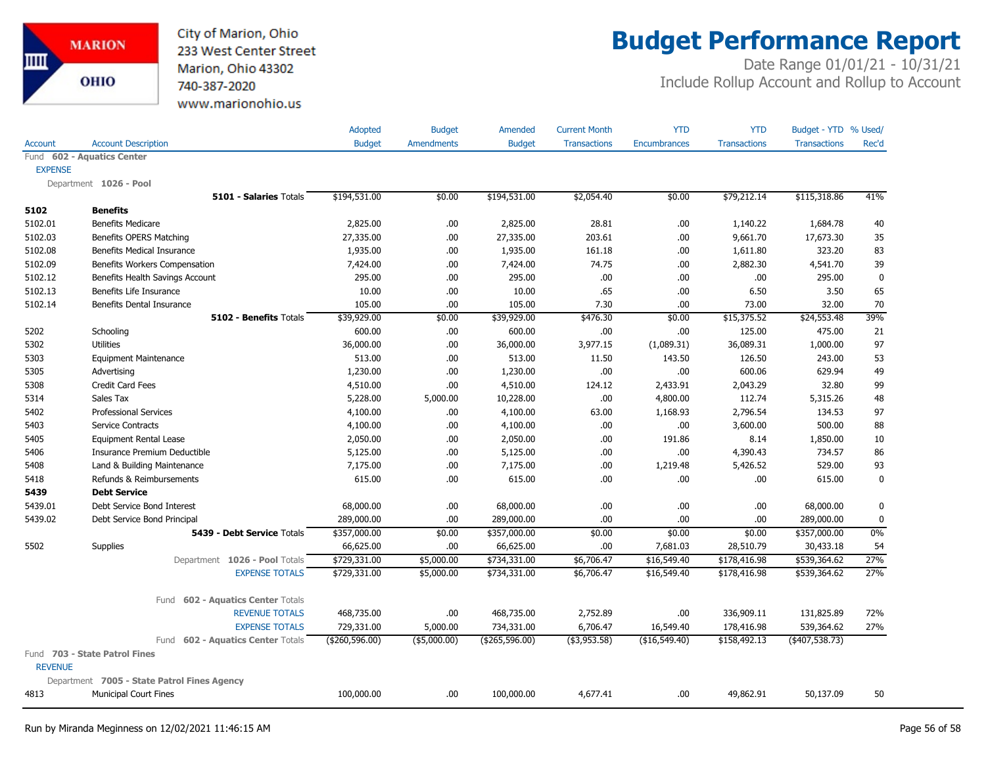City of Marion, Ohio 233 West Center Street Marion, Ohio 43302 740-387-2020 www.marionohio.us

## **Budget Performance Report**

|                |                                             |                                   | Adopted        | <b>Budget</b> | Amended          | <b>Current Month</b> | <b>YTD</b>          | <b>YTD</b>          | Budget - YTD % Used/ |             |
|----------------|---------------------------------------------|-----------------------------------|----------------|---------------|------------------|----------------------|---------------------|---------------------|----------------------|-------------|
| Account        | <b>Account Description</b>                  |                                   | <b>Budget</b>  | Amendments    | <b>Budget</b>    | <b>Transactions</b>  | <b>Encumbrances</b> | <b>Transactions</b> | <b>Transactions</b>  | Rec'd       |
|                | Fund 602 - Aquatics Center                  |                                   |                |               |                  |                      |                     |                     |                      |             |
| <b>EXPENSE</b> |                                             |                                   |                |               |                  |                      |                     |                     |                      |             |
|                | Department 1026 - Pool                      |                                   |                |               |                  |                      |                     |                     |                      |             |
|                |                                             | 5101 - Salaries Totals            | \$194,531.00   | \$0.00        | \$194,531.00     | \$2,054.40           | \$0.00              | \$79,212.14         | \$115,318.86         | 41%         |
| 5102           | <b>Benefits</b>                             |                                   |                |               |                  |                      |                     |                     |                      |             |
| 5102.01        | <b>Benefits Medicare</b>                    |                                   | 2,825.00       | .00.          | 2,825.00         | 28.81                | .00.                | 1,140.22            | 1,684.78             | 40          |
| 5102.03        | Benefits OPERS Matching                     |                                   | 27,335.00      | .00           | 27,335.00        | 203.61               | .00                 | 9,661.70            | 17,673.30            | 35          |
| 5102.08        | <b>Benefits Medical Insurance</b>           |                                   | 1,935.00       | .00           | 1,935.00         | 161.18               | .00                 | 1,611.80            | 323.20               | 83          |
| 5102.09        | Benefits Workers Compensation               |                                   | 7,424.00       | .00.          | 7,424.00         | 74.75                | .00                 | 2,882.30            | 4,541.70             | 39          |
| 5102.12        | Benefits Health Savings Account             |                                   | 295.00         | .00.          | 295.00           | .00                  | .00.                | .00                 | 295.00               | $\pmb{0}$   |
| 5102.13        | Benefits Life Insurance                     |                                   | 10.00          | .00.          | 10.00            | .65                  | .00                 | 6.50                | 3.50                 | 65          |
| 5102.14        | Benefits Dental Insurance                   |                                   | 105.00         | .00           | 105.00           | 7.30                 | .00                 | 73.00               | 32.00                | 70          |
|                |                                             | 5102 - Benefits Totals            | \$39,929.00    | \$0.00        | \$39,929.00      | \$476.30             | \$0.00              | \$15,375.52         | \$24,553.48          | 39%         |
| 5202           | Schooling                                   |                                   | 600.00         | .00.          | 600.00           | .00                  | .00.                | 125.00              | 475.00               | 21          |
| 5302           | <b>Utilities</b>                            |                                   | 36,000.00      | .00.          | 36,000.00        | 3,977.15             | (1,089.31)          | 36,089.31           | 1,000.00             | 97          |
| 5303           | <b>Equipment Maintenance</b>                |                                   | 513.00         | .00           | 513.00           | 11.50                | 143.50              | 126.50              | 243.00               | 53          |
| 5305           | Advertising                                 |                                   | 1,230.00       | .00           | 1,230.00         | .00                  | .00.                | 600.06              | 629.94               | 49          |
| 5308           | <b>Credit Card Fees</b>                     |                                   | 4,510.00       | .00.          | 4,510.00         | 124.12               | 2,433.91            | 2,043.29            | 32.80                | 99          |
| 5314           | Sales Tax                                   |                                   | 5,228.00       | 5,000.00      | 10,228.00        | .00                  | 4,800.00            | 112.74              | 5,315.26             | 48          |
| 5402           | <b>Professional Services</b>                |                                   | 4,100.00       | .00.          | 4,100.00         | 63.00                | 1,168.93            | 2,796.54            | 134.53               | 97          |
| 5403           | Service Contracts                           |                                   | 4,100.00       | .00.          | 4,100.00         | .00                  | .00.                | 3,600.00            | 500.00               | 88          |
| 5405           | <b>Equipment Rental Lease</b>               |                                   | 2,050.00       | .00.          | 2,050.00         | .00                  | 191.86              | 8.14                | 1,850.00             | 10          |
| 5406           | Insurance Premium Deductible                |                                   | 5,125.00       | .00.          | 5,125.00         | .00                  | .00.                | 4,390.43            | 734.57               | 86          |
| 5408           | Land & Building Maintenance                 |                                   | 7,175.00       | .00.          | 7,175.00         | .00                  | 1,219.48            | 5,426.52            | 529.00               | 93          |
| 5418           | Refunds & Reimbursements                    |                                   | 615.00         | .00           | 615.00           | .00                  | .00.                | .00                 | 615.00               | $\mathbf 0$ |
| 5439           | <b>Debt Service</b>                         |                                   |                |               |                  |                      |                     |                     |                      |             |
| 5439.01        | Debt Service Bond Interest                  |                                   | 68,000.00      | .00.          | 68,000.00        | .00                  | .00.                | .00                 | 68,000.00            | $\mathbf 0$ |
| 5439.02        | Debt Service Bond Principal                 |                                   | 289,000.00     | .00.          | 289,000.00       | .00                  | .00.                | .00                 | 289,000.00           | 0           |
|                |                                             | 5439 - Debt Service Totals        | \$357,000.00   | \$0.00        | \$357,000.00     | \$0.00               | \$0.00              | \$0.00              | \$357,000.00         | $0\%$       |
| 5502           | Supplies                                    |                                   | 66,625.00      | .00           | 66,625.00        | .00                  | 7,681.03            | 28,510.79           | 30,433.18            | 54          |
|                |                                             | Department 1026 - Pool Totals     | \$729,331.00   | \$5,000.00    | \$734,331.00     | \$6,706.47           | \$16,549.40         | \$178,416.98        | \$539,364.62         | 27%         |
|                |                                             | <b>EXPENSE TOTALS</b>             | \$729,331.00   | \$5,000.00    | \$734,331.00     | \$6,706.47           | \$16,549.40         | \$178,416.98        | \$539,364.62         | 27%         |
|                |                                             | Fund 602 - Aquatics Center Totals |                |               |                  |                      |                     |                     |                      |             |
|                |                                             | <b>REVENUE TOTALS</b>             | 468,735.00     | .00           | 468,735.00       | 2,752.89             | .00                 | 336,909.11          | 131,825.89           | 72%         |
|                |                                             | <b>EXPENSE TOTALS</b>             | 729,331.00     | 5,000.00      | 734,331.00       | 6,706.47             | 16,549.40           | 178,416.98          | 539,364.62           | 27%         |
|                |                                             | Fund 602 - Aquatics Center Totals | (\$260,596.00) | (\$5,000.00)  | ( \$265, 596.00) | $($ \$3,953.58)      | (\$16,549.40)       | \$158,492.13        | $(*407,538.73)$      |             |
| <b>REVENUE</b> | Fund 703 - State Patrol Fines               |                                   |                |               |                  |                      |                     |                     |                      |             |
|                | Department 7005 - State Patrol Fines Agency |                                   |                |               |                  |                      |                     |                     |                      |             |
| 4813           | <b>Municipal Court Fines</b>                |                                   | 100,000.00     | .00           | 100,000.00       | 4,677.41             | .00.                | 49,862.91           | 50,137.09            | 50          |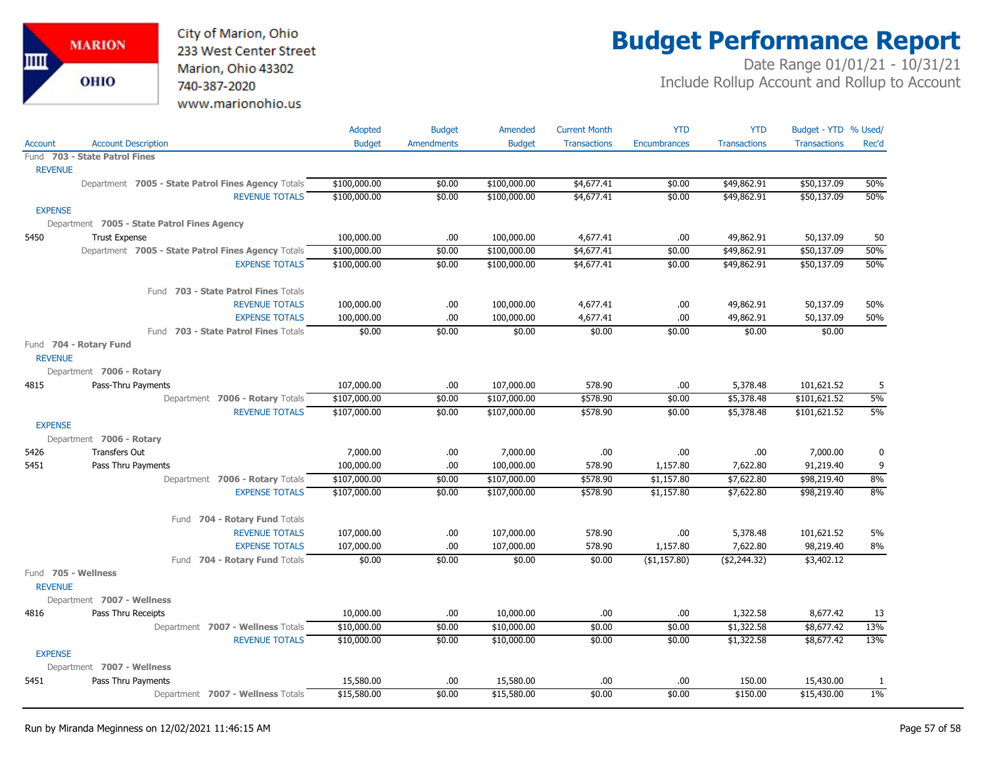City of Marion, Ohio 233 West Center Street Marion, Ohio 43302 740-387-2020 www.marionohio.us

## **Budget Performance Report**

|                |                                                    | Adopted       | <b>Budget</b>     | Amended       | <b>Current Month</b> | <b>YTD</b>               | <b>YTD</b>          | Budget - YTD % Used/ |       |
|----------------|----------------------------------------------------|---------------|-------------------|---------------|----------------------|--------------------------|---------------------|----------------------|-------|
| <b>Account</b> | <b>Account Description</b>                         | <b>Budget</b> | <b>Amendments</b> | <b>Budget</b> | <b>Transactions</b>  | Encumbrances             | <b>Transactions</b> | <b>Transactions</b>  | Rec'd |
|                | Fund 703 - State Patrol Fines                      |               |                   |               |                      |                          |                     |                      |       |
| <b>REVENUE</b> |                                                    |               |                   |               |                      |                          |                     |                      |       |
|                | Department 7005 - State Patrol Fines Agency Totals | \$100,000.00  | \$0.00            | \$100,000.00  | \$4,677.41           | \$0.00                   | \$49,862.91         | \$50,137.09          | 50%   |
|                | <b>REVENUE TOTALS</b>                              | \$100,000.00  | \$0.00            | \$100,000.00  | \$4,677.41           | \$0.00                   | \$49,862.91         | \$50,137.09          | 50%   |
| <b>EXPENSE</b> |                                                    |               |                   |               |                      |                          |                     |                      |       |
|                | Department 7005 - State Patrol Fines Agency        |               |                   |               |                      |                          |                     |                      |       |
| 5450           | <b>Trust Expense</b>                               | 100,000.00    | .00               | 100,000.00    | 4,677.41             | .00.                     | 49,862.91           | 50,137.09            | 50    |
|                | Department 7005 - State Patrol Fines Agency Totals | \$100,000.00  | \$0.00            | \$100,000.00  | \$4,677.41           | \$0.00                   | \$49,862.91         | \$50,137.09          | 50%   |
|                | <b>EXPENSE TOTALS</b>                              | \$100,000.00  | \$0.00            | \$100,000.00  | \$4,677.41           | \$0.00                   | \$49,862.91         | \$50,137.09          | 50%   |
|                | Fund 703 - State Patrol Fines Totals               |               |                   |               |                      |                          |                     |                      |       |
|                | <b>REVENUE TOTALS</b>                              | 100,000.00    | .00.              | 100,000.00    | 4,677.41             | .00                      | 49,862.91           | 50,137.09            | 50%   |
|                | <b>EXPENSE TOTALS</b>                              | 100,000.00    | .00               | 100,000.00    | 4,677.41             | .00                      | 49,862.91           | 50,137.09            | 50%   |
|                | Fund 703 - State Patrol Fines Totals               | \$0.00        | \$0.00            | \$0.00        | \$0.00               | \$0.00                   | \$0.00              | \$0.00               |       |
|                | Fund 704 - Rotary Fund                             |               |                   |               |                      |                          |                     |                      |       |
| <b>REVENUE</b> |                                                    |               |                   |               |                      |                          |                     |                      |       |
|                | Department 7006 - Rotary                           |               |                   |               |                      |                          |                     |                      |       |
| 4815           | Pass-Thru Payments                                 | 107,000.00    | .00               | 107,000.00    | 578.90               | .00.                     | 5,378.48            | 101,621.52           | 5     |
|                | Department 7006 - Rotary Totals                    | \$107,000.00  | \$0.00            | \$107,000.00  | \$578.90             | \$0.00                   | \$5,378.48          | \$101,621.52         | 5%    |
|                | <b>REVENUE TOTALS</b>                              | \$107,000.00  | \$0.00            | \$107,000.00  | \$578.90             | \$0.00                   | \$5,378.48          | \$101,621.52         | 5%    |
| <b>EXPENSE</b> |                                                    |               |                   |               |                      |                          |                     |                      |       |
|                | Department 7006 - Rotary                           |               |                   |               |                      |                          |                     |                      |       |
| 5426           | Transfers Out                                      | 7,000.00      | .00               | 7,000.00      | .00                  | .00.                     | .00.                | 7,000.00             | 0     |
| 5451           | Pass Thru Payments                                 | 100,000.00    | .00               | 100,000.00    | 578.90               | 1,157.80                 | 7,622.80            | 91,219.40            | 9     |
|                | Department 7006 - Rotary Totals                    | \$107,000.00  | \$0.00            | \$107,000.00  | \$578.90             | \$1,157.80               | \$7,622.80          | \$98,219.40          | 8%    |
|                | <b>EXPENSE TOTALS</b>                              | \$107,000.00  | \$0.00            | \$107,000.00  | \$578.90             | \$1,157.80               | \$7,622.80          | \$98,219.40          | 8%    |
|                | Fund 704 - Rotary Fund Totals                      |               |                   |               |                      |                          |                     |                      |       |
|                | <b>REVENUE TOTALS</b>                              | 107,000.00    | .00.              | 107,000.00    | 578.90               | .00.                     | 5,378.48            | 101,621.52           | 5%    |
|                | <b>EXPENSE TOTALS</b>                              | 107,000.00    | .00               | 107,000.00    | 578.90               | 1,157.80                 | 7,622.80            | 98,219.40            | 8%    |
|                | Fund 704 - Rotary Fund Totals                      | \$0.00        | \$0.00            | \$0.00        | \$0.00               | $(\overline{$1,157.80})$ | ( \$2, 244.32)      | \$3,402.12           |       |
|                | Fund 705 - Wellness                                |               |                   |               |                      |                          |                     |                      |       |
| <b>REVENUE</b> |                                                    |               |                   |               |                      |                          |                     |                      |       |
|                | Department 7007 - Wellness                         |               |                   |               |                      |                          |                     |                      |       |
| 4816           | Pass Thru Receipts                                 | 10,000.00     | .00               | 10,000.00     | .00                  | .00                      | 1,322.58            | 8,677.42             | 13    |
|                | Department 7007 - Wellness Totals                  | \$10,000.00   | \$0.00            | \$10,000.00   | \$0.00               | \$0.00                   | \$1,322.58          | \$8,677.42           | 13%   |
|                | <b>REVENUE TOTALS</b>                              | \$10,000.00   | \$0.00            | \$10,000.00   | \$0.00               | \$0.00                   | \$1,322.58          | \$8,677.42           | 13%   |
| <b>EXPENSE</b> |                                                    |               |                   |               |                      |                          |                     |                      |       |
|                | Department 7007 - Wellness                         |               |                   |               |                      |                          |                     |                      |       |
| 5451           | Pass Thru Payments                                 | 15,580.00     | .00               | 15,580.00     | .00                  | .00                      | 150.00              | 15,430.00            | -1    |
|                | Department 7007 - Wellness Totals                  | \$15,580.00   | \$0.00            | \$15,580.00   | \$0.00               | \$0.00                   | \$150.00            | \$15,430.00          | $1\%$ |